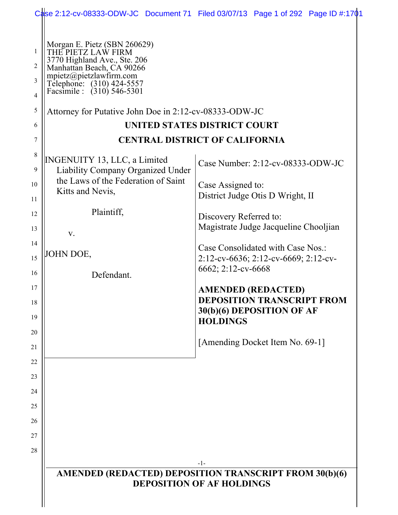|                                                                                                                                                                                                                           | Case 2:12-cv-08333-ODW-JC Document 71 Filed 03/07/13 Page 1 of 292 Page ID #:1701                              |
|---------------------------------------------------------------------------------------------------------------------------------------------------------------------------------------------------------------------------|----------------------------------------------------------------------------------------------------------------|
| Morgan E. Pietz (SBN 260629)<br>THE PIETZ LAW FIRM<br>1<br>3770 Highland Ave., Ste. 206<br>2<br>Manhattan Beach, CA 90266<br>mpietz@pietzlawfirm.com<br>3<br>Telephone: (310) 424-5557<br>Facsimile : (310) 546-5301<br>4 |                                                                                                                |
| 5<br>Attorney for Putative John Doe in 2:12-cv-08333-ODW-JC                                                                                                                                                               |                                                                                                                |
| 6                                                                                                                                                                                                                         | UNITED STATES DISTRICT COURT                                                                                   |
|                                                                                                                                                                                                                           | <b>CENTRAL DISTRICT OF CALIFORNIA</b>                                                                          |
| 8<br><b>INGENUITY 13, LLC, a Limited</b><br>9<br>Liability Company Organized Under                                                                                                                                        | Case Number: 2:12-cv-08333-ODW-JC                                                                              |
| the Laws of the Federation of Saint<br>10<br>Kitts and Nevis,<br>11                                                                                                                                                       | Case Assigned to:<br>District Judge Otis D Wright, II                                                          |
| Plaintiff,<br>12<br>13                                                                                                                                                                                                    | Discovery Referred to:<br>Magistrate Judge Jacqueline Chooljian                                                |
| V.<br>14<br>JOHN DOE,<br>15                                                                                                                                                                                               | Case Consolidated with Case Nos.:<br>2:12-cv-6636; 2:12-cv-6669; 2:12-cv-                                      |
| 16<br>Defendant.                                                                                                                                                                                                          | 6662; 2:12-cv-6668                                                                                             |
| 17<br>18<br>19                                                                                                                                                                                                            | <b>AMENDED (REDACTED)</b><br><b>DEPOSITION TRANSCRIPT FROM</b><br>30(b)(6) DEPOSITION OF AF<br><b>HOLDINGS</b> |
| 20                                                                                                                                                                                                                        | [Amending Docket Item No. 69-1]                                                                                |
| 22<br>23<br>24<br>25                                                                                                                                                                                                      |                                                                                                                |
| 26<br>27<br>28                                                                                                                                                                                                            |                                                                                                                |
|                                                                                                                                                                                                                           | <b>AMENDED</b> (REDACTED) DEPOSITION TRANSCRIPT FROM 30(b)(6)<br><b>DEPOSITION OF AF HOLDINGS</b>              |
|                                                                                                                                                                                                                           | -1-                                                                                                            |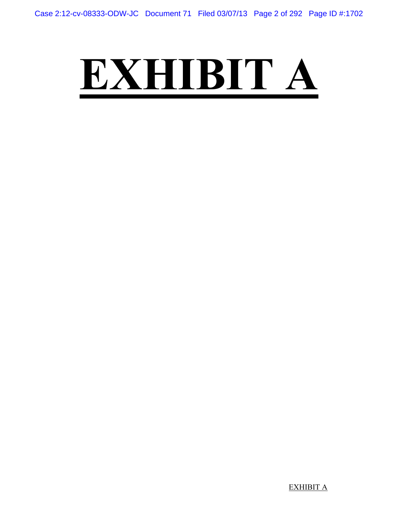## **EXHIBIT A**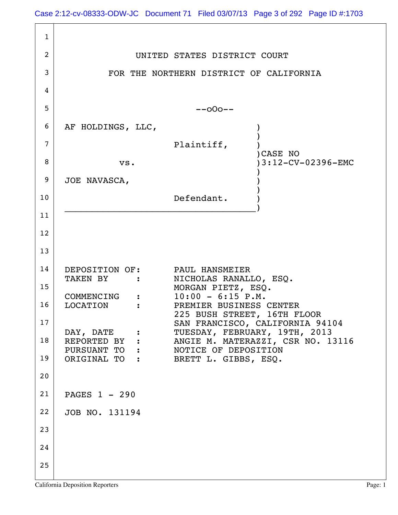|                | Case 2:12-cv-08333-ODW-JC Document 71 Filed 03/07/13 Page 3 of 292 Page ID #:1703          |
|----------------|--------------------------------------------------------------------------------------------|
| $\mathbf{1}$   |                                                                                            |
| 2              | UNITED STATES DISTRICT COURT                                                               |
| 3              | FOR THE NORTHERN DISTRICT OF CALIFORNIA                                                    |
| 4              |                                                                                            |
| 5              | $--000--$                                                                                  |
| 6              | AF HOLDINGS, LLC,                                                                          |
| $\overline{7}$ | Plaintiff,<br>CASE NO                                                                      |
| 8              | 3:12-CV-02396-EMC<br>vs.                                                                   |
| 9              | JOE NAVASCA,                                                                               |
| 10             | Defendant.                                                                                 |
| 11             |                                                                                            |
| 12             |                                                                                            |
| 13             |                                                                                            |
| 14             | DEPOSITION OF: PAUL HANSMEIER<br>TAKEN BY :<br>NICHOLAS RANALLO, ESQ.                      |
| 15             | MORGAN PIETZ, ESQ.<br>$10:00 - 6:15 P.M.$<br>COMMENCING<br>$\ddot{\bullet}$                |
| 16             | LOCATION<br>PREMIER BUSINESS CENTER<br>225 BUSH STREET, 16TH FLOOR                         |
| 17             | SAN FRANCISCO, CALIFORNIA 94104<br>TUESDAY, FEBRUARY, 19TH, 2013<br>DAY, DATE              |
| 18             | REPORTED BY :<br>ANGIE M. MATERAZZI, CSR NO. 13116<br>PURSUANT TO:<br>NOTICE OF DEPOSITION |
| 19             | ORIGINAL TO:<br>BRETT L. GIBBS, ESQ.                                                       |
| 20             |                                                                                            |
| 21             | PAGES 1 - 290                                                                              |
| 22             | JOB NO. 131194                                                                             |
| 23             |                                                                                            |
| 24             |                                                                                            |
| 25             |                                                                                            |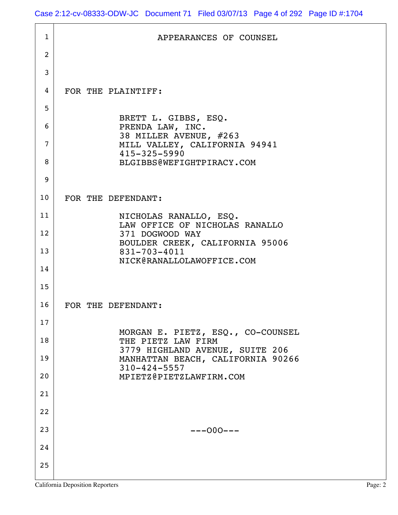| $\mathbf{1}$   | APPEARANCES OF COUNSEL                                                  |
|----------------|-------------------------------------------------------------------------|
| $\overline{2}$ |                                                                         |
| 3              |                                                                         |
| 4              | FOR THE PLAINTIFF:                                                      |
| 5              |                                                                         |
| 6              | BRETT L. GIBBS, ESQ.<br>PRENDA LAW, INC.                                |
| 7              | 38 MILLER AVENUE, #263<br>MILL VALLEY, CALIFORNIA 94941<br>415-325-5990 |
| 8              | BLGIBBS@WEFIGHTPIRACY.COM                                               |
| 9              |                                                                         |
| 10             | FOR THE DEFENDANT:                                                      |
| 11             | NICHOLAS RANALLO, ESQ.<br>LAW OFFICE OF NICHOLAS RANALLO                |
| 12             | 371 DOGWOOD WAY<br>BOULDER CREEK, CALIFORNIA 95006                      |
| 13             | 831-703-4011<br>NICK@RANALLOLAWOFFICE.COM                               |
| 14             |                                                                         |
| 15             |                                                                         |
| 16             | FOR THE DEFENDANT:                                                      |
| 17             | MORGAN E. PIETZ, ESQ., CO-COUNSEL                                       |
| 18             | THE PIETZ LAW FIRM<br>3779 HIGHLAND AVENUE, SUITE 206                   |
| 19             | MANHATTAN BEACH, CALIFORNIA 90266<br>$310 - 424 - 5557$                 |
| 20             | MPIETZ@PIETZLAWFIRM.COM                                                 |
| 21             |                                                                         |
| 22             |                                                                         |
| 23             | $---000---$                                                             |
| 24             |                                                                         |
| 25             |                                                                         |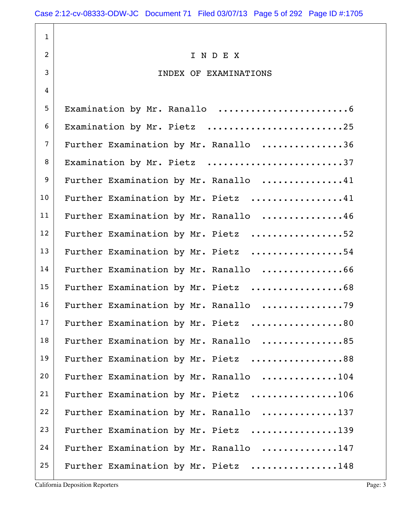1 2 I N D F X 3 INDEX OF EXAMINATIONS 4 5 Examination by Mr. Ranallo ........................6 6 | Examination by Mr. Pietz ..............................25 7 Further Examination by Mr. Ranallo ................36 8 Examination by Mr. Pietz ...........................37 9 Further Examination by Mr. Ranallo ...............41 10 Further Examination by Mr. Pietz ................41 11 Further Examination by Mr. Ranallo ...............46 12 Further Examination by Mr. Pietz ..................52 13 Further Examination by Mr. Pietz .................54 14 Further Examination by Mr. Ranallo .................66 15 Further Examination by Mr. Pietz ...................68 16 Further Examination by Mr. Ranallo ..................79 17 Further Examination by Mr. Pietz ..................80 18 Further Examination by Mr. Ranallo ................85 19 Further Examination by Mr. Pietz .................88 20 Further Examination by Mr. Ranallo ..............104 21 Further Examination by Mr. Pietz ................106 22 Further Examination by Mr. Ranallo ..............137 23 Further Examination by Mr. Pietz ...............139 24 Further Examination by Mr. Ranallo .............147 25 Further Examination by Mr. Pietz ...............148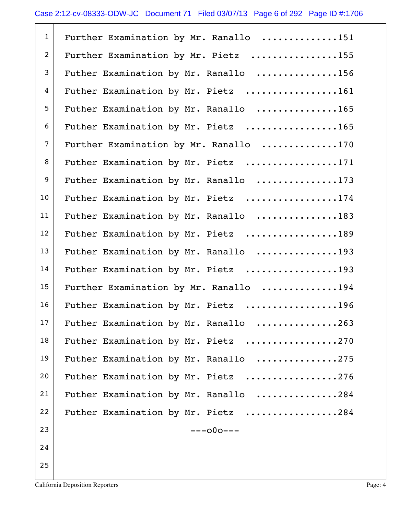| $\mathbf{1}$   | Further Examination by Mr. Ranallo 151 |
|----------------|----------------------------------------|
| $\overline{2}$ | Further Examination by Mr. Pietz 155   |
| 3              | Futher Examination by Mr. Ranallo 156  |
| 4              | Futher Examination by Mr. Pietz 161    |
| 5              | Futher Examination by Mr. Ranallo 165  |
| 6              | Futher Examination by Mr. Pietz 165    |
| $\overline{7}$ | Further Examination by Mr. Ranallo 170 |
| 8              | Futher Examination by Mr. Pietz 171    |
| 9              | Futher Examination by Mr. Ranallo 173  |
| 10             | Futher Examination by Mr. Pietz 174    |
| 11             | Futher Examination by Mr. Ranallo 183  |
| 12             | Futher Examination by Mr. Pietz 189    |
| 13             | Futher Examination by Mr. Ranallo 193  |
| 14             | Futher Examination by Mr. Pietz 193    |
| 15             | Further Examination by Mr. Ranallo 194 |
| 16             | Futher Examination by Mr. Pietz 196    |
| 17             | Futher Examination by Mr. Ranallo 263  |
| 18             | Futher Examination by Mr. Pietz 270    |
| 19             | Futher Examination by Mr. Ranallo 275  |
| 20             | Futher Examination by Mr. Pietz 276    |
| 21             | Futher Examination by Mr. Ranallo 284  |
| 22             | Futher Examination by Mr. Pietz 284    |
| 23             | $---000---$                            |
| 24             |                                        |
| 25             |                                        |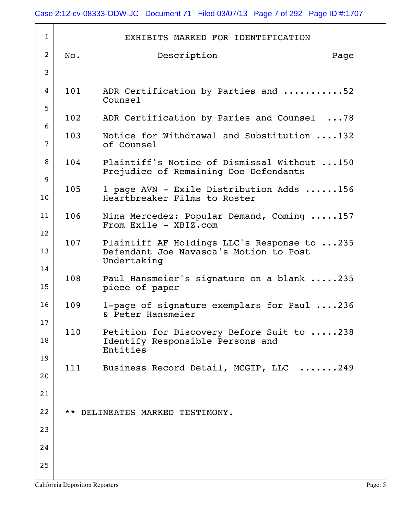| $\mathbf{1}$   |     | EXHIBITS MARKED FOR IDENTIFICATION                                                                   |
|----------------|-----|------------------------------------------------------------------------------------------------------|
| $\overline{2}$ | No. | Description<br>Page                                                                                  |
| 3              |     |                                                                                                      |
| 4              | 101 | ADR Certification by Parties and 52                                                                  |
| 5              |     | Counsel                                                                                              |
| 6              | 102 | ADR Certification by Paries and Counsel 78                                                           |
| $\overline{7}$ | 103 | Notice for Withdrawal and Substitution 132<br>of Counsel                                             |
| 8              | 104 | Plaintiff's Notice of Dismissal Without 150<br>Prejudice of Remaining Doe Defendants                 |
| 9              | 105 | 1 page AVN - Exile Distribution Adds 156                                                             |
| 10             |     | Heartbreaker Films to Roster                                                                         |
| 11             | 106 | Nina Mercedez: Popular Demand, Coming 157<br>From Exile - XBIZ.com                                   |
| 12             |     |                                                                                                      |
| 13             | 107 | Plaintiff AF Holdings LLC's Response to 235<br>Defendant Joe Navasca's Motion to Post<br>Undertaking |
| 14<br>15       | 108 | Paul Hansmeier's signature on a blank 235<br>piece of paper                                          |
| 16             | 109 | 1-page of signature exemplars for Paul 236<br>& Peter Hansmeier                                      |
| 17             | 110 | Petition for Discovery Before Suit to 238                                                            |
| 18             |     | Identify Responsible Persons and<br>Entities                                                         |
| 19             |     |                                                                                                      |
| 20             | 111 | Business Record Detail, MCGIP, LLC 249                                                               |
| 21             |     |                                                                                                      |
| 22             |     | ** DELINEATES MARKED TESTIMONY.                                                                      |
| 23             |     |                                                                                                      |
| 24             |     |                                                                                                      |
| 25             |     |                                                                                                      |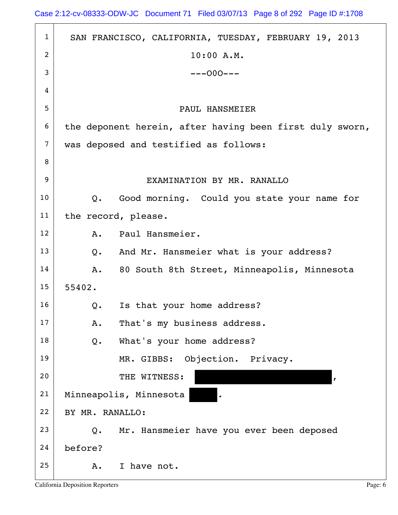| $\mathbf{1}$   | SAN FRANCISCO, CALIFORNIA, TUESDAY, FEBRUARY 19, 2013        |
|----------------|--------------------------------------------------------------|
| 2              | 10:00 A.M.                                                   |
| 3              | $---000---$                                                  |
| 4              |                                                              |
| 5              | <b>PAUL HANSMEIER</b>                                        |
| 6              | the deponent herein, after having been first duly sworn,     |
| $\overline{7}$ | was deposed and testified as follows:                        |
| 8              |                                                              |
| 9              | EXAMINATION BY MR. RANALLO                                   |
| 10             | Good morning. Could you state your name for<br>$Q_{\bullet}$ |
| 11             | the record, please.                                          |
| 12             | Paul Hansmeier.<br>A.                                        |
| 13             | And Mr. Hansmeier what is your address?<br>$Q$ .             |
| 14             | 80 South 8th Street, Minneapolis, Minnesota<br>Α.            |
| 15             | 55402.                                                       |
| 16             | Is that your home address?<br>Q.                             |
| 17             | That's my business address.<br>Α.                            |
| 18             | What's your home address?<br>Q.                              |
| 19             | Objection. Privacy.<br>MR. GIBBS:                            |
| 20             | THE WITNESS:<br>$\mathbf{r}$                                 |
| 21             | Minneapolis, Minnesota                                       |
| 22             | BY MR. RANALLO:                                              |
| 23             | Mr. Hansmeier have you ever been deposed<br>$Q$ .            |
| 24             | before?                                                      |
| 25             | I have not.<br>Α.                                            |

h

 $\overline{\phantom{a}}$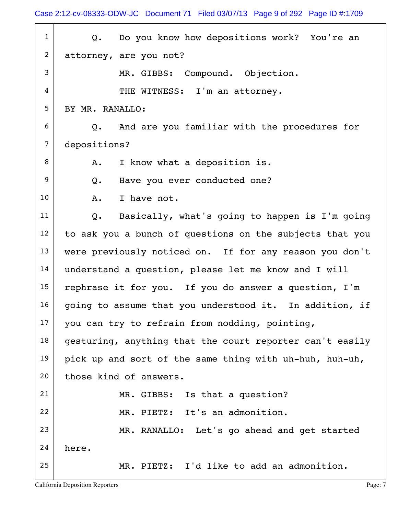Case 2:12-cv-08333-ODW-JC Document 71 Filed 03/07/13 Page 9 of 292 Page ID #:1709

1 | Q. Do you know how depositions work? You're an 2 attorney, are you not? 3 MR. GIBBS: Compound. Objection. 4 THE WITNESS: I'm an attorney. 5 | BY MR. RANALLO:  $6$  Q. And are you familiar with the procedures for 7 depositions? 8 | A. I know what a deposition is. 9 Q. Have you ever conducted one? 10 A. I have not.  $11$  Q. Basically, what's going to happen is I'm going  $12$  to ask you a bunch of questions on the subjects that you 13 were previously noticed on. If for any reason you don't 14 understand a question, please let me know and I will 15 rephrase it for you. If you do answer a question,  $I'm$  $16$  going to assume that you understood it. In addition, if  $17$  you can try to refrain from nodding, pointing,  $18$  gesturing, anything that the court reporter can't easily 19 pick up and sort of the same thing with uh-huh, huh-uh, 20 those kind of answers. 21 MR. GIBBS: Is that a question? 22 MR. PIETZ: It's an admonition. 23 MR. RANALLO: Let's go ahead and get started  $24$  here. 25 MR. PIETZ: I'd like to add an admonition.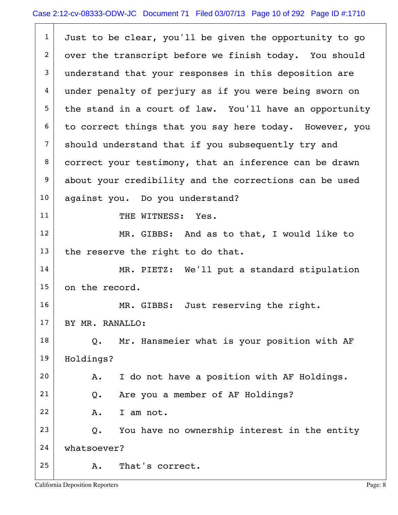| $\mathbf{1}$   | Just to be clear, you'll be given the opportunity to go |
|----------------|---------------------------------------------------------|
| 2              | over the transcript before we finish today. You should  |
| 3              | understand that your responses in this deposition are   |
| 4              | under penalty of perjury as if you were being sworn on  |
| 5 <sub>5</sub> | the stand in a court of law. You'll have an opportunity |
| 6              | to correct things that you say here today. However, you |
| $\overline{7}$ | should understand that if you subsequently try and      |
| 8              | correct your testimony, that an inference can be drawn  |
| 9              | about your credibility and the corrections can be used  |
| 10             | against you. Do you understand?                         |
| 11             | THE WITNESS: Yes.                                       |
| 12             | MR. GIBBS: And as to that, I would like to              |
| 13             | the reserve the right to do that.                       |
| 14             | MR. PIETZ: We'll put a standard stipulation             |
| 15             | on the record.                                          |
| 16             | MR. GIBBS: Just reserving the right.                    |
| 17             | BY MR. RANALLO:                                         |
| 18             | Mr. Hansmeier what is your position with AF<br>Q.       |
| 19             | Holdings?                                               |
| 20             | I do not have a position with AF Holdings.<br>Α.        |
| 21             | Are you a member of AF Holdings?<br>Q.                  |
| 22             | I am not.<br>Α.                                         |
| 23             | You have no ownership interest in the entity<br>Q.      |
| 24             | whatsoever?                                             |
| 25             | That's correct.<br>Α.                                   |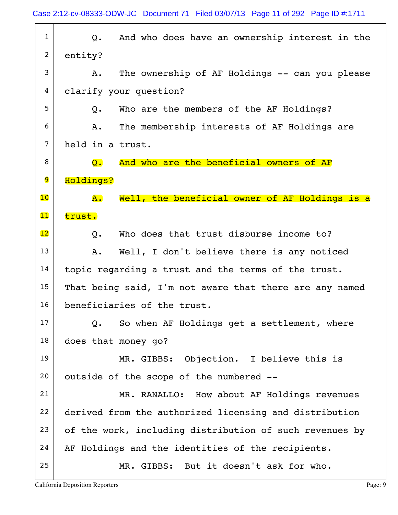| $\mathbf{1}$    | And who does have an ownership interest in the<br>Q.          |
|-----------------|---------------------------------------------------------------|
| $\overline{2}$  | entity?                                                       |
| 3               | The ownership of AF Holdings -- can you please<br>Α.          |
| 4               | clarify your question?                                        |
| 5               | Who are the members of the AF Holdings?<br>Q.                 |
| 6               | The membership interests of AF Holdings are<br>Α.             |
| $\overline{7}$  | held in a trust.                                              |
| 8               | And who are the beneficial owners of AF<br>$\mathsf{Q}$ .     |
| 9               | Holdings?                                                     |
| $\overline{10}$ | Well, the beneficial owner of AF Holdings is a<br>${\bf A}$ . |
| 11              | trust.                                                        |
| $\overline{12}$ | Who does that trust disburse income to?<br>Q.                 |
| 13              | Well, I don't believe there is any noticed<br>Α.              |
| 14              | topic regarding a trust and the terms of the trust.           |
| 15              | That being said, I'm not aware that there are any named       |
| 16              | beneficiaries of the trust.                                   |
| 17              | So when AF Holdings get a settlement, where<br>Q.             |
| 18              | does that money go?                                           |
| 19              | MR. GIBBS: Objection. I believe this is                       |
| 20              | outside of the scope of the numbered --                       |
| 21              | MR. RANALLO: How about AF Holdings revenues                   |
| 22              | derived from the authorized licensing and distribution        |
| 23              | of the work, including distribution of such revenues by       |
| 24              | AF Holdings and the identities of the recipients.             |
| 25              | MR. GIBBS: But it doesn't ask for who.                        |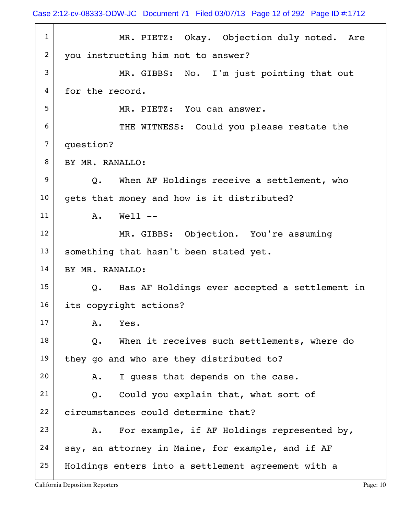Case 2:12-cv-08333-ODW-JC Document 71 Filed 03/07/13 Page 12 of 292 Page ID #:1712

1 MR. PIETZ: Okay. Objection duly noted. Are 2 you instructing him not to answer? 3 MR. GIBBS: No. I'm just pointing that out 4 for the record. 5 MR. PIETZ: You can answer. 6 THE WITNESS: Could you please restate the 7 question? 8 | BY MR. RANALLO:  $9 |$  Q. When AF Holdings receive a settlement, who 10 gets that money and how is it distributed? 11 A. Well --12 | MR. GIBBS: Objection. You're assuming 13 | something that hasn't been stated yet. 14 BY MR. RANALLO:  $15$  Q. Has AF Holdings ever accepted a settlement in 16 its copyright actions?  $17$   $A.$  Yes.  $18$  Q. When it receives such settlements, where do 19 they go and who are they distributed to?  $20$  A. I guess that depends on the case.  $21$  Q. Could you explain that, what sort of 22 circumstances could determine that? 23  $\vert$  A. For example, if AF Holdings represented by,  $24$  say, an attorney in Maine, for example, and if AF 25 Holdings enters into a settlement agreement with a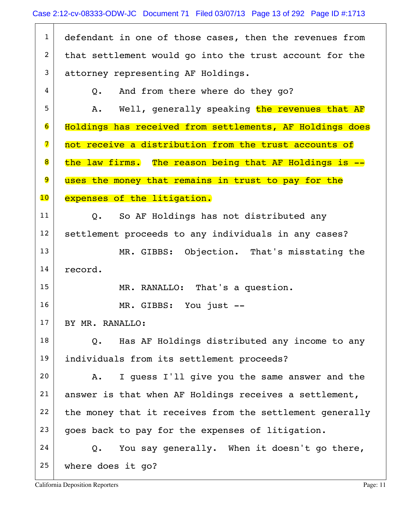1 defendant in one of those cases, then the revenues from  $2$  that settlement would go into the trust account for the 3 attorney representing AF Holdings.  $4 \mid Q$ . And from there where do they go? 5 A. Well, generally speaking the revenues that AF 6 Holdings has received from settlements, AF Holdings does 7 not receive a distribution from the trust accounts of 8 the law firms. The reason being that AF Holdings is --9 uses the money that remains in trust to pay for the 10 expenses of the litigation. 11 | Q. So AF Holdings has not distributed any 12 settlement proceeds to any individuals in any cases? 13 MR. GIBBS: Objection. That's misstating the 14 record. 15 | MR. RANALLO: That's a question. 16 MR. GIBBS: You just -- $17$  BY MR. RANALLO:  $18$  Q. Has AF Holdings distributed any income to any 19 individuals from its settlement proceeds?  $20$  A. I guess I'll give you the same answer and the  $21$  answer is that when AF Holdings receives a settlement,  $22$  the money that it receives from the settlement generally  $23$  goes back to pay for the expenses of litigation.  $24$  Q. You say generally. When it doesn't go there, 25 where does it go?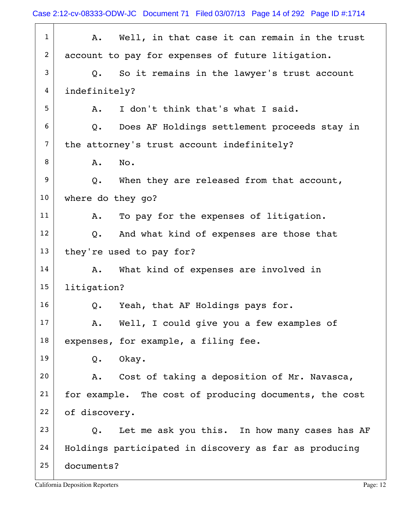Case 2:12-cv-08333-ODW-JC Document 71 Filed 03/07/13 Page 14 of 292 Page ID #:1714

| $\mathbf{1}$      | Well, in that case it can remain in the trust<br>Α.           |
|-------------------|---------------------------------------------------------------|
| $\overline{2}$    | account to pay for expenses of future litigation.             |
| 3                 | So it remains in the lawyer's trust account<br>Q.             |
| 4                 | indefinitely?                                                 |
| 5                 | I don't think that's what I said.<br>Α.                       |
| 6                 | Does AF Holdings settlement proceeds stay in<br>$Q_{\bullet}$ |
| 7                 | the attorney's trust account indefinitely?                    |
| 8                 | No.<br>A.                                                     |
| 9                 | Q. When they are released from that account,                  |
| 10 <sub>o</sub>   | where do they go?                                             |
| 11                | To pay for the expenses of litigation.<br>A.                  |
| $12 \overline{ }$ | And what kind of expenses are those that<br>$Q_{\bullet}$     |
| 13                | they're used to pay for?                                      |
| 14                | What kind of expenses are involved in<br>A.                   |
| 15                | litigation?                                                   |
| 16                | Yeah, that AF Holdings pays for.<br>Q.                        |
| 17                | Well, I could give you a few examples of<br>A.                |
| 18                | expenses, for example, a filing fee.                          |
| 19                | Okay.<br>Q.                                                   |
| 20                | A. Cost of taking a deposition of Mr. Navasca,                |
| 21                | for example. The cost of producing documents, the cost        |
| 22                | of discovery.                                                 |
| 23                | Let me ask you this. In how many cases has AF<br>Q.           |
| 24                | Holdings participated in discovery as far as producing        |
| 25                | documents?                                                    |
|                   |                                                               |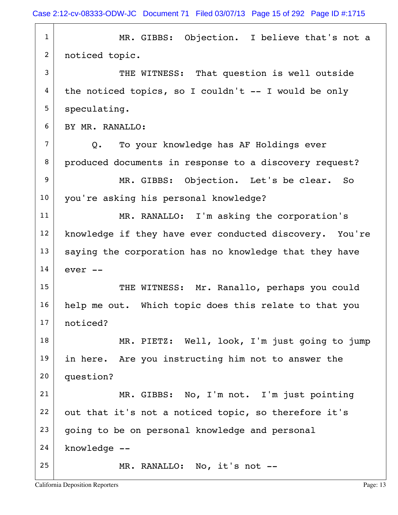Case 2:12-cv-08333-ODW-JC Document 71 Filed 03/07/13 Page 15 of 292 Page ID #:1715

1 MR. GIBBS: Objection. I believe that's not a 2 | noticed topic. 3 THE WITNESS: That question is well outside  $4 |$  the noticed topics, so I couldn't -- I would be only  $5$  speculating. 6 BY MR. RANALLO: 7 Q. To your knowledge has AF Holdings ever 8 produced documents in response to a discovery request? 9 MR. GIBBS: Objection. Let's be clear. So 10 you're asking his personal knowledge? 11 MR. RANALLO: I'm asking the corporation's 12 | knowledge if they have ever conducted discovery. You're  $13$  saying the corporation has no knowledge that they have  $14 \vert$  ever  $-$ 15 | THE WITNESS: Mr. Ranallo, perhaps you could 16 | help me out. Which topic does this relate to that you 17 noticed? 18 MR. PIETZ: Well, look, I'm just going to jump 19 in here. Are you instructing him not to answer the 20 question? 21 | MR. GIBBS: No, I'm not. I'm just pointing  $22$  out that it's not a noticed topic, so therefore it's  $23$  going to be on personal knowledge and personal  $24$  knowledge  $--$ 25 MR. RANALLO: No, it's not --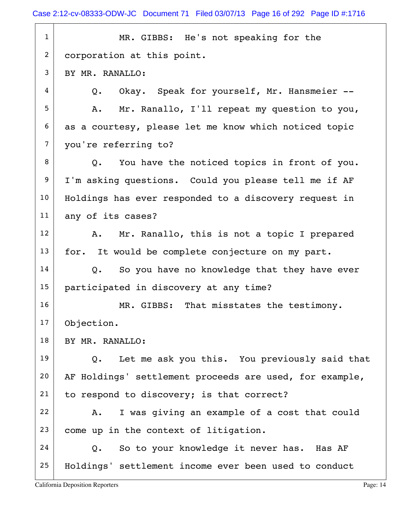| $\mathbf{1}$    | MR. GIBBS: He's not speaking for the                       |
|-----------------|------------------------------------------------------------|
| $\overline{2}$  | corporation at this point.                                 |
| 3               | BY MR. RANALLO:                                            |
| 4               | Okay. Speak for yourself, Mr. Hansmeier --<br>Q.           |
| 5               | Mr. Ranallo, I'll repeat my question to you,<br>A.         |
| 6               | as a courtesy, please let me know which noticed topic      |
| $\overline{7}$  | you're referring to?                                       |
| 8               | You have the noticed topics in front of you.<br>Q.         |
| 9               | I'm asking questions. Could you please tell me if AF       |
| 10 <sub>1</sub> | Holdings has ever responded to a discovery request in      |
| 11              | any of its cases?                                          |
| 12 <sup>2</sup> | Mr. Ranallo, this is not a topic I prepared<br>A.          |
| 13              | for. It would be complete conjecture on my part.           |
| 14              | So you have no knowledge that they have ever<br>Q.         |
| 15 <sub>1</sub> | participated in discovery at any time?                     |
| 16              | MR. GIBBS: That misstates the testimony.                   |
| 17              | Objection.                                                 |
| 18              | BY MR. RANALLO:                                            |
| 19              | Q. Let me ask you this. You previously said that           |
| 20              | AF Holdings' settlement proceeds are used, for example,    |
| 21              | to respond to discovery; is that correct?                  |
| 22              | I was giving an example of a cost that could<br>A.         |
| 23              | come up in the context of litigation.                      |
| 24              | So to your knowledge it never has. Has AF<br>$Q_{\bullet}$ |
| 25              | Holdings' settlement income ever been used to conduct      |
|                 |                                                            |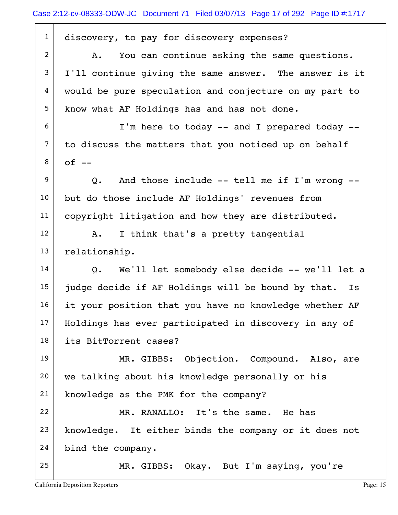| $\mathbf{1}$   | discovery, to pay for discovery expenses?                |
|----------------|----------------------------------------------------------|
| $\overline{2}$ | You can continue asking the same questions.<br>Α.        |
| 3              | I'll continue giving the same answer. The answer is it   |
| 4              | would be pure speculation and conjecture on my part to   |
| 5              | know what AF Holdings has and has not done.              |
| 6              | I'm here to today -- and I prepared today --             |
| $\overline{7}$ | to discuss the matters that you noticed up on behalf     |
| 8              | $of$ $-$                                                 |
| 9              | And those include -- tell me if I'm wrong --<br>Q.       |
| 10             | but do those include AF Holdings' revenues from          |
| 11             | copyright litigation and how they are distributed.       |
| 12             | I think that's a pretty tangential<br>Α.                 |
| 13             | relationship.                                            |
| 14             | We'll let somebody else decide -- we'll let a<br>Q.      |
| 15             | judge decide if AF Holdings will be bound by that.<br>Is |
| 16             | it your position that you have no knowledge whether AF   |
| 17             | Holdings has ever participated in discovery in any of    |
| 18             | its BitTorrent cases?                                    |
| 19             | MR. GIBBS: Objection. Compound. Also, are                |
| 20             | we talking about his knowledge personally or his         |
| 21             | knowledge as the PMK for the company?                    |
| 22             | MR. RANALLO: It's the same. He has                       |
| 23             | knowledge. It either binds the company or it does not    |
| 24             |                                                          |
|                | bind the company.                                        |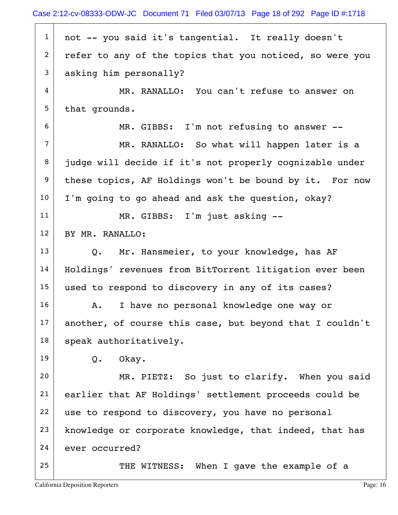|                 | Case 2:12-cv-08333-ODW-JC Document 71 Filed 03/07/13 Page 18 of 292 Page ID #:1718 |
|-----------------|------------------------------------------------------------------------------------|
| $\mathbf{1}$    | not -- you said it's tangential. It really doesn't                                 |
| $\overline{2}$  | refer to any of the topics that you noticed, so were you                           |
| 3               | asking him personally?                                                             |
| 4               | MR. RANALLO: You can't refuse to answer on                                         |
| 5               | that grounds.                                                                      |
| 6               | MR. GIBBS: I'm not refusing to answer --                                           |
| $\overline{7}$  | MR. RANALLO: So what will happen later is a                                        |
| 8               | judge will decide if it's not properly cognizable under                            |
| 9               | these topics, AF Holdings won't be bound by it. For now                            |
| 10              | I'm going to go ahead and ask the question, okay?                                  |
| 11              | MR. GIBBS: I'm just asking --                                                      |
| 12 <sup>°</sup> | BY MR. RANALLO:                                                                    |
| 13              | Q. Mr. Hansmeier, to your knowledge, has AF                                        |
| 14              | Holdings' revenues from BitTorrent litigation ever been                            |
| 15              | used to respond to discovery in any of its cases?                                  |
| 16              | I have no personal knowledge one way or<br>Α.                                      |
| 17              | another, of course this case, but beyond that I couldn't                           |
| 18              | speak authoritatively.                                                             |
| 19              | Okay.<br>$Q$ .                                                                     |
| 20              | MR. PIETZ: So just to clarify. When you said                                       |
| 21              | earlier that AF Holdings' settlement proceeds could be                             |
| 22              | use to respond to discovery, you have no personal                                  |
| 23              | knowledge or corporate knowledge, that indeed, that has                            |
| 24              | ever occurred?                                                                     |
| 25              | THE WITNESS: When I gave the example of a                                          |
|                 |                                                                                    |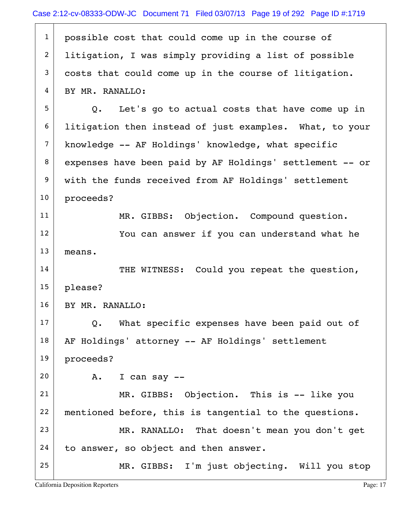| $\mathbf{1}$   | possible cost that could come up in the course of              |
|----------------|----------------------------------------------------------------|
| $\overline{2}$ | litigation, I was simply providing a list of possible          |
| 3              | costs that could come up in the course of litigation.          |
| 4              | BY MR. RANALLO:                                                |
| 5              | Let's go to actual costs that have come up in<br>$Q_{\bullet}$ |
| 6              | litigation then instead of just examples. What, to your        |
| $\overline{7}$ | knowledge -- AF Holdings' knowledge, what specific             |
| 8              | expenses have been paid by AF Holdings' settlement -- or       |
| 9              | with the funds received from AF Holdings' settlement           |
| 10             | proceeds?                                                      |
| 11             | MR. GIBBS: Objection. Compound question.                       |
| 12             | You can answer if you can understand what he                   |
| 13             | means.                                                         |
| 14             | THE WITNESS: Could you repeat the question,                    |
| 15             | please?                                                        |
| 16             | BY MR. RANALLO:                                                |
| 17             | What specific expenses have been paid out of<br>Q.             |
| 18             | AF Holdings' attorney -- AF Holdings' settlement               |
| 19             | proceeds?                                                      |
| 20             | I can say $-$<br>A.                                            |
| 21             | MR. GIBBS: Objection. This is -- like you                      |
| 22             | mentioned before, this is tangential to the questions.         |
| 23             | MR. RANALLO: That doesn't mean you don't get                   |
| 24             | to answer, so object and then answer.                          |
| 25             | MR. GIBBS: I'm just objecting. Will you stop                   |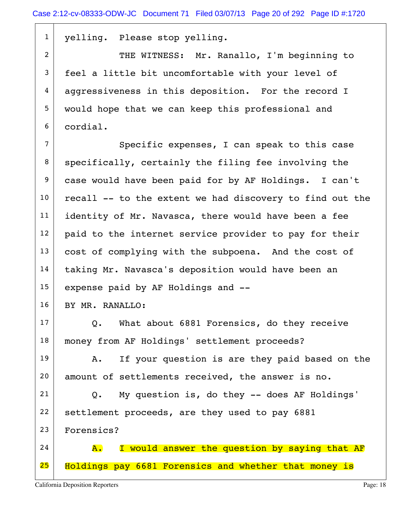1 | yelling. Please stop yelling. 2 THE WITNESS: Mr. Ranallo, I'm beginning to 3 feel a little bit uncomfortable with your level of  $4$  aggressiveness in this deposition. For the record I 5 would hope that we can keep this professional and 6 cordial. 7 Specific expenses, I can speak to this case  $8$  specifically, certainly the filing fee involving the 9 case would have been paid for by AF Holdings. I can't  $10$  recall -- to the extent we had discovery to find out the  $11$  identity of Mr. Navasca, there would have been a fee  $12$  paid to the internet service provider to pay for their 13 cost of complying with the subpoena. And the cost of 14 taking Mr. Navasca's deposition would have been an 15 expense paid by AF Holdings and --16 BY MR. RANALLO:  $17$  Q. What about 6881 Forensics, do they receive 18 | money from AF Holdings' settlement proceeds?  $19$  A. If your question is are they paid based on the 20 amount of settlements received, the answer is no.  $21$  Q. My question is, do they -- does AF Holdings' 22 settlement proceeds, are they used to pay  $6881$  23 Forensics?  $24$   $\overline{A}$ . I would answer the question by saying that AF 25 | Holdings pay 6681 Forensics and whether that money is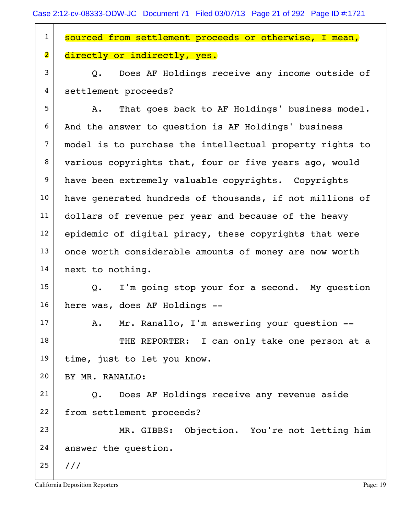| $\mathbf{1}$            | sourced from settlement proceeds or otherwise, I mean,   |
|-------------------------|----------------------------------------------------------|
| $\overline{\mathbf{2}}$ | directly or indirectly, yes.                             |
| 3                       | Q. Does AF Holdings receive any income outside of        |
| 4                       | settlement proceeds?                                     |
| 5                       | That goes back to AF Holdings' business model.<br>A.     |
| 6                       | And the answer to question is AF Holdings' business      |
| $\overline{7}$          | model is to purchase the intellectual property rights to |
| 8                       | various copyrights that, four or five years ago, would   |
| 9                       | have been extremely valuable copyrights. Copyrights      |
| 10                      | have generated hundreds of thousands, if not millions of |
| 11                      | dollars of revenue per year and because of the heavy     |
| 12                      | epidemic of digital piracy, these copyrights that were   |
| 13                      | once worth considerable amounts of money are now worth   |
| 14                      | next to nothing.                                         |
| 15                      | I'm going stop your for a second. My question<br>Q.      |
| 16                      | here was, does AF Holdings --                            |
| 17                      | Mr. Ranallo, I'm answering your question --<br>Α.        |
| 18                      | THE REPORTER: I can only take one person at a            |
| 19                      | time, just to let you know.                              |
| 20                      | BY MR. RANALLO:                                          |
| 21                      | Does AF Holdings receive any revenue aside<br>Q.         |
| 22                      | from settlement proceeds?                                |
| 23                      | MR. GIBBS: Objection. You're not letting him             |
| 24                      | answer the question.                                     |
| 25                      | 111                                                      |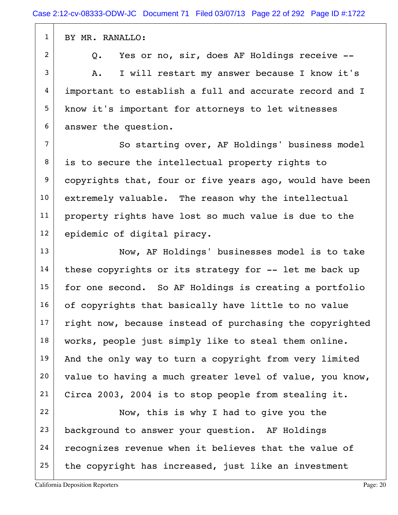1 BY MR. RANALLO:

2 Q. Yes or no, sir, does AF Holdings receive --

 $3$  A. I will restart my answer because I know it's 4 important to establish a full and accurate record and I 5 know it's important for attorneys to let witnesses 6 answer the question.

7 | So starting over, AF Holdings' business model 8 is to secure the intellectual property rights to  $9$  copyrights that, four or five years ago, would have been 10 extremely valuable. The reason why the intellectual 11 property rights have lost so much value is due to the 12 epidemic of digital piracy.

13 Now, AF Holdings' businesses model is to take  $14$  these copyrights or its strategy for  $-$ - let me back up  $15$  for one second. So AF Holdings is creating a portfolio 16 of copyrights that basically have little to no value  $17$  right now, because instead of purchasing the copyrighted 18 | works, people just simply like to steal them online.  $19$  And the only way to turn a copyright from very limited  $20$  value to having a much greater level of value, you know, 21 Circa 2003, 2004 is to stop people from stealing it.

 $22$  Now, this is why I had to give you the 23 background to answer your question. AF Holdings  $24$  recognizes revenue when it believes that the value of 25 the copyright has increased, just like an investment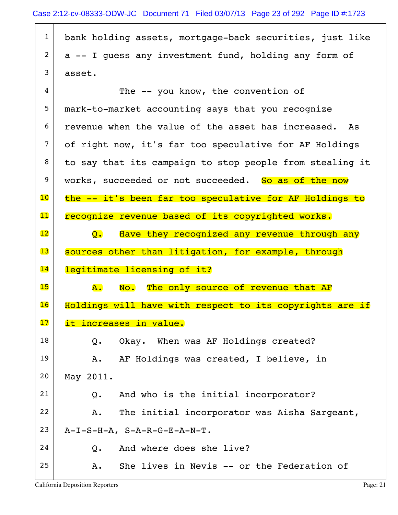$1$  bank holding assets, mortgage-back securities, just like  $2$  a -- I guess any investment fund, holding any form of  $3$  asset.

| 5<br>6<br>$\overline{7}$ | mark-to-market accounting says that you recognize<br>revenue when the value of the asset has increased. As |
|--------------------------|------------------------------------------------------------------------------------------------------------|
|                          |                                                                                                            |
|                          |                                                                                                            |
|                          | of right now, it's far too speculative for AF Holdings                                                     |
| 8                        | to say that its campaign to stop people from stealing it                                                   |
| 9                        | works, succeeded or not succeeded. So as of the now                                                        |
| $\overline{10}$          | the -- it's been far too speculative for AF Holdings to                                                    |
| $\mathbf{11}$            | recognize revenue based of its copyrighted works.                                                          |
| $\overline{12}$          | Have they recognized any revenue through any<br>$\mathsf{Q}$ .                                             |
| $\overline{\mathbf{13}}$ | sources other than litigation, for example, through                                                        |
| 14                       | legitimate licensing of it?                                                                                |
| 15                       | No. The only source of revenue that AF<br>${\tt A.}$                                                       |
| 16                       | Holdings will have with respect to its copyrights are if                                                   |
| 17                       | it increases in value.                                                                                     |
| 18                       | Okay. When was AF Holdings created?<br>Q.                                                                  |
| 19                       | AF Holdings was created, I believe, in<br>Α.                                                               |
| 20                       | May 2011.                                                                                                  |
| 21                       | And who is the initial incorporator?<br>Q.                                                                 |
| 22                       | The initial incorporator was Aisha Sargeant,<br>Α.                                                         |
| 23                       | $A-I-S-H-A$ , $S-A-R-G-E-A-N-T$ .                                                                          |
| 24                       | And where does she live?<br>$Q$ .                                                                          |
| 25                       | She lives in Nevis -- or the Federation of<br>Α.                                                           |
|                          |                                                                                                            |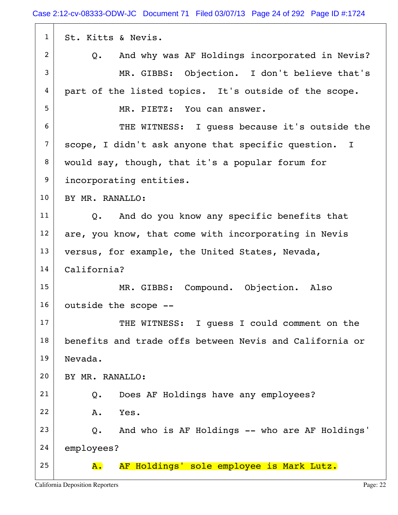| $\mathbf{1}$   | St. Kitts & Nevis.                                          |
|----------------|-------------------------------------------------------------|
| $\overline{2}$ | And why was AF Holdings incorporated in Nevis?<br>Q.        |
| 3              | MR. GIBBS: Objection. I don't believe that's                |
| 4              | part of the listed topics. It's outside of the scope.       |
| 5              | MR. PIETZ: You can answer.                                  |
| 6              | THE WITNESS: I quess because it's outside the               |
| $\overline{7}$ | scope, I didn't ask anyone that specific question. I        |
| 8              | would say, though, that it's a popular forum for            |
| 9              | incorporating entities.                                     |
| 10             | BY MR. RANALLO:                                             |
| 11             | And do you know any specific benefits that<br>$Q_{\bullet}$ |
| 12             | are, you know, that come with incorporating in Nevis        |
| 13             | versus, for example, the United States, Nevada,             |
| 14             | California?                                                 |
| 15             | MR. GIBBS: Compound. Objection. Also                        |
| 16             | outside the scope --                                        |
| 17             | THE WITNESS: I quess I could comment on the                 |
| 18             | benefits and trade offs between Nevis and California or     |
| 19             | Nevada.                                                     |
| 20             | BY MR. RANALLO:                                             |
| 21             | Does AF Holdings have any employees?<br>Q.                  |
| 22             | Yes.<br>Α.                                                  |
| 23             | And who is AF Holdings -- who are AF Holdings'<br>Q.        |
| 24             | employees?                                                  |
| 25             | AF Holdings' sole employee is Mark Lutz.<br><b>A.</b>       |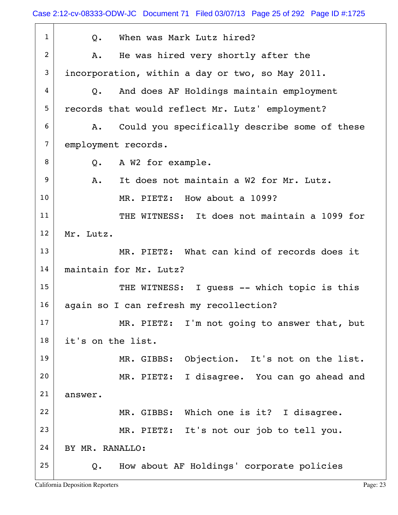| $\mathbf{1}$   | When was Mark Lutz hired?<br>Q.                     |
|----------------|-----------------------------------------------------|
| $\overline{c}$ | He was hired very shortly after the<br>Α.           |
| 3              | incorporation, within a day or two, so May 2011.    |
| 4              | And does AF Holdings maintain employment<br>Q.      |
| 5              | records that would reflect Mr. Lutz' employment?    |
| 6              | Could you specifically describe some of these<br>Α. |
| $\overline{7}$ | employment records.                                 |
| 8              | A W2 for example.<br>Q.                             |
| 9              | It does not maintain a W2 for Mr. Lutz.<br>Α.       |
| 10             | MR. PIETZ: How about a 1099?                        |
| 11             | THE WITNESS: It does not maintain a 1099 for        |
| 12             | Mr. Lutz.                                           |
| 13             | MR. PIETZ: What can kind of records does it         |
| 14             | maintain for Mr. Lutz?                              |
| 15             | THE WITNESS: I quess -- which topic is this         |
| 16             | again so I can refresh my recollection?             |
| 17             | MR. PIETZ: I'm not going to answer that, but        |
| 18             | it's on the list.                                   |
| 19             | MR. GIBBS: Objection. It's not on the list.         |
| 20             | I disagree. You can go ahead and<br>MR. PIETZ:      |
| 21             | answer.                                             |
| 22             | MR. GIBBS: Which one is it? I disagree.             |
| 23             | MR. PIETZ: It's not our job to tell you.            |
| 24             | BY MR. RANALLO:                                     |
| 25             | How about AF Holdings' corporate policies<br>Q.     |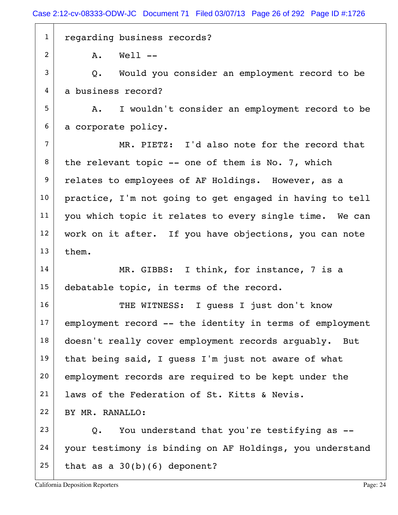1 regarding business records?

 $2$  A. Well  $-$ 

 $3$  Q. Would you consider an employment record to be 4 a business record?

5 | A. I wouldn't consider an employment record to be  $6$  a corporate policy.

 $7$  MR. PIETZ: I'd also note for the record that  $8$  the relevant topic -- one of them is No. 7, which 9 relates to employees of AF Holdings. However, as a 10 practice, I'm not going to get engaged in having to tell 11 | you which topic it relates to every single time. We can 12 work on it after. If you have objections, you can note  $13$  them.

14 MR. GIBBS: I think, for instance, 7 is a 15 debatable topic, in terms of the record.

16 THE WITNESS: I quess I just don't know  $17$  employment record  $--$  the identity in terms of employment 18 doesn't really cover employment records arguably. But 19 that being said, I quess I'm just not aware of what 20 employment records are required to be kept under the 21 | laws of the Federation of St. Kitts & Nevis. 22 BY MR. RANALLO:  $23$  Q. You understand that you're testifying as  $-$ 

24 your testimony is binding on AF Holdings, you understand 25 that as a  $30(b)(6)$  deponent?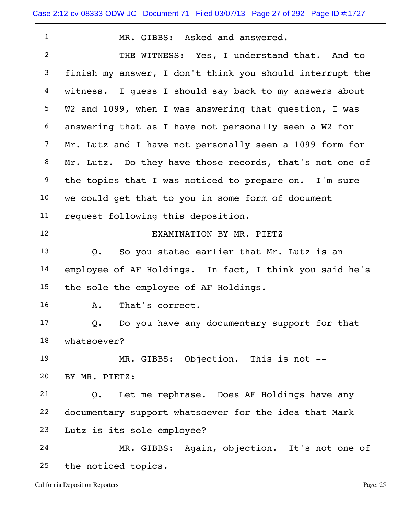| $\mathbf{1}$   | MR. GIBBS: Asked and answered.                                |
|----------------|---------------------------------------------------------------|
| $\overline{2}$ | THE WITNESS: Yes, I understand that. And to                   |
| 3              | finish my answer, I don't think you should interrupt the      |
| $\overline{4}$ | witness. I quess I should say back to my answers about        |
| 5              | W2 and 1099, when I was answering that question, I was        |
| 6              | answering that as I have not personally seen a W2 for         |
| $\overline{7}$ | Mr. Lutz and I have not personally seen a 1099 form for       |
| 8              | Mr. Lutz. Do they have those records, that's not one of       |
| 9              | the topics that I was noticed to prepare on. I'm sure         |
| 10             | we could get that to you in some form of document             |
| 11             | request following this deposition.                            |
| 12             | EXAMINATION BY MR. PIETZ                                      |
| 13             | So you stated earlier that Mr. Lutz is an<br>$Q_{\bullet}$    |
| 14             | employee of AF Holdings. In fact, I think you said he's       |
| 15             | the sole the employee of AF Holdings.                         |
| 16             | That's correct.<br>Α.                                         |
| 17             | Do you have any documentary support for that<br>$Q_{\bullet}$ |
| 18             | whatsoever?                                                   |
| 19             | MR. GIBBS: Objection. This is not --                          |
| 20             | BY MR. PIETZ:                                                 |
| 21             | Let me rephrase. Does AF Holdings have any<br>Q.              |
| 22             | documentary support whatsoever for the idea that Mark         |
| 23             | Lutz is its sole employee?                                    |
| 24             | MR. GIBBS: Again, objection. It's not one of                  |
| 25             | the noticed topics.                                           |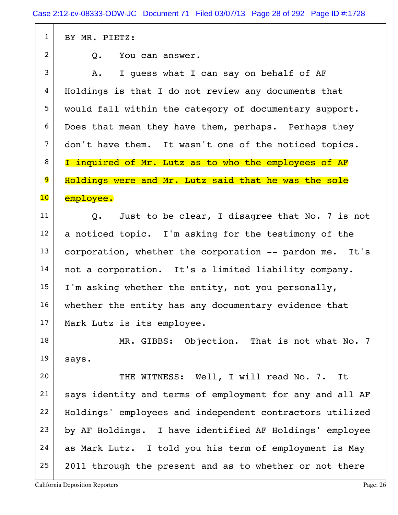1 BY MR. PIETZ:  $2 \mid 0.$  You can answer.  $3$  A. I guess what I can say on behalf of AF  $4$  Holdings is that I do not review any documents that 5 would fall within the category of documentary support. 6 Does that mean they have them, perhaps. Perhaps they 7 don't have them. It wasn't one of the noticed topics. 8 | I inquired of Mr. Lutz as to who the employees of AF 9 Holdings were and Mr. Lutz said that he was the sole 10 employee.  $11$  Q. Just to be clear, I disagree that No. 7 is not  $12$  a noticed topic. I'm asking for the testimony of the  $13$  corporation, whether the corporation  $-$ - pardon me. It's 14 not a corporation. It's a limited liability company.  $15$  | I'm asking whether the entity, not you personally, 16 | whether the entity has any documentary evidence that 17 | Mark Lutz is its employee. 18 MR. GIBBS: Objection. That is not what No. 7  $19$  says. 20 THE WITNESS: Well, I will read No. 7. It 21 | says identity and terms of employment for any and all AF 22 Holdings' employees and independent contractors utilized 23 by AF Holdings. I have identified AF Holdings' employee 24 as Mark Lutz. I told you his term of employment is May  $25$  2011 through the present and as to whether or not there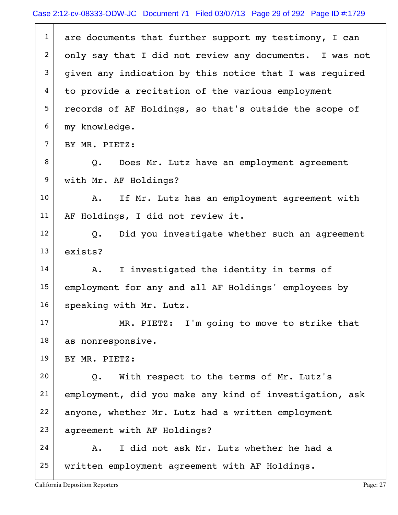| $\mathbf{1}$   | are documents that further support my testimony, I can         |
|----------------|----------------------------------------------------------------|
| $\overline{2}$ | only say that I did not review any documents. I was not        |
| 3              | given any indication by this notice that I was required        |
| 4              | to provide a recitation of the various employment              |
| 5              | records of AF Holdings, so that's outside the scope of         |
| 6              | my knowledge.                                                  |
| $\overline{7}$ | BY MR. PIETZ:                                                  |
| 8              | Q. Does Mr. Lutz have an employment agreement                  |
| 9              | with Mr. AF Holdings?                                          |
| 10             | If Mr. Lutz has an employment agreement with<br>Α.             |
| 11             | AF Holdings, I did not review it.                              |
| 12             | Did you investigate whether such an agreement<br>$Q_{\bullet}$ |
| 13             | exists?                                                        |
| 14             | I investigated the identity in terms of<br>Α.                  |
| 15             | employment for any and all AF Holdings' employees by           |
| 16             | speaking with Mr. Lutz.                                        |
| 17             | MR. PIETZ: I'm going to move to strike that                    |
| 18             | as nonresponsive.                                              |
| 19             | BY MR. PIETZ:                                                  |
| 20             | With respect to the terms of Mr. Lutz's<br>$Q$ .               |
| 21             | employment, did you make any kind of investigation, ask        |
| 22             | anyone, whether Mr. Lutz had a written employment              |
| 23             | agreement with AF Holdings?                                    |
| 24             | I did not ask Mr. Lutz whether he had a<br>Α.                  |
| 25             | written employment agreement with AF Holdings.                 |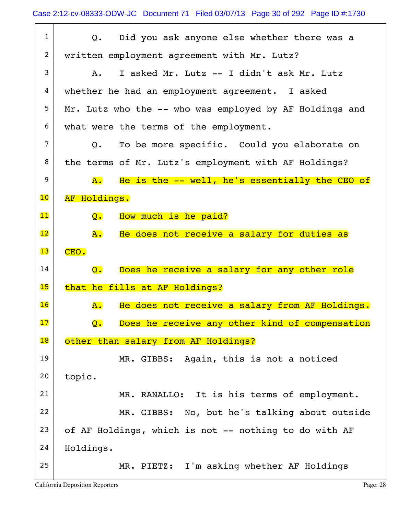| $\mathbf{1}$             | Did you ask anyone else whether there was a<br>$Q_{\bullet}$    |
|--------------------------|-----------------------------------------------------------------|
| 2                        | written employment agreement with Mr. Lutz?                     |
| 3                        | I asked Mr. Lutz -- I didn't ask Mr. Lutz<br>Α.                 |
| 4                        | whether he had an employment agreement. I asked                 |
| 5                        | Mr. Lutz who the -- who was employed by AF Holdings and         |
| 6                        | what were the terms of the employment.                          |
| 7                        | To be more specific. Could you elaborate on<br>Q.               |
| 8                        | the terms of Mr. Lutz's employment with AF Holdings?            |
| 9                        | He is the -- well, he's essentially the CEO of<br>A.            |
| $\overline{10}$          | AF Holdings.                                                    |
| 11                       | How much is he paid?<br>$\overline{Q}$ .                        |
| 12                       | He does not receive a salary for duties as<br>A.                |
| 13                       | CEO.                                                            |
| 14                       | Does he receive a salary for any other role<br>$Q_{\bullet}$    |
| 15                       | that he fills at AF Holdings?                                   |
| 16                       | He does not receive a salary from AF Holdings.<br><b>A.</b>     |
| $\overline{\mathbf{17}}$ | Does he receive any other kind of compensation<br>$Q_{\bullet}$ |
| $\overline{\textbf{18}}$ | other than salary from AF Holdings?                             |
| 19                       | MR. GIBBS: Again, this is not a noticed                         |
| 20                       |                                                                 |
|                          | topic.                                                          |
| 21                       | MR. RANALLO: It is his terms of employment.                     |
| 22                       | MR. GIBBS: No, but he's talking about outside                   |
| 23                       | of AF Holdings, which is not -- nothing to do with AF           |
| 24                       | Holdings.                                                       |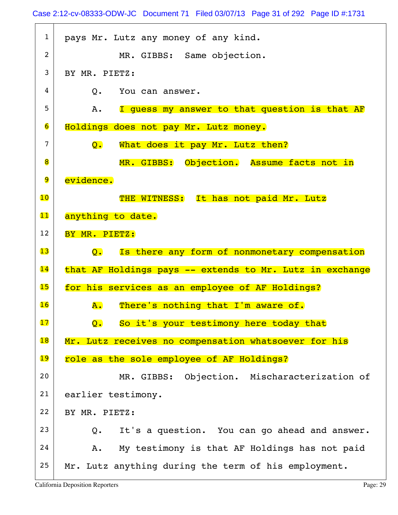| $\mathbf{1}$    | pays Mr. Lutz any money of any kind.                            |
|-----------------|-----------------------------------------------------------------|
| $\overline{2}$  | MR. GIBBS: Same objection.                                      |
| 3               | BY MR. PIETZ:                                                   |
| 4               | You can answer.<br>$Q_{\bullet}$                                |
| 5               | I quess my answer to that question is that AF<br>A.             |
| $\overline{6}$  | Holdings does not pay Mr. Lutz money.                           |
| 7               | What does it pay Mr. Lutz then?<br>Q.                           |
| 8               | MR. GIBBS: Objection. Assume facts not in                       |
| 9               | evidence.                                                       |
| 10              | THE WITNESS: It has not paid Mr. Lutz                           |
| 11              | anything to date.                                               |
| 12              | BY MR. PIETZ:                                                   |
| 13              | Is there any form of nonmonetary compensation<br>$\mathsf{O}$ . |
| $\overline{14}$ | that AF Holdings pays -- extends to Mr. Lutz in exchange        |
| 15              | for his services as an employee of AF Holdings?                 |
| 16              | There's nothing that I'm aware of.<br>${\bf A}$ .               |
| 17              | So it's your testimony here today that<br>$\mathbf{Q}$ .        |
| 18              | Mr. Lutz receives no compensation whatsoever for his            |
| 19              | role as the sole employee of AF Holdings?                       |
| 20              | MR. GIBBS: Objection. Mischaracterization of                    |
| 21              | earlier testimony.                                              |
| 22              | BY MR. PIETZ:                                                   |
| 23              | It's a question. You can go ahead and answer.<br>Q.             |
| 24              |                                                                 |
|                 | My testimony is that AF Holdings has not paid<br>Α.             |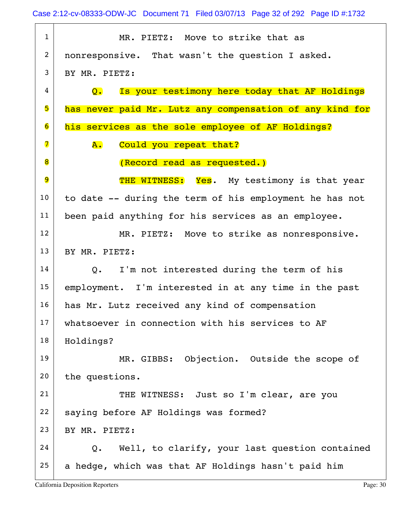Case 2:12-cv-08333-ODW-JC Document 71 Filed 03/07/13 Page 32 of 292 Page ID #:1732

| $\mathbf{1}$ | MR. PIETZ: Move to strike that as                          |
|--------------|------------------------------------------------------------|
| 2            | nonresponsive. That wasn't the question I asked.           |
| 3            | BY MR. PIETZ:                                              |
| 4            | Is your testimony here today that AF Holdings<br>Q.        |
| 5            | has never paid Mr. Lutz any compensation of any kind for   |
| 6            | his services as the sole employee of AF Holdings?          |
| 7            | Could you repeat that?<br>А.                               |
| 8            | (Record read as requested.)                                |
| 9            | THE WITNESS: Yes. My testimony is that year                |
| 10           | to date -- during the term of his employment he has not    |
| 11           | been paid anything for his services as an employee.        |
| 12           | MR. PIETZ: Move to strike as nonresponsive.                |
| 13           | BY MR. PIETZ:                                              |
| 14           | I'm not interested during the term of his<br>$Q_{\bullet}$ |
| 15           | employment. I'm interested in at any time in the past      |
| 16           | has Mr. Lutz received any kind of compensation             |
| 17           | whatsoever in connection with his services to AF           |
| 18           | Holdings?                                                  |
| 19           | MR. GIBBS: Objection. Outside the scope of                 |
| 20           | the questions.                                             |
| 21           | THE WITNESS: Just so I'm clear, are you                    |
| 22           | saying before AF Holdings was formed?                      |
| 23           | BY MR. PIETZ:                                              |
| 24           | Well, to clarify, your last question contained<br>Q.       |
| 25           | a hedge, which was that AF Holdings hasn't paid him        |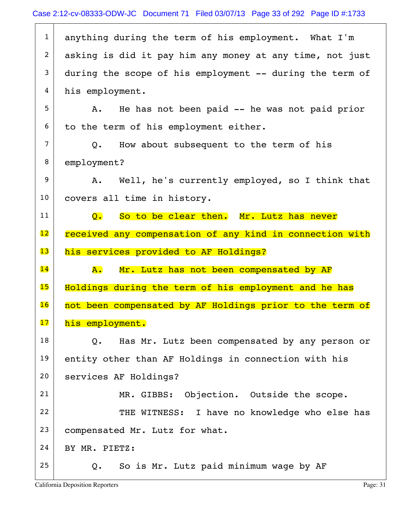| $\mathbf 1$    | anything during the term of his employment. What I'm                  |
|----------------|-----------------------------------------------------------------------|
| $\overline{2}$ | asking is did it pay him any money at any time, not just              |
| 3              | during the scope of his employment -- during the term of              |
| $\overline{4}$ | his employment.                                                       |
| 5              | He has not been paid -- he was not paid prior<br>Α.                   |
| 6              | to the term of his employment either.                                 |
| $\overline{7}$ | Q. How about subsequent to the term of his                            |
| 8              | employment?                                                           |
| 9              | A. Well, he's currently employed, so I think that                     |
| 10             | covers all time in history.                                           |
| 11             | So to be clear then. Mr. Lutz has never<br>$\overline{Q}$ .           |
| 12             | received any compensation of any kind in connection with              |
|                |                                                                       |
| 13             | his services provided to AF Holdings?                                 |
| 14             | Mr. Lutz has not been compensated by AF<br>${\bf A}$ . $\blacksquare$ |
| 15             | Holdings during the term of his employment and he has                 |
| 16             | not been compensated by AF Holdings prior to the term of              |
| 17             | his employment.                                                       |
| 18             | Has Mr. Lutz been compensated by any person or<br>Q.                  |
| 19             | entity other than AF Holdings in connection with his                  |
| 20             | services AF Holdings?                                                 |
| 21             | Objection. Outside the scope.<br>MR. GIBBS:                           |
| 22             | THE WITNESS: I have no knowledge who else has                         |
| 23             | compensated Mr. Lutz for what.                                        |
| 24             | BY MR. PIETZ:                                                         |
| 25             | So is Mr. Lutz paid minimum wage by AF<br>Q.                          |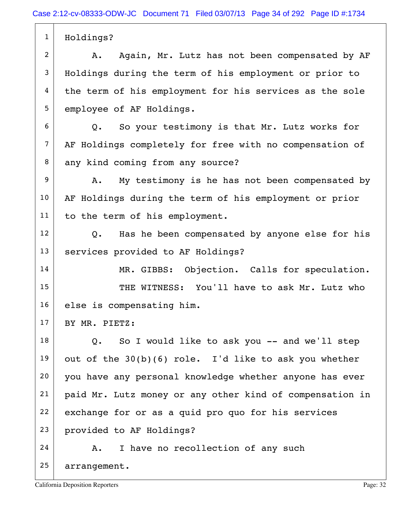1 Holdings?  $2$  A. Again, Mr. Lutz has not been compensated by AF 3 Holdings during the term of his employment or prior to 4 the term of his employment for his services as the sole 5 employee of AF Holdings.  $6$  Q. So your testimony is that Mr. Lutz works for 7 AF Holdings completely for free with no compensation of 8 any kind coming from any source? 9 A. My testimony is he has not been compensated by 10 AF Holdings during the term of his employment or prior 11 to the term of his employment.  $12$  Q. Has he been compensated by anyone else for his 13 services provided to AF Holdings? 14 MR. GIBBS: Objection. Calls for speculation. 15 THE WITNESS: You'll have to ask Mr. Lutz who 16 else is compensating him.  $17$  BY MR. PIETZ:  $18$  Q. So I would like to ask you -- and we'll step 19 out of the  $30(b)(6)$  role. I'd like to ask you whether 20 you have any personal knowledge whether anyone has ever 21 paid Mr. Lutz money or any other kind of compensation in  $22$  exchange for or as a quid pro quo for his services 23 provided to AF Holdings?  $24$  A. I have no recollection of any such 25 arrangement.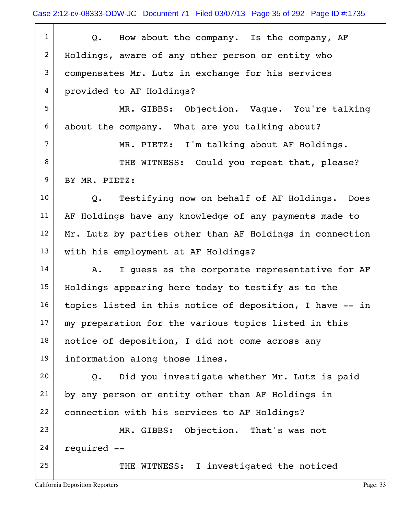| $\mathbf{1}$     | Q. How about the company. Is the company, AF             |
|------------------|----------------------------------------------------------|
| $\overline{a}$   | Holdings, aware of any other person or entity who        |
| 3                | compensates Mr. Lutz in exchange for his services        |
| 4                | provided to AF Holdings?                                 |
| 5                | MR. GIBBS: Objection. Vaque. You're talking              |
| 6                | about the company. What are you talking about?           |
| $\overline{7}$   | MR. PIETZ: I'm talking about AF Holdings.                |
| 8                | THE WITNESS: Could you repeat that, please?              |
| $\boldsymbol{9}$ | BY MR. PIETZ:                                            |
| 10               | Q. Testifying now on behalf of AF Holdings.<br>Does      |
| 11               | AF Holdings have any knowledge of any payments made to   |
| 12               | Mr. Lutz by parties other than AF Holdings in connection |
| 13               | with his employment at AF Holdings?                      |
| 14               | I quess as the corporate representative for AF<br>Α.     |
| 15               | Holdings appearing here today to testify as to the       |
| 16               | topics listed in this notice of deposition, I have -- in |
| 17               | my preparation for the various topics listed in this     |
| 18               | notice of deposition, I did not come across any          |
| 19               | information along those lines.                           |
| 20               | Did you investigate whether Mr. Lutz is paid<br>Q.       |
| 21               | by any person or entity other than AF Holdings in        |
| 22               | connection with his services to AF Holdings?             |
| 23               | MR. GIBBS: Objection. That's was not                     |
| 24               | required --                                              |
| 25               | THE WITNESS: I investigated the noticed                  |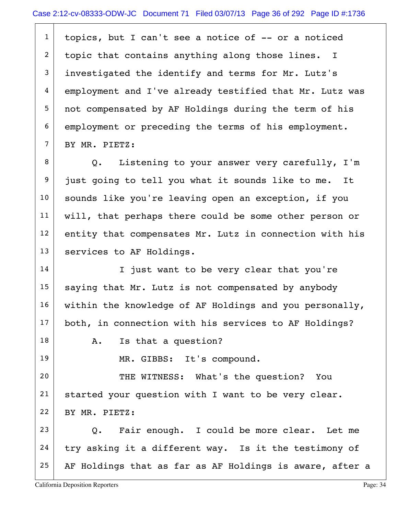$1$  topics, but I can't see a notice of  $-$ - or a noticed 2 topic that contains anything along those lines. I  $3$  investigated the identify and terms for Mr. Lutz's 4 employment and I've already testified that Mr. Lutz was 5 not compensated by AF Holdings during the term of his 6 employment or preceding the terms of his employment. 7 BY MR. PIETZ:

8 Q. Listening to your answer very carefully, I'm 9 just going to tell you what it sounds like to me. It 10 | sounds like you're leaving open an exception, if you 11 will, that perhaps there could be some other person or  $12$  entity that compensates Mr. Lutz in connection with his 13 | services to AF Holdings.

14 I just want to be very clear that you're  $15$  saying that Mr. Lutz is not compensated by anybody 16 within the knowledge of AF Holdings and you personally, 17 both, in connection with his services to AF Holdings?

18 | A. Is that a question?

19 MR. GIBBS: It's compound.

20 THE WITNESS: What's the question? You 21 | started your question with I want to be very clear. 22 | BY MR. PIETZ:

 $23$  Q. Fair enough. I could be more clear. Let me  $24$  try asking it a different way. Is it the testimony of  $25$  AF Holdings that as far as AF Holdings is aware, after a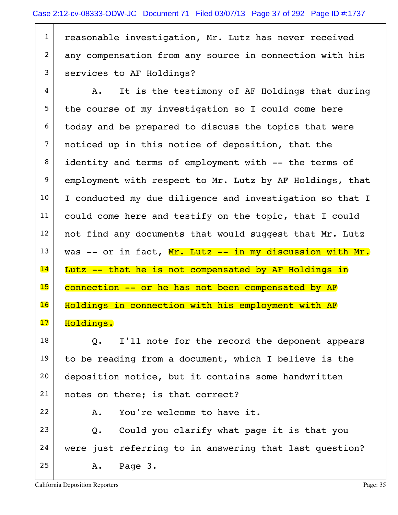1 reasonable investigation, Mr. Lutz has never received 2 any compensation from any source in connection with his 3 services to AF Holdings?

 $4$  A. It is the testimony of AF Holdings that during  $5$  the course of my investigation so I could come here  $6$  today and be prepared to discuss the topics that were 7 noticed up in this notice of deposition, that the 8 identity and terms of employment with -- the terms of 9 employment with respect to Mr. Lutz by AF Holdings, that  $10$  I conducted my due diligence and investigation so that I 11 could come here and testify on the topic, that I could  $12$  not find any documents that would suggest that Mr. Lutz  $13$  was -- or in fact, Mr. Lutz -- in my discussion with Mr.  $14$  Lutz  $-$  that he is not compensated by AF Holdings in 15 connection -- or he has not been compensated by AF 16 Holdings in connection with his employment with AF 17 Holdings.

 $18$  Q. I'll note for the record the deponent appears 19 to be reading from a document, which I believe is the 20 deposition notice, but it contains some handwritten 21 | notes on there; is that correct?

 $23$  Q. Could you clarify what page it is that you 24 were just referring to in answering that last question? 25 A. Page 3.

 $22$   $A.$  You're welcome to have it.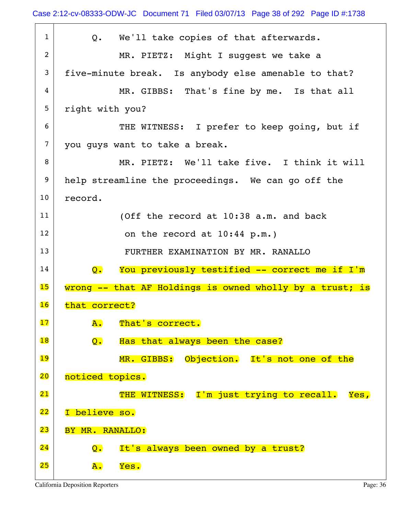| $\mathbf{1}$    | Q. We'll take copies of that afterwards.                                   |
|-----------------|----------------------------------------------------------------------------|
| $\overline{2}$  | MR. PIETZ: Might I suggest we take a                                       |
| 3               | five-minute break. Is anybody else amenable to that?                       |
| 4               | MR. GIBBS: That's fine by me. Is that all                                  |
| 5               | right with you?                                                            |
| 6               | THE WITNESS: I prefer to keep going, but if                                |
| $7\phantom{.0}$ | you quys want to take a break.                                             |
| 8               | MR. PIETZ: We'll take five. I think it will                                |
| 9               | help streamline the proceedings. We can go off the                         |
| 10 <sub>1</sub> | record.                                                                    |
| 11              | (Off the record at 10:38 a.m. and back                                     |
| 12              | on the record at 10:44 p.m.)                                               |
| 13              | FURTHER EXAMINATION BY MR. RANALLO                                         |
| 14              | You previously testified -- correct me if I'm<br>$\overline{\mathsf{Q}}$ . |
| 15              | wrong -- that AF Holdings is owned wholly by a trust; is                   |
| 16              | that correct?                                                              |
| 17              | A.<br>That's correct.                                                      |
| 18              | Has that always been the case?<br>$\overline{Q}$ .                         |
| 19              | MR. GIBBS: Objection. It's not one of the                                  |
| 20 <sub>o</sub> | noticed topics.                                                            |
| 21              | THE WITNESS: I'm just trying to recall. Yes,                               |
| 22              | I believe so.                                                              |
| 23              | BY MR. RANALLO:                                                            |
| 24              | It's always been owned by a trust?<br>$\overline{\mathsf{Q}}$ .            |
| 25              | Yes.<br>${\bf A}$ .                                                        |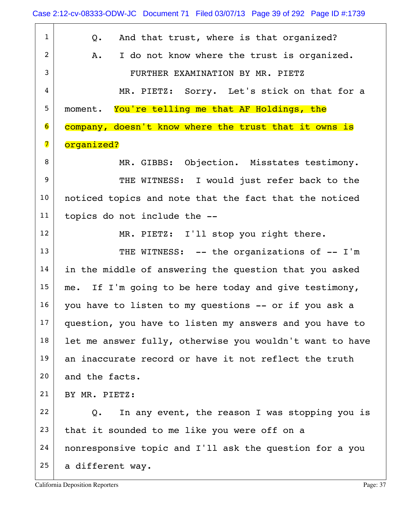1 Q. And that trust, where is that organized? 2 A. I do not know where the trust is organized. 3 FURTHER EXAMINATION BY MR. PIETZ 4 MR. PIETZ: Sorry. Let's stick on that for a 5 moment. You're telling me that AF Holdings, the 6 company, doesn't know where the trust that it owns is 7 organized? 8 MR. GIBBS: Objection. Misstates testimony. 9 THE WITNESS: I would just refer back to the 10 | noticed topics and note that the fact that the noticed 11 topics do not include the -- 12 MR. PIETZ: I'll stop you right there. 13 THE WITNESS: -- the organizations of -- I'm 14 in the middle of answering the question that you asked  $15$  me. If I'm going to be here today and give testimony,  $16$  you have to listen to my questions -- or if you ask a 17 question, you have to listen my answers and you have to  $18$  let me answer fully, otherwise you wouldn't want to have  $19$  an inaccurate record or have it not reflect the truth 20 and the facts. 21 BY MR. PIETZ:  $22$  Q. In any event, the reason I was stopping you is  $23$  that it sounded to me like you were off on a 24 nonresponsive topic and I'll ask the question for a you  $25$  a different way.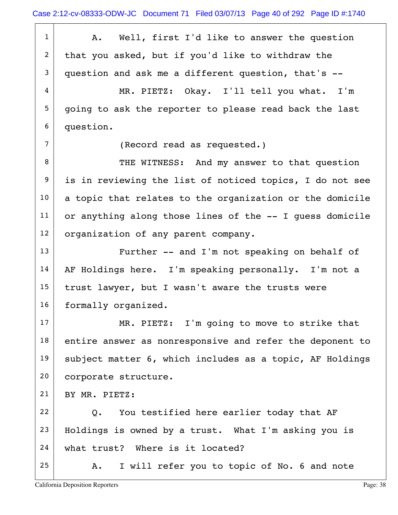1 | A. Well, first I'd like to answer the question  $2$  that you asked, but if you'd like to withdraw the  $3$  question and ask me a different question, that's  $-$  4 MR. PIETZ: Okay. I'll tell you what. I'm 5 going to ask the reporter to please read back the last 6 question. 7 (Record read as requested.) 8 THE WITNESS: And my answer to that question 9 is in reviewing the list of noticed topics, I do not see  $10$  a topic that relates to the organization or the domicile  $11$  or anything along those lines of the  $-$ - I guess domicile 12 | organization of any parent company. 13 Further -- and I'm not speaking on behalf of 14 | AF Holdings here. I'm speaking personally. I'm not a  $15$  trust lawyer, but I wasn't aware the trusts were 16 formally organized. 17 MR. PIETZ: I'm going to move to strike that  $18$  entire answer as nonresponsive and refer the deponent to 19 subject matter 6, which includes as a topic, AF Holdings 20 corporate structure. 21 BY MR. PIETZ: 22  $\vert$  Q. You testified here earlier today that AF  $23$  Holdings is owned by a trust. What I'm asking you is 24 what trust? Where is it located?  $25$  A. I will refer you to topic of No. 6 and note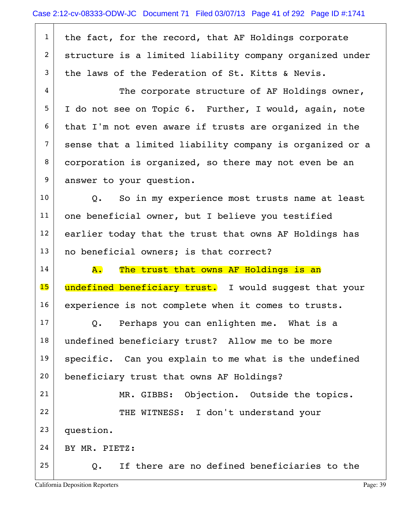| $\mathbf{1}$     | the fact, for the record, that AF Holdings corporate     |
|------------------|----------------------------------------------------------|
| $\overline{2}$   | structure is a limited liability company organized under |
| 3                | the laws of the Federation of St. Kitts & Nevis.         |
| 4                | The corporate structure of AF Holdings owner,            |
| 5                | I do not see on Topic 6. Further, I would, again, note   |
| 6                | that I'm not even aware if trusts are organized in the   |
| $\overline{7}$   | sense that a limited liability company is organized or a |
| 8                | corporation is organized, so there may not even be an    |
| $\boldsymbol{9}$ | answer to your question.                                 |
| 10               | Q. So in my experience most trusts name at least         |
| 11               | one beneficial owner, but I believe you testified        |
| 12               | earlier today that the trust that owns AF Holdings has   |
| 13               | no beneficial owners; is that correct?                   |
| 14               | The trust that owns AF Holdings is an<br>${\bf A}$ .     |
| 15               | undefined beneficiary trust. I would suggest that your   |
| 16               |                                                          |
|                  | experience is not complete when it comes to trusts.      |
| 17               | Perhaps you can enlighten me. What is a<br>Q.            |
| 18               | undefined beneficiary trust? Allow me to be more         |
| 19               | specific. Can you explain to me what is the undefined    |
| 20               | beneficiary trust that owns AF Holdings?                 |
| 21               | MR. GIBBS: Objection. Outside the topics.                |
| 22               | THE WITNESS: I don't understand your                     |
| 23               | question.                                                |
| 24               | BY MR. PIETZ:                                            |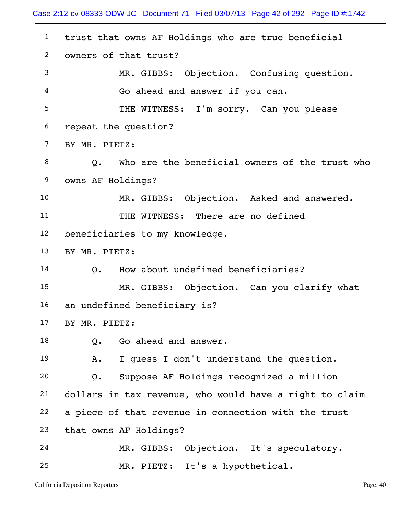$1$  trust that owns AF Holdings who are true beneficial 2 | owners of that trust? 3 MR. GIBBS: Objection. Confusing question.  $4 \mid$  Go ahead and answer if you can. 5 THE WITNESS: I'm sorry. Can you please 6 repeat the question?  $7$  BY MR. PIETZ:  $8$   $\vert$  0. Who are the beneficial owners of the trust who 9 | owns AF Holdings? 10 MR. GIBBS: Objection. Asked and answered. 11 THE WITNESS: There are no defined 12 | beneficiaries to my knowledge. 13 BY MR. PIETZ:  $14$  O. How about undefined beneficiaries? 15 MR. GIBBS: Objection. Can you clarify what 16 an undefined beneficiary is?  $17$  BY MR. PIETZ:  $18$  O. Go ahead and answer. 19 | A. I guess I don't understand the question.  $20$  Q. Suppose AF Holdings recognized a million 21 dollars in tax revenue, who would have a right to claim  $22$  a piece of that revenue in connection with the trust 23 that owns AF Holdings? 24 MR. GIBBS: Objection. It's speculatory. 25 | MR. PIETZ: It's a hypothetical.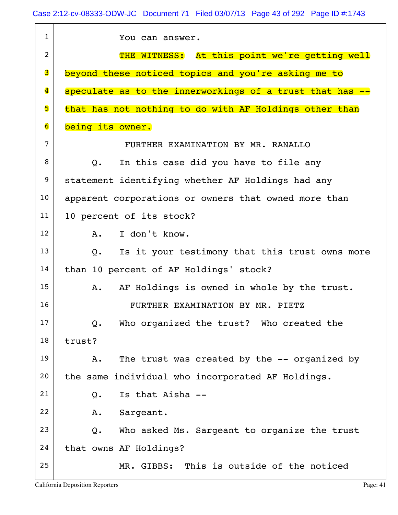| $\mathbf{1}$            | You can answer.                                                 |
|-------------------------|-----------------------------------------------------------------|
| $\overline{2}$          | THE WITNESS: At this point we're getting well                   |
| 3                       | beyond these noticed topics and you're asking me to             |
| $\overline{\mathbf{4}}$ | speculate as to the innerworkings of a trust that has --        |
| 5                       | that has not nothing to do with AF Holdings other than          |
| $\overline{\mathbf{6}}$ | being its owner.                                                |
| $\overline{7}$          | FURTHER EXAMINATION BY MR. RANALLO                              |
| 8                       | In this case did you have to file any<br>$Q_{\bullet}$          |
| 9                       | statement identifying whether AF Holdings had any               |
| 10                      | apparent corporations or owners that owned more than            |
| 11                      | 10 percent of its stock?                                        |
| 12                      | I don't know.<br>A.                                             |
| 13                      | Is it your testimony that this trust owns more<br>$Q_{\bullet}$ |
| 14                      | than 10 percent of AF Holdings' stock?                          |
| 15                      | AF Holdings is owned in whole by the trust.<br>A.               |
| 16                      | FURTHER EXAMINATION BY MR. PIETZ                                |
| 17                      | Who organized the trust? Who created the<br>Q.                  |
| 18                      | trust?                                                          |
| 19                      | The trust was created by the -- organized by<br>Α.              |
| 20                      | the same individual who incorporated AF Holdings.               |
| 21                      | Is that Aisha --<br>Q.                                          |
| 22                      | Sargeant.<br>Α.                                                 |
| 23                      | Who asked Ms. Sargeant to organize the trust<br>Q.              |
| 24                      | that owns AF Holdings?                                          |
| 25                      | MR. GIBBS: This is outside of the noticed                       |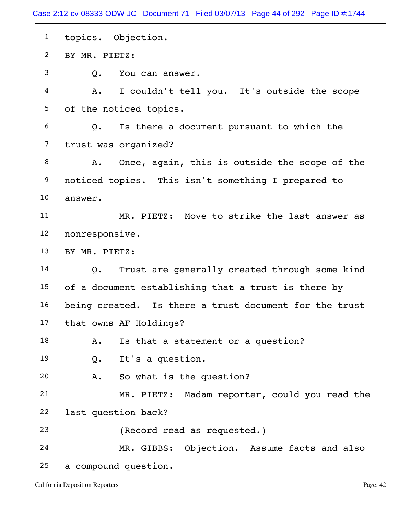Case 2:12-cv-08333-ODW-JC Document 71 Filed 03/07/13 Page 44 of 292 Page ID #:1744

| $\mathbf{1}$   | topics. Objection.                                     |
|----------------|--------------------------------------------------------|
| $\overline{2}$ | BY MR. PIETZ:                                          |
| 3              | Q.<br>You can answer.                                  |
| 4              | I couldn't tell you. It's outside the scope<br>A.      |
| 5              | of the noticed topics.                                 |
| 6              | Is there a document pursuant to which the<br>Q.        |
| $\overline{7}$ | trust was organized?                                   |
| 8              | Once, again, this is outside the scope of the<br>Α.    |
| 9              | noticed topics. This isn't something I prepared to     |
| 10             | answer.                                                |
| 11             | MR. PIETZ: Move to strike the last answer as           |
| 12             | nonresponsive.                                         |
| 13             | BY MR. PIETZ:                                          |
| 14             | Trust are generally created through some kind<br>Q.    |
| 15             | of a document establishing that a trust is there by    |
| 16             | being created. Is there a trust document for the trust |
| 17             | that owns AF Holdings?                                 |
| 18             | Is that a statement or a question?<br>Α.               |
| 19             | It's a question.<br>Q.                                 |
| 20             | So what is the question?<br>Α.                         |
| 21             | MR. PIETZ: Madam reporter, could you read the          |
| 22             | last question back?                                    |
| 23             | (Record read as requested.)                            |
| 24             | MR. GIBBS: Objection. Assume facts and also            |
| 25             | a compound question.                                   |
|                |                                                        |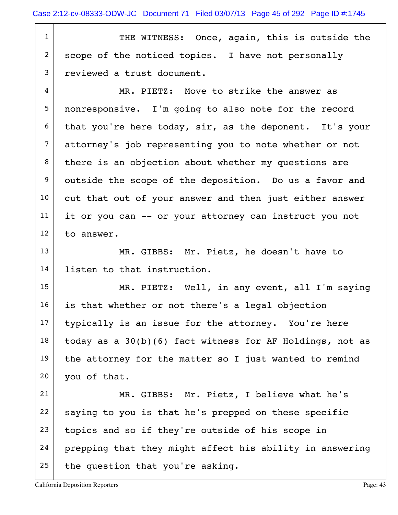1 THE WITNESS: Once, again, this is outside the  $2$  scope of the noticed topics. I have not personally 3 reviewed a trust document.

 $4$  MR. PIETZ: Move to strike the answer as 5 nonresponsive. I'm going to also note for the record  $6$  that you're here today, sir, as the deponent. It's your 7 attorney's job representing you to note whether or not  $8$  there is an objection about whether my questions are 9 outside the scope of the deposition. Do us a favor and 10 cut that out of your answer and then just either answer 11 | it or you can -- or your attorney can instruct you not  $12$  to answer.

13 MR. GIBBS: Mr. Pietz, he doesn't have to 14 listen to that instruction.

15 MR. PIETZ: Well, in any event, all I'm saying is that whether or not there's a legal objection typically is an issue for the attorney. You're here today as a  $30(b)(6)$  fact witness for AF Holdings, not as 19 | the attorney for the matter so I just wanted to remind you of that.

21 MR. GIBBS: Mr. Pietz, I believe what he's  $22$  saying to you is that he's prepped on these specific  $23$  topics and so if they're outside of his scope in 24 prepping that they might affect his ability in answering  $25$  the question that you're asking.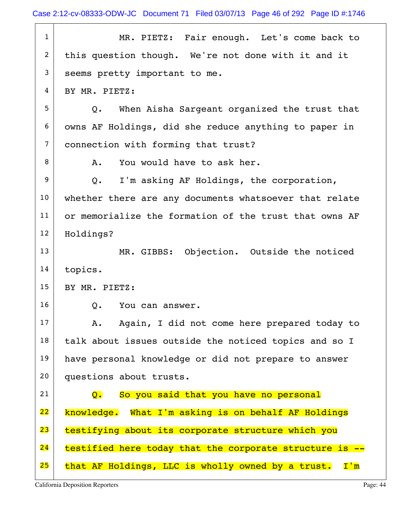| $\mathbf{1}$   | MR. PIETZ: Fair enough. Let's come back to                         |
|----------------|--------------------------------------------------------------------|
| $\overline{c}$ | this question though. We're not done with it and it                |
| 3              | seems pretty important to me.                                      |
| 4              | BY MR. PIETZ:                                                      |
| 5              | When Aisha Sargeant organized the trust that<br>Q.                 |
| 6              | owns AF Holdings, did she reduce anything to paper in              |
| $\overline{7}$ | connection with forming that trust?                                |
| 8              | You would have to ask her.<br>Α.                                   |
| 9              | I'm asking AF Holdings, the corporation,<br>Q.                     |
| 10             | whether there are any documents whatsoever that relate             |
| 11             | or memorialize the formation of the trust that owns AF             |
| 12             | Holdings?                                                          |
| 13             | MR. GIBBS: Objection. Outside the noticed                          |
| 14             | topics.                                                            |
| 15             | BY MR. PIETZ:                                                      |
| 16             | Q.<br>You can answer.                                              |
| 17             | Again, I did not come here prepared today to<br>Α.                 |
| 18             | talk about issues outside the noticed topics and so I              |
| 19             | have personal knowledge or did not prepare to answer               |
| 20             | questions about trusts.                                            |
| 21             | So you said that you have no personal<br>$\overline{\mathsf{Q}}$ . |
| 22             | knowledge. What I'm asking is on behalf AF Holdings                |
| 23             | testifying about its corporate structure which you                 |
| 24             | testified here today that the corporate structure is --            |
| 25             | that AF Holdings, LLC is wholly owned by a trust. I'm              |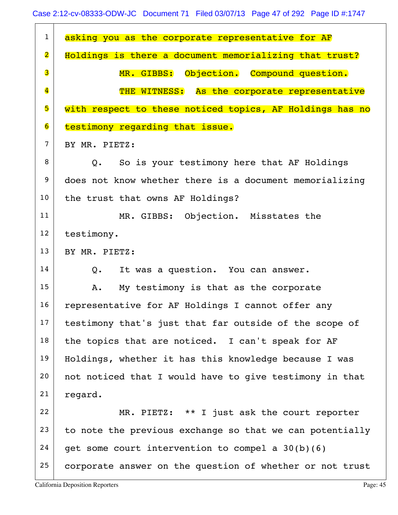| $\mathbf{1}$            | asking you as the corporate representative for AF           |
|-------------------------|-------------------------------------------------------------|
| $\overline{\mathbf{2}}$ | Holdings is there a document memorializing that trust?      |
| 3                       | MR. GIBBS: Objection. Compound question.                    |
| $\overline{\mathbf{4}}$ | THE WITNESS: As the corporate representative                |
| 5                       | with respect to these noticed topics, AF Holdings has no    |
| 6                       | testimony regarding that issue.                             |
| $\overline{7}$          | BY MR. PIETZ:                                               |
| 8                       | So is your testimony here that AF Holdings<br>$Q_{\bullet}$ |
| 9                       | does not know whether there is a document memorializing     |
| 10                      | the trust that owns AF Holdings?                            |
| 11                      | MR. GIBBS: Objection. Misstates the                         |
| 12                      | testimony.                                                  |
| 13                      | BY MR. PIETZ:                                               |
| 14                      | It was a question. You can answer.<br>Q.                    |
| 15                      | My testimony is that as the corporate<br>Α.                 |
| 16                      | representative for AF Holdings I cannot offer any           |
| 17                      | testimony that's just that far outside of the scope of      |
| 18                      | the topics that are noticed. I can't speak for AF           |
| 19                      | Holdings, whether it has this knowledge because I was       |
| 20                      | not noticed that I would have to give testimony in that     |
| 21                      | regard.                                                     |
| 22                      | MR. PIETZ: ** I just ask the court reporter                 |
| 23                      | to note the previous exchange so that we can potentially    |
| 24                      | get some court intervention to compel a $30(b)(6)$          |
| 25                      | corporate answer on the question of whether or not trust    |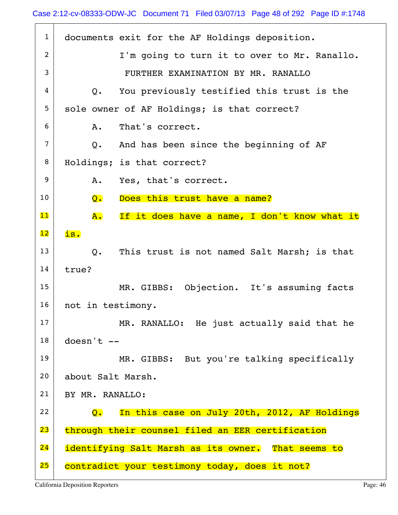| $\mathbf{1}$   | documents exit for the AF Holdings deposition.                            |
|----------------|---------------------------------------------------------------------------|
| $\overline{2}$ | I'm going to turn it to over to Mr. Ranallo.                              |
| 3              | FURTHER EXAMINATION BY MR. RANALLO                                        |
| 4              | Q. You previously testified this trust is the                             |
| 5              | sole owner of AF Holdings; is that correct?                               |
| 6              | That's correct.<br>A.                                                     |
| $\overline{7}$ | Q. And has been since the beginning of AF                                 |
| 8              | Holdings; is that correct?                                                |
| 9              | A.<br>Yes, that's correct.                                                |
| 10             | Does this trust have a name?<br>Q.                                        |
| $\mathbf{11}$  | ${\bf A}$ .<br>If it does have a name, I don't know what it               |
| 12             | is.                                                                       |
| 13             | This trust is not named Salt Marsh; is that<br>$Q_{\bullet}$              |
| 14             | true?                                                                     |
| 15             | MR. GIBBS: Objection. It's assuming facts                                 |
| 16             | not in testimony.                                                         |
| 17             | MR. RANALLO: He just actually said that he                                |
| 18             | $doesn't --$                                                              |
| 19             | MR. GIBBS: But you're talking specifically                                |
| 20             | about Salt Marsh.                                                         |
| 21             | BY MR. RANALLO:                                                           |
| 22             | In this case on July 20th, 2012, AF Holdings<br>$\overline{\mathsf{O}}$ . |
| 23             | through their counsel filed an EER certification                          |
| 24             | identifying Salt Marsh as its owner. That seems to                        |
| 25             | contradict your testimony today, does it not?                             |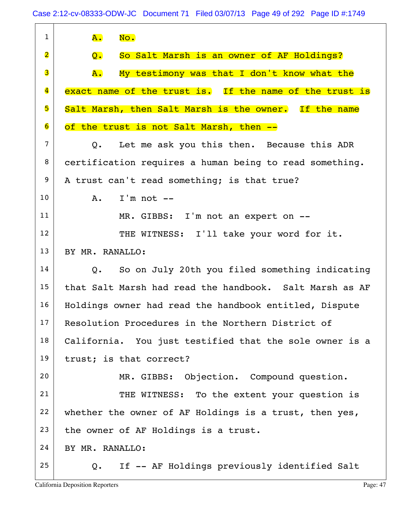| $\mathbf{1}$            | No.<br><b>A.</b>                                                |
|-------------------------|-----------------------------------------------------------------|
| $\overline{\mathbf{2}}$ | So Salt Marsh is an owner of AF Holdings?<br>$Q_{\bullet}$      |
| 3                       | My testimony was that I don't know what the<br>A.               |
| $\overline{\mathbf{4}}$ | exact name of the trust is. If the name of the trust is         |
| 5                       | Salt Marsh, then Salt Marsh is the owner. If the name           |
| $\overline{6}$          | of the trust is not Salt Marsh, then --                         |
| $\overline{7}$          | Let me ask you this then. Because this ADR<br>$Q_{\bullet}$     |
| 8                       | certification requires a human being to read something.         |
| 9                       | A trust can't read something; is that true?                     |
| 10                      | $I'm not --$<br>Α.                                              |
| 11                      | MR. GIBBS: I'm not an expert on --                              |
| 12                      | THE WITNESS: I'll take your word for it.                        |
| 13                      | BY MR. RANALLO:                                                 |
| 14                      | So on July 20th you filed something indicating<br>$Q_{\bullet}$ |
| 15                      | that Salt Marsh had read the handbook. Salt Marsh as AF         |
| 16                      | Holdings owner had read the handbook entitled, Dispute          |
| 17                      | Resolution Procedures in the Northern District of               |
| 18                      | California. You just testified that the sole owner is a         |
| 19                      | trust; is that correct?                                         |
| 20                      | MR. GIBBS: Objection. Compound question.                        |
| 21                      | THE WITNESS: To the extent your question is                     |
| 22                      | whether the owner of AF Holdings is a trust, then yes,          |
| 23                      | the owner of AF Holdings is a trust.                            |
| 24                      | BY MR. RANALLO:                                                 |
| 25                      | If -- AF Holdings previously identified Salt<br>Q.              |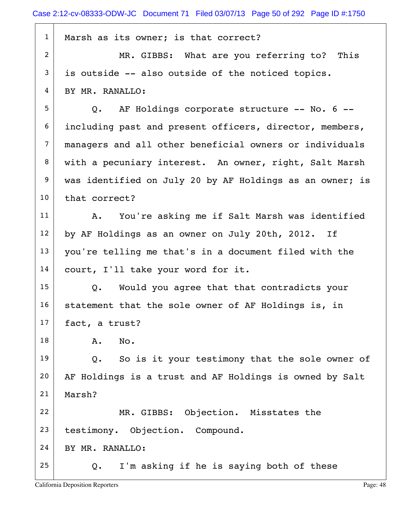| $\mathbf{1}$   | Marsh as its owner; is that correct?                     |
|----------------|----------------------------------------------------------|
| 2              | MR. GIBBS: What are you referring to? This               |
| 3              | is outside -- also outside of the noticed topics.        |
| 4              | BY MR. RANALLO:                                          |
| 5              | Q. AF Holdings corporate structure -- No. 6 --           |
| 6              | including past and present officers, director, members,  |
| $\overline{7}$ | managers and all other beneficial owners or individuals  |
| 8              | with a pecuniary interest. An owner, right, Salt Marsh   |
| 9              | was identified on July 20 by AF Holdings as an owner; is |
| 10             | that correct?                                            |
| 11             | You're asking me if Salt Marsh was identified<br>Α.      |
| 12             | by AF Holdings as an owner on July 20th, 2012. If        |
| 13             | you're telling me that's in a document filed with the    |
| 14             | court, I'll take your word for it.                       |
| 15             | Q. Would you agree that that contradicts your            |
| 16             | statement that the sole owner of AF Holdings is, in      |
| 17             | fact, a trust?                                           |
| 18             | No.<br>Α.                                                |
| 19             | So is it your testimony that the sole owner of<br>Q.     |
| 20             | AF Holdings is a trust and AF Holdings is owned by Salt  |
| 21             | Marsh?                                                   |
| 22             | MR. GIBBS: Objection. Misstates the                      |
| 23             | testimony. Objection. Compound.                          |
| 24             | BY MR. RANALLO:                                          |
| 25             | I'm asking if he is saying both of these<br>Q.           |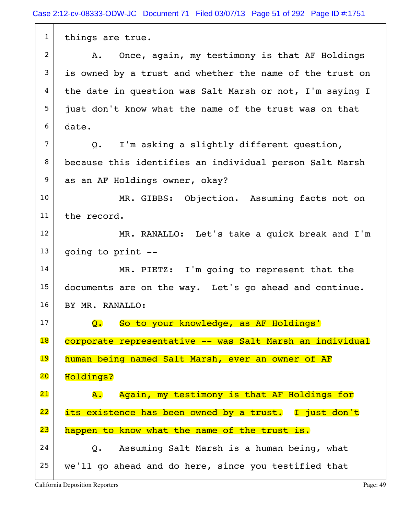1 things are true. 2 A. Once, again, my testimony is that AF Holdings  $3$  is owned by a trust and whether the name of the trust on  $4$  the date in question was Salt Marsh or not, I'm saying I 5 just don't know what the name of the trust was on that  $6$  date.  $7$  Q. I'm asking a slightly different question, 8 because this identifies an individual person Salt Marsh 9 as an AF Holdings owner, okay? 10 MR. GIBBS: Objection. Assuming facts not on 11 the record. 12 MR. RANALLO: Let's take a quick break and I'm  $13$  going to print  $-$ 14 MR. PIETZ: I'm going to represent that the 15 documents are on the way. Let's go ahead and continue. 16 BY MR. RANALLO: 17 Q. So to your knowledge, as AF Holdings' 18 corporate representative -- was Salt Marsh an individual 19 human being named Salt Marsh, ever an owner of AF 20 Holdings? 21 A. Again, my testimony is that AF Holdings for 22 its existence has been owned by a trust. I just don't 23 happen to know what the name of the trust is.  $24$  Q. Assuming Salt Marsh is a human being, what  $25$  we'll go ahead and do here, since you testified that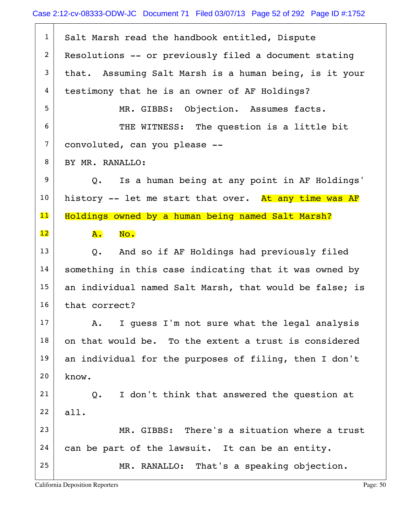$1$  Salt Marsh read the handbook entitled, Dispute  $2$  Resolutions -- or previously filed a document stating  $3$  that. Assuming Salt Marsh is a human being, is it your 4 testimony that he is an owner of AF Holdings? 5 MR. GIBBS: Objection. Assumes facts. 6 THE WITNESS: The question is a little bit 7 convoluted, can you please -- 8 | BY MR. RANALLO: 9 Q. Is a human being at any point in AF Holdings' 10 history -- let me start that over. At any time was AF 11 Holdings owned by a human being named Salt Marsh?  $\overline{12}$   $\overline{A}$ . No.  $13$  Q. And so if AF Holdings had previously filed 14 | something in this case indicating that it was owned by 15 an individual named Salt Marsh, that would be false; is 16 that correct?  $17$  A. I guess I'm not sure what the legal analysis  $18$  on that would be. To the extent a trust is considered 19 an individual for the purposes of filing, then I don't  $20$  know.  $21$  Q. I don't think that answered the question at  $22$  all.  $23$  MR. GIBBS: There's a situation where a trust  $24$  can be part of the lawsuit. It can be an entity. 25 MR. RANALLO: That's a speaking objection.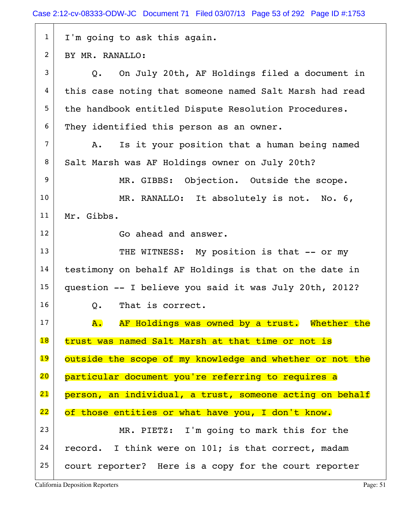| $\mathbf{1}$             | I'm going to ask this again.                               |
|--------------------------|------------------------------------------------------------|
| 2                        | BY MR. RANALLO:                                            |
| 3                        | Q. On July 20th, AF Holdings filed a document in           |
| 4                        | this case noting that someone named Salt Marsh had read    |
| 5                        | the handbook entitled Dispute Resolution Procedures.       |
| 6                        | They identified this person as an owner.                   |
| 7                        | Is it your position that a human being named<br>Α.         |
| 8                        | Salt Marsh was AF Holdings owner on July 20th?             |
| 9                        | MR. GIBBS: Objection. Outside the scope.                   |
| 10                       | MR. RANALLO: It absolutely is not. No. 6,                  |
| 11                       | Mr. Gibbs.                                                 |
| 12                       | Go ahead and answer.                                       |
| 13                       | THE WITNESS: My position is that -- or my                  |
| 14                       | testimony on behalf AF Holdings is that on the date in     |
| 15                       | question -- I believe you said it was July 20th, 2012?     |
| 16                       | That is correct.<br>Q.                                     |
| 17                       | AF Holdings was owned by a trust. Whether the<br><b>A.</b> |
| $\overline{\mathbf{18}}$ | trust was named Salt Marsh at that time or not is          |
| 19                       | outside the scope of my knowledge and whether or not the   |
| 20                       | particular document you're referring to requires a         |
| 21                       | person, an individual, a trust, someone acting on behalf   |
| 22                       | of those entities or what have you, I don't know.          |
| 23                       | MR. PIETZ: I'm going to mark this for the                  |
| 24                       | record. I think were on 101; is that correct, madam        |
| 25                       | court reporter? Here is a copy for the court reporter      |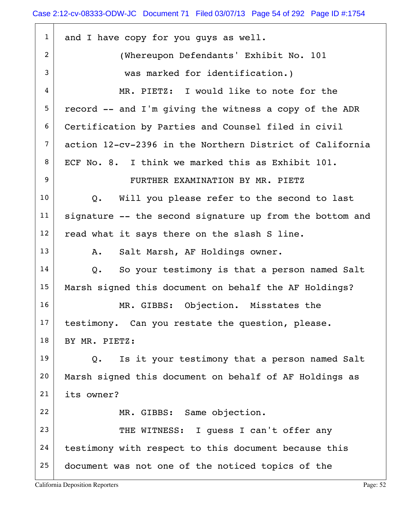| $\mathbf{1}$   | and I have copy for you guys as well.                    |
|----------------|----------------------------------------------------------|
| 2              | (Whereupon Defendants' Exhibit No. 101                   |
| 3              | was marked for identification.)                          |
| 4              | MR. PIETZ: I would like to note for the                  |
| 5              | record -- and I'm giving the witness a copy of the ADR   |
| 6              | Certification by Parties and Counsel filed in civil      |
| $\overline{7}$ | action 12-cv-2396 in the Northern District of California |
| 8              | ECF No. 8. I think we marked this as Exhibit 101.        |
| 9              | FURTHER EXAMINATION BY MR. PIETZ                         |
| 10             | Q. Will you please refer to the second to last           |
| 11             | signature -- the second signature up from the bottom and |
| 12             | read what it says there on the slash S line.             |
| 13             | Salt Marsh, AF Holdings owner.<br>Α.                     |
| 14             | So your testimony is that a person named Salt<br>Q.      |
| 15             | Marsh signed this document on behalf the AF Holdings?    |
| 16             | MR. GIBBS: Objection. Misstates the                      |
| 17             | testimony. Can you restate the question, please.         |
| 18             | BY MR. PIETZ:                                            |
| 19             | Is it your testimony that a person named Salt<br>Q.      |
| 20             | Marsh signed this document on behalf of AF Holdings as   |
| 21             | its owner?                                               |
| 22             | MR. GIBBS: Same objection.                               |
| 23             | THE WITNESS: I quess I can't offer any                   |
| 24             | testimony with respect to this document because this     |
| 25             | document was not one of the noticed topics of the        |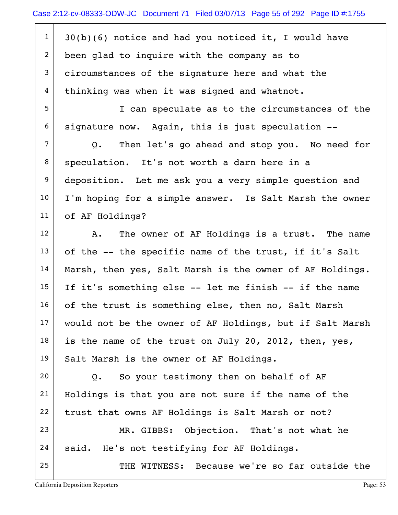$1 \mid 30(b)(6)$  notice and had you noticed it, I would have 2 been glad to inquire with the company as to 3 circumstances of the signature here and what the 4 thinking was when it was signed and whatnot.

5 | T can speculate as to the circumstances of the  $6$  signature now. Again, this is just speculation  $-$ -

 $7$  Q. Then let's go ahead and stop you. No need for 8 | speculation. It's not worth a darn here in a 9 deposition. Let me ask you a very simple question and 10 I'm hoping for a simple answer. Is Salt Marsh the owner 11 of AF Holdings?

 $12$  A. The owner of AF Holdings is a trust. The name  $13$  of the -- the specific name of the trust, if it's Salt 14 | Marsh, then yes, Salt Marsh is the owner of AF Holdings.  $15$  If it's something else -- let me finish -- if the name 16 of the trust is something else, then no, Salt Marsh 17 | would not be the owner of AF Holdings, but if Salt Marsh  $18$  is the name of the trust on July 20, 2012, then, yes, 19 Salt Marsh is the owner of AF Holdings.

 $20$  Q. So your testimony then on behalf of AF 21 Holdings is that you are not sure if the name of the 22 trust that owns AF Holdings is Salt Marsh or not? 23 MR. GIBBS: Objection. That's not what he

24 | said. He's not testifying for AF Holdings.

25 THE WITNESS: Because we're so far outside the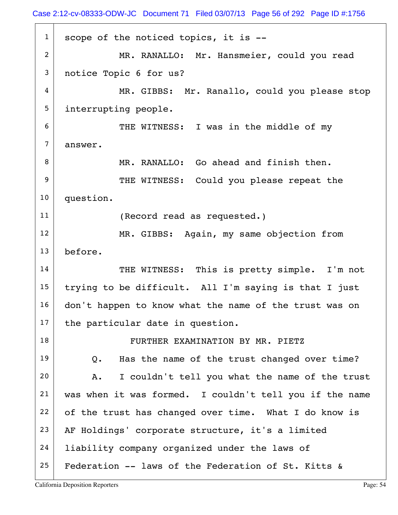$1$  scope of the noticed topics, it is  $-$ -2 MR. RANALLO: Mr. Hansmeier, could you read 3 notice Topic 6 for us? 4 MR. GIBBS: Mr. Ranallo, could you please stop 5 interrupting people. 6 THE WITNESS: I was in the middle of my 7 answer. 8 MR. RANALLO: Go ahead and finish then. 9 THE WITNESS: Could you please repeat the 10 question. 11 (Record read as requested.) 12 MR. GIBBS: Again, my same objection from 13 before. 14 THE WITNESS: This is pretty simple. I'm not 15 trying to be difficult. All I'm saying is that I just 16 don't happen to know what the name of the trust was on  $17$  the particular date in question. 18 | FURTHER EXAMINATION BY MR. PIETZ  $19$  Q. Has the name of the trust changed over time?  $20$  A. I couldn't tell you what the name of the trust 21 was when it was formed. I couldn't tell you if the name  $22$  of the trust has changed over time. What I do know is  $23$  AF Holdings' corporate structure, it's a limited 24 | liability company organized under the laws of 25 Federation  $-$  laws of the Federation of St. Kitts &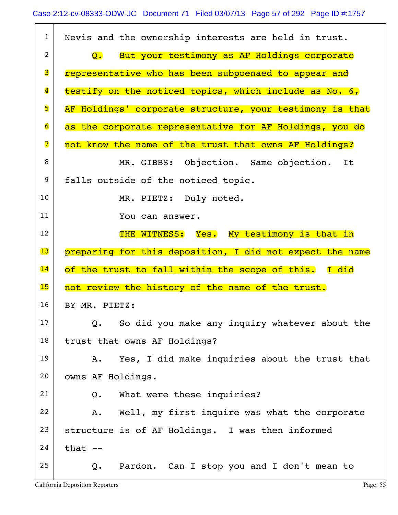| $\mathbf{1}$            | Nevis and the ownership interests are held in trust.                         |
|-------------------------|------------------------------------------------------------------------------|
| $\overline{2}$          | But your testimony as AF Holdings corporate<br>$\mathsf{O}$ . $\blacksquare$ |
| 3                       | representative who has been subpoenaed to appear and                         |
| $\overline{\mathbf{4}}$ | testify on the noticed topics, which include as No. 6,                       |
| 5                       | AF Holdings' corporate structure, your testimony is that                     |
| $\overline{6}$          | as the corporate representative for AF Holdings, you do                      |
| $\overline{\mathbf{z}}$ | not know the name of the trust that owns AF Holdings?                        |
| 8                       | MR. GIBBS: Objection. Same objection.<br>It                                  |
| 9                       | falls outside of the noticed topic.                                          |
| 10                      | MR. PIETZ: Duly noted.                                                       |
| 11                      | You can answer.                                                              |
| 12                      | THE WITNESS: Yes. My testimony is that in                                    |
| 13                      | preparing for this deposition, I did not expect the name                     |
| 14                      | of the trust to fall within the scope of this. I did                         |
| 15                      | not review the history of the name of the trust.                             |
| 16                      | BY MR. PIETZ:                                                                |
| 17                      | So did you make any inquiry whatever about the<br>$Q_{\bullet}$              |
|                         |                                                                              |
| 18                      | trust that owns AF Holdings?                                                 |
| 19                      | Yes, I did make inquiries about the trust that<br>Α.                         |
| 20                      | owns AF Holdings.                                                            |
| 21                      | What were these inquiries?<br>Q.                                             |
| 22                      | Well, my first inquire was what the corporate<br>Α.                          |
| 23                      | structure is of AF Holdings. I was then informed                             |
| 24                      | that $--$                                                                    |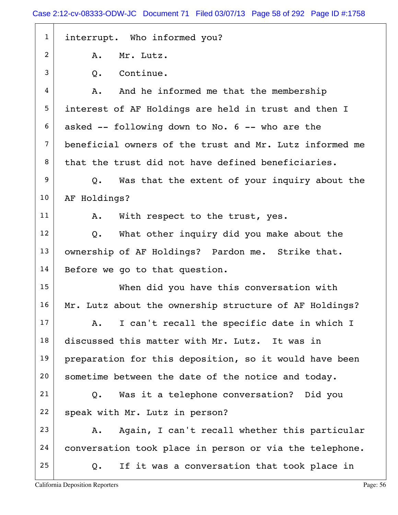1 interrupt. Who informed you?  $2$  A. Mr. Lutz. 3 O. Continue. 4 A. And he informed me that the membership 5 interest of AF Holdings are held in trust and then I  $6$  asked  $-$  following down to No. 6  $-$  who are the 7 beneficial owners of the trust and Mr. Lutz informed me  $8$  that the trust did not have defined beneficiaries.  $9$  Q. Was that the extent of your inquiry about the 10 AF Holdings? 11 | A. With respect to the trust, yes.  $12$  Q. What other inquiry did you make about the 13 | ownership of AF Holdings? Pardon me. Strike that.  $14$  Before we go to that question. 15 When did you have this conversation with 16 Mr. Lutz about the ownership structure of AF Holdings?  $17$  A. I can't recall the specific date in which I 18 discussed this matter with Mr. Lutz. It was in 19 preparation for this deposition, so it would have been 20 sometime between the date of the notice and today.  $21$  Q. Was it a telephone conversation? Did you  $22$  speak with Mr. Lutz in person?  $23$  A. Again, I can't recall whether this particular 24 conversation took place in person or via the telephone.  $25$  Q. If it was a conversation that took place in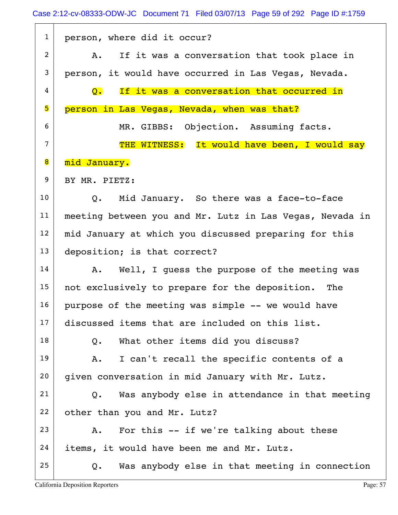Case 2:12-cv-08333-ODW-JC Document 71 Filed 03/07/13 Page 59 of 292 Page ID #:1759

| $\mathbf{1}$   | person, where did it occur?                                   |
|----------------|---------------------------------------------------------------|
| $\overline{2}$ | If it was a conversation that took place in<br>A.             |
| 3              | person, it would have occurred in Las Vegas, Nevada.          |
| 4              | If it was a conversation that occurred in<br>$\overline{Q}$ . |
| 5              | person in Las Vegas, Nevada, when was that?                   |
| 6              | MR. GIBBS: Objection. Assuming facts.                         |
| $\overline{7}$ | THE WITNESS: It would have been, I would say                  |
| 8              | mid January.                                                  |
| 9              | BY MR. PIETZ:                                                 |
| 10             | Mid January. So there was a face-to-face<br>Q.                |
| 11             | meeting between you and Mr. Lutz in Las Vegas, Nevada in      |
| 12             | mid January at which you discussed preparing for this         |
| 13             | deposition; is that correct?                                  |
| 14             | Well, I guess the purpose of the meeting was<br>A.            |
| 15             | not exclusively to prepare for the deposition. The            |
| 16             | purpose of the meeting was simple -- we would have            |
| 17             | discussed items that are included on this list.               |
| 18             | What other items did you discuss?<br>Q.                       |
| 19             | I can't recall the specific contents of a<br>Α.               |
| 20             | given conversation in mid January with Mr. Lutz.              |
| 21             | Was anybody else in attendance in that meeting<br>Q.          |
| 22             | other than you and Mr. Lutz?                                  |
| 23             | For this -- if we're talking about these<br>Α.                |
| 24             | items, it would have been me and Mr. Lutz.                    |
| 25             | Was anybody else in that meeting in connection<br>Q.          |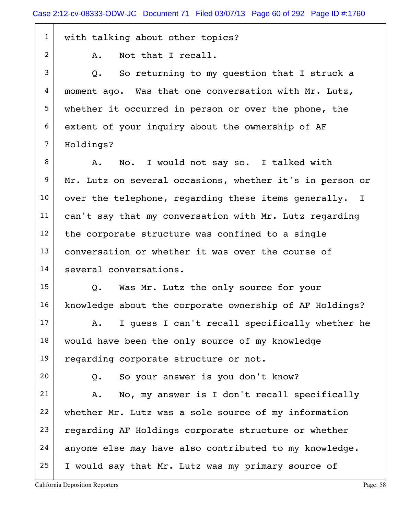1 with talking about other topics?

2 A. Not that I recall.

 $3$  Q. So returning to my question that I struck a  $4 \mid$  moment ago. Was that one conversation with Mr. Lutz, 5 whether it occurred in person or over the phone, the 6 extent of your inquiry about the ownership of AF 7 | Holdings?

8 A. No. I would not say so. I talked with 9 Mr. Lutz on several occasions, whether it's in person or  $10$  over the telephone, regarding these items generally. I 11 | can't say that my conversation with Mr. Lutz regarding  $12$  the corporate structure was confined to a single 13 conversation or whether it was over the course of 14 several conversations.

15 Q. Was Mr. Lutz the only source for your 16 knowledge about the corporate ownership of AF Holdings?

 $17$  A. I quess I can't recall specifically whether he  $18$  would have been the only source of my knowledge 19 regarding corporate structure or not.

 $20$  Q. So your answer is you don't know?

 A. No, my answer is I don't recall specifically 22 whether Mr. Lutz was a sole source of my information regarding AF Holdings corporate structure or whether anyone else may have also contributed to my knowledge. I would say that Mr. Lutz was my primary source of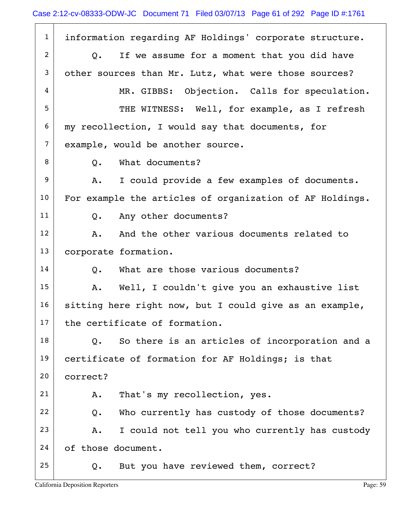1 information regarding AF Holdings' corporate structure.  $2$  Q. If we assume for a moment that you did have 3 other sources than Mr. Lutz, what were those sources? 4 MR. GIBBS: Objection. Calls for speculation. 5 THE WITNESS: Well, for example, as I refresh  $6$  my recollection, I would say that documents, for  $7$  example, would be another source. 8 O. What documents?  $9$  A. I could provide a few examples of documents. 10 For example the articles of organization of AF Holdings. 11 Q. Any other documents?  $12$  A. And the other various documents related to 13 corporate formation.  $14$  O. What are those various documents? 15 | A. Well, I couldn't give you an exhaustive list  $16$  sitting here right now, but I could give as an example,  $17$  the certificate of formation.  $18$  Q. So there is an articles of incorporation and a 19 certificate of formation for AF Holdings; is that 20 correct? 21 | A. That's my recollection, yes.  $22$  Q. Who currently has custody of those documents?  $23$   $\vert$  A. I could not tell you who currently has custody 24 of those document.  $25$  Q. But you have reviewed them, correct?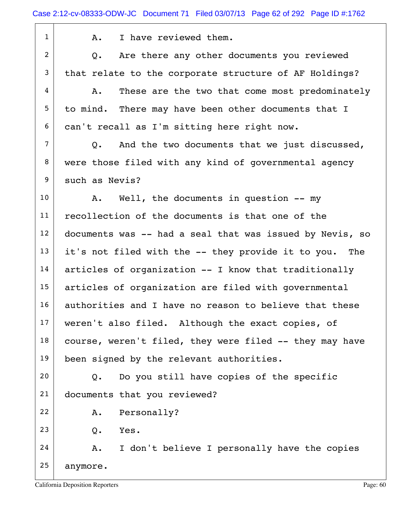1 1 A. I have reviewed them.

 $2$  Q. Are there any other documents you reviewed  $3$  that relate to the corporate structure of AF Holdings?

 $4$   $\vert$  A. These are the two that come most predominately  $5$  to mind. There may have been other documents that I 6 can't recall as I'm sitting here right now.

 $7$  Q. And the two documents that we just discussed, 8 were those filed with any kind of governmental agency 9 such as Nevis?

10 | A. Well, the documents in question -- my 11 recollection of the documents is that one of the  $12$  documents was -- had a seal that was issued by Nevis, so  $13$  it's not filed with the -- they provide it to you. The  $14$  articles of organization  $-$  I know that traditionally 15 articles of organization are filed with governmental 16 authorities and I have no reason to believe that these  $17$  weren't also filed. Although the exact copies, of  $18$  course, weren't filed, they were filed  $-$  they may have 19 been signed by the relevant authorities.

 $20$  Q. Do you still have copies of the specific 21 documents that you reviewed?

22 A. Personally?

 $23$  Q. Yes.

 $24$  A. I don't believe I personally have the copies 25 anymore.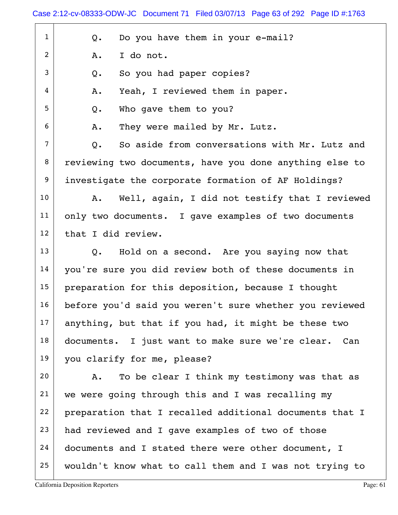$1$  Q. Do you have them in your e-mail?  $2$  A. I do not.  $3$  Q. So you had paper copies?  $4 \mid$  A. Yeah, I reviewed them in paper. 5 Q. Who gave them to you?  $6$  A. They were mailed by Mr. Lutz.  $7$  O. So aside from conversations with Mr. Lutz and 8 reviewing two documents, have you done anything else to 9 investigate the corporate formation of AF Holdings? 10 | A. Well, again, I did not testify that I reviewed 11 only two documents. I gave examples of two documents  $12$  that I did review.  $13$  Q. Hold on a second. Are you saying now that 14 you're sure you did review both of these documents in 15 | preparation for this deposition, because I thought 16 before you'd said you weren't sure whether you reviewed  $17$  anything, but that if you had, it might be these two 18 documents. I just want to make sure we're clear. Can 19 you clarify for me, please? 20 A. To be clear I think my testimony was that as 21 we were going through this and I was recalling my 22 preparation that I recalled additional documents that I  $23$  had reviewed and I gave examples of two of those 24 documents and I stated there were other document, I 25 wouldn't know what to call them and I was not trying to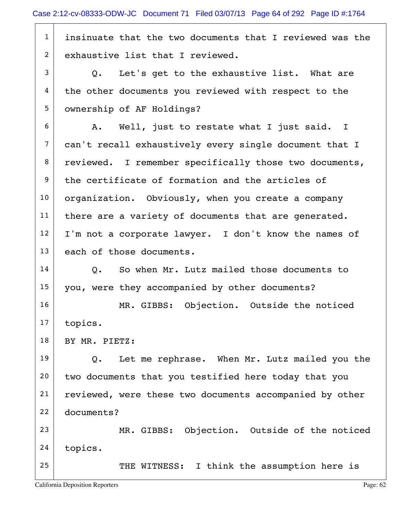$1$  insinuate that the two documents that I reviewed was the 2 exhaustive list that I reviewed.  $3$  Q. Let's get to the exhaustive list. What are 4 the other documents you reviewed with respect to the 5 | ownership of AF Holdings?  $6$  A. Well, just to restate what I just said. I 7 can't recall exhaustively every single document that I 8 reviewed. I remember specifically those two documents, 9 the certificate of formation and the articles of  $10$  organization. Obviously, when you create a company 11 | there are a variety of documents that are generated.  $12$  I'm not a corporate lawyer. I don't know the names of 13 each of those documents.  $14$  O. So when Mr. Lutz mailed those documents to 15 you, were they accompanied by other documents? 16 MR. GIBBS: Objection. Outside the noticed 17 topics. 18 | BY MR. PIETZ:  $19$  Q. Let me rephrase. When Mr. Lutz mailed you the 20 two documents that you testified here today that you 21 | reviewed, were these two documents accompanied by other 22 documents? 23 MR. GIBBS: Objection. Outside of the noticed 24 topics. 25 THE WITNESS: I think the assumption here is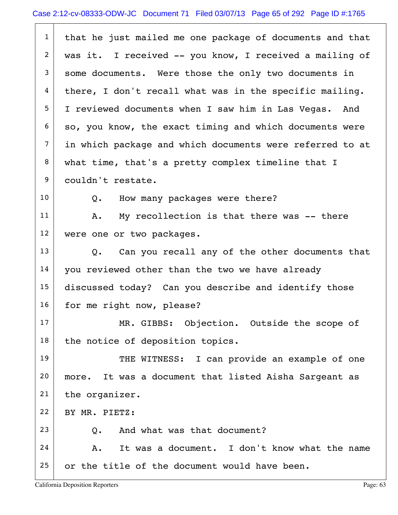| $\mathbf{1}$   | that he just mailed me one package of documents and that |
|----------------|----------------------------------------------------------|
| $\overline{2}$ | was it. I received -- you know, I received a mailing of  |
| 3              | some documents. Were those the only two documents in     |
| 4              | there, I don't recall what was in the specific mailing.  |
| 5              | I reviewed documents when I saw him in Las Vegas. And    |
| 6              | so, you know, the exact timing and which documents were  |
| $\overline{7}$ | in which package and which documents were referred to at |
| 8              | what time, that's a pretty complex timeline that I       |
| 9              | couldn't restate.                                        |
| 10             | How many packages were there?<br>Q.                      |
| 11             | My recollection is that there was -- there<br>Α.         |
| 12             | were one or two packages.                                |
| 13             | Q. Can you recall any of the other documents that        |
| 14             | you reviewed other than the two we have already          |
| 15             | discussed today? Can you describe and identify those     |
| 16             | for me right now, please?                                |
| 17             | MR. GIBBS: Objection. Outside the scope of               |
| 18             | the notice of deposition topics.                         |
| 19             | THE WITNESS: I can provide an example of one             |
| 20             | It was a document that listed Aisha Sargeant as<br>more. |
| 21             | the organizer.                                           |
| 22             | BY MR. PIETZ:                                            |
| 23             | And what was that document?<br>Q.                        |
| 24             | It was a document. I don't know what the name<br>Α.      |
| 25             | or the title of the document would have been.            |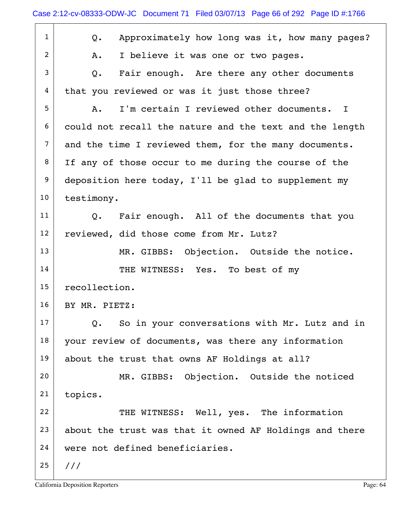| $\mathbf{1}$   | Approximately how long was it, how many pages?<br>Q.    |
|----------------|---------------------------------------------------------|
| $\overline{2}$ | I believe it was one or two pages.<br>Α.                |
| 3              | Fair enough. Are there any other documents<br>$Q$ .     |
| 4              | that you reviewed or was it just those three?           |
| 5              | I'm certain I reviewed other documents. I<br>A.         |
| 6              | could not recall the nature and the text and the length |
| $\overline{7}$ | and the time I reviewed them, for the many documents.   |
| 8              | If any of those occur to me during the course of the    |
| 9              | deposition here today, I'll be glad to supplement my    |
| 10             | testimony.                                              |
| 11             | Q. Fair enough. All of the documents that you           |
| 12             | reviewed, did those come from Mr. Lutz?                 |
| 13             | MR. GIBBS: Objection. Outside the notice.               |
| 14             | THE WITNESS: Yes. To best of my                         |
| 15             | recollection.                                           |
| 16             | BY MR. PIETZ:                                           |
| 17             | So in your conversations with Mr. Lutz and in<br>Q.     |
| 18             | your review of documents, was there any information     |
| 19             | about the trust that owns AF Holdings at all?           |
| 20             | MR. GIBBS: Objection. Outside the noticed               |
| 21             | topics.                                                 |
| 22             | THE WITNESS: Well, yes. The information                 |
| 23             | about the trust was that it owned AF Holdings and there |
| 24             | were not defined beneficiaries.                         |
| 25             | 111                                                     |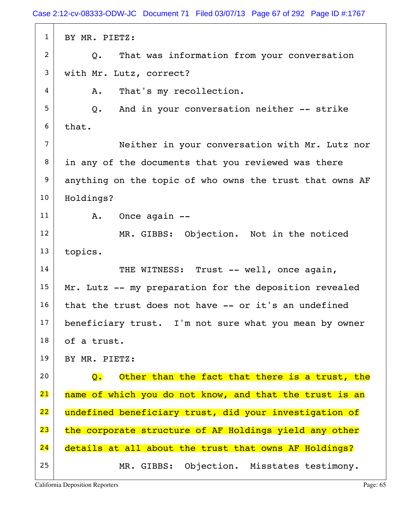1 BY MR. PIETZ: 2 Q. That was information from your conversation 3 with Mr. Lutz, correct? 4 A. That's my recollection.  $5$  Q. And in your conversation neither -- strike  $6$  that. 7 Neither in your conversation with Mr. Lutz nor  $8$  in any of the documents that you reviewed was there 9 anything on the topic of who owns the trust that owns AF 10 | Holdings?  $11$  A. Once again  $-$ 12 MR. GIBBS: Objection. Not in the noticed 13 topics. 14 THE WITNESS: Trust -- well, once again, 15 Mr. Lutz  $--$  my preparation for the deposition revealed  $16$  that the trust does not have  $-$  or it's an undefined 17 beneficiary trust. I'm not sure what you mean by owner 18 of a trust. 19 BY MR. PIETZ: 20  $\Box$   $\Box$  Other than the fact that there is a trust, the 21 | name of which you do not know, and that the trust is an 22 undefined beneficiary trust, did your investigation of 23 the corporate structure of AF Holdings yield any other 24 details at all about the trust that owns AF Holdings? 25 | MR. GIBBS: Objection. Misstates testimony.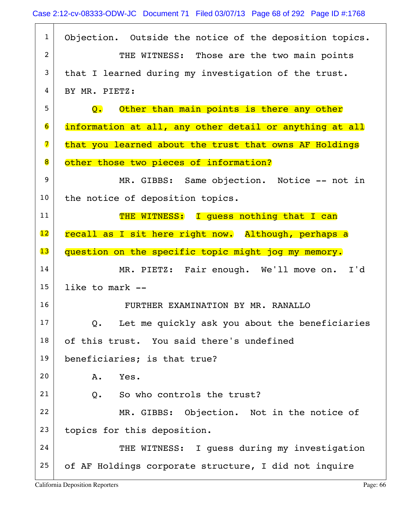| $\mathbf{1}$    | Objection. Outside the notice of the deposition topics.         |
|-----------------|-----------------------------------------------------------------|
| 2               | THE WITNESS: Those are the two main points                      |
| 3               | that I learned during my investigation of the trust.            |
| 4               | BY MR. PIETZ:                                                   |
| 5               | Other than main points is there any other<br>$\mathbf{Q}$ .     |
| 6               | information at all, any other detail or anything at all         |
| 7               | that you learned about the trust that owns AF Holdings          |
| 8               | other those two pieces of information?                          |
| 9               | MR. GIBBS: Same objection. Notice -- not in                     |
| 10              | the notice of deposition topics.                                |
| 11              | THE WITNESS: I guess nothing that I can                         |
| $\overline{12}$ | recall as I sit here right now. Although, perhaps a             |
| 13              | question on the specific topic might jog my memory.             |
| 14              | MR. PIETZ: Fair enough. We'll move on. I'd                      |
| 15              | like to mark --                                                 |
| 16              | FURTHER EXAMINATION BY MR. RANALLO                              |
| 17              | Let me quickly ask you about the beneficiaries<br>$Q_{\bullet}$ |
| 18              | of this trust. You said there's undefined                       |
| 19              | beneficiaries; is that true?                                    |
| 20              | A.<br>Yes.                                                      |
| 21              | Q. So who controls the trust?                                   |
| 22              | MR. GIBBS: Objection. Not in the notice of                      |
| 23              | topics for this deposition.                                     |
| 24              | THE WITNESS: I guess during my investigation                    |
| 25              | of AF Holdings corporate structure, I did not inquire           |
|                 |                                                                 |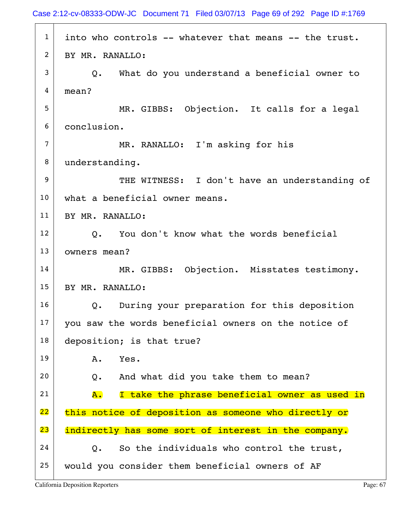Case 2:12-cv-08333-ODW-JC Document 71 Filed 03/07/13 Page 69 of 292 Page ID #:1769

 $1$  into who controls  $-$ - whatever that means  $-$ - the trust.  $2$  BY MR. RANALLO:  $3$  Q. What do you understand a beneficial owner to 4 mean? 5 MR. GIBBS: Objection. It calls for a legal 6 conclusion. 7 MR. RANALLO: I'm asking for his 8 understanding. 9 THE WITNESS: I don't have an understanding of 10 what a beneficial owner means. 11 BY MR. RANALLO:  $12$  O. You don't know what the words beneficial 13 owners mean? 14 MR. GIBBS: Objection. Misstates testimony. 15 BY MR. RANALLO: 16 | Q. During your preparation for this deposition 17 you saw the words beneficial owners on the notice of 18 deposition; is that true? 19 A. Yes.  $20$  Q. And what did you take them to mean?  $21$   $\overline{A}$ . I take the phrase beneficial owner as used in 22 this notice of deposition as someone who directly or 23 indirectly has some sort of interest in the company.  $24$  Q. So the individuals who control the trust, 25 would you consider them beneficial owners of AF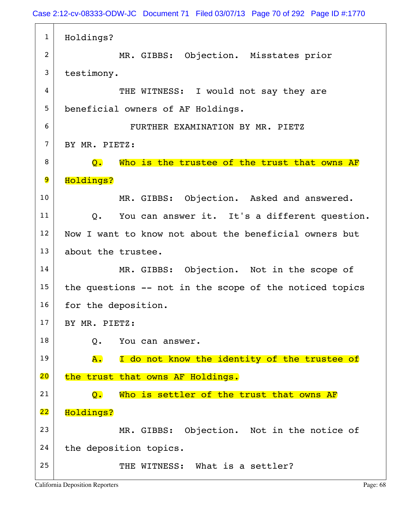1 Holdings? 2 MR. GIBBS: Objection. Misstates prior 3 testimony. 4 THE WITNESS: I would not say they are 5 beneficial owners of AF Holdings. 6 FURTHER EXAMINATION BY MR. PIETZ  $7$  BY MR. PIETZ:  $8$  Q. Who is the trustee of the trust that owns AF 9 Holdings? 10 MR. GIBBS: Objection. Asked and answered.  $11$  Q. You can answer it. It's a different question. 12 Now I want to know not about the beneficial owners but 13 about the trustee. 14 MR. GIBBS: Objection. Not in the scope of  $15$  the questions -- not in the scope of the noticed topics 16 for the deposition.  $17$  BY MR. PIETZ: 18 O. You can answer.  $19$   $\overline{A}$ . I do not know the identity of the trustee of 20 the trust that owns AF Holdings. 21  $\sim$  Q. Who is settler of the trust that owns AF 22 Holdings? 23 MR. GIBBS: Objection. Not in the notice of 24 the deposition topics.  $25$  THE WITNESS: What is a settler?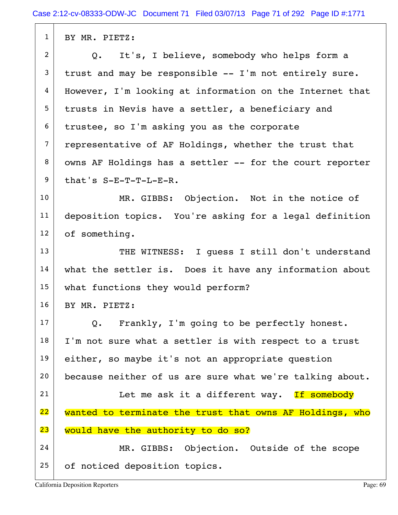1 BY MR. PIETZ:  $2$  Q. It's, I believe, somebody who helps form a  $3$  trust and may be responsible  $-$  I'm not entirely sure. 4 | However, I'm looking at information on the Internet that 5 trusts in Nevis have a settler, a beneficiary and  $6$  trustee, so I'm asking you as the corporate  $7$  representative of AF Holdings, whether the trust that  $8$  owns AF Holdings has a settler  $-$  for the court reporter  $9$  that's S-E-T-T-L-E-R. 10 MR. GIBBS: Objection. Not in the notice of 11 deposition topics. You're asking for a legal definition 12 of something. 13 THE WITNESS: I quess I still don't understand  $14$  what the settler is. Does it have any information about 15 what functions they would perform? 16 BY MR. PIETZ:  $17$  Q. Frankly, I'm going to be perfectly honest.  $18$  I'm not sure what a settler is with respect to a trust 19 either, so maybe it's not an appropriate question 20 because neither of us are sure what we're talking about. 21 | Let me ask it a different way. If somebody 22 wanted to terminate the trust that owns AF Holdings, who 23 would have the authority to do so? 24 MR. GIBBS: Objection. Outside of the scope 25 of noticed deposition topics.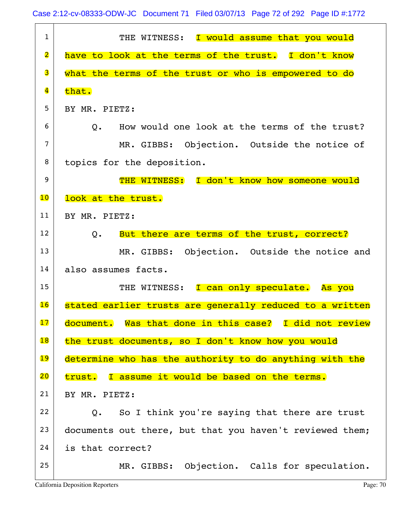Case 2:12-cv-08333-ODW-JC Document 71 Filed 03/07/13 Page 72 of 292 Page ID #:1772

| $\mathbf{1}$            | THE WITNESS: I would assume that you would                     |
|-------------------------|----------------------------------------------------------------|
| $\overline{\mathbf{2}}$ | have to look at the terms of the trust. I don't know           |
| 3                       | what the terms of the trust or who is empowered to do          |
| $\overline{\mathbf{4}}$ | that.                                                          |
| 5                       | BY MR. PIETZ:                                                  |
| 6                       | How would one look at the terms of the trust?<br>$Q$ .         |
| $\overline{7}$          | MR. GIBBS: Objection. Outside the notice of                    |
| 8                       | topics for the deposition.                                     |
| 9                       | THE WITNESS: I don't know how someone would                    |
| 10                      | look at the trust.                                             |
| 11                      | BY MR. PIETZ:                                                  |
| 12                      | But there are terms of the trust, correct?<br>$Q_{\bullet}$    |
| 13                      | MR. GIBBS: Objection. Outside the notice and                   |
| 14                      | also assumes facts.                                            |
| 15                      | THE WITNESS: I can only speculate. As you                      |
| 16                      | stated earlier trusts are generally reduced to a written       |
| 17                      | document. Was that done in this case? I did not review         |
| 18                      | the trust documents, so I don't know how you would             |
| 19                      | determine who has the authority to do anything with the        |
| 20                      | trust. I assume it would be based on the terms.                |
| 21                      | BY MR. PIETZ:                                                  |
| 22                      | So I think you're saying that there are trust<br>$Q_{\bullet}$ |
| 23                      | documents out there, but that you haven't reviewed them;       |
| 24                      | is that correct?                                               |
| 25                      | MR. GIBBS: Objection. Calls for speculation.                   |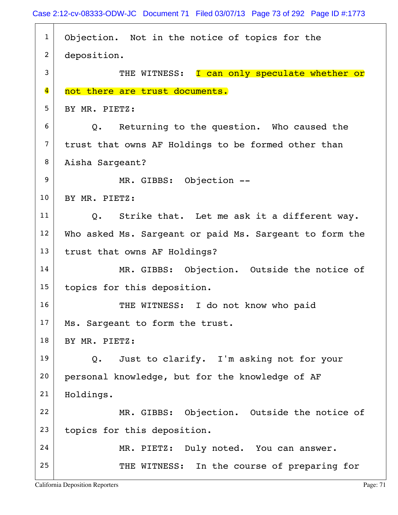| $\mathbf{1}$            | Objection. Not in the notice of topics for the               |
|-------------------------|--------------------------------------------------------------|
| $\overline{2}$          | deposition.                                                  |
| 3                       | THE WITNESS: I can only speculate whether or                 |
| $\overline{\mathbf{4}}$ | not there are trust documents.                               |
| 5                       | BY MR. PIETZ:                                                |
| 6                       | Q. Returning to the question. Who caused the                 |
| $\overline{7}$          | trust that owns AF Holdings to be formed other than          |
| 8                       | Aisha Sargeant?                                              |
| 9                       | MR. GIBBS: Objection --                                      |
| 10                      | BY MR. PIETZ:                                                |
| 11                      | Strike that. Let me ask it a different way.<br>$Q_{\bullet}$ |
| 12                      | Who asked Ms. Sargeant or paid Ms. Sargeant to form the      |
| 13                      | trust that owns AF Holdings?                                 |
| 14                      | MR. GIBBS: Objection. Outside the notice of                  |
| 15                      | topics for this deposition.                                  |
| 16                      | THE WITNESS: I do not know who paid                          |
| 17                      | Ms. Sargeant to form the trust.                              |
| 18                      | BY MR. PIETZ:                                                |
| 19                      | Just to clarify. I'm asking not for your<br>$Q_{\bullet}$    |
| 20                      | personal knowledge, but for the knowledge of AF              |
| 21                      | Holdings.                                                    |
| 22                      | MR. GIBBS: Objection. Outside the notice of                  |
| 23                      | topics for this deposition.                                  |
| 24                      | MR. PIETZ: Duly noted. You can answer.                       |
| 25                      | THE WITNESS: In the course of preparing for                  |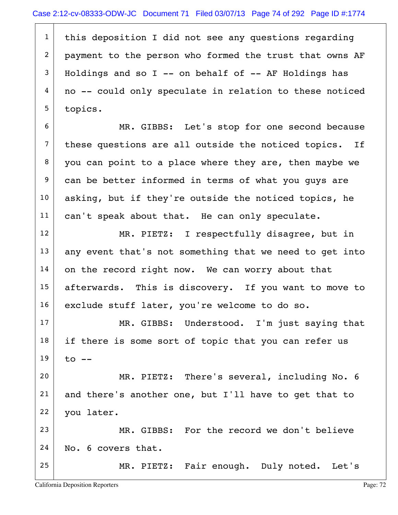1 | this deposition I did not see any questions regarding 2 payment to the person who formed the trust that owns AF  $3$  Holdings and so I -- on behalf of -- AF Holdings has  $4 \mid$  no -- could only speculate in relation to these noticed 5 topics.

6 MR. GIBBS: Let's stop for one second because  $7$  these questions are all outside the noticed topics. If 8 you can point to a place where they are, then maybe we 9 can be better informed in terms of what you guys are  $10$  asking, but if they're outside the noticed topics, he 11 | can't speak about that. He can only speculate.

12 MR. PIETZ: I respectfully disagree, but in  $13$  any event that's not something that we need to get into  $14$  on the record right now. We can worry about that 15 afterwards. This is discovery. If you want to move to 16 exclude stuff later, you're welcome to do so.

17 MR. GIBBS: Understood. I'm just saying that  $18$  if there is some sort of topic that you can refer us  $19$  to  $-$ 

20 MR. PIETZ: There's several, including No. 6  $21$  and there's another one, but I'll have to get that to 22 you later.

23 MR. GIBBS: For the record we don't believe  $24$  No. 6 covers that.

25 MR. PIETZ: Fair enough. Duly noted. Let's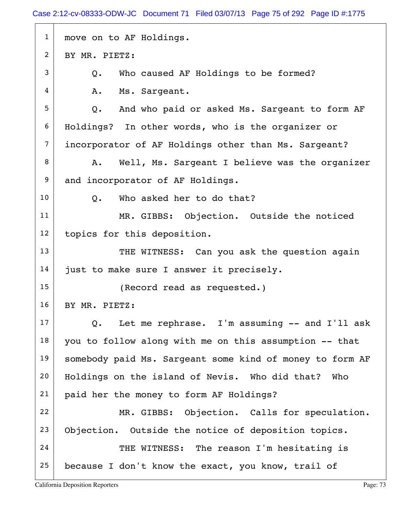| $\mathbf{1}$   | move on to AF Holdings.                                        |
|----------------|----------------------------------------------------------------|
| 2              | BY MR. PIETZ:                                                  |
| 3              | Who caused AF Holdings to be formed?<br>Q.                     |
| 4              | Ms. Sargeant.<br>Α.                                            |
| 5              | And who paid or asked Ms. Sargeant to form AF<br>$Q_{\bullet}$ |
| 6              | Holdings? In other words, who is the organizer or              |
| $\overline{7}$ | incorporator of AF Holdings other than Ms. Sargeant?           |
| 8              | Well, Ms. Sargeant I believe was the organizer<br>Α.           |
| 9              | and incorporator of AF Holdings.                               |
| 10             | Q. Who asked her to do that?                                   |
| 11             | MR. GIBBS: Objection. Outside the noticed                      |
| 12             | topics for this deposition.                                    |
| 13             | THE WITNESS: Can you ask the question again                    |
| 14             | just to make sure I answer it precisely.                       |
| 15             | (Record read as requested.)                                    |
| 16             | BY MR. PIETZ:                                                  |
| 17             | Let me rephrase. I'm assuming -- and I'll ask<br>Q.            |
| 18             | you to follow along with me on this assumption -- that         |
| 19             | somebody paid Ms. Sargeant some kind of money to form AF       |
| 20             | Holdings on the island of Nevis. Who did that?<br>Who          |
| 21             | paid her the money to form AF Holdings?                        |
| 22             | MR. GIBBS: Objection. Calls for speculation.                   |
| 23             | Objection. Outside the notice of deposition topics.            |
| 24             | THE WITNESS: The reason I'm hesitating is                      |
| 25             | because I don't know the exact, you know, trail of             |
|                |                                                                |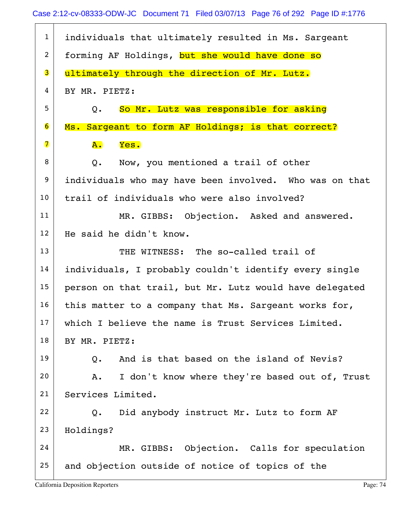| $\mathbf{1}$     | individuals that ultimately resulted in Ms. Sargeant    |
|------------------|---------------------------------------------------------|
| $\overline{2}$   | forming AF Holdings, but she would have done so         |
| 3                | ultimately through the direction of Mr. Lutz.           |
| 4                | BY MR. PIETZ:                                           |
| 5                | So Mr. Lutz was responsible for asking<br>Q.            |
| 6                | Ms. Sargeant to form AF Holdings; is that correct?      |
| 7                | Yes.<br><b>A.</b>                                       |
| 8                | Now, you mentioned a trail of other<br>Q.               |
| $\boldsymbol{9}$ | individuals who may have been involved. Who was on that |
| 10               | trail of individuals who were also involved?            |
| 11               | MR. GIBBS: Objection. Asked and answered.               |
| 12               | He said he didn't know.                                 |
| 13               | THE WITNESS: The so-called trail of                     |
| 14               | individuals, I probably couldn't identify every single  |
| 15               | person on that trail, but Mr. Lutz would have delegated |
| 16               | this matter to a company that Ms. Sargeant works for,   |
| 17               | which I believe the name is Trust Services Limited.     |
| 18               | BY MR. PIETZ:                                           |
| 19               | And is that based on the island of Nevis?<br>$Q$ .      |
| 20               | I don't know where they're based out of, Trust<br>Α.    |
| 21               | Services Limited.                                       |
| 22               | Did anybody instruct Mr. Lutz to form AF<br>Q.          |
| 23               | Holdings?                                               |
| 24               | MR. GIBBS: Objection. Calls for speculation             |
| 25               | and objection outside of notice of topics of the        |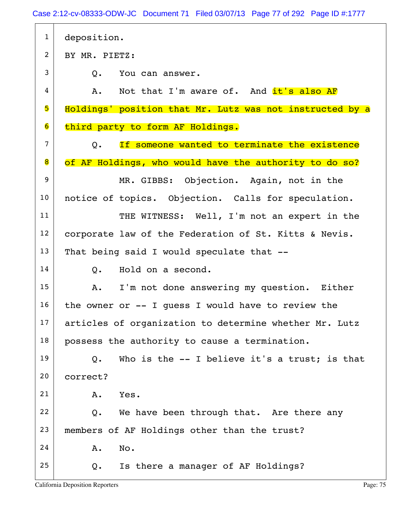Case 2:12-cv-08333-ODW-JC Document 71 Filed 03/07/13 Page 77 of 292 Page ID #:1777

| $\mathbf{1}$   | deposition.                                               |
|----------------|-----------------------------------------------------------|
| $\overline{2}$ | BY MR. PIETZ:                                             |
| 3              | $Q$ .<br>You can answer.                                  |
| 4              | A. Not that I'm aware of. And it's also AF                |
| 5              | Holdings' position that Mr. Lutz was not instructed by a  |
| 6              | third party to form AF Holdings.                          |
| $\overline{7}$ | If someone wanted to terminate the existence<br>Q.        |
| 8              | of AF Holdings, who would have the authority to do so?    |
| 9              | MR. GIBBS: Objection. Again, not in the                   |
| 10             | notice of topics. Objection. Calls for speculation.       |
| 11             | THE WITNESS: Well, I'm not an expert in the               |
| 12             | corporate law of the Federation of St. Kitts & Nevis.     |
| 13             | That being said I would speculate that --                 |
| 14             | Hold on a second.<br>Q.                                   |
| 15             | I'm not done answering my question. Either<br>Α.          |
| 16             | the owner or $--$ I quess I would have to review the      |
| 17             | articles of organization to determine whether Mr. Lutz    |
| 18             | possess the authority to cause a termination.             |
| 19             | Who is the $-$ - I believe it's a trust; is that<br>$Q$ . |
| 20             | correct?                                                  |
| 21             | Yes.<br>Α.                                                |
| 22             | We have been through that. Are there any<br>Q.            |
| 23             | members of AF Holdings other than the trust?              |
| 24             | No.<br>Α.                                                 |
| 25             | Is there a manager of AF Holdings?<br>Q.                  |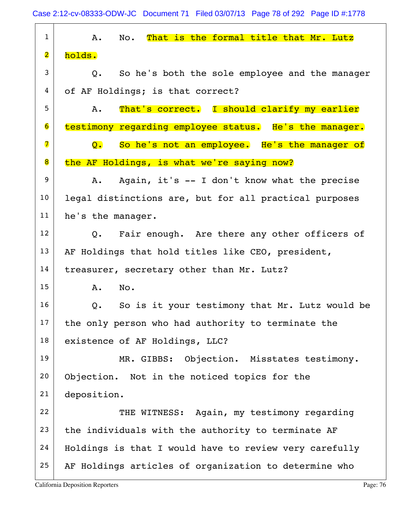1 A. No. That is the formal title that Mr. Lutz  $2 \mid \text{holds.}$  $3$  Q. So he's both the sole employee and the manager 4 of AF Holdings; is that correct? 5 A. That's correct. I should clarify my earlier 6 testimony regarding employee status. He's the manager. 7 Q. So he's not an employee. He's the manager of 8 the AF Holdings, is what we're saying now?  $9$  A. Again, it's  $-1$  don't know what the precise 10 | legal distinctions are, but for all practical purposes 11 he's the manager.  $12$  | Q. Fair enough. Are there any other officers of 13 AF Holdings that hold titles like CEO, president, 14 treasurer, secretary other than Mr. Lutz? 15 A. No.  $16$  Q. So is it your testimony that Mr. Lutz would be  $17$  the only person who had authority to terminate the 18 existence of AF Holdings, LLC? 19 MR. GIBBS: Objection. Misstates testimony. 20 Objection. Not in the noticed topics for the 21 deposition. 22 THE WITNESS: Again, my testimony regarding  $23$  the individuals with the authority to terminate AF  $24$  Holdings is that I would have to review very carefully  $25$  AF Holdings articles of organization to determine who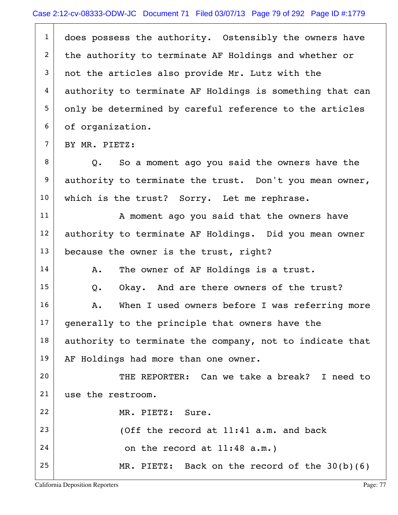$1$  does possess the authority. Ostensibly the owners have 2 the authority to terminate AF Holdings and whether or  $3$  not the articles also provide Mr. Lutz with the  $4$  authority to terminate AF Holdings is something that can 5 only be determined by careful reference to the articles 6 | of organization.  $7$  BY MR. PIETZ:  $8$  Q. So a moment ago you said the owners have the 9 authority to terminate the trust. Don't you mean owner, 10 | which is the trust? Sorry. Let me rephrase. 11 | A moment ago you said that the owners have 12 authority to terminate AF Holdings. Did you mean owner 13 because the owner is the trust, right?  $14$  A. The owner of AF Holdings is a trust. 15 | Q. Okay. And are there owners of the trust? 16 A. When I used owners before I was referring more  $17$  generally to the principle that owners have the  $18$  authority to terminate the company, not to indicate that 19 | AF Holdings had more than one owner. 20 THE REPORTER: Can we take a break? I need to 21 use the restroom. 22 MR. PIETZ: Sure. 23  $\vert$  (Off the record at 11:41 a.m. and back  $24$  on the record at  $11:48$  a.m.) 25 MR. PIETZ: Back on the record of the 30(b)(6)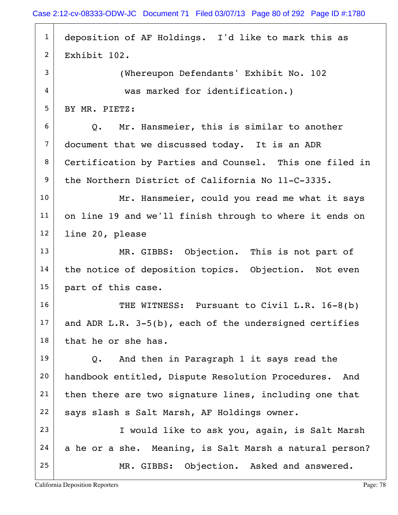| $\mathbf{1}$   | deposition of AF Holdings. I'd like to mark this as       |
|----------------|-----------------------------------------------------------|
| $\overline{2}$ | Exhibit 102.                                              |
| 3              | (Whereupon Defendants' Exhibit No. 102                    |
| 4              | was marked for identification.)                           |
| 5              | BY MR. PIETZ:                                             |
| 6              | Q. Mr. Hansmeier, this is similar to another              |
| $\overline{7}$ | document that we discussed today. It is an ADR            |
| 8              | Certification by Parties and Counsel. This one filed in   |
| 9              | the Northern District of California No 11-C-3335.         |
| 10             | Mr. Hansmeier, could you read me what it says             |
| 11             | on line 19 and we'll finish through to where it ends on   |
| 12             | line 20, please                                           |
| 13             | MR. GIBBS: Objection. This is not part of                 |
| 14             | the notice of deposition topics. Objection. Not even      |
| 15             | part of this case.                                        |
| 16             | THE WITNESS: Pursuant to Civil L.R. 16-8(b)               |
| 17             | and ADR $L.R. 3-5(b)$ , each of the undersigned certifies |
| 18             | that he or she has.                                       |
| 19             | And then in Paragraph 1 it says read the<br>Q.            |
| 20             | handbook entitled, Dispute Resolution Procedures. And     |
| 21             | then there are two signature lines, including one that    |
| 22             | says slash s Salt Marsh, AF Holdings owner.               |
| 23             | I would like to ask you, again, is Salt Marsh             |
| 24             | a he or a she. Meaning, is Salt Marsh a natural person?   |
| 25             | MR. GIBBS: Objection. Asked and answered.                 |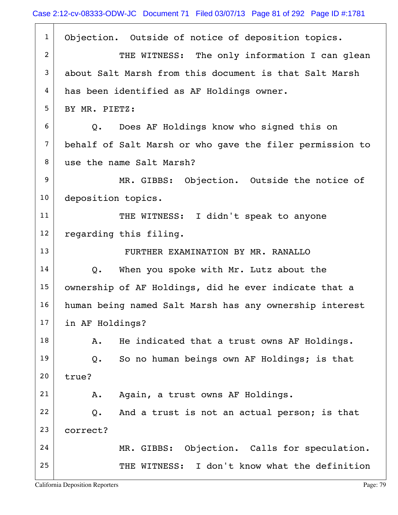| $\mathbf{1}$   | Objection. Outside of notice of deposition topics.       |
|----------------|----------------------------------------------------------|
| 2              | THE WITNESS: The only information I can glean            |
| 3              | about Salt Marsh from this document is that Salt Marsh   |
| 4              | has been identified as AF Holdings owner.                |
| 5              | BY MR. PIETZ:                                            |
| 6              | Q. Does AF Holdings know who signed this on              |
| $\overline{7}$ | behalf of Salt Marsh or who gave the filer permission to |
| 8              | use the name Salt Marsh?                                 |
| 9              | MR. GIBBS: Objection. Outside the notice of              |
| 10             | deposition topics.                                       |
| 11             | THE WITNESS: I didn't speak to anyone                    |
| 12             | regarding this filing.                                   |
| 13             | FURTHER EXAMINATION BY MR. RANALLO                       |
| 14             | Q. When you spoke with Mr. Lutz about the                |
| 15             | ownership of AF Holdings, did he ever indicate that a    |
| 16             | human being named Salt Marsh has any ownership interest  |
| 17             | in AF Holdings?                                          |
| 18             | He indicated that a trust owns AF Holdings.<br>Α.        |
| 19             | So no human beings own AF Holdings; is that<br>Q.        |
| 20             | true?                                                    |
| 21             | Again, a trust owns AF Holdings.<br>Α.                   |
| 22             | And a trust is not an actual person; is that<br>Q.       |
| 23             | correct?                                                 |
| 24             | MR. GIBBS: Objection. Calls for speculation.             |
| 25             | THE WITNESS: I don't know what the definition            |
|                |                                                          |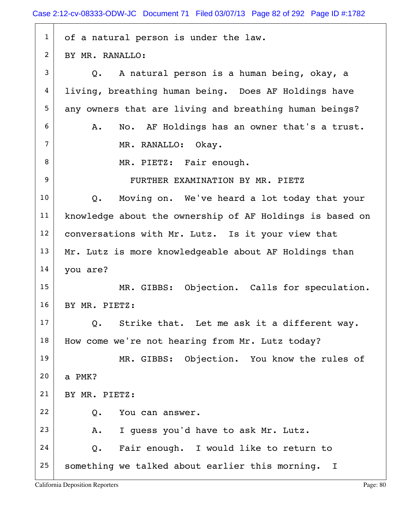| $\mathbf{1}$   | of a natural person is under the law.                    |
|----------------|----------------------------------------------------------|
| $\overline{2}$ | BY MR. RANALLO:                                          |
| 3              | Q. A natural person is a human being, okay, a            |
| 4              | living, breathing human being. Does AF Holdings have     |
| 5              | any owners that are living and breathing human beings?   |
| 6              | No. AF Holdings has an owner that's a trust.<br>Α.       |
| $\overline{7}$ | MR. RANALLO: Okay.                                       |
| 8              | MR. PIETZ: Fair enough.                                  |
| 9              | FURTHER EXAMINATION BY MR. PIETZ                         |
| 10             | Moving on. We've heard a lot today that your<br>$Q$ .    |
| 11             | knowledge about the ownership of AF Holdings is based on |
| 12             | conversations with Mr. Lutz. Is it your view that        |
| 13             | Mr. Lutz is more knowledgeable about AF Holdings than    |
| 14             | you are?                                                 |
| 15             | MR. GIBBS: Objection. Calls for speculation.             |
| 16             | BY MR. PIETZ:                                            |
| 17             | Strike that. Let me ask it a different way.<br>Q.        |
| 18             | How come we're not hearing from Mr. Lutz today?          |
| 19             | MR. GIBBS: Objection. You know the rules of              |
| 20             | a PMK?                                                   |
| 21             | BY MR. PIETZ:                                            |
| 22             | You can answer.<br>Q.                                    |
| 23             | I quess you'd have to ask Mr. Lutz.<br>Α.                |
| 24             | Fair enough. I would like to return to<br>Q.             |
| 25             | something we talked about earlier this morning. I        |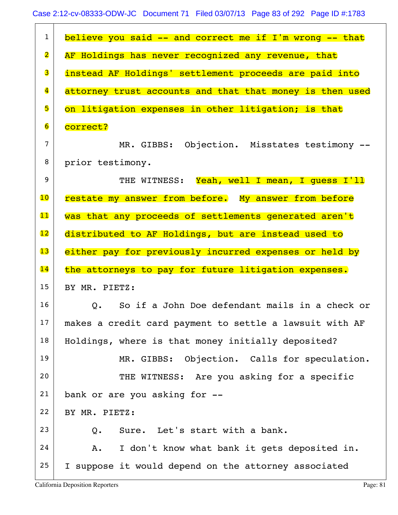| $\mathbf{1}$            | believe you said -- and correct me if I'm wrong -- that         |
|-------------------------|-----------------------------------------------------------------|
| $\overline{\mathbf{2}}$ | AF Holdings has never recognized any revenue, that              |
| 3                       | instead AF Holdings' settlement proceeds are paid into          |
| $\overline{\mathbf{4}}$ | attorney trust accounts and that that money is then used        |
| 5                       | on litigation expenses in other litigation; is that             |
| $\overline{6}$          | correct?                                                        |
| 7                       | MR. GIBBS: Objection. Misstates testimony --                    |
| 8                       | prior testimony.                                                |
| 9                       | THE WITNESS: Yeah, well I mean, I quess I'll                    |
| 10                      | restate my answer from before. My answer from before            |
| 11                      | was that any proceeds of settlements generated aren't           |
| 12                      | distributed to AF Holdings, but are instead used to             |
|                         |                                                                 |
| 13                      | either pay for previously incurred expenses or held by          |
| 14                      | the attorneys to pay for future litigation expenses.            |
| 15                      | BY MR. PIETZ:                                                   |
| 16                      | So if a John Doe defendant mails in a check or<br>$Q_{\bullet}$ |
| 17                      | makes a credit card payment to settle a lawsuit with AF         |
| 18                      | Holdings, where is that money initially deposited?              |
| 19                      | MR. GIBBS: Objection. Calls for speculation.                    |
| 20                      | THE WITNESS: Are you asking for a specific                      |
| 21                      | bank or are you asking for --                                   |
| 22                      | BY MR. PIETZ:                                                   |
| 23                      | Sure. Let's start with a bank.<br>Q.                            |
| 24                      | I don't know what bank it gets deposited in.<br>Α.              |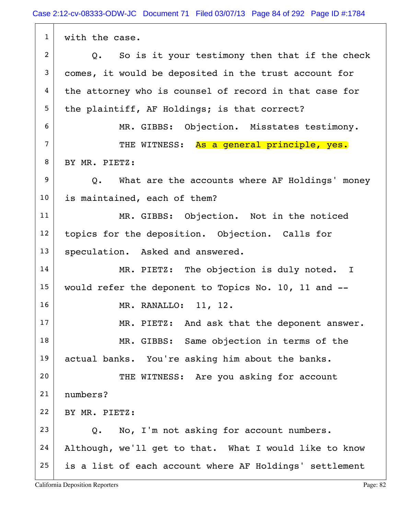| $\mathbf{1}$   | with the case.                                          |
|----------------|---------------------------------------------------------|
| $\overline{2}$ | So is it your testimony then that if the check<br>Q.    |
| $\mathfrak{Z}$ | comes, it would be deposited in the trust account for   |
| 4              | the attorney who is counsel of record in that case for  |
| 5              | the plaintiff, AF Holdings; is that correct?            |
| 6              | MR. GIBBS: Objection. Misstates testimony.              |
| $\overline{7}$ | THE WITNESS: As a general principle, yes.               |
| 8              | BY MR. PIETZ:                                           |
| 9              | Q. What are the accounts where AF Holdings' money       |
| 10             | is maintained, each of them?                            |
| 11             | MR. GIBBS: Objection. Not in the noticed                |
| 12             | topics for the deposition. Objection. Calls for         |
| 13             | speculation. Asked and answered.                        |
| 14             | MR. PIETZ: The objection is duly noted. I               |
| 15             | would refer the deponent to Topics No. 10, 11 and --    |
| 16             | MR. RANALLO: 11, 12.                                    |
| 17             | MR. PIETZ: And ask that the deponent answer.            |
| 18             | MR. GIBBS: Same objection in terms of the               |
| 19             | actual banks. You're asking him about the banks.        |
| 20             | THE WITNESS: Are you asking for account                 |
| 21             | numbers?                                                |
| 22             | BY MR. PIETZ:                                           |
| 23             | No, I'm not asking for account numbers.<br>Q.           |
| 24             | Although, we'll get to that. What I would like to know  |
| 25             | is a list of each account where AF Holdings' settlement |

 $\overline{ }$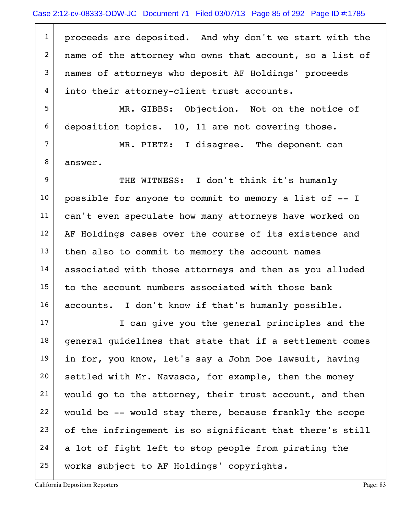$1$  proceeds are deposited. And why don't we start with the 2 | name of the attorney who owns that account, so a list of 3 names of attorneys who deposit AF Holdings' proceeds 4 into their attorney-client trust accounts.

5 MR. GIBBS: Objection. Not on the notice of 6 deposition topics. 10, 11 are not covering those.

 $7$  MR. PIETZ: I disagree. The deponent can 8 answer.

9 THE WITNESS: I don't think it's humanly  $10$  possible for anyone to commit to memory a list of  $-1$ 11 | can't even speculate how many attorneys have worked on 12 AF Holdings cases over the course of its existence and  $13$  then also to commit to memory the account names 14 associated with those attorneys and then as you alluded  $15$  to the account numbers associated with those bank 16 | accounts. I don't know if that's humanly possible.

17 I can give you the general principles and the  $18$  general quidelines that state that if a settlement comes 19 in for, you know, let's say a John Doe lawsuit, having 20 settled with Mr. Navasca, for example, then the money  $21$  would go to the attorney, their trust account, and then  $22$  would be -- would stay there, because frankly the scope  $23$  of the infringement is so significant that there's still  $24$  a lot of fight left to stop people from pirating the 25 | works subject to AF Holdings' copyrights.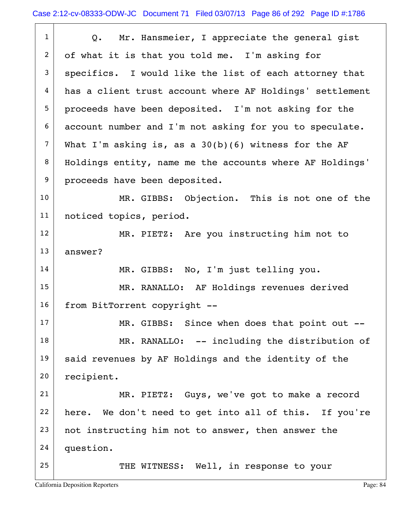| $\mathbf{1}$   | Q. Mr. Hansmeier, I appreciate the general gist          |
|----------------|----------------------------------------------------------|
| $\overline{2}$ | of what it is that you told me. I'm asking for           |
| 3              | specifics. I would like the list of each attorney that   |
| 4              | has a client trust account where AF Holdings' settlement |
| 5              | proceeds have been deposited. I'm not asking for the     |
| 6              | account number and I'm not asking for you to speculate.  |
| $\overline{7}$ | What I'm asking is, as a $30(b)(6)$ witness for the AF   |
| 8              | Holdings entity, name me the accounts where AF Holdings' |
| 9              | proceeds have been deposited.                            |
| 10             | MR. GIBBS: Objection. This is not one of the             |
| 11             | noticed topics, period.                                  |
| 12             | MR. PIETZ: Are you instructing him not to                |
| 13             | answer?                                                  |
| 14             | MR. GIBBS: No, I'm just telling you.                     |
| 15             | MR. RANALLO: AF Holdings revenues derived                |
| 16             | from BitTorrent copyright --                             |
| 17             | MR. GIBBS: Since when does that point out --             |
| 18             | MR. RANALLO: -- including the distribution of            |
| 19             | said revenues by AF Holdings and the identity of the     |
| 20             | recipient.                                               |
| 21             | MR. PIETZ: Guys, we've got to make a record              |
| 22             | here. We don't need to get into all of this. If you're   |
| 23             | not instructing him not to answer, then answer the       |
| 24             | question.                                                |
| 25             | THE WITNESS: Well, in response to your                   |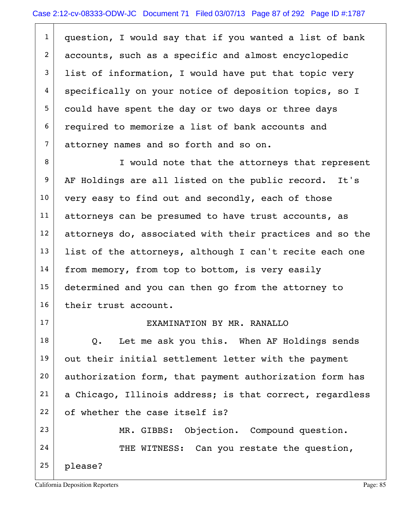| $\mathbf{1}$   | question, I would say that if you wanted a list of bank      |
|----------------|--------------------------------------------------------------|
| $\overline{2}$ | accounts, such as a specific and almost encyclopedic         |
| $\mathbf{3}$   | list of information, I would have put that topic very        |
| 4              | specifically on your notice of deposition topics, so I       |
| 5              | could have spent the day or two days or three days           |
| 6              | required to memorize a list of bank accounts and             |
| $\overline{7}$ | attorney names and so forth and so on.                       |
| 8              | I would note that the attorneys that represent               |
| 9              | AF Holdings are all listed on the public record. It's        |
| 10             | very easy to find out and secondly, each of those            |
| 11             | attorneys can be presumed to have trust accounts, as         |
| 12             | attorneys do, associated with their practices and so the     |
| 13             | list of the attorneys, although I can't recite each one      |
| 14             | from memory, from top to bottom, is very easily              |
| 15             | determined and you can then go from the attorney to          |
| 16             | their trust account.                                         |
| 17             | EXAMINATION BY MR. RANALLO                                   |
| 18             | Let me ask you this. When AF Holdings sends<br>$Q_{\bullet}$ |
| 19             | out their initial settlement letter with the payment         |
| 20             | authorization form, that payment authorization form has      |
| 21             | a Chicago, Illinois address; is that correct, regardless     |
| 22             | of whether the case itself is?                               |
| 23             | MR. GIBBS: Objection. Compound question.                     |
| 24             | THE WITNESS: Can you restate the question,                   |
| 25             | please?                                                      |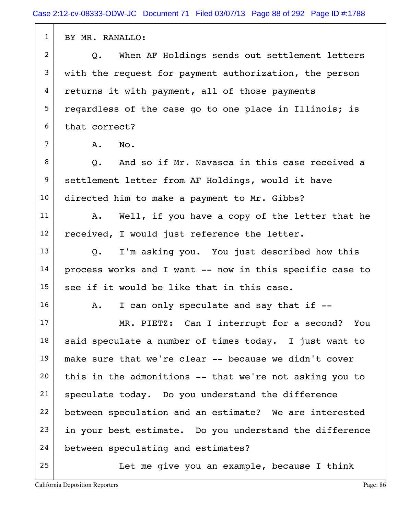| $\mathbf{1}$   | BY MR. RANALLO:                                          |
|----------------|----------------------------------------------------------|
| $\overline{2}$ | When AF Holdings sends out settlement letters<br>Q.      |
| 3              | with the request for payment authorization, the person   |
| 4              | returns it with payment, all of those payments           |
| 5              | regardless of the case go to one place in Illinois; is   |
| 6              | that correct?                                            |
| $\overline{7}$ | A.<br>No.                                                |
| 8              | Q. And so if Mr. Navasca in this case received a         |
| 9              | settlement letter from AF Holdings, would it have        |
| 10             | directed him to make a payment to Mr. Gibbs?             |
| 11             | Well, if you have a copy of the letter that he<br>A.     |
| 12             | received, I would just reference the letter.             |
| 13             | I'm asking you. You just described how this<br>Q.        |
| 14             | process works and I want -- now in this specific case to |
| 15             | see if it would be like that in this case.               |
| 16             | I can only speculate and say that if --<br>A.            |
| 17             | MR. PIETZ: Can I interrupt for a second? You             |
| 18             | said speculate a number of times today. I just want to   |
| 19             | make sure that we're clear -- because we didn't cover    |
| 20             | this in the admonitions -- that we're not asking you to  |
| 21             | speculate today. Do you understand the difference        |
| 22             | between speculation and an estimate? We are interested   |
| 23             | in your best estimate. Do you understand the difference  |
| 24             | between speculating and estimates?                       |
| 25             | Let me give you an example, because I think              |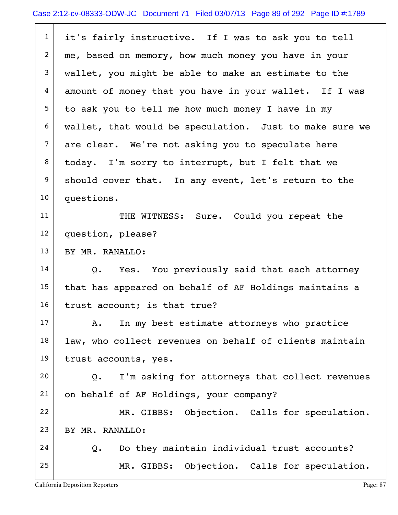1 it's fairly instructive. If I was to ask you to tell 2 me, based on memory, how much money you have in your 3 wallet, you might be able to make an estimate to the 4 amount of money that you have in your wallet. If I was  $5$  to ask you to tell me how much money I have in my  $6$  wallet, that would be speculation. Just to make sure we  $7$  are clear. We're not asking you to speculate here  $8$  today. I'm sorry to interrupt, but I felt that we  $9$  should cover that. In any event, let's return to the 10 questions. 11 THE WITNESS: Sure. Could you repeat the 12 question, please? 13 BY MR. RANALLO:  $14$  Q. Yes. You previously said that each attorney  $15$  that has appeared on behalf of AF Holdings maintains a  $16$  trust account; is that true?  $17$  A. In my best estimate attorneys who practice  $18$  law, who collect revenues on behalf of clients maintain 19 trust accounts, yes.  $20$  Q. I'm asking for attorneys that collect revenues 21 on behalf of AF Holdings, your company?

22 MR. GIBBS: Objection. Calls for speculation. 23 BY MR. RANALLO:

 $24$  Q. Do they maintain individual trust accounts? 25 MR. GIBBS: Objection. Calls for speculation.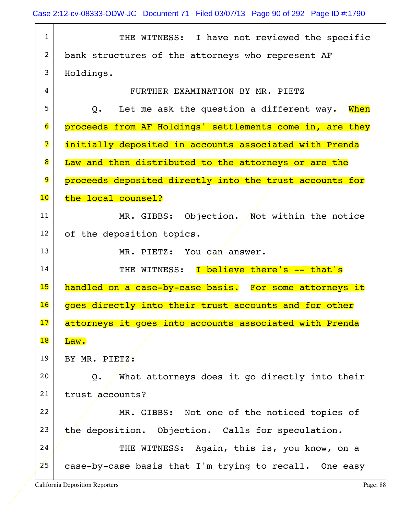| $\mathbf 1$              | THE WITNESS: I have not reviewed the specific            |
|--------------------------|----------------------------------------------------------|
| 2                        | bank structures of the attorneys who represent AF        |
| 3                        | Holdings.                                                |
| 4                        | FURTHER EXAMINATION BY MR. PIETZ                         |
| 5                        | Let me ask the question a different way. When<br>0.      |
| $6\phantom{.}6$          | proceeds from AF Holdings' settlements come in, are they |
| 7                        | initially deposited in accounts associated with Prenda   |
| 8                        | Law and then distributed to the attorneys or are the     |
| 9                        | proceeds deposited directly into the trust accounts for  |
| 10 <sub>o</sub>          | the local counsel?                                       |
| 11                       | MR. GIBBS: Objection. Not within the notice              |
| 12                       | of the deposition topics.                                |
| 13                       | MR. PIETZ: You can answer.                               |
| 14                       | THE WITNESS: I believe there's -- that's                 |
| 15                       | handled on a case-by-case basis. For some attorneys it   |
| 16                       | goes directly into their trust accounts and for other    |
| 17                       | attorneys it goes into accounts associated with Prenda   |
| $\overline{\mathbf{18}}$ | $\overline{\mathtt{Law}}$ .                              |
| 19                       | BY MR. PIETZ:                                            |
| 20                       | What attorneys does it go directly into their<br>Q.      |
| 21                       | trust accounts?                                          |
| 22                       | MR. GIBBS: Not one of the noticed topics of              |
| 23                       | the deposition. Objection. Calls for speculation.        |
| 24                       | THE WITNESS: Again, this is, you know, on a              |
| 25                       | case-by-case basis that I'm trying to recall. One easy   |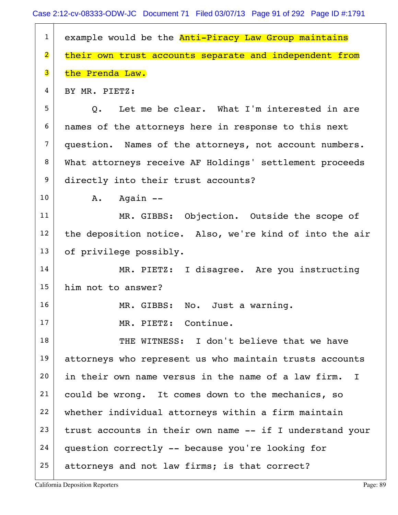| $\mathbf{1}$            | example would be the Anti-Piracy Law Group maintains     |
|-------------------------|----------------------------------------------------------|
| $\overline{\mathbf{2}}$ | their own trust accounts separate and independent from   |
| 3                       | the Prenda Law.                                          |
| 4                       | BY MR. PIETZ:                                            |
| 5                       | Q. Let me be clear. What I'm interested in are           |
| 6                       | names of the attorneys here in response to this next     |
| $\overline{7}$          | question. Names of the attorneys, not account numbers.   |
| 8                       | What attorneys receive AF Holdings' settlement proceeds  |
| 9                       | directly into their trust accounts?                      |
| 10                      | -- Again<br>A.                                           |
| 11                      | MR. GIBBS: Objection. Outside the scope of               |
| 12                      | the deposition notice. Also, we're kind of into the air  |
| 13                      | of privilege possibly.                                   |
| 14                      | MR. PIETZ: I disagree. Are you instructing               |
| 15                      | him not to answer?                                       |
| 16                      | MR. GIBBS: No. Just a warning.                           |
| 17                      | MR. PIETZ: Continue.                                     |
| 18                      | THE WITNESS: I don't believe that we have                |
| 19                      | attorneys who represent us who maintain trusts accounts  |
| 20                      | in their own name versus in the name of a law firm. I    |
| 21                      | could be wrong. It comes down to the mechanics, so       |
| 22                      | whether individual attorneys within a firm maintain      |
| 23                      | trust accounts in their own name -- if I understand your |
| 24                      | question correctly -- because you're looking for         |
| 25                      | attorneys and not law firms; is that correct?            |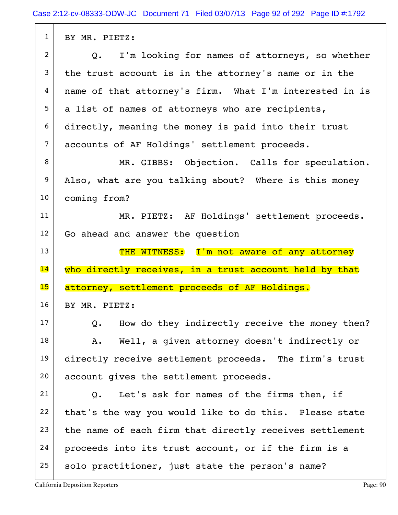| $\mathbf{1}$    | BY MR. PIETZ:                                                   |
|-----------------|-----------------------------------------------------------------|
| $\overline{2}$  | I'm looking for names of attorneys, so whether<br>$Q_{\bullet}$ |
| 3               | the trust account is in the attorney's name or in the           |
| 4               | name of that attorney's firm. What I'm interested in is         |
| 5               | a list of names of attorneys who are recipients,                |
| 6               | directly, meaning the money is paid into their trust            |
| $\overline{7}$  | accounts of AF Holdings' settlement proceeds.                   |
| 8               | MR. GIBBS: Objection. Calls for speculation.                    |
| 9               | Also, what are you talking about? Where is this money           |
| 10              | coming from?                                                    |
| 11              | MR. PIETZ: AF Holdings' settlement proceeds.                    |
| 12              | Go ahead and answer the question                                |
| 13              | THE WITNESS: I'm not aware of any attorney                      |
|                 |                                                                 |
| $\overline{14}$ | who directly receives, in a trust account held by that          |
| 15              | attorney, settlement proceeds of AF Holdings.                   |
| 16              | BY MR. PIETZ:                                                   |
| 17              | Q. How do they indirectly receive the money then?               |
| 18              | Well, a given attorney doesn't indirectly or<br>Α.              |
| 19              | directly receive settlement proceeds. The firm's trust          |
| 20              | account gives the settlement proceeds.                          |
| 21              | Let's ask for names of the firms then, if<br>Q.                 |
| 22              | that's the way you would like to do this. Please state          |
| 23              | the name of each firm that directly receives settlement         |
| 24              | proceeds into its trust account, or if the firm is a            |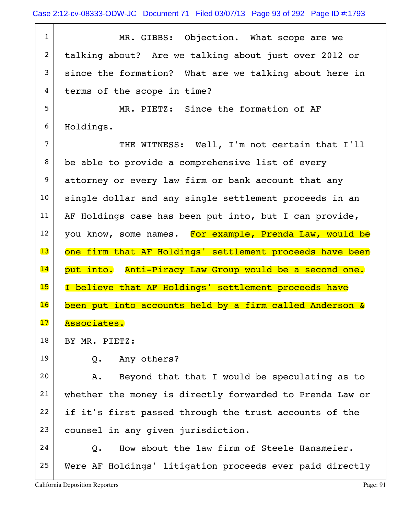1 MR. GIBBS: Objection. What scope are we 2 talking about? Are we talking about just over 2012 or  $3$  since the formation? What are we talking about here in 4 terms of the scope in time? 5 MR. PIETZ: Since the formation of AF 6 Holdings. 7 THE WITNESS: Well, I'm not certain that I'll  $8$  be able to provide a comprehensive list of every 9 attorney or every law firm or bank account that any 10 single dollar and any single settlement proceeds in an 11 | AF Holdings case has been put into, but I can provide,  $12$  you know, some names. For example, Prenda Law, would be 13 one firm that AF Holdings' settlement proceeds have been 14 put into. Anti-Piracy Law Group would be a second one. 15 | I believe that AF Holdings' settlement proceeds have 16 been put into accounts held by a firm called Anderson & 17 Associates. 18 | BY MR. PIETZ: 19 Q. Any others? 20 A. Beyond that that I would be speculating as to 21 whether the money is directly forwarded to Prenda Law or  $22$  if it's first passed through the trust accounts of the 23 counsel in any given jurisdiction.  $24$  O. How about the law firm of Steele Hansmeier. 25 Were AF Holdings' litigation proceeds ever paid directly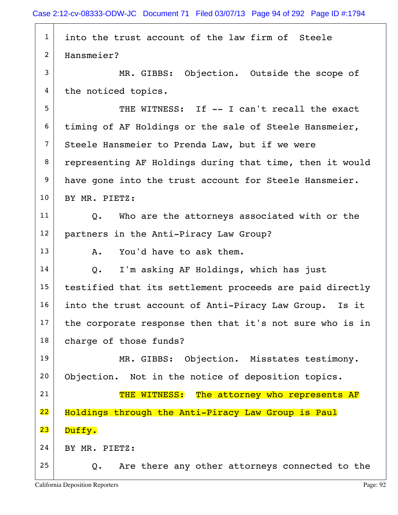| $\mathbf{1}$    | into the trust account of the law firm of Steele         |
|-----------------|----------------------------------------------------------|
| 2               | Hansmeier?                                               |
| 3               | MR. GIBBS: Objection. Outside the scope of               |
| 4               | the noticed topics.                                      |
| 5               | THE WITNESS: If -- I can't recall the exact              |
| 6               | timing of AF Holdings or the sale of Steele Hansmeier,   |
| $7\overline{ }$ | Steele Hansmeier to Prenda Law, but if we were           |
| 8               | representing AF Holdings during that time, then it would |
| 9               | have gone into the trust account for Steele Hansmeier.   |
| 10              | BY MR. PIETZ:                                            |
| 11              | Q. Who are the attorneys associated with or the          |
| 12              | partners in the Anti-Piracy Law Group?                   |
| 13              | You'd have to ask them.<br>A.                            |
| 14              | I'm asking AF Holdings, which has just<br>Q.             |
| 15              | testified that its settlement proceeds are paid directly |
| 16              | into the trust account of Anti-Piracy Law Group. Is it   |
| 17              | the corporate response then that it's not sure who is in |
| 18              | charge of those funds?                                   |
| 19              | MR. GIBBS: Objection. Misstates testimony.               |
| 20              | Objection. Not in the notice of deposition topics.       |
| 21              | THE WITNESS: The attorney who represents AF              |
| 22              | Holdings through the Anti-Piracy Law Group is Paul       |
| 23              | Duffy.                                                   |
| 24              | BY MR. PIETZ:                                            |
| 25              | Are there any other attorneys connected to the<br>Q.     |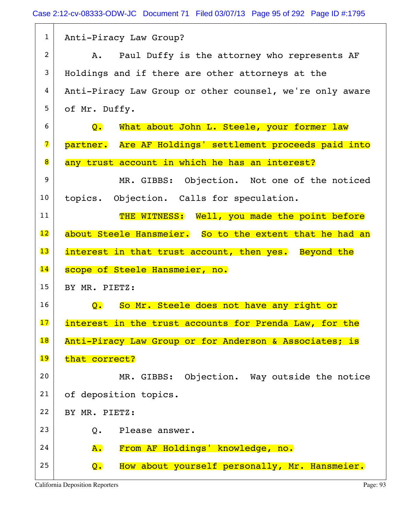| $\mathbf{1}$            | Anti-Piracy Law Group?                                            |
|-------------------------|-------------------------------------------------------------------|
| $\overline{2}$          | Paul Duffy is the attorney who represents AF<br>A.                |
| 3                       | Holdings and if there are other attorneys at the                  |
| 4                       | Anti-Piracy Law Group or other counsel, we're only aware          |
| 5                       | of Mr. Duffy.                                                     |
| 6                       | What about John L. Steele, your former law<br>$\mathbf{Q}$ .      |
| $\overline{\mathbf{z}}$ | partner. Are AF Holdings' settlement proceeds paid into           |
| 8                       | any trust account in which he has an interest?                    |
| 9                       | MR. GIBBS: Objection. Not one of the noticed                      |
| 10                      | topics. Objection. Calls for speculation.                         |
| 11                      | THE WITNESS: Well, you made the point before                      |
| 12                      | about Steele Hansmeier. So to the extent that he had an           |
| 13                      | interest in that trust account, then yes. Beyond the              |
| 14                      | scope of Steele Hansmeier, no.                                    |
| 15                      | BY MR. PIETZ:                                                     |
| 16                      | So Mr. Steele does not have any right or<br>$\mathsf{Q}$ .        |
| 17                      | interest in the trust accounts for Prenda Law, for the            |
| 18                      | Anti-Piracy Law Group or for Anderson & Associates; is            |
| 19                      | that correct?                                                     |
| 20                      | MR. GIBBS: Objection. Way outside the notice                      |
| 21                      | of deposition topics.                                             |
| 22                      | BY MR. PIETZ:                                                     |
| 23                      | Please answer.<br>$Q$ .                                           |
| 24                      | From AF Holdings' knowledge, no.<br>A.                            |
| 25                      | How about yourself personally, Mr. Hansmeier.<br>$\overline{Q}$ . |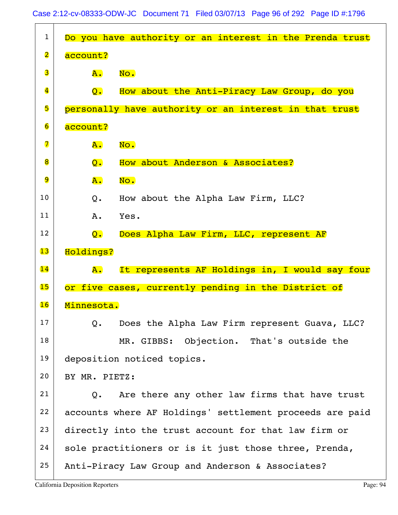| $\mathbf{1}$            | Do you have authority or an interest in the Prenda trust   |
|-------------------------|------------------------------------------------------------|
| $\overline{\mathbf{2}}$ | account?                                                   |
| 3                       | A.<br>No.                                                  |
| $\overline{\mathbf{4}}$ | How about the Anti-Piracy Law Group, do you<br>Q.          |
| 5                       | personally have authority or an interest in that trust     |
| $\overline{6}$          | account?                                                   |
| 7                       | No.<br>${\tt A.}$                                          |
| 8                       | How about Anderson & Associates?<br>$\overline{Q}$ .       |
| 9                       | A.<br>No.                                                  |
| 10                      | How about the Alpha Law Firm, LLC?<br>Q.                   |
| 11                      | Yes.<br>Α.                                                 |
| 12                      | Does Alpha Law Firm, LLC, represent AF<br>$\overline{Q}$ . |
| 13                      | Holdings?                                                  |
| 14                      | It represents AF Holdings in, I would say four<br>A.       |
| 15                      | or five cases, currently pending in the District of        |
| 16                      | Minnesota.                                                 |
| 17                      | Does the Alpha Law Firm represent Guava, LLC?<br>Q.        |
| 18                      | MR. GIBBS: Objection. That's outside the                   |
| 19                      | deposition noticed topics.                                 |
| 20                      | BY MR. PIETZ:                                              |
| 21                      | Are there any other law firms that have trust<br>Q.        |
| 22                      | accounts where AF Holdings' settlement proceeds are paid   |
| 23                      | directly into the trust account for that law firm or       |
| 24                      | sole practitioners or is it just those three, Prenda,      |
| 25                      | Anti-Piracy Law Group and Anderson & Associates?           |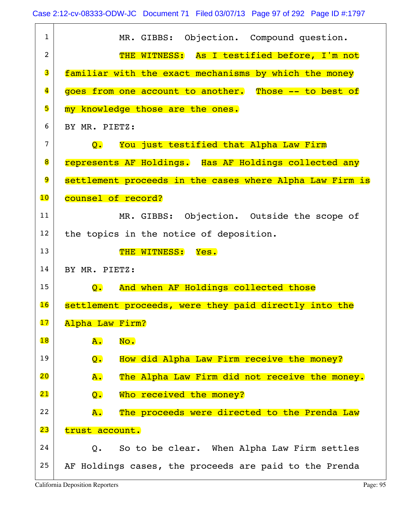| $\mathbf{1}$            | MR. GIBBS: Objection. Compound question.                            |
|-------------------------|---------------------------------------------------------------------|
| 2                       | THE WITNESS: As I testified before, I'm not                         |
| 3                       | familiar with the exact mechanisms by which the money               |
| $\overline{\mathbf{4}}$ | goes from one account to another. Those -- to best of               |
| 5                       | my knowledge those are the ones.                                    |
| 6                       |                                                                     |
|                         | BY MR. PIETZ:                                                       |
| $\overline{7}$          | You just testified that Alpha Law Firm<br>$\overline{\mathsf{Q}}$ . |
| 8                       | represents AF Holdings. Has AF Holdings collected any               |
| 9                       | settlement proceeds in the cases where Alpha Law Firm is            |
| 10                      | counsel of record?                                                  |
| 11                      | MR. GIBBS: Objection. Outside the scope of                          |
| 12                      | the topics in the notice of deposition.                             |
| 13                      | THE WITNESS: Yes.                                                   |
| 14                      | BY MR. PIETZ:                                                       |
| 15                      | And when AF Holdings collected those<br>Q.                          |
| 16                      | settlement proceeds, were they paid directly into the               |
| 17                      | Alpha Law Firm?                                                     |
| 18                      | ${\bf A}$ .<br>No.                                                  |
| 19                      | How did Alpha Law Firm receive the money?<br>$Q_{\bullet}$          |
| 20                      | <b>A</b> .<br>The Alpha Law Firm did not receive the money.         |
| 21                      | Who received the money?<br>Q.                                       |
| 22                      | The proceeds were directed to the Prenda Law<br>$\overline{A}$ .    |
| 23                      | trust account.                                                      |
| 24                      | So to be clear. When Alpha Law Firm settles<br>Q.                   |
| 25                      |                                                                     |
|                         | AF Holdings cases, the proceeds are paid to the Prenda              |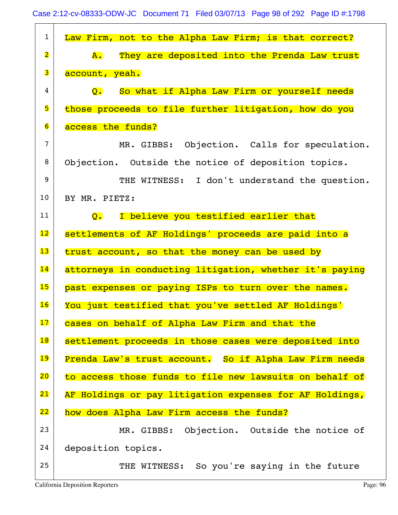| $\mathbf{1}$            | Law Firm, not to the Alpha Law Firm; is that correct?           |
|-------------------------|-----------------------------------------------------------------|
| $\overline{\mathbf{2}}$ | They are deposited into the Prenda Law trust<br><b>A.</b>       |
| 3                       | account, yeah.                                                  |
| 4                       | So what if Alpha Law Firm or yourself needs<br>$\overline{Q}$ . |
| 5                       | those proceeds to file further litigation, how do you           |
| $\overline{6}$          | access the funds?                                               |
| 7                       | MR. GIBBS: Objection. Calls for speculation.                    |
| 8                       | Objection. Outside the notice of deposition topics.             |
| 9                       | THE WITNESS: I don't understand the question.                   |
| 10                      | BY MR. PIETZ:                                                   |
| 11                      | I believe you testified earlier that<br>$\mathsf{Q}$ .          |
| $\overline{12}$         | settlements of AF Holdings' proceeds are paid into a            |
| 13                      | trust account, so that the money can be used by                 |
| 14                      | attorneys in conducting litigation, whether it's paying         |
| 15                      | past expenses or paying ISPs to turn over the names.            |
| 16                      | You just testified that you've settled AF Holdings'             |
| 17                      | cases on behalf of Alpha Law Firm and that the                  |
| 18                      | settlement proceeds in those cases were deposited into          |
| 19                      | Prenda Law's trust account. So if Alpha Law Firm needs          |
| 20                      | to access those funds to file new lawsuits on behalf of         |
| 21                      | AF Holdings or pay litigation expenses for AF Holdings,         |
| 22                      | how does Alpha Law Firm access the funds?                       |
| 23                      | MR. GIBBS: Objection. Outside the notice of                     |
| 24                      | deposition topics.                                              |
| 25                      | THE WITNESS: So you're saying in the future                     |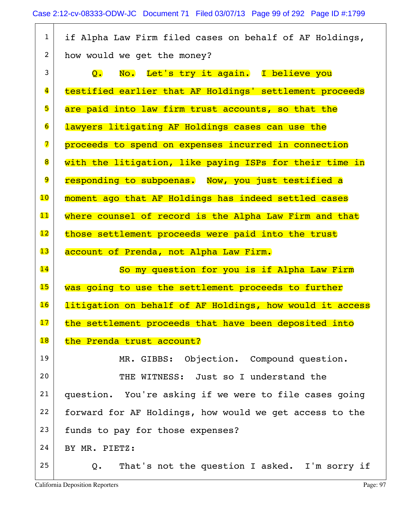| $\mathbf{1}$            | if Alpha Law Firm filed cases on behalf of AF Holdings,  |
|-------------------------|----------------------------------------------------------|
| 2                       | how would we get the money?                              |
| 3                       | No. Let's try it again. I believe you<br>Q.              |
| $\overline{\mathbf{4}}$ | testified earlier that AF Holdings' settlement proceeds  |
| 5                       | are paid into law firm trust accounts, so that the       |
| $\overline{6}$          | lawyers litigating AF Holdings cases can use the         |
| 7                       | proceeds to spend on expenses incurred in connection     |
| 8                       | with the litigation, like paying ISPs for their time in  |
| $\overline{9}$          | responding to subpoenas. Now, you just testified a       |
| 10                      | moment ago that AF Holdings has indeed settled cases     |
| 11                      | where counsel of record is the Alpha Law Firm and that   |
| 12                      | those settlement proceeds were paid into the trust       |
| 13                      | account of Prenda, not Alpha Law Firm.                   |
| 14                      | So my question for you is if Alpha Law Firm              |
| 15                      | was going to use the settlement proceeds to further      |
| 16                      |                                                          |
|                         | litigation on behalf of AF Holdings, how would it access |
| 17                      | the settlement proceeds that have been deposited into    |
| 18                      | the Prenda trust account?                                |
| 19                      | MR. GIBBS: Objection. Compound question.                 |
| 20                      | THE WITNESS: Just so I understand the                    |
| 21                      | question. You're asking if we were to file cases going   |
| 22                      | forward for AF Holdings, how would we get access to the  |
| 23                      | funds to pay for those expenses?                         |
| 24                      | BY MR. PIETZ:                                            |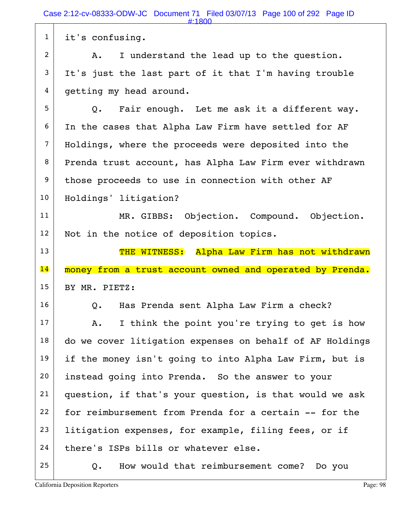1 it's confusing. 2 A. I understand the lead up to the question.  $3$  It's just the last part of it that I'm having trouble 4 getting my head around.  $5$  Q. Fair enough. Let me ask it a different way. 6 In the cases that Alpha Law Firm have settled for AF 7 Holdings, where the proceeds were deposited into the 8 Prenda trust account, has Alpha Law Firm ever withdrawn 9 those proceeds to use in connection with other AF 10 | Holdings' litigation? 11 MR. GIBBS: Objection. Compound. Objection. 12 Not in the notice of deposition topics. 13 THE WITNESS: Alpha Law Firm has not withdrawn 14 money from a trust account owned and operated by Prenda. 15 BY MR. PIETZ: 16 | Q. Has Prenda sent Alpha Law Firm a check?  $17$  A. I think the point you're trying to get is how  $18$  do we cover litigation expenses on behalf of AF Holdings 19 if the money isn't going to into Alpha Law Firm, but is 20 instead going into Prenda. So the answer to your  $21$  question, if that's your question, is that would we ask  $22$  for reimbursement from Prenda for a certain  $-$  for the  $23$  litigation expenses, for example, filing fees, or if  $24$  there's ISPs bills or whatever else.  $25$  Q. How would that reimbursement come? Do you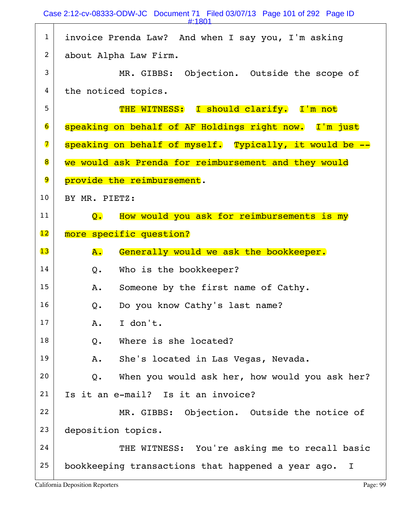|                          | #:1801                                                                  |
|--------------------------|-------------------------------------------------------------------------|
| $\mathbf{1}$             | invoice Prenda Law? And when I say you, I'm asking                      |
| $\overline{c}$           | about Alpha Law Firm.                                                   |
| 3                        | MR. GIBBS: Objection. Outside the scope of                              |
| 4                        | the noticed topics.                                                     |
| 5                        | THE WITNESS: I should clarify. I'm not                                  |
| $\overline{\mathbf{6}}$  | speaking on behalf of AF Holdings right now. I'm just                   |
| $\overline{\mathbf{z}}$  | speaking on behalf of myself. Typically, it would be --                 |
| 8                        | we would ask Prenda for reimbursement and they would                    |
| 9                        | provide the reimbursement.                                              |
| 10                       | BY MR. PIETZ:                                                           |
| 11                       | How would you ask for reimbursements is my<br>$\overline{\mathsf{O}}$ . |
| $\overline{\mathbf{12}}$ | more specific question?                                                 |
|                          |                                                                         |
| 13                       | Generally would we ask the bookkeeper.<br>A.                            |
| 14                       | Who is the bookkeeper?<br>$Q$ .                                         |
| 15                       | Someone by the first name of Cathy.<br>Α.                               |
| 16                       | Do you know Cathy's last name?<br>Q.                                    |
| 17                       | I don't.<br>A.                                                          |
| 18                       | Where is she located?<br>Q.                                             |
| 19                       | She's located in Las Vegas, Nevada.<br>Α.                               |
| 20                       | When you would ask her, how would you ask her?<br>$Q_{\bullet}$         |
| 21                       | Is it an e-mail? Is it an invoice?                                      |
| 22                       | MR. GIBBS: Objection. Outside the notice of                             |
| 23                       | deposition topics.                                                      |
| 24                       | THE WITNESS: You're asking me to recall basic                           |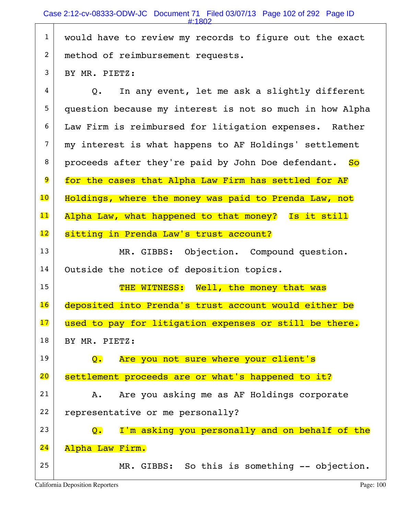|                 | Case 2.12 by 00000 OD W 3C DOCUMENT T Theo 00/07/10 T age 102 of 202 T age iD<br>$\pm 1802$ |
|-----------------|---------------------------------------------------------------------------------------------|
| $\mathbf{1}$    | would have to review my records to figure out the exact                                     |
| $\overline{2}$  | method of reimbursement requests.                                                           |
| 3               | BY MR. PIETZ:                                                                               |
| 4               | In any event, let me ask a slightly different<br>Q.                                         |
| 5               | question because my interest is not so much in how Alpha                                    |
| 6               | Law Firm is reimbursed for litigation expenses. Rather                                      |
| $\overline{7}$  | my interest is what happens to AF Holdings' settlement                                      |
| 8               | proceeds after they're paid by John Doe defendant. So                                       |
| 9               | for the cases that Alpha Law Firm has settled for AF                                        |
| $\overline{10}$ | Holdings, where the money was paid to Prenda Law, not                                       |
| 11              | Alpha Law, what happened to that money? Is it still                                         |
| $\overline{12}$ | sitting in Prenda Law's trust account?                                                      |
| 13              | MR. GIBBS: Objection. Compound question.                                                    |
| 14              | Outside the notice of deposition topics.                                                    |
| 15              | THE WITNESS: Well, the money that was                                                       |
| 16              | deposited into Prenda's trust account would either be                                       |
| 17              | used to pay for litigation expenses or still be there.                                      |
| 18              | BY MR. PIETZ:                                                                               |
| 19              | Are you not sure where your client's<br>$\overline{Q}$ .                                    |
| 20              | settlement proceeds are or what's happened to it?                                           |
| 21              | Are you asking me as AF Holdings corporate<br>Α.                                            |
| 22              | representative or me personally?                                                            |
| 23              | I'm asking you personally and on behalf of the<br>Q.                                        |

## 24 Alpha Law Firm.

25 MR. GIBBS: So this is something  $--$  objection.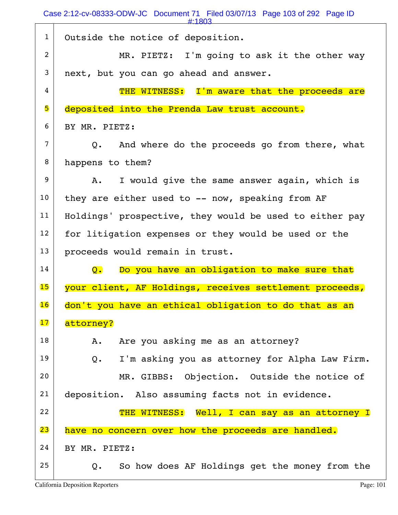Case 2:12-cv-08333-ODW-JC Document 71 Filed 03/07/13 Page 103 of 292 Page ID

|                | #:1803                                                          |
|----------------|-----------------------------------------------------------------|
| $\mathbf{1}$   | Outside the notice of deposition.                               |
| 2              | MR. PIETZ: I'm going to ask it the other way                    |
| 3              | next, but you can go ahead and answer.                          |
| 4              | THE WITNESS: I'm aware that the proceeds are                    |
| 5              | deposited into the Prenda Law trust account.                    |
| 6              | BY MR. PIETZ:                                                   |
| $\overline{7}$ | Q. And where do the proceeds go from there, what                |
| 8              | happens to them?                                                |
| 9              | I would give the same answer again, which is<br>А.              |
| 10             | they are either used to -- now, speaking from AF                |
| 11             | Holdings' prospective, they would be used to either pay         |
| 12             | for litigation expenses or they would be used or the            |
| 13             | proceeds would remain in trust.                                 |
| 14             | Do you have an obligation to make sure that<br>$\mathsf{Q}$ .   |
| 15             | your client, AF Holdings, receives settlement proceeds,         |
| 16             | don't you have an ethical obligation to do that as an           |
| 17             | attorney?                                                       |
| 18             | Are you asking me as an attorney?<br>Α.                         |
| 19             | I'm asking you as attorney for Alpha Law Firm.<br>$Q$ .         |
| 20             | MR. GIBBS: Objection. Outside the notice of                     |
| 21             | deposition. Also assuming facts not in evidence.                |
| 22             | THE WITNESS: Well, I can say as an attorney I                   |
| 23             | have no concern over how the proceeds are handled.              |
| 24             | BY MR. PIETZ:                                                   |
| 25             | So how does AF Holdings get the money from the<br>$Q_{\bullet}$ |
|                |                                                                 |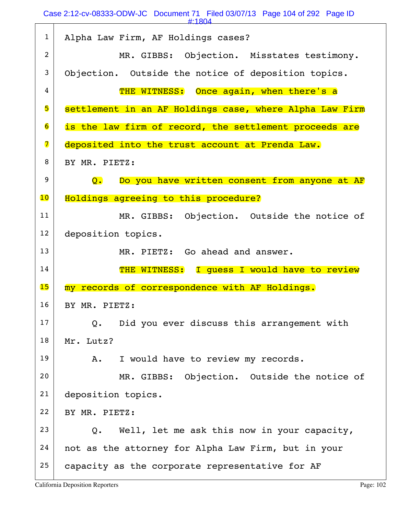Case 2:12-cv-08333-ODW-JC Document 71 Filed 03/07/13 Page 104 of 292 Page ID

| и.<br>$\mathbf{o}$ |  |
|--------------------|--|
|                    |  |

| $\mathbf{1}$            | Alpha Law Firm, AF Holdings cases?                          |
|-------------------------|-------------------------------------------------------------|
| 2                       | MR. GIBBS: Objection. Misstates testimony.                  |
| 3                       | Objection. Outside the notice of deposition topics.         |
| 4                       | THE WITNESS: Once again, when there's a                     |
| 5                       | settlement in an AF Holdings case, where Alpha Law Firm     |
| $\overline{6}$          | is the law firm of record, the settlement proceeds are      |
| $\overline{\mathbf{z}}$ | deposited into the trust account at Prenda Law.             |
| 8                       | BY MR. PIETZ:                                               |
| 9                       | Do you have written consent from anyone at AF<br>Q.         |
| 10                      | Holdings agreeing to this procedure?                        |
| 11                      | MR. GIBBS: Objection. Outside the notice of                 |
| 12                      | deposition topics.                                          |
|                         |                                                             |
| 13                      | MR. PIETZ: Go ahead and answer.                             |
| 14                      | THE WITNESS: I guess I would have to review                 |
| 15                      | my records of correspondence with AF Holdings.              |
| 16                      | BY MR. PIETZ:                                               |
| 17                      | Did you ever discuss this arrangement with<br>$Q_{\bullet}$ |
| 18                      | Mr. Lutz?                                                   |
| 19                      | I would have to review my records.<br>Α.                    |
| 20                      | MR. GIBBS: Objection. Outside the notice of                 |
| 21                      | deposition topics.                                          |
| 22                      | BY MR. PIETZ:                                               |
| 23                      | Well, let me ask this now in your capacity,<br>Q.           |
| 24                      | not as the attorney for Alpha Law Firm, but in your         |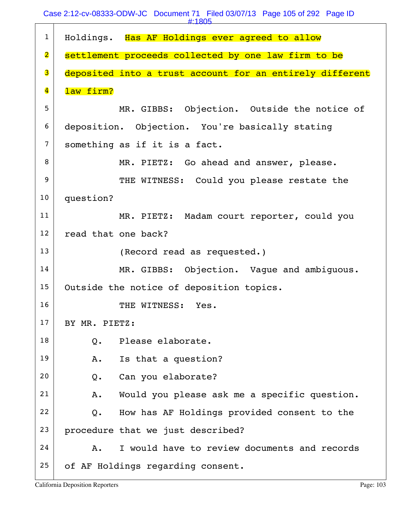|                         | #:1805                                                   |
|-------------------------|----------------------------------------------------------|
| $\mathbf{1}$            | Holdings. Has AF Holdings ever agreed to allow           |
| $\overline{\mathbf{2}}$ | settlement proceeds collected by one law firm to be      |
| 3                       | deposited into a trust account for an entirely different |
| $\overline{\mathbf{4}}$ | law firm?                                                |
| 5                       | MR. GIBBS: Objection. Outside the notice of              |
| 6                       | deposition. Objection. You're basically stating          |
| $\overline{7}$          | something as if it is a fact.                            |
| 8                       | MR. PIETZ: Go ahead and answer, please.                  |
| 9                       | THE WITNESS: Could you please restate the                |
| 10                      | question?                                                |
| 11                      | MR. PIETZ: Madam court reporter, could you               |
| 12                      | read that one back?                                      |
| 13                      | (Record read as requested.)                              |
| 14                      | MR. GIBBS: Objection. Vague and ambiguous.               |
| 15                      | Outside the notice of deposition topics.                 |
| 16                      | THE WITNESS: Yes.                                        |
| 17                      | BY MR. PIETZ:                                            |
| 18                      | Please elaborate.<br>Q.                                  |
| 19                      | Is that a question?<br>Α.                                |
| 20                      | Can you elaborate?<br>$Q$ .                              |
| 21                      | Would you please ask me a specific question.<br>Α.       |
| 22                      | How has AF Holdings provided consent to the<br>$Q$ .     |
| 23                      | procedure that we just described?                        |
| 24                      | I would have to review documents and records<br>$A$ .    |
| 25                      | of AF Holdings regarding consent.                        |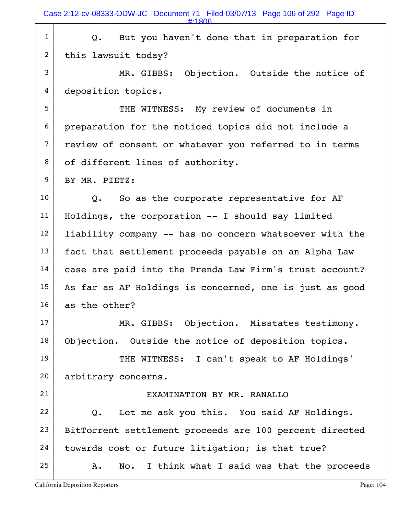|                | #:1806                                                  |
|----------------|---------------------------------------------------------|
| $\mathbf{1}$   | But you haven't done that in preparation for<br>Q.      |
| $\overline{2}$ | this lawsuit today?                                     |
| 3              | MR. GIBBS: Objection. Outside the notice of             |
| 4              | deposition topics.                                      |
| 5              | THE WITNESS: My review of documents in                  |
| 6              | preparation for the noticed topics did not include a    |
| $\overline{7}$ | review of consent or whatever you referred to in terms  |
| 8              | of different lines of authority.                        |
| 9              | BY MR. PIETZ:                                           |
| 10             | So as the corporate representative for AF<br>Q.         |
| 11             | Holdings, the corporation -- I should say limited       |
| 12             | liability company -- has no concern whatsoever with the |
| 13             | fact that settlement proceeds payable on an Alpha Law   |
| 14             | case are paid into the Prenda Law Firm's trust account? |
| 15             | As far as AF Holdings is concerned, one is just as good |
| 16             | as the other?                                           |
| 17             | MR. GIBBS: Objection. Misstates testimony.              |
| 18             | Objection. Outside the notice of deposition topics.     |
| 19             | THE WITNESS: I can't speak to AF Holdings'              |
| 20             | arbitrary concerns.                                     |
| 21             | EXAMINATION BY MR. RANALLO                              |
| 22             | Let me ask you this. You said AF Holdings.<br>$Q$ .     |
| 23             | BitTorrent settlement proceeds are 100 percent directed |
| 24             | towards cost or future litigation; is that true?        |
| 25             | No. I think what I said was that the proceeds<br>Α.     |
|                |                                                         |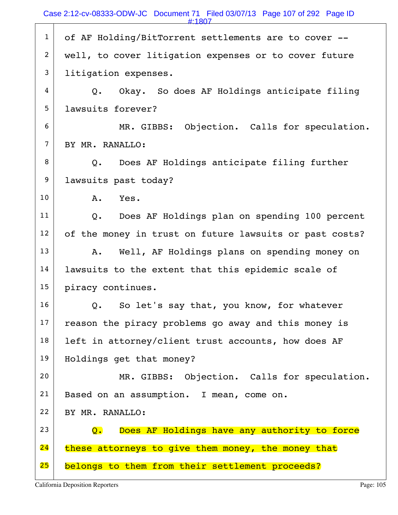|                | #:1807                                                           |
|----------------|------------------------------------------------------------------|
| $\mathbf{1}$   | of AF Holding/BitTorrent settlements are to cover --             |
| $\overline{2}$ | well, to cover litigation expenses or to cover future            |
| 3              | litigation expenses.                                             |
| 4              | Okay. So does AF Holdings anticipate filing<br>Q.                |
| 5              | lawsuits forever?                                                |
| 6              | MR. GIBBS: Objection. Calls for speculation.                     |
| $\overline{7}$ | BY MR. RANALLO:                                                  |
| 8              | Q. Does AF Holdings anticipate filing further                    |
| 9              | lawsuits past today?                                             |
| 10             | Yes.<br>Α.                                                       |
| 11             | Does AF Holdings plan on spending 100 percent<br>$Q_{\bullet}$   |
| 12             | of the money in trust on future lawsuits or past costs?          |
| 13             | Well, AF Holdings plans on spending money on<br>Α.               |
| 14             | lawsuits to the extent that this epidemic scale of               |
| 15             | piracy continues.                                                |
| 16             | So let's say that, you know, for whatever<br>Q.                  |
| 17             | reason the piracy problems go away and this money is             |
| 18             | left in attorney/client trust accounts, how does AF              |
| 19             | Holdings get that money?                                         |
| 20             | MR. GIBBS: Objection. Calls for speculation.                     |
| 21             | Based on an assumption. I mean, come on.                         |
| 22             | BY MR. RANALLO:                                                  |
| 23             | Does AF Holdings have any authority to force<br>$\overline{Q}$ . |
| 24             | these attorneys to give them money, the money that               |
| 25             | belongs to them from their settlement proceeds?                  |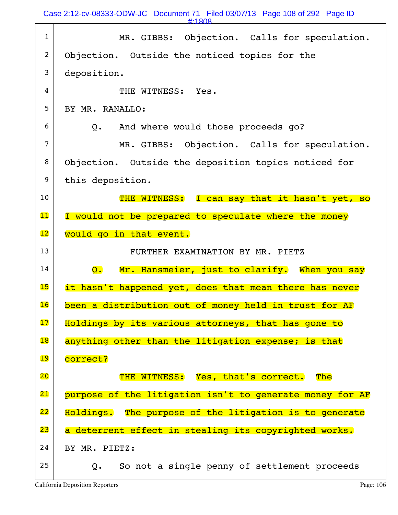Case 2:12-cv-08333-ODW-JC Document 71 Filed 03/07/13 Page 108 of 292 Page ID

#:1808

| $\mathbf{1}$             | MR. GIBBS: Objection. Calls for speculation.                     |
|--------------------------|------------------------------------------------------------------|
| 2                        | Objection. Outside the noticed topics for the                    |
| 3                        | deposition.                                                      |
| 4                        | THE WITNESS: Yes.                                                |
| 5                        | BY MR. RANALLO:                                                  |
| 6                        | Q. And where would those proceeds go?                            |
| 7                        | MR. GIBBS: Objection. Calls for speculation.                     |
| 8                        | Objection. Outside the deposition topics noticed for             |
| 9                        | this deposition.                                                 |
| 10                       | THE WITNESS: I can say that it hasn't yet, so                    |
| 11                       | I would not be prepared to speculate where the money             |
| $\overline{12}$          | would go in that event.                                          |
|                          |                                                                  |
| 13                       | FURTHER EXAMINATION BY MR. PIETZ                                 |
| 14                       | Mr. Hansmeier, just to clarify. When you say<br>$\overline{Q}$ . |
| 15                       | it hasn't happened yet, does that mean there has never           |
| 16                       | been a distribution out of money held in trust for AF            |
| 17                       | Holdings by its various attorneys, that has gone to              |
| $\overline{\textbf{18}}$ | anything other than the litigation expense; is that              |
| 19                       | correct?                                                         |
| 20                       | THE WITNESS: Yes, that's correct.<br>The                         |
| 21                       | purpose of the litigation isn't to generate money for AF         |
| 22                       | Holdings. The purpose of the litigation is to generate           |
| 23                       | a deterrent effect in stealing its copyrighted works.            |
| 24                       | BY MR. PIETZ:                                                    |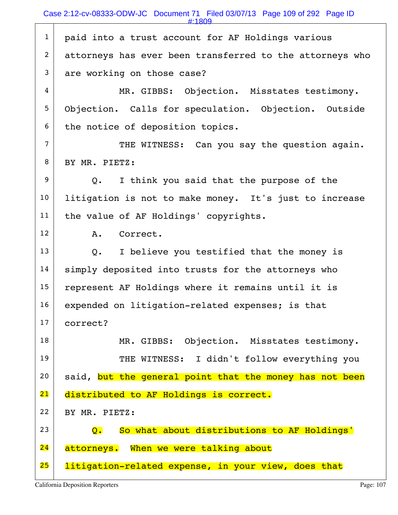1 | paid into a trust account for AF Holdings various 2 attorneys has ever been transferred to the attorneys who  $3$  are working on those case? 4 MR. GIBBS: Objection. Misstates testimony. 5 Objection. Calls for speculation. Objection. Outside  $6$  the notice of deposition topics. 7 THE WITNESS: Can you say the question again. 8 BY MR. PIETZ:  $9$  Q. I think you said that the purpose of the 10 | litigation is not to make money. It's just to increase 11 | the value of AF Holdings' copyrights. 12 A. Correct.  $13$  Q. I believe you testified that the money is 14 | simply deposited into trusts for the attorneys who  $15$  represent AF Holdings where it remains until it is 16 expended on litigation-related expenses; is that 17 correct? 18 MR. GIBBS: Objection. Misstates testimony. 19 THE WITNESS: I didn't follow everything you  $20$  said, but the general point that the money has not been 21 distributed to AF Holdings is correct.  $22$  BY MR. PIETZ:  $23$   $Q_i$  So what about distributions to AF Holdings' 24 attorneys. When we were talking about 25 litigation-related expense, in your view, does that #:1809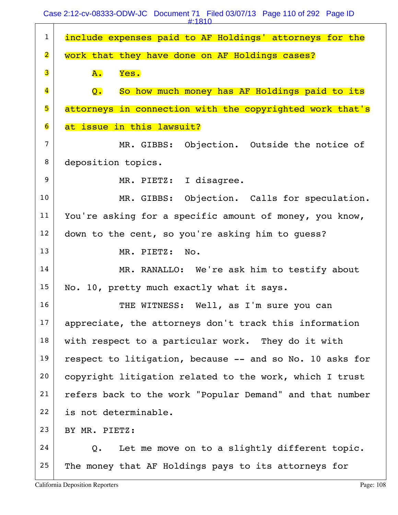Case 2:12-cv-08333-ODW-JC Document 71 Filed 03/07/13 Page 110 of 292 Page ID

|                         | #:1810                                                   |
|-------------------------|----------------------------------------------------------|
| $\mathbf{1}$            | include expenses paid to AF Holdings' attorneys for the  |
| $\overline{\mathbf{2}}$ | work that they have done on AF Holdings cases?           |
| 3                       | Yes.<br>${\bf A}$ .                                      |
| $\overline{\mathbf{4}}$ | Q.<br>So how much money has AF Holdings paid to its      |
| 5                       | attorneys in connection with the copyrighted work that's |
| 6                       | at issue in this lawsuit?                                |
| $\overline{7}$          | MR. GIBBS: Objection. Outside the notice of              |
| 8                       | deposition topics.                                       |
| 9                       | MR. PIETZ: I disagree.                                   |
| 10                      | MR. GIBBS: Objection. Calls for speculation.             |
| 11                      | You're asking for a specific amount of money, you know,  |
| 12                      | down to the cent, so you're asking him to guess?         |
| 13                      | MR. PIETZ: No.                                           |
| 14                      | MR. RANALLO: We're ask him to testify about              |
| 15                      | No. 10, pretty much exactly what it says.                |
| 16                      | THE WITNESS: Well, as I'm sure you can                   |
| 17                      | appreciate, the attorneys don't track this information   |
| 18                      | with respect to a particular work. They do it with       |
| 19                      | respect to litigation, because -- and so No. 10 asks for |
| 20                      | copyright litigation related to the work, which I trust  |
| 21                      | refers back to the work "Popular Demand" and that number |
| 22                      | is not determinable.                                     |
| 23                      | BY MR. PIETZ:                                            |
| 24                      | Let me move on to a slightly different topic.<br>Q.      |
| 25                      | The money that AF Holdings pays to its attorneys for     |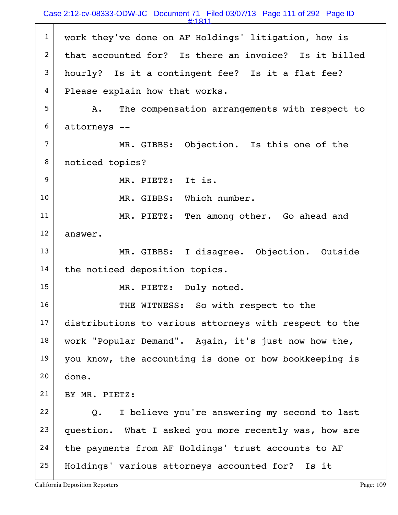#:1811

1 | work they've done on AF Holdings' litigation, how is 2 that accounted for? Is there an invoice? Is it billed  $3$  hourly? Is it a contingent fee? Is it a flat fee? 4 Please explain how that works.  $5$  A. The compensation arrangements with respect to 6 attorneys -- 7 MR. GIBBS: Objection. Is this one of the 8 | noticed topics? 9 MR. PIETZ: It is. 10 MR. GIBBS: Which number. 11 MR. PIETZ: Ten among other. Go ahead and 12 answer. 13 MR. GIBBS: I disagree. Objection. Outside  $14$  the noticed deposition topics. 15 | MR. PIETZ: Duly noted. 16 THE WITNESS: So with respect to the 17 distributions to various attorneys with respect to the 18 | work "Popular Demand". Again, it's just now how the, 19 you know, the accounting is done or how bookkeeping is  $20$  done. 21 BY MR. PIETZ:  $22$  Q. I believe you're answering my second to last  $23$  question. What I asked you more recently was, how are 24 the payments from AF Holdings' trust accounts to AF 25 Holdings' various attorneys accounted for? Is it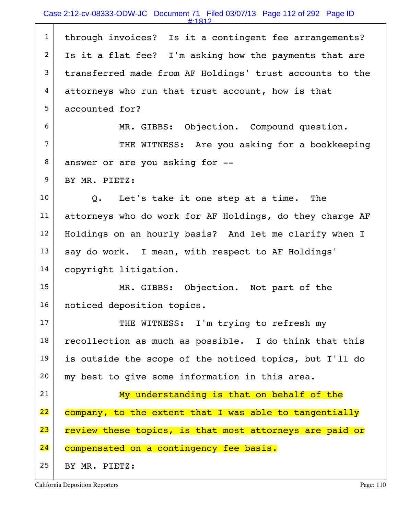#:1812

| $\mathbf{1}$   | through invoices? Is it a contingent fee arrangements?   |
|----------------|----------------------------------------------------------|
| $\overline{2}$ | Is it a flat fee? I'm asking how the payments that are   |
| 3              | transferred made from AF Holdings' trust accounts to the |
| 4              | attorneys who run that trust account, how is that        |
| 5              | accounted for?                                           |
| 6              | MR. GIBBS: Objection. Compound question.                 |
| $\overline{7}$ | THE WITNESS: Are you asking for a bookkeeping            |
| 8              | answer or are you asking for --                          |
| 9              | BY MR. PIETZ:                                            |
| 10             | Q. Let's take it one step at a time. The                 |
| 11             | attorneys who do work for AF Holdings, do they charge AF |
| 12             | Holdings on an hourly basis? And let me clarify when I   |
| 13             | say do work. I mean, with respect to AF Holdings'        |
| 14             | copyright litigation.                                    |
| 15             | MR. GIBBS: Objection. Not part of the                    |
| 16             | noticed deposition topics.                               |
| 17             | THE WITNESS: I'm trying to refresh my                    |
| 18             | recollection as much as possible. I do think that this   |
| 19             | is outside the scope of the noticed topics, but I'll do  |
| 20             | my best to give some information in this area.           |
| 21             | My understanding is that on behalf of the                |
| 22             | company, to the extent that I was able to tangentially   |
| 23             | review these topics, is that most attorneys are paid or  |
| 24             | compensated on a contingency fee basis.                  |
| 25             | BY MR. PIETZ:                                            |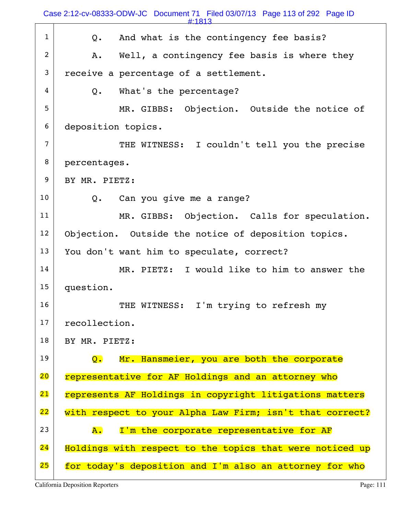$1$  Q. And what is the contingency fee basis?  $2$  A. Well, a contingency fee basis is where they  $3$  receive a percentage of a settlement.  $4$  Q. What's the percentage? 5 MR. GIBBS: Objection. Outside the notice of 6 deposition topics. 7 THE WITNESS: I couldn't tell you the precise 8 percentages. 9 BY MR. PIETZ:  $10$  Q. Can you give me a range? 11 MR. GIBBS: Objection. Calls for speculation. 12 Objection. Outside the notice of deposition topics. 13 You don't want him to speculate, correct? 14 MR. PIETZ: I would like to him to answer the 15 question. 16 | THE WITNESS: I'm trying to refresh my 17 recollection. 18 | BY MR. PIETZ: 19  $\Box$  Q. Mr. Hansmeier, you are both the corporate 20 representative for AF Holdings and an attorney who 21 represents AF Holdings in copyright litigations matters 22 with respect to your Alpha Law Firm; isn't that correct? 23  $\sim$   $\lambda$ . I'm the corporate representative for AF 24 Holdings with respect to the topics that were noticed up 25 for today's deposition and I'm also an attorney for who Case 2:12-cv-08333-ODW-JC Document 71 Filed 03/07/13 Page 113 of 292 Page ID #:1813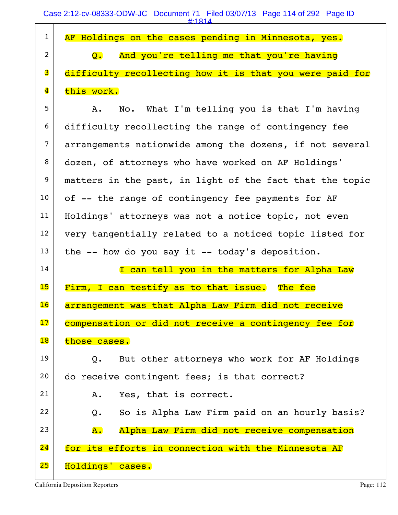|          | AF Holdings on the cases pending in Minnesota, yes.        |
|----------|------------------------------------------------------------|
| $2 \mid$ | Q. And you're telling me that you're having                |
|          | 3 difficulty recollecting how it is that you were paid for |
|          | 4 this work.                                               |

5 A. No. What I'm telling you is that I'm having 6 difficulty recollecting the range of contingency fee 7 arrangements nationwide among the dozens, if not several 8 dozen, of attorneys who have worked on AF Holdings'  $9$  matters in the past, in light of the fact that the topic  $10$  of  $-$ - the range of contingency fee payments for AF 11 | Holdings' attorneys was not a notice topic, not even 12 very tangentially related to a noticed topic listed for  $13$  the -- how do you say it -- today's deposition.

 14 I can tell you in the matters for Alpha Law 15 Firm, I can testify as to that issue. The fee 16 arrangement was that Alpha Law Firm did not receive 17 compensation or did not receive a contingency fee for 18 those cases.

 $19$  Q. But other attorneys who work for AF Holdings 20 do receive contingent fees; is that correct?

21 A. Yes, that is correct.  $22$  Q. So is Alpha Law Firm paid on an hourly basis? 23 A. Alpha Law Firm did not receive compensation 24 for its efforts in connection with the Minnesota AF 25 Holdings' cases.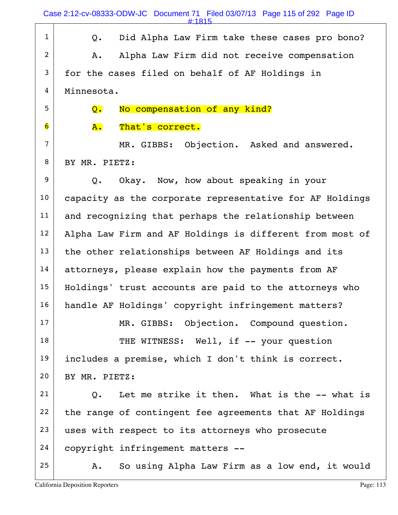Case 2:12-cv-08333-ODW-JC Document 71 Filed 03/07/13 Page 115 of 292 Page ID

#:1815

| $\mathbf{1}$            | Did Alpha Law Firm take these cases pro bono?<br>Q.      |
|-------------------------|----------------------------------------------------------|
| 2                       | Alpha Law Firm did not receive compensation<br>Α.        |
| 3                       | for the cases filed on behalf of AF Holdings in          |
| 4                       | Minnesota.                                               |
| 5                       | No compensation of any kind?<br>Q.                       |
| $\overline{\mathbf{6}}$ | A.<br>That's correct.                                    |
| $\overline{7}$          | MR. GIBBS: Objection. Asked and answered.                |
| 8                       | BY MR. PIETZ:                                            |
| $\boldsymbol{9}$        | Okay. Now, how about speaking in your<br>Q.              |
| 10                      | capacity as the corporate representative for AF Holdings |
| 11                      | and recognizing that perhaps the relationship between    |
| 12                      | Alpha Law Firm and AF Holdings is different from most of |
| 13                      | the other relationships between AF Holdings and its      |
| 14                      | attorneys, please explain how the payments from AF       |
| 15                      | Holdings' trust accounts are paid to the attorneys who   |
| 16                      | handle AF Holdings' copyright infringement matters?      |
| 17                      | MR. GIBBS: Objection. Compound question.                 |
| 18                      | THE WITNESS: Well, if -- your question                   |
| 19                      | includes a premise, which I don't think is correct.      |
| 20                      | BY MR. PIETZ:                                            |
| 21                      | Let me strike it then. What is the -- what is<br>Q.      |
| 22                      | the range of contingent fee agreements that AF Holdings  |
| 23                      | uses with respect to its attorneys who prosecute         |
| 24                      | copyright infringement matters --                        |
| 25                      | So using Alpha Law Firm as a low end, it would<br>Α.     |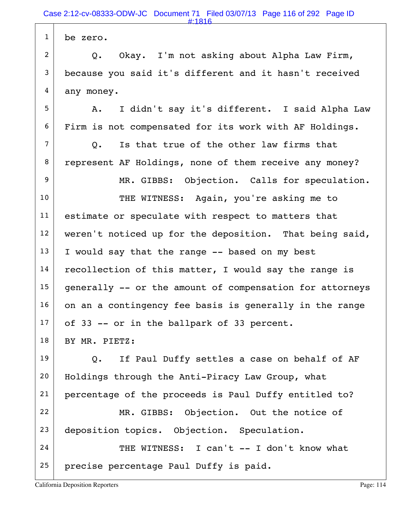| $\mathbf{1}$   | be zero.                                                 |
|----------------|----------------------------------------------------------|
| $\overline{2}$ | Okay. I'm not asking about Alpha Law Firm,<br>Q.         |
| 3              | because you said it's different and it hasn't received   |
| 4              | any money.                                               |
| 5              | I didn't say it's different. I said Alpha Law<br>A.      |
| 6              | Firm is not compensated for its work with AF Holdings.   |
| $\overline{7}$ | Is that true of the other law firms that<br>Q.           |
| 8              | represent AF Holdings, none of them receive any money?   |
| 9              | MR. GIBBS: Objection. Calls for speculation.             |
| 10             | THE WITNESS: Again, you're asking me to                  |
| 11             | estimate or speculate with respect to matters that       |
| 12             | weren't noticed up for the deposition. That being said,  |
| 13             | I would say that the range -- based on my best           |
| 14             | recollection of this matter, I would say the range is    |
| 15             | generally -- or the amount of compensation for attorneys |
| 16             | on an a contingency fee basis is generally in the range  |
| 17             | of 33 -- or in the ballpark of 33 percent.               |
| 18             | BY MR. PIETZ:                                            |
| 19             | If Paul Duffy settles a case on behalf of AF<br>Q.       |
| 20             | Holdings through the Anti-Piracy Law Group, what         |
| 21             | percentage of the proceeds is Paul Duffy entitled to?    |
| 22             | MR. GIBBS: Objection. Out the notice of                  |
| 23             | deposition topics. Objection. Speculation.               |
| 24             | THE WITNESS: I can't -- I don't know what                |
| 25             | precise percentage Paul Duffy is paid.                   |
|                |                                                          |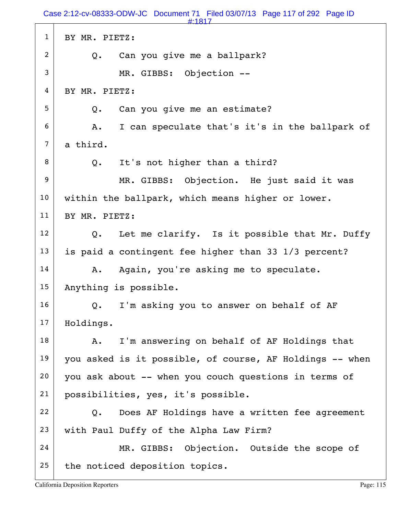|                | #:1817                                                   |
|----------------|----------------------------------------------------------|
| $\mathbf{1}$   | BY MR. PIETZ:                                            |
| $\overline{c}$ | Can you give me a ballpark?<br>Q.                        |
| 3              | MR. GIBBS: Objection --                                  |
| 4              | BY MR. PIETZ:                                            |
| 5              | Can you give me an estimate?<br>$Q$ .                    |
| 6              | I can speculate that's it's in the ballpark of<br>A.     |
| $\overline{7}$ | a third.                                                 |
| 8              | It's not higher than a third?<br>Q.                      |
| 9              | MR. GIBBS: Objection. He just said it was                |
| 10             | within the ballpark, which means higher or lower.        |
| 11             | BY MR. PIETZ:                                            |
| 12             | Let me clarify. Is it possible that Mr. Duffy<br>Q.      |
| 13             | is paid a contingent fee higher than 33 1/3 percent?     |
| 14             | Again, you're asking me to speculate.<br>Α.              |
| 15             | Anything is possible.                                    |
| 16             | I'm asking you to answer on behalf of AF<br>Q.           |
| 17             | Holdings.                                                |
| 18             | I'm answering on behalf of AF Holdings that<br>Α.        |
| 19             | you asked is it possible, of course, AF Holdings -- when |
| 20             | you ask about -- when you couch questions in terms of    |
| 21             | possibilities, yes, it's possible.                       |
| 22             | Does AF Holdings have a written fee agreement<br>Q.      |
| 23             | with Paul Duffy of the Alpha Law Firm?                   |
| 24             | MR. GIBBS: Objection. Outside the scope of               |
| 25             | the noticed deposition topics.                           |
|                |                                                          |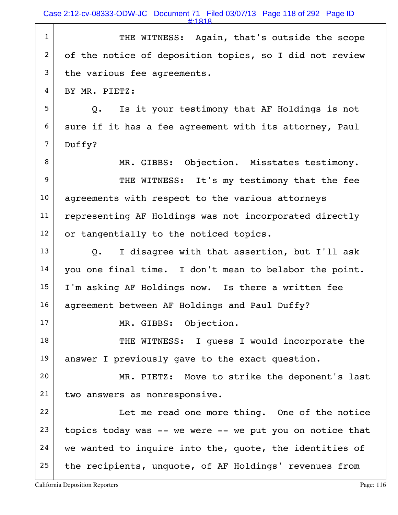Case 2:12-cv-08333-ODW-JC Document 71 Filed 03/07/13 Page 118 of 292 Page ID

#:1818

1 THE WITNESS: Again, that's outside the scope 2 of the notice of deposition topics, so I did not review  $3$  the various fee agreements. 4 BY MR. PIETZ: 5 Q. Is it your testimony that AF Holdings is not  $6$  sure if it has a fee agreement with its attorney, Paul 7 Duffy? 8 MR. GIBBS: Objection. Misstates testimony. 9 THE WITNESS: It's my testimony that the fee 10 | agreements with respect to the various attorneys 11 | representing AF Holdings was not incorporated directly  $12$  or tangentially to the noticed topics.  $13$  Q. I disagree with that assertion, but I'll ask 14 | you one final time. I don't mean to belabor the point.  $15$  I'm asking AF Holdings now. Is there a written fee 16 | agreement between AF Holdings and Paul Duffy? 17 MR. GIBBS: Objection. 18 THE WITNESS: I guess I would incorporate the 19 answer I previously gave to the exact question. 20 MR. PIETZ: Move to strike the deponent's last 21 two answers as nonresponsive. 22 | Let me read one more thing. One of the notice  $23$  topics today was -- we were -- we put you on notice that  $24$  we wanted to inquire into the, quote, the identities of  $25$  the recipients, unquote, of AF Holdings' revenues from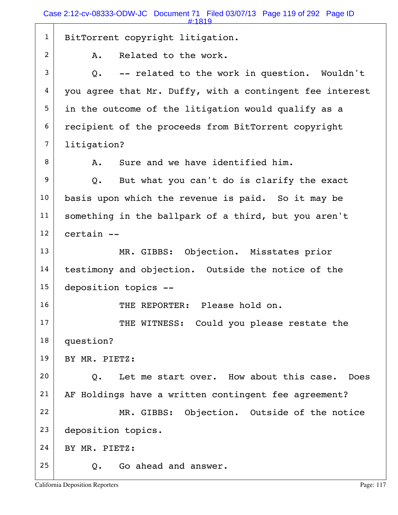|                | #:1819                                                   |
|----------------|----------------------------------------------------------|
| $\mathbf{1}$   | BitTorrent copyright litigation.                         |
| $\overline{c}$ | Related to the work.<br>Α.                               |
| 3              | -- related to the work in question. Wouldn't<br>Q.       |
| 4              | you agree that Mr. Duffy, with a contingent fee interest |
| 5              | in the outcome of the litigation would qualify as a      |
| 6              | recipient of the proceeds from BitTorrent copyright      |
| $\overline{7}$ | litigation?                                              |
| 8              | Sure and we have identified him.<br>Α.                   |
| 9              | But what you can't do is clarify the exact<br>Q.         |
| 10             | basis upon which the revenue is paid. So it may be       |
| 11             | something in the ballpark of a third, but you aren't     |
| 12             | certain --                                               |
| 13             | MR. GIBBS: Objection. Misstates prior                    |
| 14             | testimony and objection. Outside the notice of the       |
| 15             | deposition topics --                                     |
| 16             | THE REPORTER: Please hold on.                            |
| 17             | THE WITNESS: Could you please restate the                |
| 18             | question?                                                |
| 19             | BY MR. PIETZ:                                            |
| 20             | Let me start over. How about this case. Does<br>0.       |
| 21             | AF Holdings have a written contingent fee agreement?     |
| 22             | MR. GIBBS: Objection. Outside of the notice              |
| 23             | deposition topics.                                       |
| 24             | BY MR. PIETZ:                                            |
| 25             | Go ahead and answer.<br>Q.                               |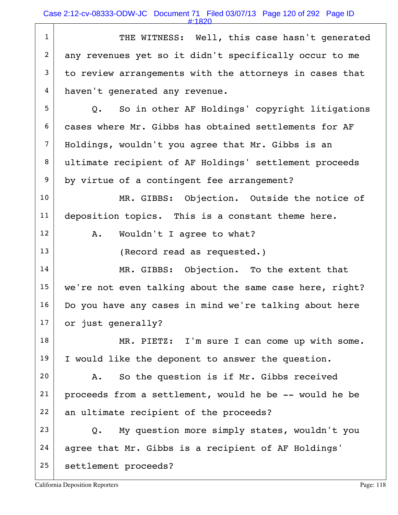Case 2:12-cv-08333-ODW-JC Document 71 Filed 03/07/13 Page 120 of 292 Page ID

#:1820

1 THE WITNESS: Well, this case hasn't generated 2 any revenues yet so it didn't specifically occur to me  $3$  to review arrangements with the attorneys in cases that 4 haven't generated any revenue.  $5$  Q. So in other AF Holdings' copyright litigations 6 cases where Mr. Gibbs has obtained settlements for AF 7 Holdings, wouldn't you agree that Mr. Gibbs is an 8 ultimate recipient of AF Holdings' settlement proceeds 9 by virtue of a contingent fee arrangement? 10 MR. GIBBS: Objection. Outside the notice of  $11$  deposition topics. This is a constant theme here. 12 | A. Wouldn't I agree to what? 13 (Record read as requested.) 14 MR. GIBBS: Objection. To the extent that 15 we're not even talking about the same case here, right? 16 Do you have any cases in mind we're talking about here 17 or just generally? 18 MR. PIETZ: I'm sure I can come up with some.  $19$  I would like the deponent to answer the question.  $20$  A. So the question is if Mr. Gibbs received 21 proceeds from a settlement, would he be -- would he be 22 an ultimate recipient of the proceeds?  $23$  Q. My question more simply states, wouldn't you 24 agree that Mr. Gibbs is a recipient of AF Holdings' 25 | settlement proceeds?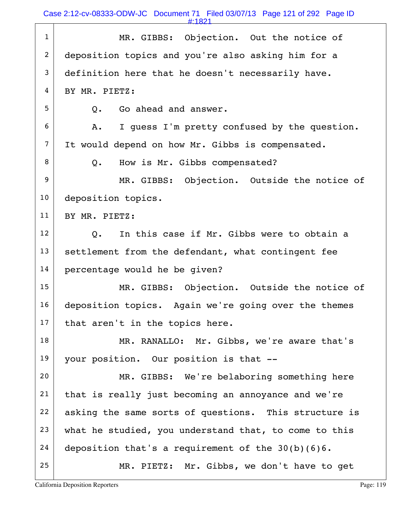Case 2:12-cv-08333-ODW-JC Document 71 Filed 03/07/13 Page 121 of 292 Page ID

#:1821

| $\mathbf{1}$   | MR. GIBBS: Objection. Out the notice of                     |
|----------------|-------------------------------------------------------------|
| $\overline{2}$ | deposition topics and you're also asking him for a          |
| 3              | definition here that he doesn't necessarily have.           |
| 4              | BY MR. PIETZ:                                               |
| 5              | Go ahead and answer.<br>Q.                                  |
| 6              | I quess I'm pretty confused by the question.<br>Α.          |
| $\overline{7}$ | It would depend on how Mr. Gibbs is compensated.            |
| 8              | How is Mr. Gibbs compensated?<br>Q.                         |
| 9              | MR. GIBBS: Objection. Outside the notice of                 |
| 10             | deposition topics.                                          |
| 11             | BY MR. PIETZ:                                               |
| 12             | In this case if Mr. Gibbs were to obtain a<br>$Q_{\bullet}$ |
| 13             | settlement from the defendant, what contingent fee          |
| 14             | percentage would he be given?                               |
| 15             | MR. GIBBS: Objection. Outside the notice of                 |
| 16             | deposition topics. Again we're going over the themes        |
| 17             | that aren't in the topics here.                             |
| 18             | MR. RANALLO: Mr. Gibbs, we're aware that's                  |
| 19             | your position. Our position is that --                      |
| 20             | MR. GIBBS: We're belaboring something here                  |
| 21             | that is really just becoming an annoyance and we're         |
| 22             | asking the same sorts of questions. This structure is       |
| 23             | what he studied, you understand that, to come to this       |
| 24             | deposition that's a requirement of the $30(b)(6)6$ .        |
| 25             | MR. PIETZ: Mr. Gibbs, we don't have to get                  |

California Deposition Reporters **Page: 119** Page: 119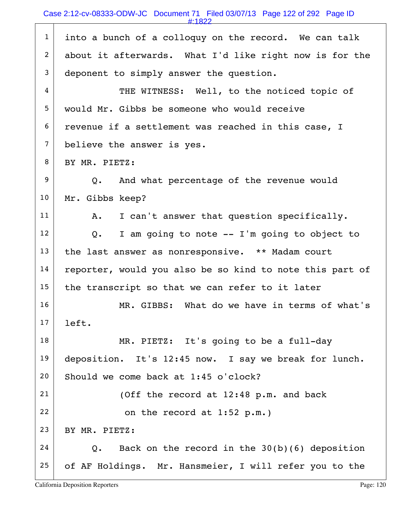| . .<br>c |  |
|----------|--|
|          |  |

| $\mathbf{1}$   | into a bunch of a colloquy on the record. We can talk            |
|----------------|------------------------------------------------------------------|
| 2              | about it afterwards. What I'd like right now is for the          |
| $\mathfrak{Z}$ | deponent to simply answer the question.                          |
| 4              | THE WITNESS: Well, to the noticed topic of                       |
| 5              | would Mr. Gibbs be someone who would receive                     |
| 6              | revenue if a settlement was reached in this case, I              |
| $\overline{7}$ | believe the answer is yes.                                       |
| 8              | BY MR. PIETZ:                                                    |
| 9              | Q. And what percentage of the revenue would                      |
| 10             | Mr. Gibbs keep?                                                  |
| 11             | I can't answer that question specifically.<br>A.                 |
| 12             | I am going to note -- I'm going to object to<br>Q.               |
| 13             | the last answer as nonresponsive. ** Madam court                 |
| 14             | reporter, would you also be so kind to note this part of         |
| 15             | the transcript so that we can refer to it later                  |
| 16             | MR. GIBBS: What do we have in terms of what's                    |
| 17             | left.                                                            |
| 18             | MR. PIETZ: It's going to be a full-day                           |
| 19             | deposition. It's 12:45 now. I say we break for lunch.            |
| 20             | Should we come back at 1:45 o'clock?                             |
| 21             | (Off the record at 12:48 p.m. and back                           |
| 22             | on the record at $1:52$ p.m.)                                    |
| 23             | BY MR. PIETZ:                                                    |
| 24             | Back on the record in the $30(b)(6)$ deposition<br>$Q_{\bullet}$ |
| 25             | of AF Holdings. Mr. Hansmeier, I will refer you to the           |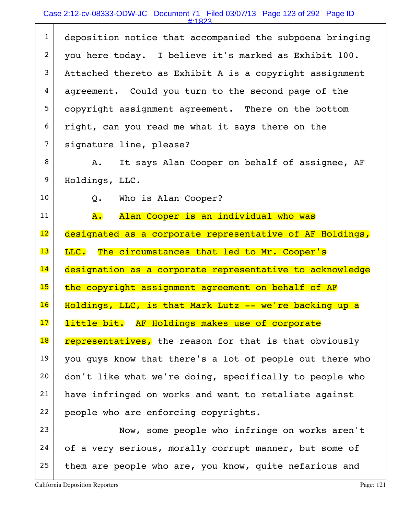## Case 2:12-cv-08333-ODW-JC Document 71 Filed 03/07/13 Page 123 of 292 Page ID

#:1823

| $\mathbf{1}$             | deposition notice that accompanied the subpoena bringing |
|--------------------------|----------------------------------------------------------|
| $\overline{2}$           | you here today. I believe it's marked as Exhibit 100.    |
| 3                        | Attached thereto as Exhibit A is a copyright assignment  |
| 4                        | agreement. Could you turn to the second page of the      |
| 5                        | copyright assignment agreement. There on the bottom      |
| 6                        | right, can you read me what it says there on the         |
| $\overline{7}$           | signature line, please?                                  |
| 8                        | It says Alan Cooper on behalf of assignee, AF<br>A.      |
| 9                        | Holdings, LLC.                                           |
| 10                       | Who is Alan Cooper?<br>$Q_{\bullet}$                     |
| 11                       | Alan Cooper is an individual who was<br>А.               |
| 12                       | designated as a corporate representative of AF Holdings, |
|                          |                                                          |
| 13                       | LLC. The circumstances that led to Mr. Cooper's          |
| 14                       | designation as a corporate representative to acknowledge |
| 15                       | the copyright assignment agreement on behalf of AF       |
| 16                       | Holdings, LLC, is that Mark Lutz -- we're backing up a   |
| 17                       | little bit. AF Holdings makes use of corporate           |
| $\overline{\mathbf{18}}$ | representatives, the reason for that is that obviously   |
| 19                       | you guys know that there's a lot of people out there who |
| 20                       | don't like what we're doing, specifically to people who  |
| 21                       | have infringed on works and want to retaliate against    |
| 22                       | people who are enforcing copyrights.                     |
| 23                       | Now, some people who infringe on works aren't            |
| 24                       | of a very serious, morally corrupt manner, but some of   |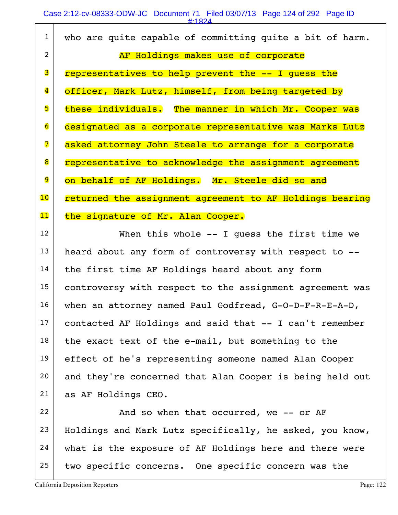|                         | #:1824                                                   |
|-------------------------|----------------------------------------------------------|
| $\mathbf{1}$            | who are quite capable of committing quite a bit of harm. |
| $\overline{2}$          | AF Holdings makes use of corporate                       |
| 3                       | representatives to help prevent the -- I quess the       |
| $\overline{\mathbf{4}}$ | officer, Mark Lutz, himself, from being targeted by      |
| 5                       | these individuals. The manner in which Mr. Cooper was    |
| 6                       | designated as a corporate representative was Marks Lutz  |
| 7                       | asked attorney John Steele to arrange for a corporate    |
| 8                       | representative to acknowledge the assignment agreement   |
| 9                       | on behalf of AF Holdings. Mr. Steele did so and          |
| 10                      | returned the assignment agreement to AF Holdings bearing |
| 11                      | the signature of Mr. Alan Cooper.                        |
| 12                      | When this whole $--$ I quess the first time we           |
| 13                      | heard about any form of controversy with respect to --   |
| 14                      | the first time AF Holdings heard about any form          |
| 15                      | controversy with respect to the assignment agreement was |
| 16                      | when an attorney named Paul Godfread, G-O-D-F-R-E-A-D,   |
| 17                      | contacted AF Holdings and said that -- I can't remember  |
| 18                      | the exact text of the e-mail, but something to the       |
| 19                      | effect of he's representing someone named Alan Cooper    |
| 20                      | and they're concerned that Alan Cooper is being held out |
| 21                      | as AF Holdings CEO.                                      |
| 22                      | And so when that occurred, we -- or AF                   |
| 23                      | Holdings and Mark Lutz specifically, he asked, you know, |
| 24                      | what is the exposure of AF Holdings here and there were  |
| 25                      | two specific concerns. One specific concern was the      |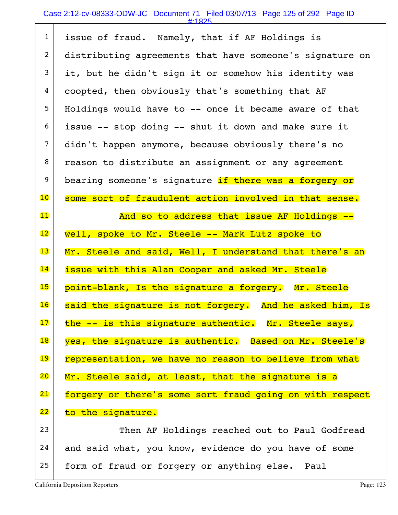# Case 2:12-cv-08333-ODW-JC Document 71 Filed 03/07/13 Page 125 of 292 Page ID

| $\mathbf{1}$    | issue of fraud. Namely, that if AF Holdings is           |
|-----------------|----------------------------------------------------------|
| $\overline{2}$  | distributing agreements that have someone's signature on |
| 3               | it, but he didn't sign it or somehow his identity was    |
| 4               | coopted, then obviously that's something that AF         |
| 5               | Holdings would have to -- once it became aware of that   |
| 6               | issue -- stop doing -- shut it down and make sure it     |
| $\overline{7}$  | didn't happen anymore, because obviously there's no      |
| 8               | reason to distribute an assignment or any agreement      |
| 9               | bearing someone's signature if there was a forgery or    |
| $\overline{10}$ | some sort of fraudulent action involved in that sense.   |
| 11              | And so to address that issue AF Holdings --              |
| $\overline{12}$ | well, spoke to Mr. Steele -- Mark Lutz spoke to          |
|                 |                                                          |
| 13              | Mr. Steele and said, Well, I understand that there's an  |
| 14              | issue with this Alan Cooper and asked Mr. Steele         |
| 15              | point-blank, Is the signature a forgery. Mr. Steele      |
| 16              | said the signature is not forgery. And he asked him, Is  |
| 17              | the -- is this signature authentic. Mr. Steele says,     |
| 18              | yes, the signature is authentic. Based on Mr. Steele's   |
| 19              | representation, we have no reason to believe from what   |
| 20              | Mr. Steele said, at least, that the signature is a       |
| 21              | forgery or there's some sort fraud going on with respect |
| 22              | to the signature.                                        |
| 23              | Then AF Holdings reached out to Paul Godfread            |
| 24              | and said what, you know, evidence do you have of some    |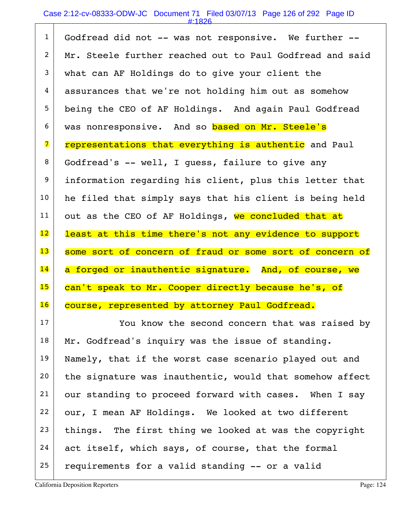### Case 2:12-cv-08333-ODW-JC Document 71 Filed 03/07/13 Page 126 of 292 Page ID

#:1826

| $\mathbf{1}$    | Godfread did not -- was not responsive. We further --    |
|-----------------|----------------------------------------------------------|
| $\overline{2}$  | Mr. Steele further reached out to Paul Godfread and said |
| $\mathfrak{Z}$  | what can AF Holdings do to give your client the          |
| 4               | assurances that we're not holding him out as somehow     |
| 5               | being the CEO of AF Holdings. And again Paul Godfread    |
| 6               | was nonresponsive. And so based on Mr. Steele's          |
| 7               | representations that everything is authentic and Paul    |
| 8               | Godfread's -- well, I guess, failure to give any         |
| 9               | information regarding his client, plus this letter that  |
| 10              | he filed that simply says that his client is being held  |
| 11              | out as the CEO of AF Holdings, we concluded that at      |
| $\overline{12}$ | least at this time there's not any evidence to support   |
|                 |                                                          |
| 13              | some sort of concern of fraud or some sort of concern of |
| 14              | a forged or inauthentic signature. And, of course, we    |
| 15              | can't speak to Mr. Cooper directly because he's, of      |
| 16              | course, represented by attorney Paul Godfread.           |
| 17              | You know the second concern that was raised by           |
| 18              | Mr. Godfread's inquiry was the issue of standing.        |
| 19              | Namely, that if the worst case scenario played out and   |
| 20              | the signature was inauthentic, would that somehow affect |
| 21              | our standing to proceed forward with cases. When I say   |
| 22              | our, I mean AF Holdings. We looked at two different      |
| 23              | things. The first thing we looked at was the copyright   |
| 24              | act itself, which says, of course, that the formal       |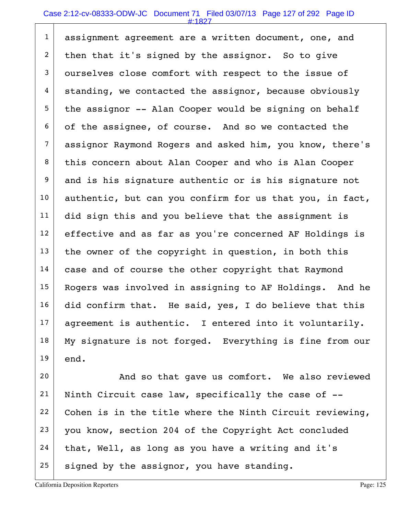#### Case 2:12-cv-08333-ODW-JC Document 71 Filed 03/07/13 Page 127 of 292 Page ID

#:1827

| $\mathbf{1}$   | assignment agreement are a written document, one, and    |
|----------------|----------------------------------------------------------|
| $\overline{2}$ | then that it's signed by the assignor. So to give        |
| 3              | ourselves close comfort with respect to the issue of     |
| $\overline{4}$ | standing, we contacted the assignor, because obviously   |
| 5              | the assignor -- Alan Cooper would be signing on behalf   |
| 6              | of the assignee, of course. And so we contacted the      |
| $\overline{7}$ | assignor Raymond Rogers and asked him, you know, there's |
| 8              | this concern about Alan Cooper and who is Alan Cooper    |
| 9              | and is his signature authentic or is his signature not   |
| 10             | authentic, but can you confirm for us that you, in fact, |
| 11             | did sign this and you believe that the assignment is     |
| 12             | effective and as far as you're concerned AF Holdings is  |
| 13             | the owner of the copyright in question, in both this     |
| 14             | case and of course the other copyright that Raymond      |
| 15             | Rogers was involved in assigning to AF Holdings. And he  |
| 16             | did confirm that. He said, yes, I do believe that this   |
| 17             | agreement is authentic. I entered into it voluntarily.   |
| 18             | My signature is not forged. Everything is fine from our  |
| 19             | end.                                                     |

20 And so that gave us comfort. We also reviewed 21 | Ninth Circuit case law, specifically the case of  $-$ -22 Cohen is in the title where the Ninth Circuit reviewing, 23 you know, section 204 of the Copyright Act concluded  $24$  that, Well, as long as you have a writing and it's  $25$  signed by the assignor, you have standing.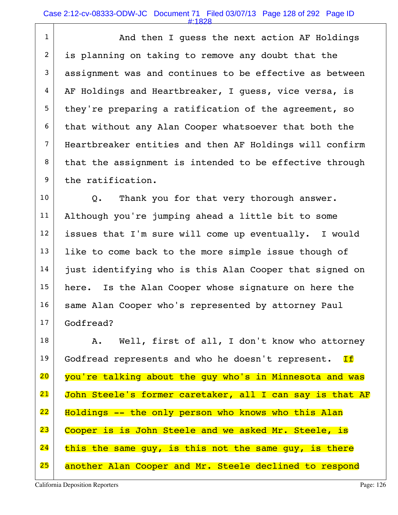#### Case 2:12-cv-08333-ODW-JC Document 71 Filed 03/07/13 Page 128 of 292 Page ID

#:1828

1 and then I quess the next action AF Holdings 2 is planning on taking to remove any doubt that the  $3$  assignment was and continues to be effective as between  $4 \mid$  AF Holdings and Heartbreaker, I guess, vice versa, is  $5$  they're preparing a ratification of the agreement, so  $6$  that without any Alan Cooper whatsoever that both the 7 Heartbreaker entities and then AF Holdings will confirm  $8$  that the assignment is intended to be effective through 9 the ratification.

 $10$  Q. Thank you for that very thorough answer. 11 Although you're jumping ahead a little bit to some 12 issues that I'm sure will come up eventually. I would  $13$  like to come back to the more simple issue though of 14 just identifying who is this Alan Cooper that signed on 15 | here. Is the Alan Cooper whose signature on here the 16 | same Alan Cooper who's represented by attorney Paul 17 Godfread?

18 | A. Well, first of all, I don't know who attorney 19 Godfread represents and who he doesn't represent. If 20 you're talking about the guy who's in Minnesota and was 21 John Steele's former caretaker, all I can say is that AF 22 Holdings -- the only person who knows who this Alan 23 Cooper is is John Steele and we asked Mr. Steele, is  $24$  this the same guy, is this not the same guy, is there 25 another Alan Cooper and Mr. Steele declined to respond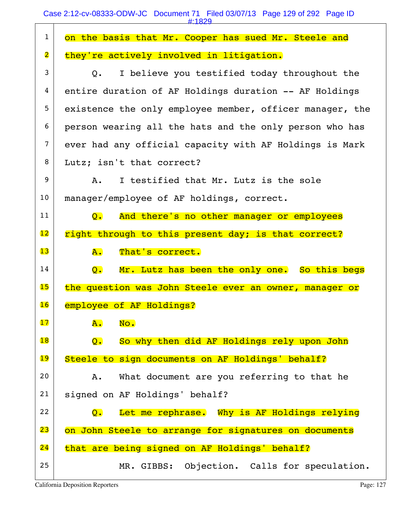Case 2:12-cv-08333-ODW-JC Document 71 Filed 03/07/13 Page 129 of 292 Page ID

|                         | #:1829                                                                   |
|-------------------------|--------------------------------------------------------------------------|
| $\mathbf{1}$            | on the basis that Mr. Cooper has sued Mr. Steele and                     |
| $\overline{\mathbf{2}}$ | they're actively involved in litigation.                                 |
| 3                       | I believe you testified today throughout the<br>Q.                       |
| 4                       | entire duration of AF Holdings duration -- AF Holdings                   |
| 5                       | existence the only employee member, officer manager, the                 |
| 6                       | person wearing all the hats and the only person who has                  |
| $\overline{7}$          | ever had any official capacity with AF Holdings is Mark                  |
| 8                       | Lutz; isn't that correct?                                                |
| 9                       | I testified that Mr. Lutz is the sole<br>Α.                              |
| 10                      | manager/employee of AF holdings, correct.                                |
| 11                      | And there's no other manager or employees<br>$\overline{\mathsf{O}}$ .   |
| $\overline{12}$         | right through to this present day; is that correct?                      |
| 13                      | A.<br>That's correct.                                                    |
| 14                      | Mr. Lutz has been the only one. So this begs<br>$\overline{Q}$ .         |
| 15                      | the question was John Steele ever an owner, manager or                   |
| 16                      | employee of AF Holdings?                                                 |
| 17                      | No.<br><b>A.</b>                                                         |
| 18                      | So why then did AF Holdings rely upon John<br>$\overline{\mathsf{Q}}$ .  |
| 19                      | Steele to sign documents on AF Holdings' behalf?                         |
| 20                      | What document are you referring to that he<br>Α.                         |
| 21                      | signed on AF Holdings' behalf?                                           |
| 22                      | Let me rephrase. Why is AF Holdings relying<br>$\overline{\mathsf{Q}}$ . |
| 23                      | on John Steele to arrange for signatures on documents                    |
| 24                      | that are being signed on AF Holdings' behalf?                            |
| 25                      | MR. GIBBS: Objection. Calls for speculation.                             |
|                         |                                                                          |

California Deposition Reporters **Page: 127** Page: 127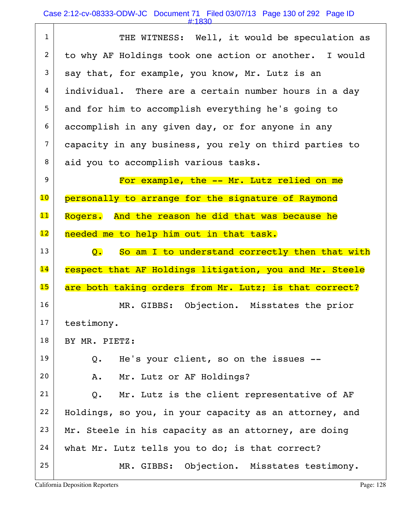#:1830

| $\mathbf{1}$             | THE WITNESS: Well, it would be speculation as                      |
|--------------------------|--------------------------------------------------------------------|
| $\overline{2}$           | to why AF Holdings took one action or another. I would             |
| 3                        | say that, for example, you know, Mr. Lutz is an                    |
| 4                        | individual. There are a certain number hours in a day              |
| 5                        | and for him to accomplish everything he's going to                 |
| 6                        | accomplish in any given day, or for anyone in any                  |
| $\overline{7}$           | capacity in any business, you rely on third parties to             |
| 8                        | aid you to accomplish various tasks.                               |
| 9                        | For example, the -- Mr. Lutz relied on me                          |
| $\overline{\mathbf{10}}$ | personally to arrange for the signature of Raymond                 |
| $\mathbf{11}$            | Rogers. And the reason he did that was because he                  |
| 12                       | needed me to help him out in that task.                            |
| 13                       | So am I to understand correctly then that with<br>$\overline{Q}$ . |
| 14                       | respect that AF Holdings litigation, you and Mr. Steele            |
| 15                       | are both taking orders from Mr. Lutz; is that correct?             |
| 16                       | MR. GIBBS: Objection. Misstates the prior                          |
| 17                       | testimony.                                                         |
| 18                       | BY MR. PIETZ:                                                      |
| 19                       | He's your client, so on the issues --<br>Q.                        |
| 20                       | Mr. Lutz or AF Holdings?<br>Α.                                     |
| 21                       | Mr. Lutz is the client representative of AF<br>Q.                  |
| 22                       | Holdings, so you, in your capacity as an attorney, and             |
| 23                       | Mr. Steele in his capacity as an attorney, are doing               |
|                          |                                                                    |
| 24                       | what Mr. Lutz tells you to do; is that correct?                    |
| 25                       | MR. GIBBS: Objection. Misstates testimony.                         |

California Deposition Reporters **Page: 128** 

 $\sqrt{ }$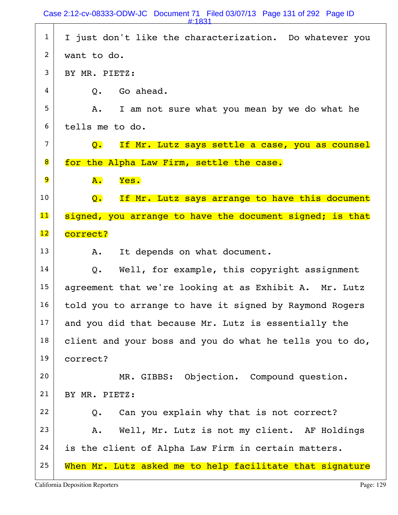1 I just don't like the characterization. Do whatever you  $2$  want to do.  $3$  BY MR. PIETZ:  $4 \mid$  0. Go ahead.  $5$  A. I am not sure what you mean by we do what he 6 tells me to do.  $7$  Q. If Mr. Lutz says settle a case, you as counsel 8 for the Alpha Law Firm, settle the case.  $9$   $A.$  Yes.  $10$  Q. If Mr. Lutz says arrange to have this document 11 signed, you arrange to have the document signed; is that 12 correct?  $13$  A. It depends on what document.  $14$  Q. Well, for example, this copyright assignment 15 | agreement that we're looking at as Exhibit A. Mr. Lutz  $16$  told you to arrange to have it signed by Raymond Rogers  $17$  and you did that because Mr. Lutz is essentially the  $18$  client and your boss and you do what he tells you to do, 19 correct? 20 MR. GIBBS: Objection. Compound question. 21 BY MR. PIETZ:  $22$  Q. Can you explain why that is not correct? 23 | A. Well, Mr. Lutz is not my client. AF Holdings  $24$  is the client of Alpha Law Firm in certain matters.  $25$  When Mr. Lutz asked me to help facilitate that signature #:1831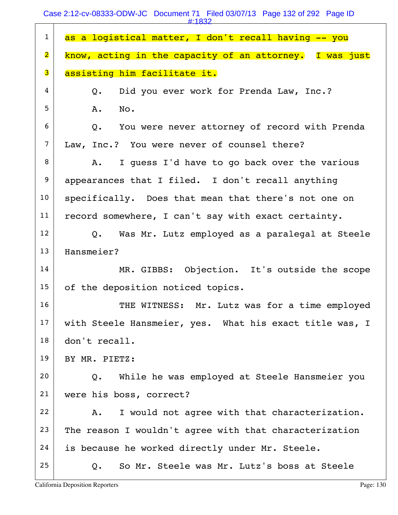Case 2:12-cv-08333-ODW-JC Document 71 Filed 03/07/13 Page 132 of 292 Page ID

|                         | $\pm 1832$                                              |
|-------------------------|---------------------------------------------------------|
| $\mathbf{1}$            | as a logistical matter, I don't recall having -- you    |
| $\overline{\mathbf{2}}$ | know, acting in the capacity of an attorney. I was just |
| 3                       | assisting him facilitate it.                            |
| 4                       | Did you ever work for Prenda Law, Inc.?<br>Q.           |
| 5                       | Α.<br>No.                                               |
| 6                       | You were never attorney of record with Prenda<br>Q.     |
| $\overline{7}$          | Law, Inc.? You were never of counsel there?             |
| 8                       | I quess I'd have to go back over the various<br>A.      |
| 9                       | appearances that I filed. I don't recall anything       |
| 10                      | specifically. Does that mean that there's not one on    |
| 11                      | record somewhere, I can't say with exact certainty.     |
| 12                      | Q. Was Mr. Lutz employed as a paralegal at Steele       |
| 13                      | Hansmeier?                                              |
| 14                      | MR. GIBBS: Objection. It's outside the scope            |
| 15                      | of the deposition noticed topics.                       |
| 16                      | THE WITNESS: Mr. Lutz was for a time employed           |
| 17                      | with Steele Hansmeier, yes. What his exact title was, I |
| 18                      | don't recall.                                           |
| 19                      | BY MR. PIETZ:                                           |
| 20                      | While he was employed at Steele Hansmeier you<br>Q.     |
| 21                      | were his boss, correct?                                 |
| 22                      | I would not agree with that characterization.<br>Α.     |
| 23                      | The reason I wouldn't agree with that characterization  |
| 24                      | is because he worked directly under Mr. Steele.         |
| 25                      | So Mr. Steele was Mr. Lutz's boss at Steele<br>Q.       |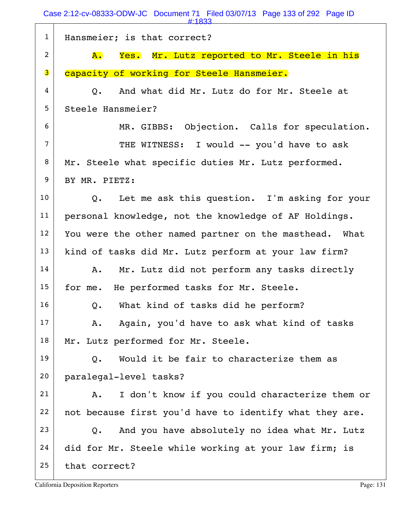|                | #:1833                                                      |
|----------------|-------------------------------------------------------------|
| $\mathbf{1}$   | Hansmeier; is that correct?                                 |
| $\overline{2}$ | Yes. Mr. Lutz reported to Mr. Steele in his<br>${\bf A}$ .  |
| 3              | capacity of working for Steele Hansmeier.                   |
| 4              | And what did Mr. Lutz do for Mr. Steele at<br>$Q_{\bullet}$ |
| 5              | Steele Hansmeier?                                           |
| 6              | MR. GIBBS: Objection. Calls for speculation.                |
| $\overline{7}$ | THE WITNESS: I would -- you'd have to ask                   |
| 8              | Mr. Steele what specific duties Mr. Lutz performed.         |
| 9              | BY MR. PIETZ:                                               |
| 10             | Q. Let me ask this question. I'm asking for your            |
| 11             | personal knowledge, not the knowledge of AF Holdings.       |
| 12             | You were the other named partner on the masthead. What      |
| 13             | kind of tasks did Mr. Lutz perform at your law firm?        |
| 14             | Mr. Lutz did not perform any tasks directly<br>Α.           |
| 15             | for me. He performed tasks for Mr. Steele.                  |
| 16             | What kind of tasks did he perform?<br>Q.                    |
| 17             | Again, you'd have to ask what kind of tasks<br>Α.           |
| 18             | Mr. Lutz performed for Mr. Steele.                          |
| 19             | Would it be fair to characterize them as<br>Q.              |
| 20             | paralegal-level tasks?                                      |
| 21             | I don't know if you could characterize them or<br>Α.        |
| 22             | not because first you'd have to identify what they are.     |
| 23             | And you have absolutely no idea what Mr. Lutz<br>$Q$ .      |
| 24             | did for Mr. Steele while working at your law firm; is       |
| 25             | that correct?                                               |
|                |                                                             |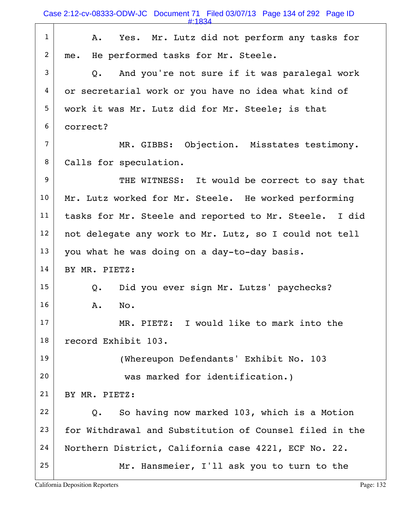| $\mathbf{1}$   | Yes. Mr. Lutz did not perform any tasks for<br>Α.       |
|----------------|---------------------------------------------------------|
| $\overline{2}$ | me. He performed tasks for Mr. Steele.                  |
| 3              | And you're not sure if it was paralegal work<br>Q.      |
| 4              | or secretarial work or you have no idea what kind of    |
| 5              | work it was Mr. Lutz did for Mr. Steele; is that        |
| 6              | correct?                                                |
| $\overline{7}$ | MR. GIBBS: Objection. Misstates testimony.              |
| 8              | Calls for speculation.                                  |
| 9              | THE WITNESS: It would be correct to say that            |
| 10             | Mr. Lutz worked for Mr. Steele. He worked performing    |
| 11             | tasks for Mr. Steele and reported to Mr. Steele. I did  |
| 12             | not delegate any work to Mr. Lutz, so I could not tell  |
| 13             | you what he was doing on a day-to-day basis.            |
| 14             | BY MR. PIETZ:                                           |
| 15             | Did you ever sign Mr. Lutzs' paychecks?<br>Q.           |
| 16             | No.<br>Α.                                               |
| 17             | MR. PIETZ: I would like to mark into the                |
| 18             | record Exhibit 103.                                     |
| 19             | (Whereupon Defendants' Exhibit No. 103                  |
| 20             | was marked for identification.)                         |
| 21             | BY MR. PIETZ:                                           |
| 22             | So having now marked 103, which is a Motion<br>Q.       |
| 23             | for Withdrawal and Substitution of Counsel filed in the |
| 24             | Northern District, California case 4221, ECF No. 22.    |
| 25             | Mr. Hansmeier, I'll ask you to turn to the              |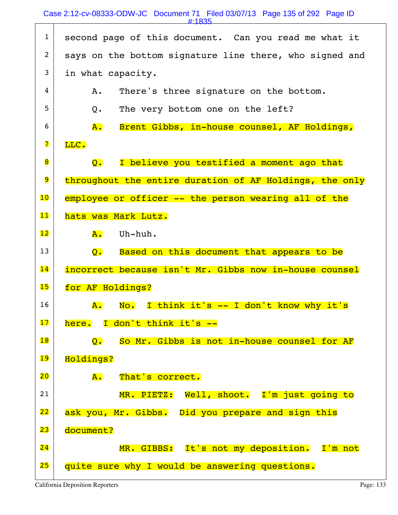### Case 2:12-cv-08333-ODW-JC Document 71 Filed 03/07/13 Page 135 of 292 Page ID

#:1835

| $\mathbf{1}$            | second page of this document. Can you read me what it         |
|-------------------------|---------------------------------------------------------------|
| $\overline{2}$          | says on the bottom signature line there, who signed and       |
| 3                       | in what capacity.                                             |
| 4                       | There's three signature on the bottom.<br>Α.                  |
| 5                       | The very bottom one on the left?<br>Q.                        |
| 6                       | Brent Gibbs, in-house counsel, AF Holdings,<br><b>A</b> .     |
| $\overline{\mathbf{z}}$ | LLC.                                                          |
| 8                       | I believe you testified a moment ago that<br>$\overline{Q}$ . |
| 9                       | throughout the entire duration of AF Holdings, the only       |
| $\overline{10}$         | employee or officer -- the person wearing all of the          |
| 11                      | hats was Mark Lutz.                                           |
| 12                      | Uh-huh.<br>${\tt A.}$                                         |
| 13                      | Based on this document that appears to be<br>$\overline{Q}$ . |
| 14                      | incorrect because isn't Mr. Gibbs now in-house counsel        |
| 15                      | for AF Holdings?                                              |
| 16                      | No. I think it's -- I don't know why it's<br>$\mathbf{A}$ .   |
| 17                      | here. I don't think it's --                                   |
| 18                      | So Mr. Gibbs is not in-house counsel for AF<br>Q.             |
| 19                      | Holdings?                                                     |
| 20                      | <b>A.</b><br>That's correct.                                  |
| 21                      | MR. PIETZ: Well, shoot. I'm just going to                     |
| 22                      | ask you, Mr. Gibbs. Did you prepare and sign this             |
| 23                      | document?                                                     |
| 24                      | MR. GIBBS: It's not my deposition. I'm not                    |
| 25                      | quite sure why I would be answering questions.                |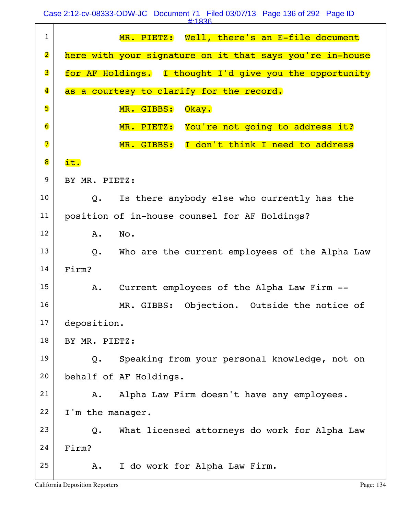Case 2:12-cv-08333-ODW-JC Document 71 Filed 03/07/13 Page 136 of 292 Page ID

| . .<br><b>Contract Contract Contract Contract Contract Contract Contract Contract Contract Contract Contract Contract Co</b> |  |
|------------------------------------------------------------------------------------------------------------------------------|--|
|                                                                                                                              |  |

|                         | <u>4.1050 +</u>                                              |
|-------------------------|--------------------------------------------------------------|
| $\mathbf{1}$            | MR. PIETZ: Well, there's an E-file document                  |
| $\overline{\mathbf{2}}$ | here with your signature on it that says you're in-house     |
| 3                       | for AF Holdings. I thought I'd give you the opportunity      |
| $\overline{\mathbf{4}}$ | as a courtesy to clarify for the record.                     |
| 5                       | MR. GIBBS:<br>Okay.                                          |
| $\overline{6}$          | MR. PIETZ: You're not going to address it?                   |
| $\overline{\mathbf{z}}$ | MR. GIBBS: I don't think I need to address                   |
| 8                       | it.                                                          |
| 9                       | BY MR. PIETZ:                                                |
| 10                      | Is there anybody else who currently has the<br>$Q_{\bullet}$ |
| 11                      | position of in-house counsel for AF Holdings?                |
| 12                      | No.<br>A.                                                    |
| 13                      | Q.<br>Who are the current employees of the Alpha Law         |
| 14                      | Firm?                                                        |
| 15                      | Current employees of the Alpha Law Firm --<br>Α.             |
| 16                      | MR. GIBBS: Objection. Outside the notice of                  |
| 17                      | deposition.                                                  |
| 18                      | BY MR. PIETZ:                                                |
| 19                      | Speaking from your personal knowledge, not on<br>Q.          |
| 20                      | behalf of AF Holdings.                                       |
| 21                      | Alpha Law Firm doesn't have any employees.<br>Α.             |
| 22                      | I'm the manager.                                             |
| 23                      | What licensed attorneys do work for Alpha Law<br>Q.          |
| 24                      | Firm?                                                        |
| 25                      | I do work for Alpha Law Firm.<br>Α.                          |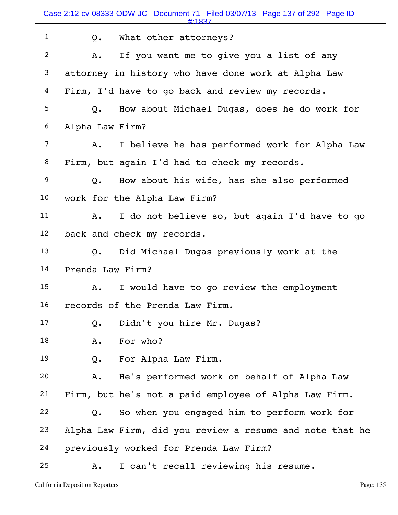|                | #:1837                                                   |
|----------------|----------------------------------------------------------|
| $\mathbf{1}$   | What other attorneys?<br>Q.                              |
| 2              | If you want me to give you a list of any<br>Α.           |
| 3              | attorney in history who have done work at Alpha Law      |
| 4              | Firm, I'd have to go back and review my records.         |
| 5              | How about Michael Dugas, does he do work for<br>Q.       |
| 6              | Alpha Law Firm?                                          |
| $\overline{7}$ | I believe he has performed work for Alpha Law<br>Α.      |
| 8              | Firm, but again I'd had to check my records.             |
| 9              | How about his wife, has she also performed<br>Q.         |
| 10             | work for the Alpha Law Firm?                             |
| 11             | I do not believe so, but again I'd have to go<br>Α.      |
| 12             | back and check my records.                               |
| 13             | Did Michael Dugas previously work at the<br>Q.           |
| 14             | Prenda Law Firm?                                         |
| 15             | I would have to go review the employment<br>Α.           |
| 16             | records of the Prenda Law Firm.                          |
| 17             | Didn't you hire Mr. Dugas?<br>$Q$ .                      |
| 18             | For who?<br>Α.                                           |
| 19             | For Alpha Law Firm.<br>Q.                                |
| 20             | He's performed work on behalf of Alpha Law<br>Α.         |
| 21             | Firm, but he's not a paid employee of Alpha Law Firm.    |
| 22             | So when you engaged him to perform work for<br>$Q$ .     |
| 23             | Alpha Law Firm, did you review a resume and note that he |
| 24             | previously worked for Prenda Law Firm?                   |
| 25             | I can't recall reviewing his resume.<br>Α.               |
|                |                                                          |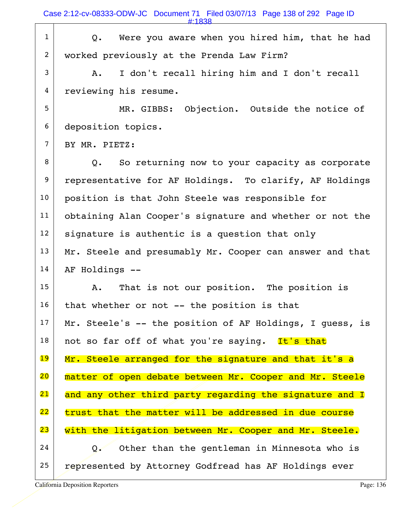Case 2:12-cv-08333-ODW-JC Document 71 Filed 03/07/13 Page 138 of 292 Page ID

 $1$  Q. Were you aware when you hired him, that he had 2 worked previously at the Prenda Law Firm?  $3$  A. I don't recall hiring him and I don't recall 4 reviewing his resume. 5 MR. GIBBS: Objection. Outside the notice of 6 deposition topics. 7 BY MR. PIETZ:  $8$  Q. So returning now to your capacity as corporate 9 representative for AF Holdings. To clarify, AF Holdings 10 position is that John Steele was responsible for 11 obtaining Alan Cooper's signature and whether or not the  $12$  signature is authentic is a question that only  $13$  Mr. Steele and presumably Mr. Cooper can answer and that  $14$  AF Holdings  $-$ 15 A. That is not our position. The position is  $16$  that whether or not -- the position is that 17 Mr. Steele's  $-$  the position of AF Holdings, I quess, is  $18$  not so far off of what you're saying. It's that 19 Mr. Steele arranged for the signature and that it's a 20 matter of open debate between Mr. Cooper and Mr. Steele 21 and any other third party regarding the signature and I  $22$  trust that the matter will be addressed in due course 23 with the litigation between Mr. Cooper and Mr. Steele.  $24$  Q. Other than the gentleman in Minnesota who is 25 represented by Attorney Godfread has AF Holdings ever #:1838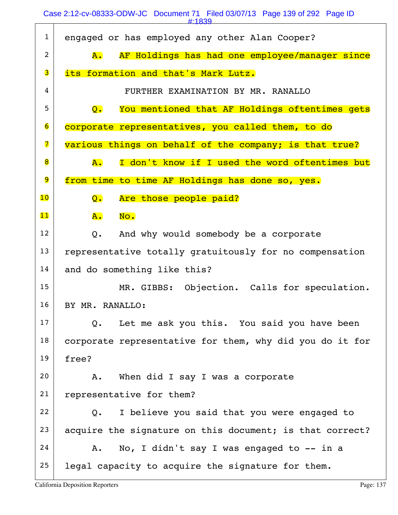|                         | #:1839                                                             |
|-------------------------|--------------------------------------------------------------------|
| $\mathbf{1}$            | engaged or has employed any other Alan Cooper?                     |
| $\overline{2}$          | AF Holdings has had one employee/manager since<br><b>A.</b>        |
| 3                       | its formation and that's Mark Lutz.                                |
| 4                       | FURTHER EXAMINATION BY MR. RANALLO                                 |
| 5                       | You mentioned that AF Holdings oftentimes gets<br>$\overline{Q}$ . |
| 6                       | corporate representatives, you called them, to do                  |
| $\overline{\mathbf{z}}$ | various things on behalf of the company; is that true?             |
| 8                       | I don't know if I used the word oftentimes but<br>A.               |
| 9                       | from time to time AF Holdings has done so, yes.                    |
| $\overline{10}$         | Are those people paid?<br>Q.                                       |
| 11                      | A.<br>No.                                                          |
| 12                      | And why would somebody be a corporate<br>Q.                        |
| 13                      | representative totally gratuitously for no compensation            |
| 14                      | and do something like this?                                        |
| 15                      | MR. GIBBS: Objection. Calls for speculation.                       |
| 16                      | BY MR. RANALLO:                                                    |
| 17                      | Let me ask you this. You said you have been<br>Q.                  |
| 18                      | corporate representative for them, why did you do it for           |
| 19                      | free?                                                              |
| 20                      | When did I say I was a corporate<br>Α.                             |
| 21                      | representative for them?                                           |
| 22                      | I believe you said that you were engaged to<br>Q.                  |
| 23                      | acquire the signature on this document; is that correct?           |
| 24                      | No, I didn't say I was engaged to -- in a<br>Α.                    |
| 25                      | legal capacity to acquire the signature for them.                  |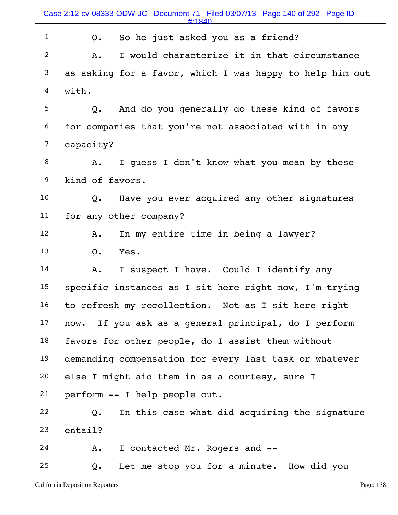#:1840

| $\mathbf{1}$   | So he just asked you as a friend?<br>Q.                  |
|----------------|----------------------------------------------------------|
| $\overline{2}$ | I would characterize it in that circumstance<br>Α.       |
| 3              | as asking for a favor, which I was happy to help him out |
| 4              | with.                                                    |
| 5              | And do you generally do these kind of favors<br>Q.       |
| 6              | for companies that you're not associated with in any     |
| $\overline{7}$ | capacity?                                                |
| 8              | I guess I don't know what you mean by these<br>Α.        |
| 9              | kind of favors.                                          |
| 10             | Q. Have you ever acquired any other signatures           |
| 11             | for any other company?                                   |
| 12             | In my entire time in being a lawyer?<br>Α.               |
| 13             | Q.<br>Yes.                                               |
| 14             | I suspect I have. Could I identify any<br>Α.             |
| 15             | specific instances as I sit here right now, I'm trying   |
| 16             | to refresh my recollection. Not as I sit here right      |
| 17             | If you ask as a general principal, do I perform<br>now.  |
| 18             | favors for other people, do I assist them without        |
| 19             | demanding compensation for every last task or whatever   |
| 20             | else I might aid them in as a courtesy, sure I           |
| 21             | perform -- I help people out.                            |
| 22             | In this case what did acquiring the signature<br>$Q$ .   |
| 23             | entail?                                                  |
| 24             | I contacted Mr. Rogers and --<br>Α.                      |
| 25             | Let me stop you for a minute. How did you<br>Q.          |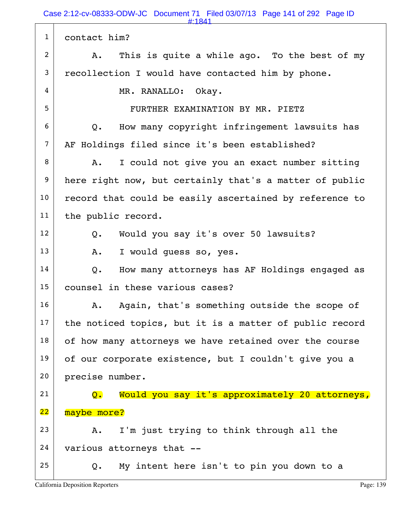Case 2:12-cv-08333-ODW-JC Document 71 Filed 03/07/13 Page 141 of 292 Page ID

|                | #:1841                                                  |
|----------------|---------------------------------------------------------|
| $\mathbf{1}$   | contact him?                                            |
| $\overline{2}$ | This is quite a while ago. To the best of my<br>A.      |
| 3              | recollection I would have contacted him by phone.       |
| 4              | MR. RANALLO: Okay.                                      |
| 5              | FURTHER EXAMINATION BY MR. PIETZ                        |
| 6              | How many copyright infringement lawsuits has<br>Q.      |
| $\overline{7}$ | AF Holdings filed since it's been established?          |
| 8              | I could not give you an exact number sitting<br>Α.      |
| 9              | here right now, but certainly that's a matter of public |
| 10             | record that could be easily ascertained by reference to |
| 11             | the public record.                                      |
| 12             | Would you say it's over 50 lawsuits?<br>Q.              |
| 13             | I would quess so, yes.<br>Α.                            |
| 14             | How many attorneys has AF Holdings engaged as<br>Q.     |
| 15             | counsel in these various cases?                         |
| 16             | Again, that's something outside the scope of<br>Α.      |
| 17             | the noticed topics, but it is a matter of public record |
| 18             | of how many attorneys we have retained over the course  |
| 19             | of our corporate existence, but I couldn't give you a   |
| 20             | precise number.                                         |
| 21             | Would you say it's approximately 20 attorneys,<br>Q.    |
| 22             | maybe more?                                             |
| 23             | I'm just trying to think through all the<br>Α.          |
| 24             | various attorneys that --                               |
| 25             | My intent here isn't to pin you down to a<br>Q.         |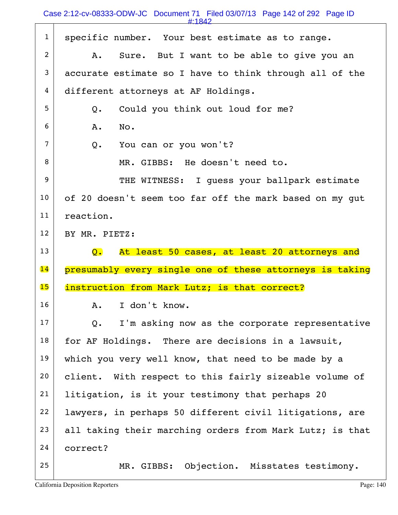#:1842

| $\mathbf{1}$ | specific number. Your best estimate as to range.                |
|--------------|-----------------------------------------------------------------|
| 2            | Sure. But I want to be able to give you an<br>A.                |
| 3            | accurate estimate so I have to think through all of the         |
| 4            | different attorneys at AF Holdings.                             |
| 5            | Could you think out loud for me?<br>Q.                          |
| 6            | A.<br>No.                                                       |
| 7            | Q. You can or you won't?                                        |
| 8            | MR. GIBBS: He doesn't need to.                                  |
| 9            | THE WITNESS: I quess your ballpark estimate                     |
| 10           | of 20 doesn't seem too far off the mark based on my gut         |
| 11           | reaction.                                                       |
| 12           | BY MR. PIETZ:                                                   |
|              |                                                                 |
| 13           | At least 50 cases, at least 20 attorneys and<br>$\mathsf{Q}$ .  |
| 14           | presumably every single one of these attorneys is taking        |
| 15           | instruction from Mark Lutz; is that correct?                    |
| 16           | I don't know.<br>A.                                             |
| 17           | I'm asking now as the corporate representative<br>$Q_{\bullet}$ |
| 18           | for AF Holdings. There are decisions in a lawsuit,              |
| 19           | which you very well know, that need to be made by a             |
| 20           | client. With respect to this fairly sizeable volume of          |
| 21           | litigation, is it your testimony that perhaps 20                |
| 22           | lawyers, in perhaps 50 different civil litigations, are         |
| 23           | all taking their marching orders from Mark Lutz; is that        |
| 24           | correct?                                                        |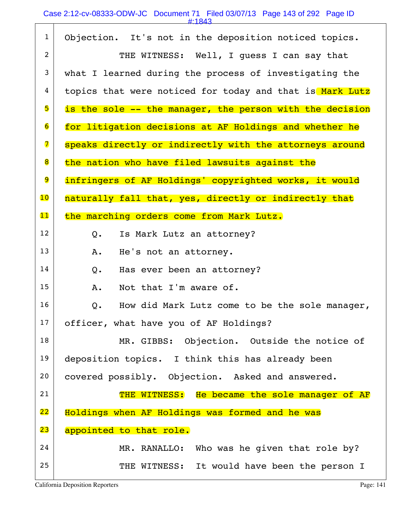|                | <u> #1045</u>                                            |
|----------------|----------------------------------------------------------|
| $\mathbf{1}$   | Objection. It's not in the deposition noticed topics.    |
| $\overline{2}$ | THE WITNESS: Well, I guess I can say that                |
| 3              | what I learned during the process of investigating the   |
| 4              | topics that were noticed for today and that is Mark Lutz |
| 5              | is the sole -- the manager, the person with the decision |
| $\overline{6}$ | for litigation decisions at AF Holdings and whether he   |
| 7              | speaks directly or indirectly with the attorneys around  |
| 8              | the nation who have filed lawsuits against the           |
| 9              | infringers of AF Holdings' copyrighted works, it would   |
| 10             | naturally fall that, yes, directly or indirectly that    |
| $\mathbf{11}$  | the marching orders come from Mark Lutz.                 |
| 12             | Is Mark Lutz an attorney?<br>Q.                          |
| 13             | He's not an attorney.<br>Α.                              |
| 14             | Has ever been an attorney?<br>Q.                         |
| 15             | Not that I'm aware of.<br>Α.                             |
| 16             | How did Mark Lutz come to be the sole manager,<br>Q.     |
| 17             | officer, what have you of AF Holdings?                   |
| 18             | MR. GIBBS: Objection. Outside the notice of              |
| 19             | deposition topics. I think this has already been         |
| 20             | covered possibly. Objection. Asked and answered.         |
| 21             | THE WITNESS: He became the sole manager of AF            |
| 22             | Holdings when AF Holdings was formed and he was          |
| 23             | appointed to that role.                                  |
| 24             | MR. RANALLO: Who was he given that role by?              |
| 25             | THE WITNESS: It would have been the person I             |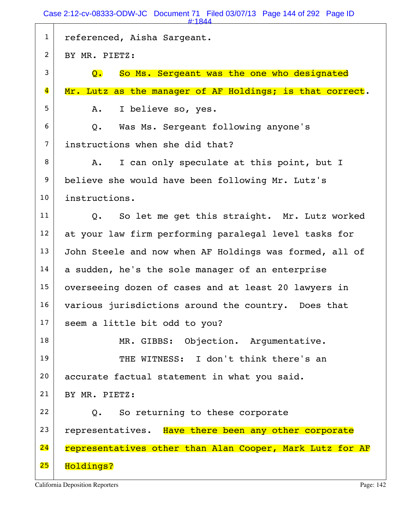Case 2:12-cv-08333-ODW-JC Document 71 Filed 03/07/13 Page 144 of 292 Page ID

|                         | #:1844                                                         |
|-------------------------|----------------------------------------------------------------|
| $\mathbf{1}$            | referenced, Aisha Sargeant.                                    |
| $\overline{c}$          | BY MR. PIETZ:                                                  |
| 3                       | So Ms. Sergeant was the one who designated<br>$\overline{Q}$ . |
| $\overline{\mathbf{4}}$ | Mr. Lutz as the manager of AF Holdings; is that correct.       |
| 5                       | I believe so, yes.<br>Α.                                       |
| 6                       | Was Ms. Sergeant following anyone's<br>Q.                      |
| $\overline{7}$          | instructions when she did that?                                |
| 8                       | I can only speculate at this point, but I<br>Α.                |
| 9                       | believe she would have been following Mr. Lutz's               |
| 10                      | instructions.                                                  |
| 11                      | So let me get this straight. Mr. Lutz worked<br>Q.             |
| 12                      | at your law firm performing paralegal level tasks for          |
| 13                      | John Steele and now when AF Holdings was formed, all of        |
| 14                      | a sudden, he's the sole manager of an enterprise               |
| 15                      | overseeing dozen of cases and at least 20 lawyers in           |
| 16                      | various jurisdictions around the country. Does that            |
| 17                      | seem a little bit odd to you?                                  |
| 18                      | MR. GIBBS: Objection. Argumentative.                           |
| 19                      | THE WITNESS: I don't think there's an                          |
| 20                      | accurate factual statement in what you said.                   |
| 21                      | BY MR. PIETZ:                                                  |
| 22                      | So returning to these corporate<br>Q.                          |
| 23                      | representatives. Have there been any other corporate           |
| 24                      | representatives other than Alan Cooper, Mark Lutz for AF       |
| 25                      | Holdings?                                                      |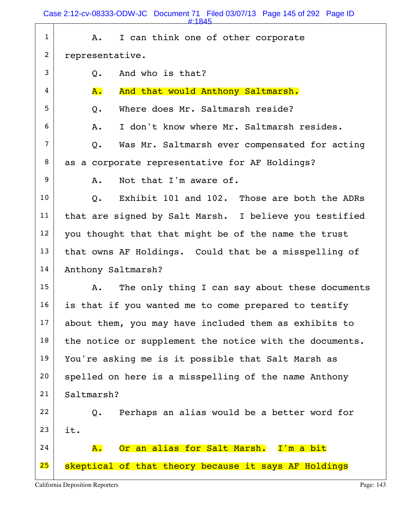Case 2:12-cv-08333-ODW-JC Document 71 Filed 03/07/13 Page 145 of 292 Page ID

| $\mathbf{1}$   | I can think one of other corporate<br>A.                      |  |  |  |
|----------------|---------------------------------------------------------------|--|--|--|
| $\overline{2}$ | representative.                                               |  |  |  |
| 3              | And who is that?<br>Q.                                        |  |  |  |
| 4              | And that would Anthony Saltmarsh.<br>A.                       |  |  |  |
| 5              | Where does Mr. Saltmarsh reside?<br>$Q$ .                     |  |  |  |
| 6              | I don't know where Mr. Saltmarsh resides.<br>Α.               |  |  |  |
| $\overline{7}$ | Was Mr. Saltmarsh ever compensated for acting<br>Q.           |  |  |  |
| 8              | as a corporate representative for AF Holdings?                |  |  |  |
| 9              | Not that I'm aware of.<br>A.                                  |  |  |  |
| 10             | Exhibit 101 and 102. Those are both the ADRs<br>$Q_{\bullet}$ |  |  |  |
| 11             | that are signed by Salt Marsh. I believe you testified        |  |  |  |
| 12             | you thought that that might be of the name the trust          |  |  |  |
| 13             | that owns AF Holdings. Could that be a misspelling of         |  |  |  |
| 14             | Anthony Saltmarsh?                                            |  |  |  |
| 15             | The only thing I can say about these documents<br>Α.          |  |  |  |
| 16             | is that if you wanted me to come prepared to testify          |  |  |  |
| 17             | about them, you may have included them as exhibits to         |  |  |  |
| 18             | the notice or supplement the notice with the documents.       |  |  |  |
| 19             | You're asking me is it possible that Salt Marsh as            |  |  |  |
| 20             | spelled on here is a misspelling of the name Anthony          |  |  |  |
| 21             | Saltmarsh?                                                    |  |  |  |
| 22             | Perhaps an alias would be a better word for<br>Q.             |  |  |  |
| 23             | it.                                                           |  |  |  |
| 24             | Or an alias for Salt Marsh. I'm a bit<br><b>A.</b>            |  |  |  |
| 25             | skeptical of that theory because it says AF Holdings          |  |  |  |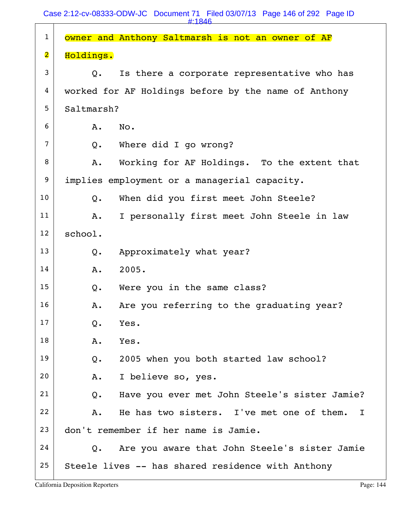| $\mathbf 1$             | owner and Anthony Saltmarsh is not an owner of AF             |  |  |  |
|-------------------------|---------------------------------------------------------------|--|--|--|
| $\overline{\mathbf{2}}$ | Holdings.                                                     |  |  |  |
| 3                       | Is there a corporate representative who has<br>$\mathsf{O}$ . |  |  |  |
| 4                       | worked for AF Holdings before by the name of Anthony          |  |  |  |
| 5                       | Saltmarsh?                                                    |  |  |  |
| 6                       | No.<br>A.                                                     |  |  |  |
| $\overline{7}$          | Where did I go wrong?<br>$Q$ .                                |  |  |  |
| 8                       | Working for AF Holdings. To the extent that<br>Α.             |  |  |  |
| 9                       | implies employment or a managerial capacity.                  |  |  |  |
| 10                      | When did you first meet John Steele?<br>$Q$ .                 |  |  |  |
| 11                      | I personally first meet John Steele in law<br>Α.              |  |  |  |
| 12                      | school.                                                       |  |  |  |
| 13                      | Approximately what year?<br>$Q$ .                             |  |  |  |
| 14                      | 2005.<br>A.                                                   |  |  |  |
| 15                      | Were you in the same class?<br>Q.                             |  |  |  |
| 16                      | Are you referring to the graduating year?<br>Α.               |  |  |  |
| 17                      | Yes.<br>Q.                                                    |  |  |  |
| 18                      | Yes.<br>Α.                                                    |  |  |  |
| 19                      | 2005 when you both started law school?<br>Q.                  |  |  |  |
| 20                      | I believe so, yes.<br>Α.                                      |  |  |  |
| 21                      | Have you ever met John Steele's sister Jamie?<br>$Q$ .        |  |  |  |
| 22                      | He has two sisters. I've met one of them. I<br>Α.             |  |  |  |
| 23                      | don't remember if her name is Jamie.                          |  |  |  |
| 24                      | Are you aware that John Steele's sister Jamie<br>Q.           |  |  |  |
| 25                      | Steele lives -- has shared residence with Anthony             |  |  |  |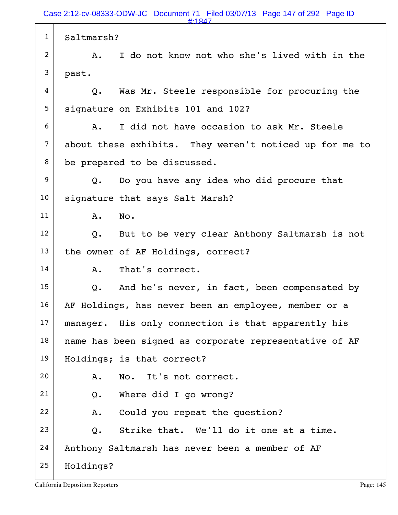1 Saltmarsh? 2 A. I do not know not who she's lived with in the  $3$  past.  $4$   $\vert$  Q. Was Mr. Steele responsible for procuring the 5 signature on Exhibits 101 and 102?  $6$  A. I did not have occasion to ask Mr. Steele 7 about these exhibits. They weren't noticed up for me to 8 be prepared to be discussed.  $9$  Q. Do you have any idea who did procure that 10 | signature that says Salt Marsh? 11 A. No.  $12$  Q. But to be very clear Anthony Saltmarsh is not 13 the owner of AF Holdings, correct? 14 A. That's correct.  $15$  Q. And he's never, in fact, been compensated by 16 AF Holdings, has never been an employee, member or a  $17$  manager. His only connection is that apparently his  $18$  name has been signed as corporate representative of AF 19 | Holdings; is that correct? 20 A. No. It's not correct. 21 Q. Where did I go wrong? 22 A. Could you repeat the question?  $23$  O. Strike that. We'll do it one at a time. 24 | Anthony Saltmarsh has never been a member of AF 25 Holdings? #:1847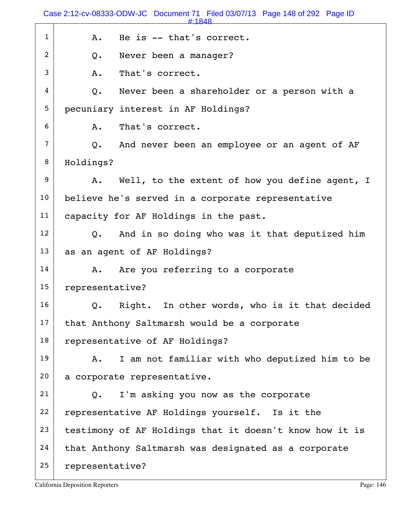|              | Case 2:12-cv-08333-ODW-JC Document 71 Filed 03/07/13 Page 148 of 292 Page ID<br>$\textbf{\texttt{#}}$ 1848 |  |  |  |
|--------------|------------------------------------------------------------------------------------------------------------|--|--|--|
| $\mathbf{1}$ | He is -- that's correct.<br>A.                                                                             |  |  |  |
| 2            | Never been a manager?<br>Q.                                                                                |  |  |  |
| 3            | That's correct.<br>A.                                                                                      |  |  |  |
| 4            | Never been a shareholder or a person with a<br>Q.                                                          |  |  |  |
| 5            | pecuniary interest in AF Holdings?                                                                         |  |  |  |
| 6            | That's correct.<br>Α.                                                                                      |  |  |  |
| 7            | And never been an employee or an agent of AF<br>Q.                                                         |  |  |  |
| 8            | Holdings?                                                                                                  |  |  |  |
| 9            | Well, to the extent of how you define agent, I<br>A.                                                       |  |  |  |
| 10           | believe he's served in a corporate representative                                                          |  |  |  |
| 11           | capacity for AF Holdings in the past.                                                                      |  |  |  |
| 12           | And in so doing who was it that deputized him<br>$Q_{\bullet}$                                             |  |  |  |
| 13           | as an agent of AF Holdings?                                                                                |  |  |  |
| 14           | Are you referring to a corporate<br>Α.                                                                     |  |  |  |
| 15           | representative?                                                                                            |  |  |  |
| 16           | $Q$ .<br>Right. In other words, who is it that decided                                                     |  |  |  |
| 17           | that Anthony Saltmarsh would be a corporate                                                                |  |  |  |
| 18           | representative of AF Holdings?                                                                             |  |  |  |
| 19           | I am not familiar with who deputized him to be<br>Α.                                                       |  |  |  |
| 20           | a corporate representative.                                                                                |  |  |  |
| 21           | I'm asking you now as the corporate<br>Q.                                                                  |  |  |  |
| 22           | representative AF Holdings yourself. Is it the                                                             |  |  |  |
| 23           | testimony of AF Holdings that it doesn't know how it is                                                    |  |  |  |
| 24           | that Anthony Saltmarsh was designated as a corporate                                                       |  |  |  |
| 25           | representative?                                                                                            |  |  |  |
|              |                                                                                                            |  |  |  |

California Deposition Reporters **Page: 146**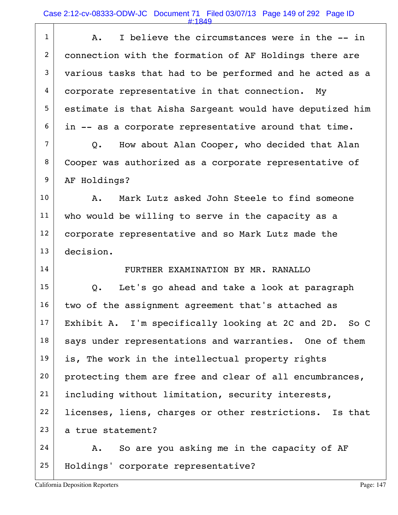Case 2:12-cv-08333-ODW-JC Document 71 Filed 03/07/13 Page 149 of 292 Page ID

#:1849

| $\mathbf{1}$   | I believe the circumstances were in the -- in<br>Α.      |  |  |  |
|----------------|----------------------------------------------------------|--|--|--|
| 2              | connection with the formation of AF Holdings there are   |  |  |  |
| 3              | various tasks that had to be performed and he acted as a |  |  |  |
| 4              | corporate representative in that connection.<br>My       |  |  |  |
| 5              | estimate is that Aisha Sargeant would have deputized him |  |  |  |
| 6              | in -- as a corporate representative around that time.    |  |  |  |
| $\overline{7}$ | How about Alan Cooper, who decided that Alan<br>Q.       |  |  |  |
| 8              | Cooper was authorized as a corporate representative of   |  |  |  |
| 9              | AF Holdings?                                             |  |  |  |
| 10             | Mark Lutz asked John Steele to find someone<br>Α.        |  |  |  |
| 11             | who would be willing to serve in the capacity as a       |  |  |  |
| 12             | corporate representative and so Mark Lutz made the       |  |  |  |
| 13             | decision.                                                |  |  |  |
| 14             | FURTHER EXAMINATION BY MR. RANALLO                       |  |  |  |
| 15             | Let's go ahead and take a look at paragraph<br>Q.        |  |  |  |
| 16             | two of the assignment agreement that's attached as       |  |  |  |
| 17             | Exhibit A. I'm specifically looking at 2C and 2D. So C   |  |  |  |
| 18             | says under representations and warranties. One of them   |  |  |  |
| 19             | is, The work in the intellectual property rights         |  |  |  |
| 20             | protecting them are free and clear of all encumbrances,  |  |  |  |
| 21             | including without limitation, security interests,        |  |  |  |
| 22             | licenses, liens, charges or other restrictions. Is that  |  |  |  |
| 23             | a true statement?                                        |  |  |  |
| 24             | So are you asking me in the capacity of AF<br>А.         |  |  |  |
| 25             | Holdings' corporate representative?                      |  |  |  |
|                |                                                          |  |  |  |

California Deposition Reporters **Page: 147** Page: 147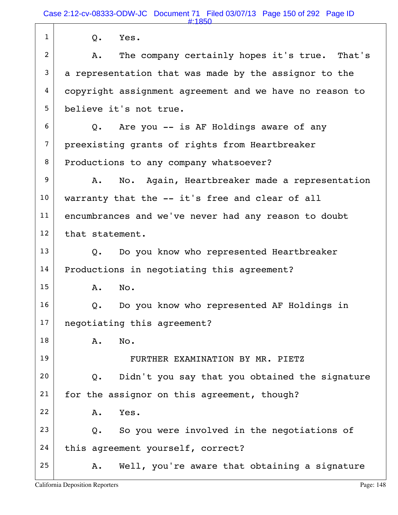| $\mathbf{1}$   | Q.<br>Yes.                                                |  |  |
|----------------|-----------------------------------------------------------|--|--|
| $\overline{c}$ | The company certainly hopes it's true. That's<br>Α.       |  |  |
| 3              | a representation that was made by the assignor to the     |  |  |
| 4              | copyright assignment agreement and we have no reason to   |  |  |
| 5              | believe it's not true.                                    |  |  |
| 6              | Q. Are you -- is AF Holdings aware of any                 |  |  |
| $\overline{7}$ | preexisting grants of rights from Heartbreaker            |  |  |
| 8              | Productions to any company whatsoever?                    |  |  |
| 9              | No. Again, Heartbreaker made a representation<br>Α.       |  |  |
| 10             | warranty that the -- it's free and clear of all           |  |  |
| 11             | encumbrances and we've never had any reason to doubt      |  |  |
| 12             | that statement.                                           |  |  |
| 13             | Do you know who represented Heartbreaker<br>$Q_{\bullet}$ |  |  |
| 14             | Productions in negotiating this agreement?                |  |  |
| 15             | No.<br>Α.                                                 |  |  |
| 16             | Do you know who represented AF Holdings in<br>Q.          |  |  |
| 17             | negotiating this agreement?                               |  |  |
| 18             | No.<br>Α.                                                 |  |  |
| 19             | FURTHER EXAMINATION BY MR. PIETZ                          |  |  |
| 20             | Didn't you say that you obtained the signature<br>Q.      |  |  |
| 21             | for the assignor on this agreement, though?               |  |  |
| 22             | Yes.<br>A.                                                |  |  |
| 23             | So you were involved in the negotiations of<br>Q.         |  |  |
| 24             | this agreement yourself, correct?                         |  |  |
| 25             | Well, you're aware that obtaining a signature<br>A.       |  |  |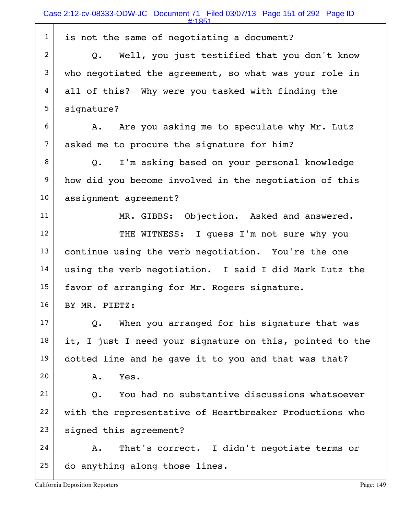| $\mathbf{1}$   | is not the same of negotiating a document?                   |
|----------------|--------------------------------------------------------------|
| $\overline{2}$ | Q. Well, you just testified that you don't know              |
| 3              | who negotiated the agreement, so what was your role in       |
| 4              | all of this? Why were you tasked with finding the            |
| 5              | signature?                                                   |
| 6              | Are you asking me to speculate why Mr. Lutz<br>A.            |
| $\overline{7}$ | asked me to procure the signature for him?                   |
| 8              | I'm asking based on your personal knowledge<br>$Q_{\bullet}$ |
| 9              | how did you become involved in the negotiation of this       |
| 10             | assignment agreement?                                        |
| 11             | MR. GIBBS: Objection. Asked and answered.                    |
| 12             | THE WITNESS: I guess I'm not sure why you                    |
| 13             | continue using the verb negotiation. You're the one          |
| 14             | using the verb negotiation. I said I did Mark Lutz the       |
| 15             | favor of arranging for Mr. Rogers signature.                 |
| 16             | BY MR. PIETZ:                                                |
| 17             | When you arranged for his signature that was<br>Q.           |
| 18             | it, I just I need your signature on this, pointed to the     |
| 19             | dotted line and he gave it to you and that was that?         |
| 20             | Yes.<br>Α.                                                   |
| 21             | You had no substantive discussions whatsoever<br>Q.          |
| 22             | with the representative of Heartbreaker Productions who      |
| 23             | signed this agreement?                                       |
| 24             | That's correct. I didn't negotiate terms or<br>Α.            |
| 25             | do anything along those lines.                               |
|                |                                                              |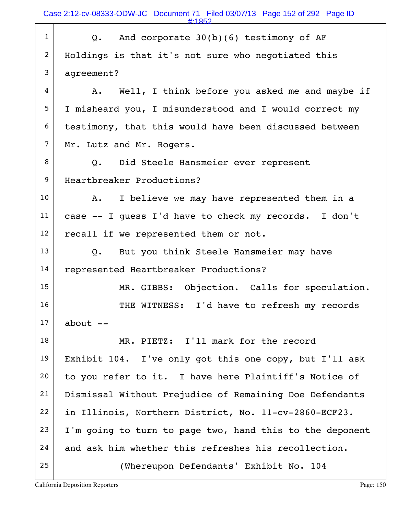$1$  Q. And corporate  $30(b)(6)$  testimony of AF 2 | Holdings is that it's not sure who negotiated this 3 agreement?  $4$  A. Well, I think before you asked me and maybe if 5 I misheard you, I misunderstood and I would correct my 6 testimony, that this would have been discussed between  $7$  Mr. Lutz and Mr. Rogers. 8 Q. Did Steele Hansmeier ever represent 9 Heartbreaker Productions? 10 A. I believe we may have represented them in a  $11$  case -- I guess I'd have to check my records. I don't  $12$  recall if we represented them or not.  $13$  Q. But you think Steele Hansmeier may have 14 represented Heartbreaker Productions? 15 MR. GIBBS: Objection. Calls for speculation. 16 THE WITNESS: I'd have to refresh my records  $17$  about  $-$ 18 MR. PIETZ: I'll mark for the record 19 Exhibit 104. I've only got this one copy, but I'll ask 20 to you refer to it. I have here Plaintiff's Notice of 21 Dismissal Without Prejudice of Remaining Doe Defendants 22 in Illinois, Northern District, No. 11-cv-2860-ECF23.  $23$  I'm going to turn to page two, hand this to the deponent  $24$  and ask him whether this refreshes his recollection. 25 (Whereupon Defendants' Exhibit No. 104 #:1852

California Deposition Reporters Page: 150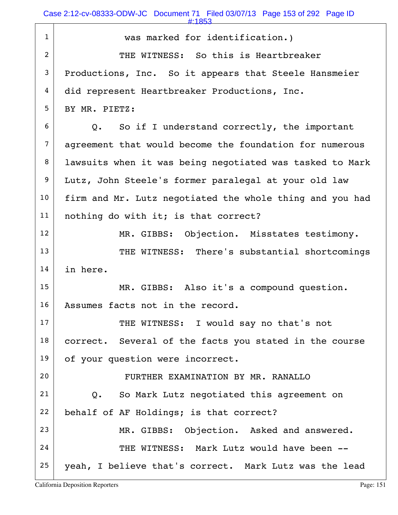Case 2:12-cv-08333-ODW-JC Document 71 Filed 03/07/13 Page 153 of 292 Page ID

| $\mathbf{1}$   | was marked for identification.)                            |  |  |  |
|----------------|------------------------------------------------------------|--|--|--|
| $\overline{2}$ | THE WITNESS: So this is Heartbreaker                       |  |  |  |
| 3              | Productions, Inc. So it appears that Steele Hansmeier      |  |  |  |
| 4              | did represent Heartbreaker Productions, Inc.               |  |  |  |
| 5              | BY MR. PIETZ:                                              |  |  |  |
| 6              | Q. So if I understand correctly, the important             |  |  |  |
| $\overline{7}$ | agreement that would become the foundation for numerous    |  |  |  |
| 8              | lawsuits when it was being negotiated was tasked to Mark   |  |  |  |
| 9              | Lutz, John Steele's former paralegal at your old law       |  |  |  |
| 10             | firm and Mr. Lutz negotiated the whole thing and you had   |  |  |  |
| 11             | nothing do with it; is that correct?                       |  |  |  |
| 12             | MR. GIBBS: Objection. Misstates testimony.                 |  |  |  |
| 13             | THE WITNESS: There's substantial shortcomings              |  |  |  |
| 14             | in here.                                                   |  |  |  |
| 15             | MR. GIBBS: Also it's a compound question.                  |  |  |  |
| 16             | Assumes facts not in the record.                           |  |  |  |
| 17             | THE WITNESS: I would say no that's not                     |  |  |  |
| 18             | correct. Several of the facts you stated in the course     |  |  |  |
| 19             | of your question were incorrect.                           |  |  |  |
| 20             | FURTHER EXAMINATION BY MR. RANALLO                         |  |  |  |
| 21             | So Mark Lutz negotiated this agreement on<br>$Q_{\bullet}$ |  |  |  |
| 22             | behalf of AF Holdings; is that correct?                    |  |  |  |
| 23             | MR. GIBBS: Objection. Asked and answered.                  |  |  |  |
| 24             | THE WITNESS: Mark Lutz would have been --                  |  |  |  |
| 25             | yeah, I believe that's correct. Mark Lutz was the lead     |  |  |  |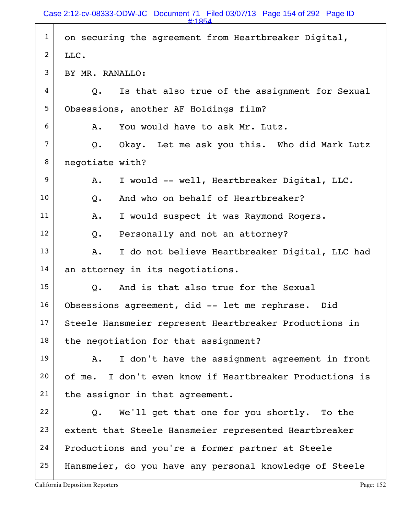| $\mathbf{1}$   | on securing the agreement from Heartbreaker Digital,            |  |  |  |
|----------------|-----------------------------------------------------------------|--|--|--|
| $\overline{2}$ | LLC.                                                            |  |  |  |
| 3              | BY MR. RANALLO:                                                 |  |  |  |
| 4              | Is that also true of the assignment for Sexual<br>$Q_{\bullet}$ |  |  |  |
| 5              | Obsessions, another AF Holdings film?                           |  |  |  |
| 6              | You would have to ask Mr. Lutz.<br>Α.                           |  |  |  |
| 7              | Okay. Let me ask you this. Who did Mark Lutz<br>Q.              |  |  |  |
| 8              | negotiate with?                                                 |  |  |  |
| 9              | I would -- well, Heartbreaker Digital, LLC.<br>Α.               |  |  |  |
| 10             | And who on behalf of Heartbreaker?<br>Q.                        |  |  |  |
| 11             | I would suspect it was Raymond Rogers.<br>A.                    |  |  |  |
| 12             | Personally and not an attorney?<br>Q.                           |  |  |  |
| 13             | I do not believe Heartbreaker Digital, LLC had<br>Α.            |  |  |  |
| 14             | an attorney in its negotiations.                                |  |  |  |
| 15             | And is that also true for the Sexual<br>Q.                      |  |  |  |
| 16             | Obsessions agreement, did -- let me rephrase. Did               |  |  |  |
| 17             | Steele Hansmeier represent Heartbreaker Productions in          |  |  |  |
| 18             | the negotiation for that assignment?                            |  |  |  |
| 19             | I don't have the assignment agreement in front<br>Α.            |  |  |  |
| 20             | I don't even know if Heartbreaker Productions is<br>of me.      |  |  |  |
| 21             | the assignor in that agreement.                                 |  |  |  |
| 22             | We'll get that one for you shortly. To the<br>Q.                |  |  |  |
| 23             | extent that Steele Hansmeier represented Heartbreaker           |  |  |  |
| 24             | Productions and you're a former partner at Steele               |  |  |  |
| 25             | Hansmeier, do you have any personal knowledge of Steele         |  |  |  |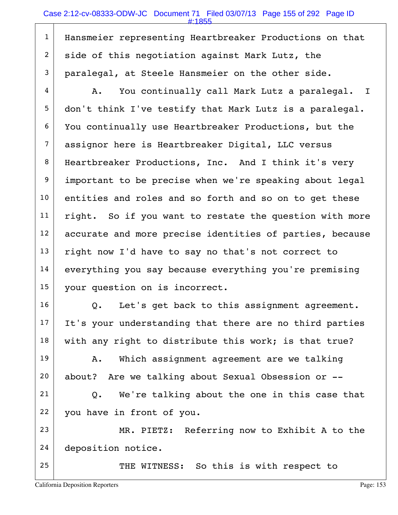1 | Hansmeier representing Heartbreaker Productions on that  $2$  side of this negotiation against Mark Lutz, the  $3$  paralegal, at Steele Hansmeier on the other side.

 4 A. You continually call Mark Lutz a paralegal. I 5 don't think I've testify that Mark Lutz is a paralegal. 6 You continually use Heartbreaker Productions, but the 7 assignor here is Heartbreaker Digital, LLC versus 8 | Heartbreaker Productions, Inc. And I think it's very 9 important to be precise when we're speaking about legal 10 entities and roles and so forth and so on to get these  $11$  right. So if you want to restate the question with more 12 accurate and more precise identities of parties, because  $13$  right now I'd have to say no that's not correct to 14 everything you say because everything you're premising 15 | your question on is incorrect.

 $16$  Q. Let's get back to this assignment agreement.  $17$  It's your understanding that there are no third parties  $18$  with any right to distribute this work; is that true?

19 | A. Which assignment agreement are we talking 20 about? Are we talking about Sexual Obsession or --

 $21$  Q. We're talking about the one in this case that 22 you have in front of you.

23 MR. PIETZ: Referring now to Exhibit A to the 24 deposition notice.

25 THE WITNESS: So this is with respect to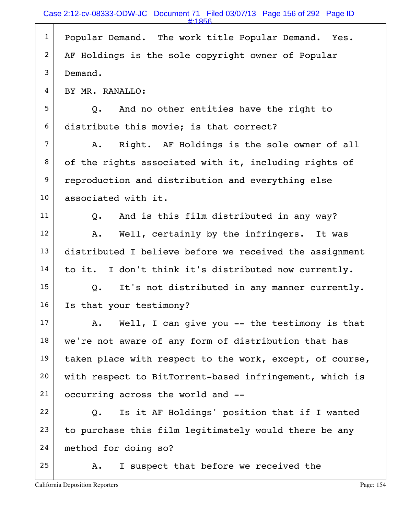|                | $\pm 1856$                                                |
|----------------|-----------------------------------------------------------|
| $\mathbf{1}$   | Popular Demand. The work title Popular Demand. Yes.       |
| $\overline{2}$ | AF Holdings is the sole copyright owner of Popular        |
| 3              | Demand.                                                   |
| 4              | BY MR. RANALLO:                                           |
| 5              | And no other entities have the right to<br>Q.             |
| 6              | distribute this movie; is that correct?                   |
| $\overline{7}$ | Right. AF Holdings is the sole owner of all<br>Α.         |
| 8              | of the rights associated with it, including rights of     |
| 9              | reproduction and distribution and everything else         |
| 10             | associated with it.                                       |
| 11             | And is this film distributed in any way?<br>$Q_{\bullet}$ |
| 12             | Well, certainly by the infringers. It was<br>Α.           |
| 13             | distributed I believe before we received the assignment   |
| 14             | I don't think it's distributed now currently.<br>to it.   |
| 15             | It's not distributed in any manner currently.<br>Q.       |
| 16             | Is that your testimony?                                   |
| 17             | Well, I can give you -- the testimony is that<br>A.       |
| 18             | we're not aware of any form of distribution that has      |
| 19             | taken place with respect to the work, except, of course,  |
| 20             | with respect to BitTorrent-based infringement, which is   |
| 21             | occurring across the world and --                         |
| 22             | Is it AF Holdings' position that if I wanted<br>Q.        |
| 23             | to purchase this film legitimately would there be any     |
| 24             | method for doing so?                                      |
| 25             | I suspect that before we received the<br>Α.               |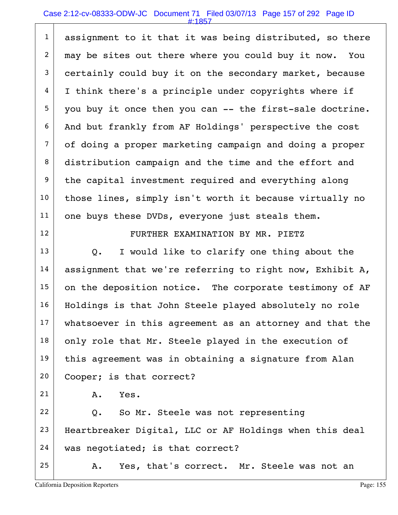## Case 2:12-cv-08333-ODW-JC Document 71 Filed 03/07/13 Page 157 of 292 Page ID

| $\mathbf{1}$   | assignment to it that it was being distributed, so there  |  |  |  |
|----------------|-----------------------------------------------------------|--|--|--|
| $\overline{2}$ | may be sites out there where you could buy it now.<br>You |  |  |  |
| $\mathfrak{Z}$ | certainly could buy it on the secondary market, because   |  |  |  |
| 4              | I think there's a principle under copyrights where if     |  |  |  |
| 5              | you buy it once then you can -- the first-sale doctrine.  |  |  |  |
| 6              |                                                           |  |  |  |
|                | And but frankly from AF Holdings' perspective the cost    |  |  |  |
| 7              | of doing a proper marketing campaign and doing a proper   |  |  |  |
| 8              | distribution campaign and the time and the effort and     |  |  |  |
| $\overline{9}$ | the capital investment required and everything along      |  |  |  |
| 10             | those lines, simply isn't worth it because virtually no   |  |  |  |
| 11             | one buys these DVDs, everyone just steals them.           |  |  |  |
| 12             | FURTHER EXAMINATION BY MR. PIETZ                          |  |  |  |
| 13             | I would like to clarify one thing about the<br>$Q$ .      |  |  |  |
| 14             | assignment that we're referring to right now, Exhibit A,  |  |  |  |
| 15             | on the deposition notice. The corporate testimony of AF   |  |  |  |
| 16             | Holdings is that John Steele played absolutely no role    |  |  |  |
| 17             | whatsoever in this agreement as an attorney and that the  |  |  |  |
| 18             | only role that Mr. Steele played in the execution of      |  |  |  |
| 19             | this agreement was in obtaining a signature from Alan     |  |  |  |
| 20             | Cooper; is that correct?                                  |  |  |  |
| 21             | Yes.<br>Α.                                                |  |  |  |
| 22             | So Mr. Steele was not representing<br>Q.                  |  |  |  |
| 23             | Heartbreaker Digital, LLC or AF Holdings when this deal   |  |  |  |
| 24             | was negotiated; is that correct?                          |  |  |  |
| 25             | Yes, that's correct. Mr. Steele was not an<br>Α.          |  |  |  |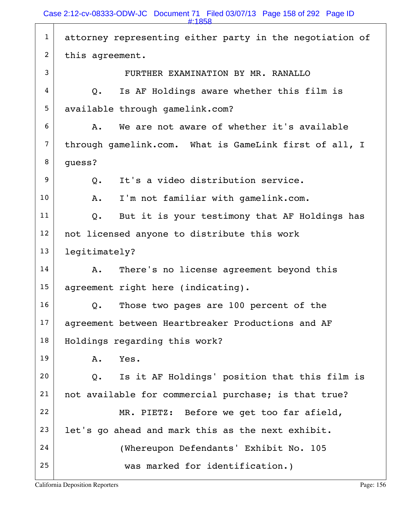1 attorney representing either party in the negotiation of 2 this agreement. 3 FURTHER EXAMINATION BY MR. RANALLO  $4$  |  $Q$ . Is AF Holdings aware whether this film is 5 available through gamelink.com?  $6$   $\sim$  A. We are not aware of whether it's available 7 through gamelink.com. What is GameLink first of all, I  $8 \mid$  quess?  $9$  O. It's a video distribution service. 10 | A. I'm not familiar with gamelink.com.  $11$  Q. But it is your testimony that AF Holdings has 12 | not licensed anyone to distribute this work 13 legitimately?  $14$  A. There's no license agreement beyond this 15 agreement right here (indicating). 16 Q. Those two pages are 100 percent of the 17 agreement between Heartbreaker Productions and AF 18 | Holdings regarding this work? 19 A. Yes.  $20$  Q. Is it AF Holdings' position that this film is 21 | not available for commercial purchase; is that true? 22 MR. PIETZ: Before we get too far afield,  $23$  let's go ahead and mark this as the next exhibit. 24 (Whereupon Defendants' Exhibit No. 105 25 | was marked for identification.) #:1858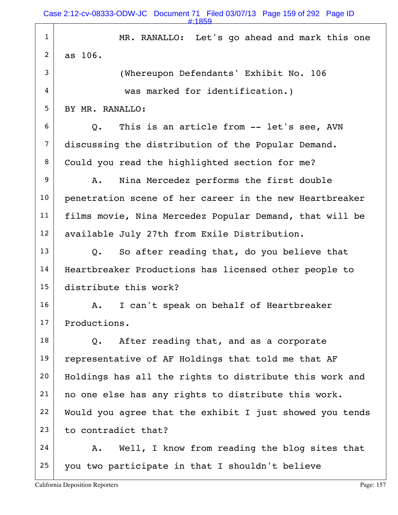| $\mathbf{1}$   | MR. RANALLO: Let's go ahead and mark this one            |  |  |  |
|----------------|----------------------------------------------------------|--|--|--|
| $\overline{2}$ | as 106.                                                  |  |  |  |
| 3              | (Whereupon Defendants' Exhibit No. 106                   |  |  |  |
| 4              | was marked for identification.)                          |  |  |  |
| 5              | BY MR. RANALLO:                                          |  |  |  |
| 6              | This is an article from -- let's see, AVN<br>Q.          |  |  |  |
| $\overline{7}$ | discussing the distribution of the Popular Demand.       |  |  |  |
| 8              | Could you read the highlighted section for me?           |  |  |  |
| 9              | Nina Mercedez performs the first double<br>Α.            |  |  |  |
| 10             | penetration scene of her career in the new Heartbreaker  |  |  |  |
| 11             | films movie, Nina Mercedez Popular Demand, that will be  |  |  |  |
| 12             | available July 27th from Exile Distribution.             |  |  |  |
| 13             | So after reading that, do you believe that<br>Q.         |  |  |  |
| 14             | Heartbreaker Productions has licensed other people to    |  |  |  |
| 15             | distribute this work?                                    |  |  |  |
| 16             | I can't speak on behalf of Heartbreaker<br>Α.            |  |  |  |
| 17             | Productions.                                             |  |  |  |
| 18             | After reading that, and as a corporate<br>Q.             |  |  |  |
| 19             | representative of AF Holdings that told me that AF       |  |  |  |
| 20             | Holdings has all the rights to distribute this work and  |  |  |  |
| 21             | no one else has any rights to distribute this work.      |  |  |  |
| 22             | Would you agree that the exhibit I just showed you tends |  |  |  |
| 23             | to contradict that?                                      |  |  |  |
| 24             | Well, I know from reading the blog sites that<br>Α.      |  |  |  |
| 25             | you two participate in that I shouldn't believe          |  |  |  |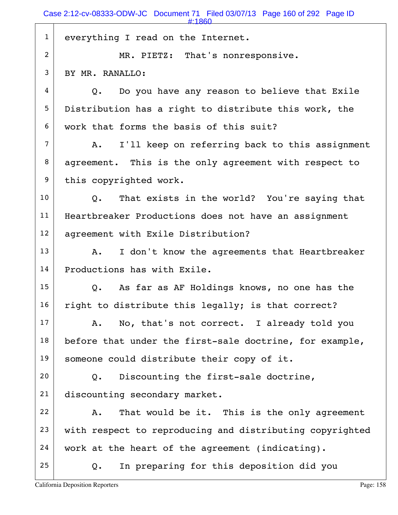1 everything I read on the Internet. 2 MR. PIETZ: That's nonresponsive. 3 | BY MR. RANALLO:  $4$  Q. Do you have any reason to believe that Exile 5 Distribution has a right to distribute this work, the 6 work that forms the basis of this suit?  $7$  A. I'll keep on referring back to this assignment 8 agreement. This is the only agreement with respect to 9 this copyrighted work.  $10$  Q. That exists in the world? You're saying that 11 | Heartbreaker Productions does not have an assignment 12 | agreement with Exile Distribution?  $13$  A. I don't know the agreements that Heartbreaker 14 Productions has with Exile.  $15$  Q. As far as AF Holdings knows, no one has the  $16$  right to distribute this legally; is that correct?  $17$  A. No, that's not correct. I already told you  $18$  before that under the first-sale doctrine, for example, 19 | someone could distribute their copy of it. 20  $\vert$  Q. Discounting the first-sale doctrine, 21 discounting secondary market. 22 A. That would be it. This is the only agreement  $23$  with respect to reproducing and distributing copyrighted 24 work at the heart of the agreement (indicating).  $25$  Q. In preparing for this deposition did you #:1860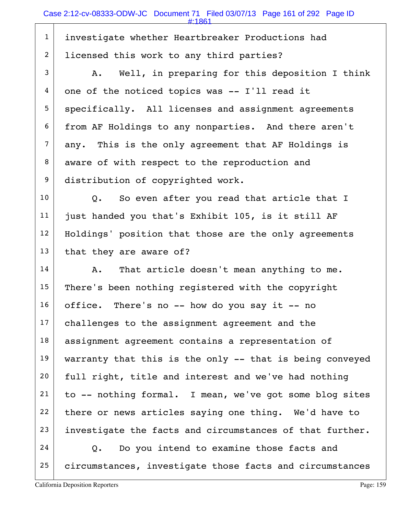1 investigate whether Heartbreaker Productions had 2 licensed this work to any third parties?

 $3$  A. Well, in preparing for this deposition I think  $4 \mid$  one of the noticed topics was -- I'll read it 5 | specifically. All licenses and assignment agreements 6 from AF Holdings to any nonparties. And there aren't  $7$  any. This is the only agreement that AF Holdings is 8 aware of with respect to the reproduction and 9 distribution of copyrighted work.

 Q. So even after you read that article that I just handed you that's Exhibit 105, is it still AF 12 | Holdings' position that those are the only agreements that they are aware of?

 A. That article doesn't mean anything to me. There's been nothing registered with the copyright office. There's no -- how do you say it -- no 17 challenges to the assignment agreement and the 18 | assignment agreement contains a representation of 19 warranty that this is the only  $-$  that is being conveyed full right, title and interest and we've had nothing to -- nothing formal. I mean, we've got some blog sites there or news articles saying one thing. We'd have to investigate the facts and circumstances of that further. Q. Do you intend to examine those facts and

25 circumstances, investigate those facts and circumstances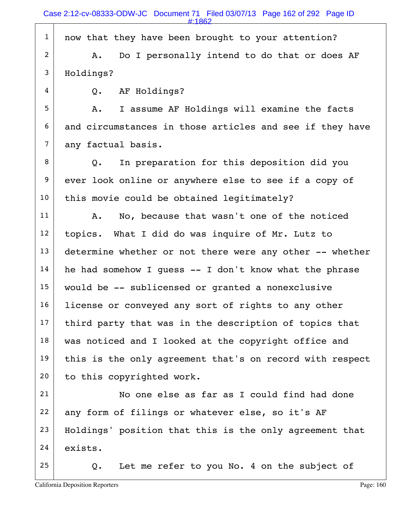1 | now that they have been brought to your attention?

2 A. Do I personally intend to do that or does AF 3 Holdings?

4 Q. AF Holdings?

5 A. I assume AF Holdings will examine the facts  $6$  and circumstances in those articles and see if they have  $7$  any factual basis.

 $8$  Q. In preparation for this deposition did you 9 ever look online or anywhere else to see if a copy of  $10$  this movie could be obtained legitimately?

11 | A. No, because that wasn't one of the noticed  $12$  topics. What I did do was inquire of Mr. Lutz to  $13$  determine whether or not there were any other  $-$ - whether  $14$  he had somehow I quess  $-$  I don't know what the phrase 15 would be -- sublicensed or granted a nonexclusive 16 | license or conveyed any sort of rights to any other  $17$  third party that was in the description of topics that  $18$  was noticed and I looked at the copyright office and 19 this is the only agreement that's on record with respect 20 to this copyrighted work.

21 No one else as far as I could find had done  $22$  any form of filings or whatever else, so it's AF 23 Holdings' position that this is the only agreement that 24 exists.

 $25$  Q. Let me refer to you No. 4 on the subject of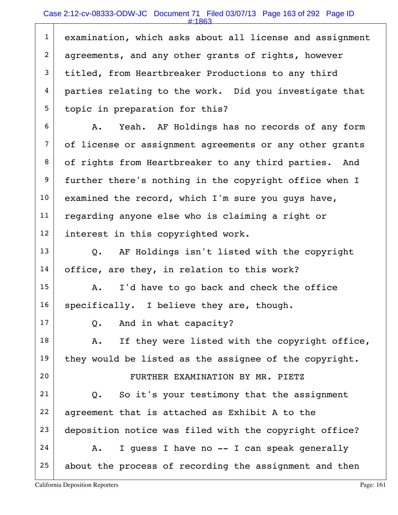1 examination, which asks about all license and assignment 2 agreements, and any other grants of rights, however 3 titled, from Heartbreaker Productions to any third 4 parties relating to the work. Did you investigate that 5 topic in preparation for this?

 $6$  A. Yeah. AF Holdings has no records of any form 7 of license or assignment agreements or any other grants 8 of rights from Heartbreaker to any third parties. And 9 further there's nothing in the copyright office when I  $10$  examined the record, which I'm sure you guys have,  $11$  regarding anyone else who is claiming a right or 12 interest in this copyrighted work.

 $13$  Q. AF Holdings isn't listed with the copyright  $14$  office, are they, in relation to this work?

 $15$  A. I'd have to go back and check the office  $16$  specifically. I believe they are, though.

 $17$  Q. And in what capacity?

 $18$  A. If they were listed with the copyright office, 19 they would be listed as the assignee of the copyright.

20 | FURTHER EXAMINATION BY MR. PIETZ

 Q. So it's your testimony that the assignment agreement that is attached as Exhibit A to the 23 deposition notice was filed with the copyright office? A. I guess I have no -- I can speak generally

 $25$  about the process of recording the assignment and then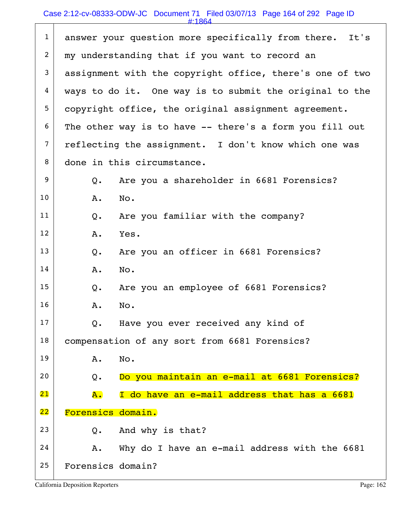## Case 2:12-cv-08333-ODW-JC Document 71 Filed 03/07/13 Page 164 of 292 Page ID

#:1864

|                |                   | #. LOD4                                                  |  |
|----------------|-------------------|----------------------------------------------------------|--|
| $\mathbf{1}$   |                   | answer your question more specifically from there. It's  |  |
| 2              |                   | my understanding that if you want to record an           |  |
| 3              |                   | assignment with the copyright office, there's one of two |  |
| 4              |                   | ways to do it. One way is to submit the original to the  |  |
| 5              |                   | copyright office, the original assignment agreement.     |  |
| 6              |                   | The other way is to have -- there's a form you fill out  |  |
| $\overline{7}$ |                   | reflecting the assignment. I don't know which one was    |  |
| 8              |                   | done in this circumstance.                               |  |
| 9              | $Q$ .             | Are you a shareholder in 6681 Forensics?                 |  |
| 10             | Α.                | No.                                                      |  |
| 11             | Q.                | Are you familiar with the company?                       |  |
| 12             | Α.                | Yes.                                                     |  |
| 13             | Q.                | Are you an officer in 6681 Forensics?                    |  |
| 14             | Α.                | No.                                                      |  |
| 15             | Q.                | Are you an employee of 6681 Forensics?                   |  |
| 16             | Α.                | No.                                                      |  |
| 17             | $Q$ .             | Have you ever received any kind of                       |  |
| 18             |                   | compensation of any sort from 6681 Forensics?            |  |
| 19             | Α.                | No.                                                      |  |
| 20             | Q.                | Do you maintain an e-mail at 6681 Forensics?             |  |
| 21             | A.                | I do have an e-mail address that has a 6681              |  |
| 22             | Forensics domain. |                                                          |  |
| 23             | Q.                | And why is that?                                         |  |
| 24             | Α.                | Why do I have an e-mail address with the 6681            |  |
| 25             | Forensics domain? |                                                          |  |
|                |                   |                                                          |  |

California Deposition Reporters **Page: 162**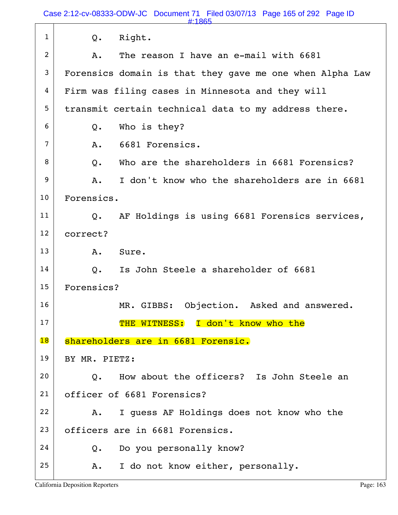Case 2:12-cv-08333-ODW-JC Document 71 Filed 03/07/13 Page 165 of 292 Page ID

|              | #:1865                                                         |
|--------------|----------------------------------------------------------------|
| $\mathbf{1}$ | Right.<br>$Q$ .                                                |
| 2            | The reason I have an e-mail with 6681<br>Α.                    |
| 3            | Forensics domain is that they gave me one when Alpha Law       |
| 4            | Firm was filing cases in Minnesota and they will               |
| 5            | transmit certain technical data to my address there.           |
| 6            | Who is they?<br>Q.                                             |
| 7            | 6681 Forensics.<br>A.                                          |
| 8            | Who are the shareholders in 6681 Forensics?<br>$Q$ .           |
| 9            | I don't know who the shareholders are in 6681<br>Α.            |
| 10           | Forensics.                                                     |
| 11           | AF Holdings is using 6681 Forensics services,<br>$Q_{\bullet}$ |
| 12           | correct?                                                       |
| 13           | Sure.<br>Α.                                                    |
| 14           | Is John Steele a shareholder of 6681<br>$Q_{\bullet}$          |
| 15           | Forensics?                                                     |
| 16           | Objection. Asked and answered.<br>MR. GIBBS:                   |
| 17           | THE WITNESS: I don't know who the                              |
| 18           | shareholders are in 6681 Forensic.                             |
| 19           | BY MR. PIETZ:                                                  |
| 20           | How about the officers? Is John Steele an<br>$\overline{O}$ .  |
| 21           | officer of 6681 Forensics?                                     |
| 22           | I quess AF Holdings does not know who the<br>Α.                |
| 23           | officers are in 6681 Forensics.                                |
| 24           | Do you personally know?<br>Q.                                  |
| 25           | I do not know either, personally.<br>Α.                        |
|              |                                                                |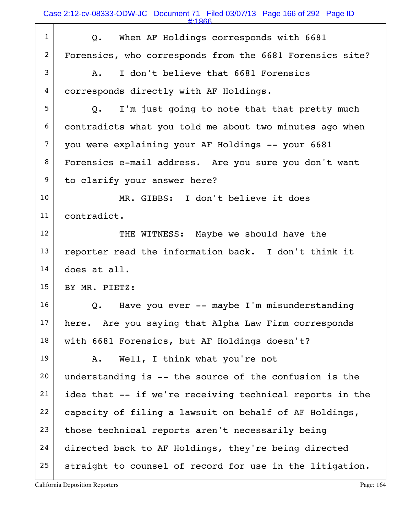Case 2:12-cv-08333-ODW-JC Document 71 Filed 03/07/13 Page 166 of 292 Page ID

#:1866

| $\mathbf{1}$    | When AF Holdings corresponds with 6681<br>Q.                  |
|-----------------|---------------------------------------------------------------|
| $\overline{c}$  | Forensics, who corresponds from the 6681 Forensics site?      |
| 3               | I don't believe that 6681 Forensics<br>A.                     |
| 4               | corresponds directly with AF Holdings.                        |
| 5               | I'm just going to note that that pretty much<br>$Q_{\bullet}$ |
| 6               | contradicts what you told me about two minutes ago when       |
| $\overline{7}$  | you were explaining your AF Holdings -- your 6681             |
| 8               | Forensics e-mail address. Are you sure you don't want         |
| 9               | to clarify your answer here?                                  |
| 10              | MR. GIBBS: I don't believe it does                            |
| 11              | contradict.                                                   |
| 12 <sup>2</sup> | THE WITNESS: Maybe we should have the                         |
| 13              | reporter read the information back. I don't think it          |
| 14              | does at all.                                                  |
| 15              | BY MR. PIETZ:                                                 |
| 16              | Have you ever -- maybe I'm misunderstanding<br>Q.             |
| 17              | here. Are you saying that Alpha Law Firm corresponds          |
| 18              | with 6681 Forensics, but AF Holdings doesn't?                 |
| 19              | Well, I think what you're not<br>Α.                           |
| 20              | understanding is -- the source of the confusion is the        |
| 21              | idea that -- if we're receiving technical reports in the      |
| 22              | capacity of filing a lawsuit on behalf of AF Holdings,        |
| 23              | those technical reports aren't necessarily being              |
| 24              | directed back to AF Holdings, they're being directed          |
| 25              | straight to counsel of record for use in the litigation.      |

California Deposition Reporters **Page: 164**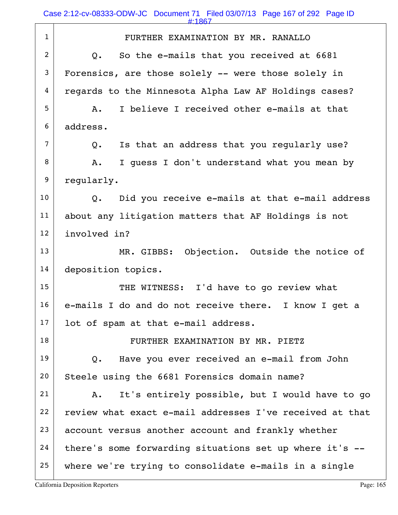#:1867

| $\mathbf{1}$   | FURTHER EXAMINATION BY MR. RANALLO                        |
|----------------|-----------------------------------------------------------|
| $\overline{c}$ | So the e-mails that you received at 6681<br>$Q_{\bullet}$ |
| 3              | Forensics, are those solely -- were those solely in       |
| $\overline{4}$ | regards to the Minnesota Alpha Law AF Holdings cases?     |
| 5              | I believe I received other e-mails at that<br>Α.          |
| 6              | address.                                                  |
| 7              | Is that an address that you regularly use?<br>Q.          |
| 8              | I quess I don't understand what you mean by<br>A.         |
| 9              | regularly.                                                |
| 10             | Did you receive e-mails at that e-mail address<br>Q.      |
| 11             | about any litigation matters that AF Holdings is not      |
| 12             | involved in?                                              |
| 13             | MR. GIBBS: Objection. Outside the notice of               |
| 14             | deposition topics.                                        |
| 15             | THE WITNESS: I'd have to go review what                   |
| 16             | e-mails I do and do not receive there. I know I get a     |
| 17             | lot of spam at that e-mail address.                       |
| 18             | FURTHER EXAMINATION BY MR. PIETZ                          |
| 19             | Have you ever received an e-mail from John<br>Q.          |
| 20             | Steele using the 6681 Forensics domain name?              |
| 21             | It's entirely possible, but I would have to go<br>Α.      |
| 22             | review what exact e-mail addresses I've received at that  |
| 23             | account versus another account and frankly whether        |
| 24             | there's some forwarding situations set up where it's --   |
| 25             | where we're trying to consolidate e-mails in a single     |
|                |                                                           |

California Deposition Reporters **Page: 165** Page: 165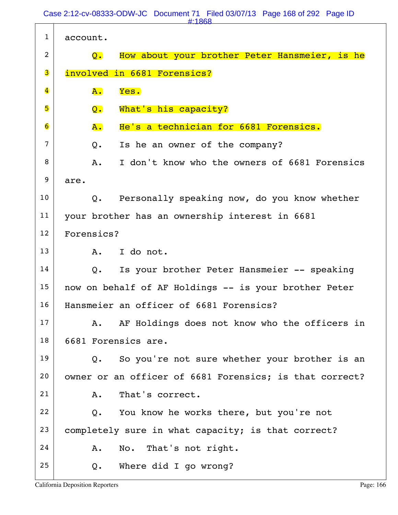Case 2:12-cv-08333-ODW-JC Document 71 Filed 03/07/13 Page 168 of 292 Page ID #:1868

| $\mathbf{1}$            | account.            |                                                         |
|-------------------------|---------------------|---------------------------------------------------------|
| 2                       | $\mathbf{Q}$ .      | How about your brother Peter Hansmeier, is he           |
| 3                       |                     | involved in 6681 Forensics?                             |
| $\overline{\mathbf{4}}$ | A.                  | Yes.                                                    |
| 5                       | Q.                  | What's his capacity?                                    |
| 6                       | ${\tt A.}$          | He's a technician for 6681 Forensics.                   |
| 7                       | Q.                  | Is he an owner of the company?                          |
| 8                       | $A$ .               | I don't know who the owners of 6681 Forensics           |
| 9                       | are.                |                                                         |
| 10                      | Q.                  | Personally speaking now, do you know whether            |
| 11                      |                     | your brother has an ownership interest in 6681          |
| 12                      | Forensics?          |                                                         |
| 13                      |                     | A. I do not.                                            |
| 14                      | Q.                  | Is your brother Peter Hansmeier -- speaking             |
| 15                      |                     | now on behalf of AF Holdings -- is your brother Peter   |
| 16                      |                     | Hansmeier an officer of 6681 Forensics?                 |
| 17                      | Α.                  | AF Holdings does not know who the officers in           |
| 18                      | 6681 Forensics are. |                                                         |
| 19                      | $Q_{\bullet}$       | So you're not sure whether your brother is an           |
| 20                      |                     | owner or an officer of 6681 Forensics; is that correct? |
| 21                      | Α.                  | That's correct.                                         |
| 22                      | $Q$ .               | You know he works there, but you're not                 |
| 23                      |                     | completely sure in what capacity; is that correct?      |
| 24                      | Α.                  | No. That's not right.                                   |
| 25                      | Q.                  | Where did I go wrong?                                   |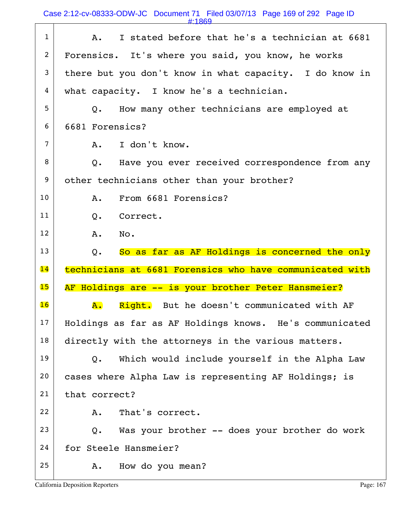Case 2:12-cv-08333-ODW-JC Document 71 Filed 03/07/13 Page 169 of 292 Page ID

#:1869

| $\mathbf{1}$   | I stated before that he's a technician at 6681<br>A.     |
|----------------|----------------------------------------------------------|
| $\overline{c}$ | Forensics. It's where you said, you know, he works       |
| 3              | there but you don't know in what capacity. I do know in  |
| 4              | what capacity. I know he's a technician.                 |
| 5              | How many other technicians are employed at<br>0.         |
| 6              | 6681 Forensics?                                          |
| 7              | I don't know.<br>A.                                      |
| 8              | Have you ever received correspondence from any<br>Q.     |
| 9              | other technicians other than your brother?               |
| 10             | From 6681 Forensics?<br>A.                               |
| 11             | Correct.<br>$Q_{\bullet}$                                |
| 12             | A.<br>No.                                                |
|                |                                                          |
| 13             | So as far as AF Holdings is concerned the only<br>Q.     |
| 14             | technicians at 6681 Forensics who have communicated with |
| 15             | AF Holdings are -- is your brother Peter Hansmeier?      |
| 16             | Right. But he doesn't communicated with AF<br><b>A.</b>  |
| 17             | Holdings as far as AF Holdings knows. He's communicated  |
| 18             | directly with the attorneys in the various matters.      |
| 19             | Which would include yourself in the Alpha Law<br>Q.      |
| 20             | cases where Alpha Law is representing AF Holdings; is    |
| 21             | that correct?                                            |
| 22             | That's correct.<br>Α.                                    |
| 23             | Was your brother -- does your brother do work<br>Q.      |
| 24             | for Steele Hansmeier?                                    |

Т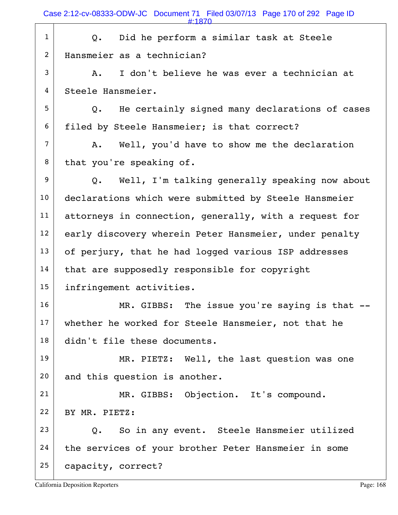Case 2:12-cv-08333-ODW-JC Document 71 Filed 03/07/13 Page 170 of 292 Page ID

|                | #:1870                                                      |
|----------------|-------------------------------------------------------------|
| $\mathbf{1}$   | Q. Did he perform a similar task at Steele                  |
| $\overline{2}$ | Hansmeier as a technician?                                  |
| 3              | I don't believe he was ever a technician at<br>Α.           |
| 4              | Steele Hansmeier.                                           |
| 5              | Q. He certainly signed many declarations of cases           |
| 6              | filed by Steele Hansmeier; is that correct?                 |
| $\overline{7}$ | A. Well, you'd have to show me the declaration              |
| 8              | that you're speaking of.                                    |
| 9              | Q. Well, I'm talking generally speaking now about           |
| 10             | declarations which were submitted by Steele Hansmeier       |
| 11             | attorneys in connection, generally, with a request for      |
| 12             | early discovery wherein Peter Hansmeier, under penalty      |
| 13             | of perjury, that he had logged various ISP addresses        |
| 14             | that are supposedly responsible for copyright               |
| 15             | infringement activities.                                    |
| 16             | MR. GIBBS: The issue you're saying is that --               |
| 17             | whether he worked for Steele Hansmeier, not that he         |
| 18             | didn't file these documents.                                |
| 19             | MR. PIETZ: Well, the last question was one                  |
| 20             | and this question is another.                               |
| 21             | MR. GIBBS: Objection. It's compound.                        |
| 22             | BY MR. PIETZ:                                               |
| 23             | So in any event. Steele Hansmeier utilized<br>$Q_{\bullet}$ |
| 24             | the services of your brother Peter Hansmeier in some        |
| 25             | capacity, correct?                                          |
|                |                                                             |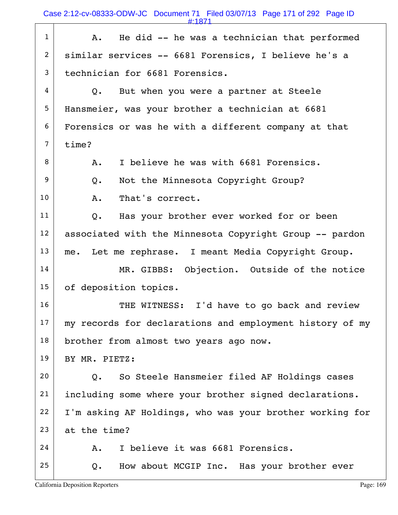$1$  A. He did -- he was a technician that performed 2 similar services -- 6681 Forensics, I believe he's a 3 technician for 6681 Forensics.  $4 \mid Q$ . But when you were a partner at Steele 5 Hansmeier, was your brother a technician at 6681 6 Forensics or was he with a different company at that  $7 \mid$  time?  $8$  A. I believe he was with 6681 Forensics. 9 Q. Not the Minnesota Copyright Group? 10 A. That's correct. 11 | Q. Has your brother ever worked for or been 12 | associated with the Minnesota Copyright Group -- pardon  $13$  me. Let me rephrase. I meant Media Copyright Group. 14 MR. GIBBS: Objection. Outside of the notice 15 of deposition topics. 16 THE WITNESS: I'd have to go back and review 17 my records for declarations and employment history of my 18 brother from almost two years ago now. 19 BY MR. PIETZ:  $20$  Q. So Steele Hansmeier filed AF Holdings cases 21 including some where your brother signed declarations.  $22$  I'm asking AF Holdings, who was your brother working for  $23$  at the time?  $24$  A. I believe it was 6681 Forensics.  $25$  Q. How about MCGIP Inc. Has your brother ever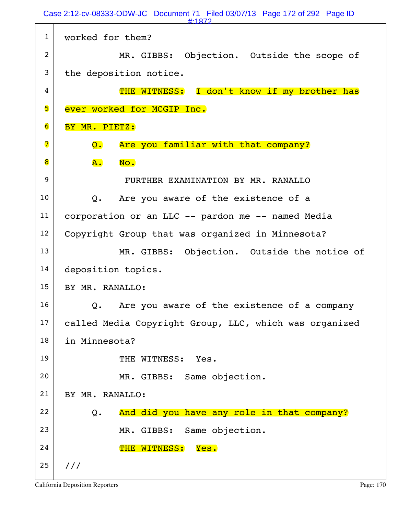Case 2:12-cv-08333-ODW-JC Document 71 Filed 03/07/13 Page 172 of 292 Page ID #:1872

| $\mathbf{1}$            | worked for them?                                                 |
|-------------------------|------------------------------------------------------------------|
| $\overline{2}$          | MR. GIBBS: Objection. Outside the scope of                       |
| 3                       | the deposition notice.                                           |
| 4                       | THE WITNESS: I don't know if my brother has                      |
| 5                       | ever worked for MCGIP Inc.                                       |
| 6                       | BY MR. PIETZ:                                                    |
| $\overline{\mathbf{7}}$ | Are you familiar with that company?<br>$\overline{\mathsf{Q}}$ . |
| 8                       | ${\bf A}$ .<br>No.                                               |
| 9                       | FURTHER EXAMINATION BY MR. RANALLO                               |
| 10                      | Are you aware of the existence of a<br>$Q$ .                     |
| 11                      | corporation or an LLC -- pardon me -- named Media                |
| 12                      | Copyright Group that was organized in Minnesota?                 |
| 13                      | MR. GIBBS: Objection. Outside the notice of                      |
| 14                      | deposition topics.                                               |
| 15                      | BY MR. RANALLO:                                                  |
| 16                      | Are you aware of the existence of a company<br>Q.                |
| 17                      | called Media Copyright Group, LLC, which was organized           |
| 18                      | in Minnesota?                                                    |
| 19                      | THE WITNESS:<br>Yes.                                             |
| 20                      | MR. GIBBS: Same objection.                                       |
| 21                      | BY MR. RANALLO:                                                  |
| 22                      | And did you have any role in that company?<br>Q.                 |
| 23                      | MR. GIBBS: Same objection.                                       |
| 24                      | THE WITNESS:<br>Yes.                                             |
| 25                      | 111                                                              |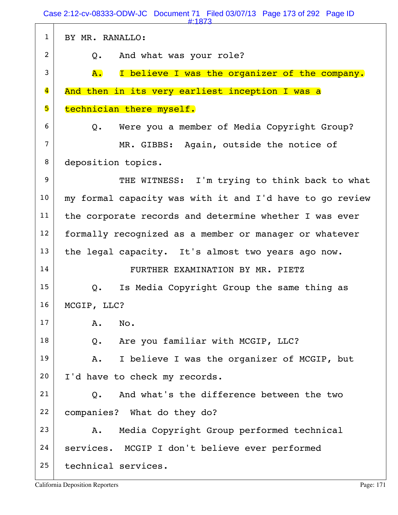1 BY MR. RANALLO: 2 Q. And what was your role?  $3$   $\overline{A}$ . I believe I was the organizer of the company. 4 And then in its very earliest inception I was a 5 technician there myself.  $6$  Q. Were you a member of Media Copyright Group? 7 MR. GIBBS: Again, outside the notice of 8 deposition topics. 9 THE WITNESS: I'm trying to think back to what 10 my formal capacity was with it and I'd have to go review 11 | the corporate records and determine whether I was ever 12 | formally recognized as a member or manager or whatever  $13$  the legal capacity. It's almost two years ago now. 14 | FURTHER EXAMINATION BY MR. PIETZ  $15$  Q. Is Media Copyright Group the same thing as 16 | MCGIP, LLC?  $17$   $A.$  No. 18 Q. Are you familiar with MCGIP, LLC?  $19$  A. I believe I was the organizer of MCGIP, but 20 | I'd have to check my records.  $21$  O. And what's the difference between the two 22 companies? What do they do?  $23$  | A. Media Copyright Group performed technical 24 | services. MCGIP I don't believe ever performed 25 technical services. Case 2:12-cv-08333-ODW-JC Document 71 Filed 03/07/13 Page 173 of 292 Page ID #:1873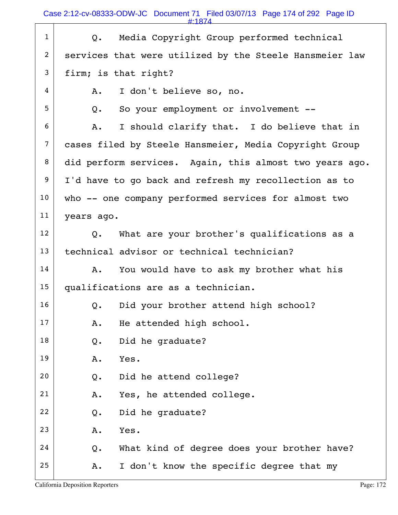Case 2:12-cv-08333-ODW-JC Document 71 Filed 03/07/13 Page 174 of 292 Page ID

| $\mathbf{1}$   | Media Copyright Group performed technical<br>Q.         |
|----------------|---------------------------------------------------------|
| $\overline{2}$ | services that were utilized by the Steele Hansmeier law |
| 3              | firm; is that right?                                    |
| 4              | I don't believe so, no.<br>Α.                           |
| 5              | So your employment or involvement --<br>Q.              |
| 6              | I should clarify that. I do believe that in<br>Α.       |
| $\overline{7}$ | cases filed by Steele Hansmeier, Media Copyright Group  |
| 8              | did perform services. Again, this almost two years ago. |
| 9              | I'd have to go back and refresh my recollection as to   |
| 10             | who -- one company performed services for almost two    |
| 11             | years ago.                                              |
| 12             | What are your brother's qualifications as a<br>Q.       |
| 13             | technical advisor or technical technician?              |
| 14             | You would have to ask my brother what his<br>A.         |
| 15             | qualifications are as a technician.                     |
| 16             | Did your brother attend high school?<br>Q.              |
| 17             | He attended high school.<br>Α.                          |
| 18             | Did he graduate?<br>Q.                                  |
| 19             | Yes.<br>Α.                                              |
| 20             | Did he attend college?<br>Q.                            |
| 21             | Yes, he attended college.<br>Α.                         |
| 22             | Did he graduate?<br>Q.                                  |
| 23             | Yes.<br>Α.                                              |
| 24             | What kind of degree does your brother have?<br>Q.       |
| 25             | I don't know the specific degree that my<br>Α.          |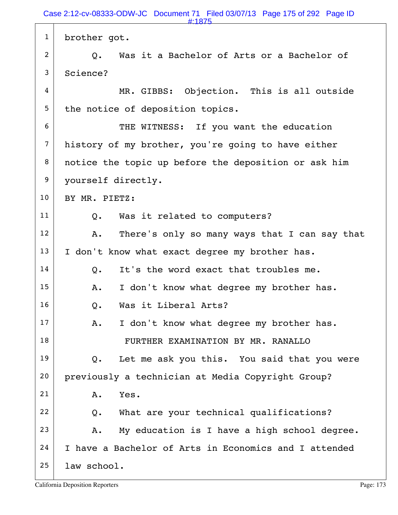1 brother got.  $2$  |  $\,$  0. Was it a Bachelor of Arts or a Bachelor of 3 Science?  $4$  MR. GIBBS: Objection. This is all outside  $5$  the notice of deposition topics. 6 THE WITNESS: If you want the education 7 history of my brother, you're going to have either 8 notice the topic up before the deposition or ask him 9 | yourself directly. 10 | BY MR. PIETZ: 11 | Q. Was it related to computers?  $12$  A. There's only so many ways that I can say that  $13$  I don't know what exact degree my brother has.  $14$  O. It's the word exact that troubles me. 15 | A. I don't know what degree my brother has. 16 O. Was it Liberal Arts?  $17$  A. I don't know what degree my brother has. 18 | FURTHER EXAMINATION BY MR. RANALLO  $19$  Q. Let me ask you this. You said that you were 20 previously a technician at Media Copyright Group? 21 A. Yes.  $22$  Q. What are your technical qualifications?  $23$   $\vert$  A. My education is I have a high school degree.  $24$  I have a Bachelor of Arts in Economics and I attended  $25$  law school. #:1875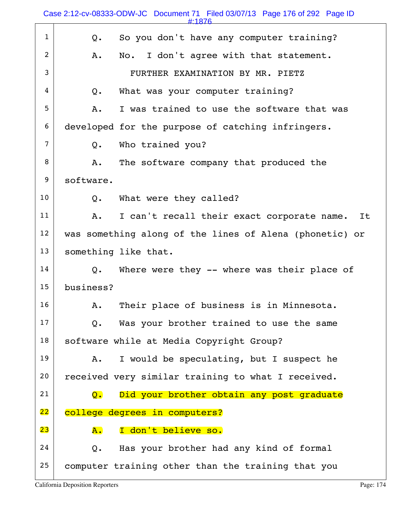|                | Case 2:12-cv-08333-ODW-JC Document 71 Filed 03/07/13 Page 176 of 292 Page ID<br>#:1876 |
|----------------|----------------------------------------------------------------------------------------|
| $\mathbf{1}$   | So you don't have any computer training?<br>Q.                                         |
| 2              | No. I don't agree with that statement.<br>Α.                                           |
| 3              | FURTHER EXAMINATION BY MR. PIETZ                                                       |
| 4              | What was your computer training?<br>Q.                                                 |
| 5              | I was trained to use the software that was<br>Α.                                       |
| 6              | developed for the purpose of catching infringers.                                      |
| $\overline{7}$ | Who trained you?<br>Q.                                                                 |
| 8              | The software company that produced the<br>Α.                                           |
| 9              | software.                                                                              |
| 10             | What were they called?<br>Q.                                                           |
| 11             | I can't recall their exact corporate name.<br>Α.<br>It                                 |
| 12             | was something along of the lines of Alena (phonetic) or                                |
| 13             | something like that.                                                                   |
| 14             | Where were they -- where was their place of<br>Q.                                      |
| 15             | business?                                                                              |
| 16             | Their place of business is in Minnesota.<br>Α.                                         |
| 17             | Was your brother trained to use the same<br>Q.                                         |
| 18             | software while at Media Copyright Group?                                               |
| 19             |                                                                                        |
|                | I would be speculating, but I suspect he<br>Α.                                         |
| 20             | received very similar training to what I received.                                     |
| 21             | Did your brother obtain any post graduate<br>$\overline{Q}$ .                          |
| 22             | college degrees in computers?                                                          |
| 23             | I don't believe so.<br>${\tt A.}$                                                      |
| 24             | Has your brother had any kind of formal<br>Q.                                          |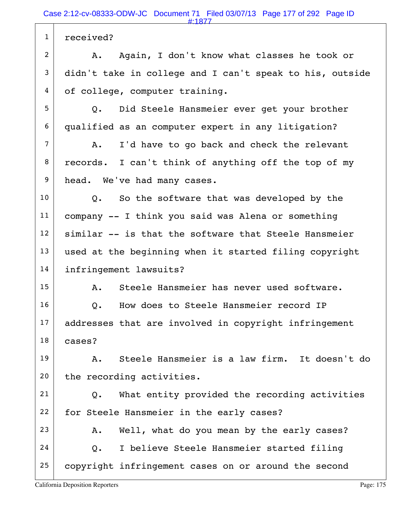1 received? 2 | A. Again, I don't know what classes he took or 3 didn't take in college and I can't speak to his, outside 4 of college, computer training. 5 Q. Did Steele Hansmeier ever get your brother 6 qualified as an computer expert in any litigation?  $7$  A. I'd have to go back and check the relevant 8 records. I can't think of anything off the top of my 9 head. We've had many cases.  $10$  Q. So the software that was developed by the  $11$  company  $-$  I think you said was Alena or something  $12$  similar  $-$  is that the software that Steele Hansmeier  $13$  used at the beginning when it started filing copyright 14 infringement lawsuits?  $15$   $\overline{A}$ . Steele Hansmeier has never used software. 16 O. How does to Steele Hansmeier record IP  $17$  addresses that are involved in copyright infringement 18 cases? 19 | A. Steele Hansmeier is a law firm. It doesn't do  $20$  the recording activities.  $21$  Q. What entity provided the recording activities 22 for Steele Hansmeier in the early cases?  $23$  A. Well, what do you mean by the early cases?  $24$  Q. I believe Steele Hansmeier started filing 25 copyright infringement cases on or around the second #:1877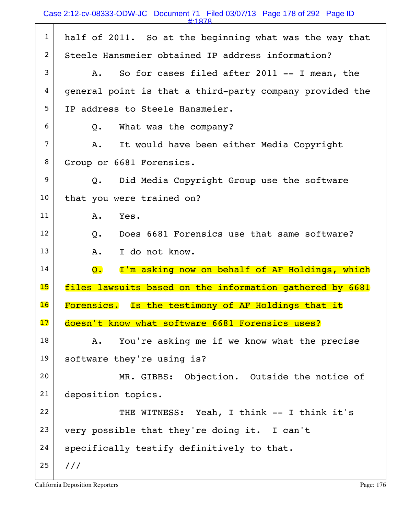1 half of 2011. So at the beginning what was the way that 2 Steele Hansmeier obtained IP address information?  $3$  A. So for cases filed after 2011 -- I mean, the  $4 \mid$  general point is that a third-party company provided the 5 IP address to Steele Hansmeier.  $6$  Q. What was the company?  $7$  A. It would have been either Media Copyright 8 Group or 6681 Forensics. 9 Q. Did Media Copyright Group use the software 10 that you were trained on? 11 A. Yes.  $12$  O. Does 6681 Forensics use that same software? 13 A. I do not know.  $14$  Q. I'm asking now on behalf of AF Holdings, which 15 files lawsuits based on the information gathered by 6681 16 Forensics. Is the testimony of AF Holdings that it 17 doesn't know what software 6681 Forensics uses?  $18$  A. You're asking me if we know what the precise 19 software they're using is? 20 MR. GIBBS: Objection. Outside the notice of 21 deposition topics. 22 THE WITNESS: Yeah, I think -- I think it's 23 very possible that they're doing it. I can't  $24$  specifically testify definitively to that.  $25$  /// #:1878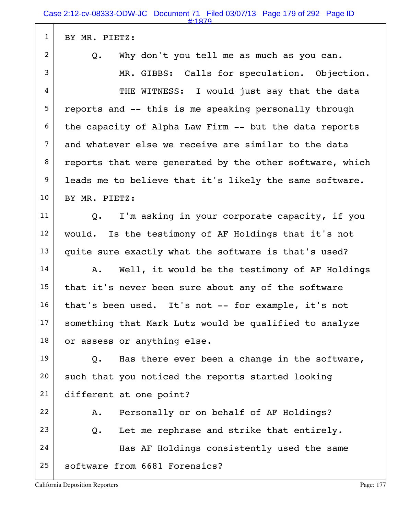| BY MR. PIETZ:                                                  |
|----------------------------------------------------------------|
| Why don't you tell me as much as you can.<br>Q.                |
| MR. GIBBS: Calls for speculation. Objection.                   |
| THE WITNESS: I would just say that the data                    |
| reports and -- this is me speaking personally through          |
| the capacity of Alpha Law Firm -- but the data reports         |
| and whatever else we receive are similar to the data           |
| reports that were generated by the other software, which       |
| leads me to believe that it's likely the same software.        |
| BY MR. PIETZ:                                                  |
| I'm asking in your corporate capacity, if you<br>$Q_{\bullet}$ |
| would. Is the testimony of AF Holdings that it's not           |
| quite sure exactly what the software is that's used?           |
| Well, it would be the testimony of AF Holdings<br>Α.           |
| that it's never been sure about any of the software            |
| that's been used. It's not -- for example, it's not            |
| something that Mark Lutz would be qualified to analyze         |
| or assess or anything else.                                    |
| Has there ever been a change in the software,<br>$Q_{\bullet}$ |
| such that you noticed the reports started looking              |
| different at one point?                                        |
| Personally or on behalf of AF Holdings?<br>Α.                  |
| Let me rephrase and strike that entirely.<br>Q.                |
| Has AF Holdings consistently used the same                     |
| software from 6681 Forensics?                                  |
|                                                                |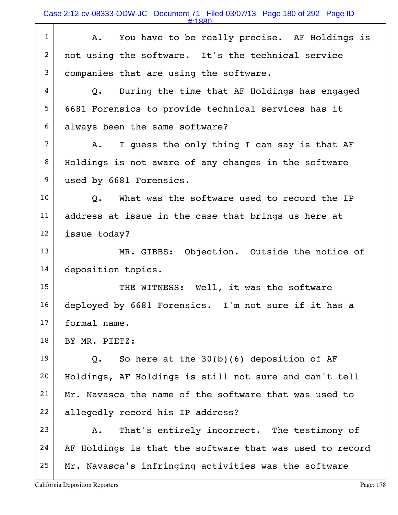Case 2:12-cv-08333-ODW-JC Document 71 Filed 03/07/13 Page 180 of 292 Page ID

 $1$  A. You have to be really precise. AF Holdings is 2 not using the software. It's the technical service 3 companies that are using the software.  $4$   $\sqrt{Q}$ . During the time that AF Holdings has engaged 5 6681 Forensics to provide technical services has it 6 always been the same software?  $7$  A. I quess the only thing I can say is that AF 8 Holdings is not aware of any changes in the software 9 used by 6681 Forensics.  $10$   $\vert$  0. What was the software used to record the IP  $11$  address at issue in the case that brings us here at 12 issue today? 13 MR. GIBBS: Objection. Outside the notice of 14 deposition topics. 15 THE WITNESS: Well, it was the software 16 deployed by 6681 Forensics. I'm not sure if it has a 17 formal name. 18 | BY MR. PIETZ: 19  $\vert$  Q. So here at the 30(b)(6) deposition of AF 20 Holdings, AF Holdings is still not sure and can't tell  $21$  Mr. Navasca the name of the software that was used to 22 allegedly record his IP address? 23 A. That's entirely incorrect. The testimony of  $24$  AF Holdings is that the software that was used to record #:1880

 $25$  Mr. Navasca's infringing activities was the software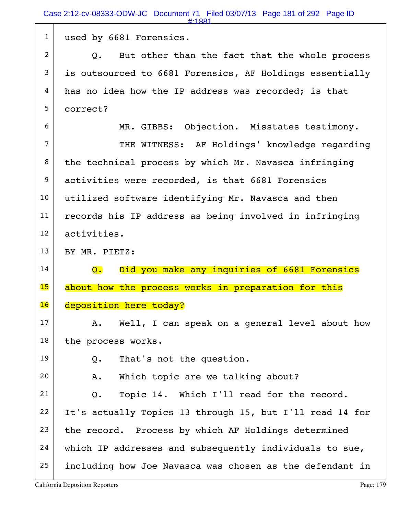Case 2:12-cv-08333-ODW-JC Document 71 Filed 03/07/13 Page 181 of 292 Page ID #:1881

1 used by 6681 Forensics.  $2$  Q. But other than the fact that the whole process  $3$  is outsourced to 6681 Forensics, AF Holdings essentially  $4 \mid$  has no idea how the IP address was recorded; is that 5 correct? 6 MR. GIBBS: Objection. Misstates testimony. 7 THE WITNESS: AF Holdings' knowledge regarding  $8$  the technical process by which Mr. Navasca infringing 9 activities were recorded, is that 6681 Forensics 10 | utilized software identifying Mr. Navasca and then 11 | records his IP address as being involved in infringing 12 activities. 13 BY MR. PIETZ: 14 **Q.** Did you make any inquiries of 6681 Forensics 15 about how the process works in preparation for this 16 deposition here today?  $17$  A. Well, I can speak on a general level about how  $18$  the process works.  $19$  Q. That's not the question.  $20$  A. Which topic are we talking about?  $21$  Q. Topic 14. Which I'll read for the record.  $22$  It's actually Topics 13 through 15, but I'll read 14 for  $23$  the record. Process by which AF Holdings determined  $24$  which IP addresses and subsequently individuals to sue,  $25$  including how Joe Navasca was chosen as the defendant in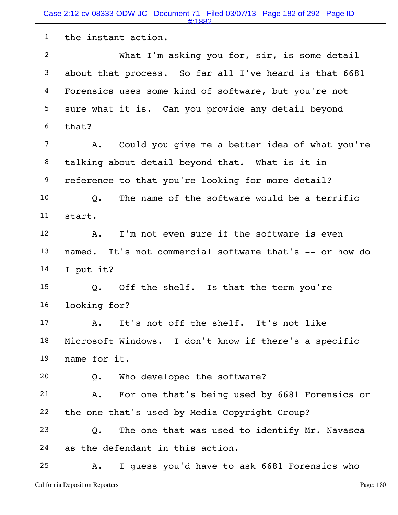1 | the instant action. 2 What I'm asking you for, sir, is some detail  $3$  about that process. So far all I've heard is that 6681 4 Forensics uses some kind of software, but you're not  $5$  sure what it is. Can you provide any detail beyond  $6$  that?  $7$  A. Could you give me a better idea of what you're 8 talking about detail beyond that. What is it in 9 reference to that you're looking for more detail?  $10$   $\vert$  0. The name of the software would be a terrific 11 start.  $12$  A. I'm not even sure if the software is even 13 | named. It's not commercial software that's -- or how do  $14$  I put it?  $15$  Q. Off the shelf. Is that the term you're 16 **looking for?**  17 A. It's not off the shelf. It's not like 18 Microsoft Windows. I don't know if there's a specific 19 name for it.  $20$  Q. Who developed the software? 21 | A. For one that's being used by 6681 Forensics or  $22$  the one that's used by Media Copyright Group?  $23$  Q. The one that was used to identify Mr. Navasca  $24$  as the defendant in this action.  $25$  A. I guess you'd have to ask 6681 Forensics who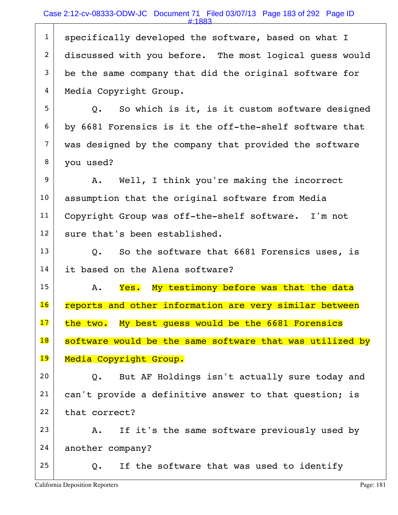## Case 2:12-cv-08333-ODW-JC Document 71 Filed 03/07/13 Page 183 of 292 Page ID

#:1883

1 specifically developed the software, based on what I 2 discussed with you before. The most logical quess would  $3$  be the same company that did the original software for 4 Media Copyright Group.  $5$  Q. So which is it, is it custom software designed 6 by 6681 Forensics is it the off-the-shelf software that 7 was designed by the company that provided the software 8 vou used? 9 A. Well, I think you're making the incorrect 10 | assumption that the original software from Media 11 | Copyright Group was off-the-shelf software. I'm not  $12$  sure that's been established.  $13$  Q. So the software that 6681 Forensics uses, is 14 it based on the Alena software?  $15$  A. Yes. My testimony before was that the data 16 reports and other information are very similar between 17 the two. My best quess would be the 6681 Forensics 18 software would be the same software that was utilized by 19 Media Copyright Group.  $20$  Q. But AF Holdings isn't actually sure today and 21 | can't provide a definitive answer to that question; is  $22$  that correct?  $23$   $\vert$  A. If it's the same software previously used by 24 another company? 25  $\vert$  Q. If the software that was used to identify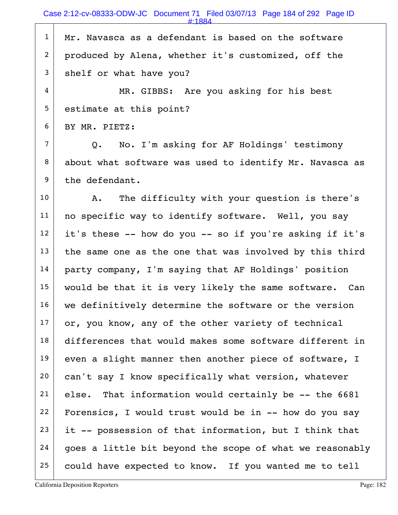$1$  Mr. Navasca as a defendant is based on the software 2 produced by Alena, whether it's customized, off the 3 shelf or what have you?

4 MR. GIBBS: Are you asking for his best 5 estimate at this point?

6 BY MR. PIETZ:

 $7$  Q. No. I'm asking for AF Holdings' testimony  $8$  about what software was used to identify Mr. Navasca as 9 the defendant.

10 | A. The difficulty with your question is there's 11 | no specific way to identify software. Well, you say  $12$  it's these -- how do you -- so if you're asking if it's  $13$  the same one as the one that was involved by this third 14 party company, I'm saying that AF Holdings' position 15 would be that it is very likely the same software. Can 16 we definitively determine the software or the version  $17$  or, you know, any of the other variety of technical 18 differences that would makes some software different in  $19$  even a slight manner then another piece of software, I 20 can't say I know specifically what version, whatever  $21$  else. That information would certainly be  $-$ - the 6681 22 Forensics, I would trust would be in  $-$ - how do you say  $23$  it -- possession of that information, but I think that  $24$  goes a little bit beyond the scope of what we reasonably 25 could have expected to know. If you wanted me to tell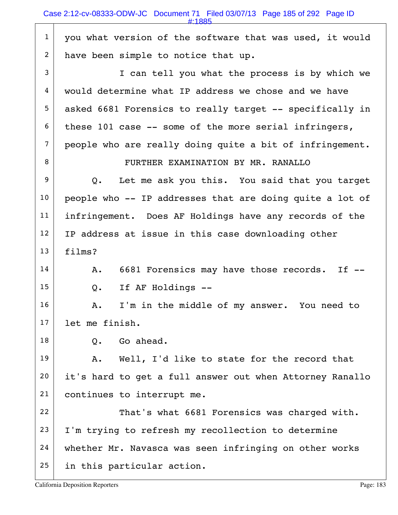1 you what version of the software that was used, it would 2 have been simple to notice that up. 3 I can tell you what the process is by which we 4 would determine what IP address we chose and we have 5 asked 6681 Forensics to really target -- specifically in  $6$  these 101 case -- some of the more serial infringers,  $7$  people who are really doing quite a bit of infringement. 8 | FURTHER EXAMINATION BY MR. RANALLO  $9$  Q. Let me ask you this. You said that you target  $10$  people who -- IP addresses that are doing quite a lot of 11 | infringement. Does AF Holdings have any records of the  $12$  IP address at issue in this case downloading other 13 films?  $14$  A. 6681 Forensics may have those records. If  $15$  Q. If AF Holdings -- $16$  A. I'm in the middle of my answer. You need to 17 let me finish.  $18$  O. Go ahead.  $19$  A. Well, I'd like to state for the record that 20 it's hard to get a full answer out when Attorney Ranallo 21 continues to interrupt me. 22 That's what 6681 Forensics was charged with.  $23$  I'm trying to refresh my recollection to determine 24 | whether Mr. Navasca was seen infringing on other works 25 in this particular action. #:1885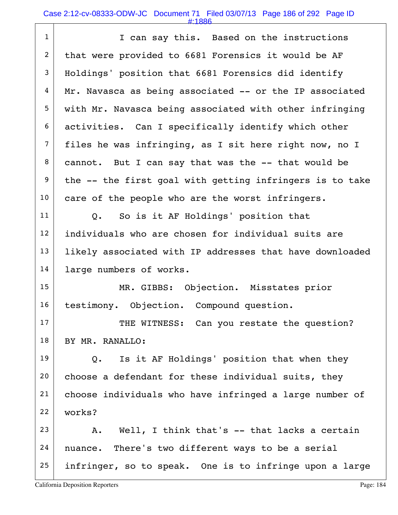## Case 2:12-cv-08333-ODW-JC Document 71 Filed 03/07/13 Page 186 of 292 Page ID

#:1886

| $\mathbf{1}$   | I can say this. Based on the instructions                   |
|----------------|-------------------------------------------------------------|
| $\overline{2}$ | that were provided to 6681 Forensics it would be AF         |
| 3              | Holdings' position that 6681 Forensics did identify         |
| 4              | Mr. Navasca as being associated -- or the IP associated     |
| 5              | with Mr. Navasca being associated with other infringing     |
| 6              | activities. Can I specifically identify which other         |
| $\overline{7}$ | files he was infringing, as I sit here right now, no I      |
| 8              | cannot. But I can say that was the -- that would be         |
| 9              | the -- the first goal with getting infringers is to take    |
| 10             | care of the people who are the worst infringers.            |
| 11             | So is it AF Holdings' position that<br>$Q_{\bullet}$        |
| 12             | individuals who are chosen for individual suits are         |
| 13             | likely associated with IP addresses that have downloaded    |
| 14             | large numbers of works.                                     |
| 15             | MR. GIBBS: Objection. Misstates prior                       |
| 16             | testimony. Objection. Compound question.                    |
| 17             | THE WITNESS: Can you restate the question?                  |
| 18             | BY MR. RANALLO:                                             |
| 19             | Is it AF Holdings' position that when they<br>$Q_{\bullet}$ |
| 20             | choose a defendant for these individual suits, they         |
| 21             | choose individuals who have infringed a large number of     |
| 22             | works?                                                      |
| 23             | A. Well, I think that's -- that lacks a certain             |
| 24             | nuance. There's two different ways to be a serial           |
| 25             | infringer, so to speak. One is to infringe upon a large     |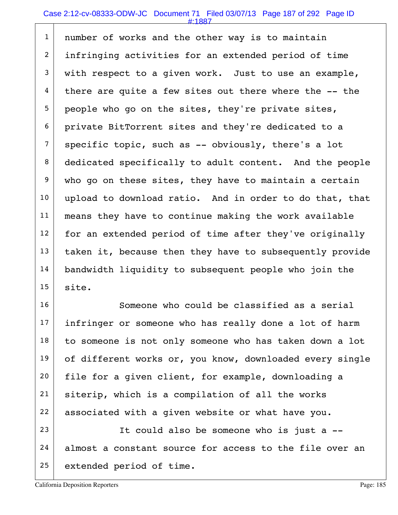## Case 2:12-cv-08333-ODW-JC Document 71 Filed 03/07/13 Page 187 of 292 Page ID

#:1887

1 | number of works and the other way is to maintain 2 infringing activities for an extended period of time  $3$  with respect to a given work. Just to use an example,  $4$  there are quite a few sites out there where the  $-$ - the  $5$  people who go on the sites, they're private sites, 6 private BitTorrent sites and they're dedicated to a  $7$  specific topic, such as -- obviously, there's a lot 8 dedicated specifically to adult content. And the people 9 who go on these sites, they have to maintain a certain 10 upload to download ratio. And in order to do that, that 11 means they have to continue making the work available  $12$  for an extended period of time after they've originally  $13$  taken it, because then they have to subsequently provide 14 | bandwidth liquidity to subsequent people who join the  $15$  site.

16 Someone who could be classified as a serial  $17$  infringer or someone who has really done a lot of harm  $18$  to someone is not only someone who has taken down a lot 19 of different works or, you know, downloaded every single  $20$  file for a given client, for example, downloading a 21 siterip, which is a compilation of all the works 22 associated with a given website or what have you.

 $23$  It could also be someone who is just a  $24$  almost a constant source for access to the file over an 25 extended period of time.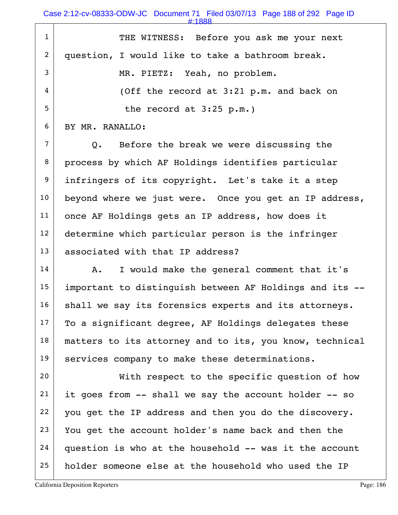Case 2:12-cv-08333-ODW-JC Document 71 Filed 03/07/13 Page 188 of 292 Page ID

#:1888

| $\mathbf{1}$   | THE WITNESS: Before you ask me your next                 |
|----------------|----------------------------------------------------------|
| $\overline{2}$ | question, I would like to take a bathroom break.         |
| 3              | MR. PIETZ: Yeah, no problem.                             |
| $\overline{4}$ | (Off the record at 3:21 p.m. and back on                 |
| 5              | the record at $3:25$ p.m.)                               |
| 6              | BY MR. RANALLO:                                          |
| $\overline{7}$ | Before the break we were discussing the<br>$Q_{\bullet}$ |
| 8              | process by which AF Holdings identifies particular       |
| 9              | infringers of its copyright. Let's take it a step        |
| 10             | beyond where we just were. Once you get an IP address,   |
| 11             | once AF Holdings gets an IP address, how does it         |
| 12             | determine which particular person is the infringer       |
| 13             | associated with that IP address?                         |
| 14             | I would make the general comment that it's<br>Α.         |
| 15             | important to distinguish between AF Holdings and its --  |
| 16             | shall we say its forensics experts and its attorneys.    |
| 17             | To a significant degree, AF Holdings delegates these     |
| 18             | matters to its attorney and to its, you know, technical  |
| 19             | services company to make these determinations.           |
| 20             | With respect to the specific question of how             |
| 21             | it goes from -- shall we say the account holder -- so    |
| 22             | you get the IP address and then you do the discovery.    |
| 23             | You get the account holder's name back and then the      |
| 24             | question is who at the household -- was it the account   |
| 25             | holder someone else at the household who used the IP     |
|                |                                                          |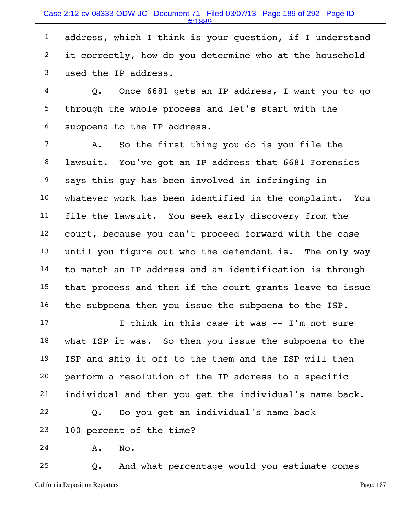1 address, which I think is your question, if I understand 2 it correctly, how do you determine who at the household 3 used the IP address.

 $4$  | Q. Once 6681 gets an IP address, I want you to go  $5$  through the whole process and let's start with the  $6$  subpoena to the IP address.

 $7$  A. So the first thing you do is you file the 8 | lawsuit. You've got an IP address that 6681 Forensics  $9$  says this guy has been involved in infringing in 10 whatever work has been identified in the complaint. You 11 | file the lawsuit. You seek early discovery from the 12 court, because you can't proceed forward with the case  $13$  until you figure out who the defendant is. The only way  $14$  to match an IP address and an identification is through  $15$  that process and then if the court grants leave to issue  $16$  the subpoena then you issue the subpoena to the ISP.

 I think in this case it was  $-$  I'm not sure what ISP it was. So then you issue the subpoena to the 19 | ISP and ship it off to the them and the ISP will then 20 perform a resolution of the IP address to a specific individual and then you get the individual's name back. Q. Do you get an individual's name back 100 percent of the time?  $24$  A. No.

 $25$  Q. And what percentage would you estimate comes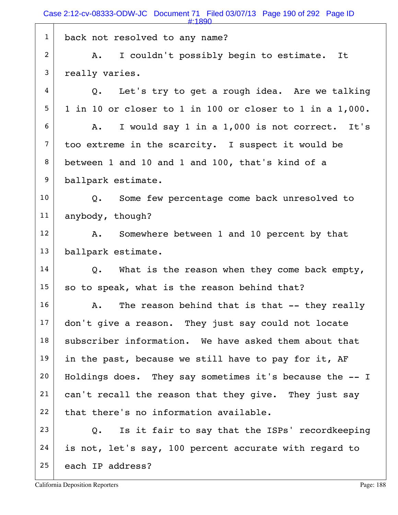1 back not resolved to any name? 2 A. I couldn't possibly begin to estimate. It 3 really varies.  $4$  Q. Let's try to get a rough idea. Are we talking  $5$  1 in 10 or closer to 1 in 100 or closer to 1 in a 1,000.  $6$  A. I would say 1 in a 1,000 is not correct. It's  $7$  too extreme in the scarcity. I suspect it would be 8 between 1 and 10 and 1 and 100, that's kind of a 9 ballpark estimate. 10 | Q. Some few percentage come back unresolved to 11 anybody, though? 12 A. Somewhere between 1 and 10 percent by that 13 ballpark estimate.  $14$  Q. What is the reason when they come back empty,  $15$  so to speak, what is the reason behind that?  $16$  A. The reason behind that is that  $-$  they really  $17$  don't give a reason. They just say could not locate  $18$  subscriber information. We have asked them about that 19 in the past, because we still have to pay for it, AF  $20$  Holdings does. They say sometimes it's because the  $-1$  $21$  can't recall the reason that they give. They just say  $22$  that there's no information available.  $23$  Q. Is it fair to say that the ISPs' recordkeeping  $24$  is not, let's say, 100 percent accurate with regard to 25 each IP address? #:1890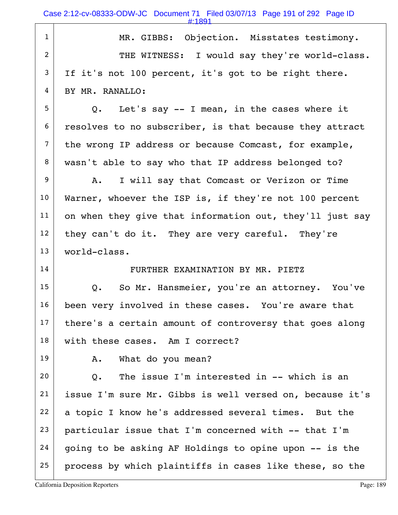| $\mathbf{1}$   | MR. GIBBS: Objection. Misstates testimony.                  |
|----------------|-------------------------------------------------------------|
| 2              | THE WITNESS: I would say they're world-class.               |
| 3              | If it's not 100 percent, it's got to be right there.        |
| 4              | BY MR. RANALLO:                                             |
| 5              | Q. Let's say -- I mean, in the cases where it               |
| 6              | resolves to no subscriber, is that because they attract     |
| $\overline{7}$ | the wrong IP address or because Comcast, for example,       |
| 8              | wasn't able to say who that IP address belonged to?         |
| 9              | I will say that Comcast or Verizon or Time<br>Α.            |
| 10             | Warner, whoever the ISP is, if they're not 100 percent      |
| 11             | on when they give that information out, they'll just say    |
| 12             | they can't do it. They are very careful. They're            |
| 13             | world-class.                                                |
| 14             | FURTHER EXAMINATION BY MR. PIETZ                            |
| 15             | Q. So Mr. Hansmeier, you're an attorney. You've             |
| 16             | been very involved in these cases. You're aware that        |
| 17             | there's a certain amount of controversy that goes along     |
| 18             | with these cases. Am I correct?                             |
| 19             | What do you mean?<br>Α.                                     |
| 20             | The issue I'm interested in -- which is an<br>$Q_{\bullet}$ |
| 21             | issue I'm sure Mr. Gibbs is well versed on, because it's    |
| 22             | a topic I know he's addressed several times. But the        |
| 23             | particular issue that I'm concerned with -- that I'm        |
| 24             | going to be asking AF Holdings to opine upon -- is the      |
| 25             | process by which plaintiffs in cases like these, so the     |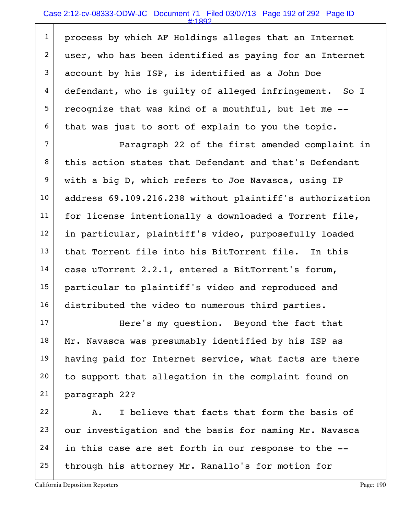#### Case 2:12-cv-08333-ODW-JC Document 71 Filed 03/07/13 Page 192 of 292 Page ID

#:1892

1 process by which AF Holdings alleges that an Internet 2 user, who has been identified as paying for an Internet account by his ISP, is identified as a John Doe defendant, who is guilty of alleged infringement. So I recognize that was kind of a mouthful, but let me  $-$ -that was just to sort of explain to you the topic.

7 Paragraph 22 of the first amended complaint in 8 this action states that Defendant and that's Defendant 9 with a big D, which refers to Joe Navasca, using IP 10 | address 69.109.216.238 without plaintiff's authorization  $11$  for license intentionally a downloaded a Torrent file, 12 in particular, plaintiff's video, purposefully loaded  $13$  that Torrent file into his BitTorrent file. In this  $14$  case uTorrent 2.2.1, entered a BitTorrent's forum, 15 particular to plaintiff's video and reproduced and 16 distributed the video to numerous third parties.

17 Here's my question. Beyond the fact that  $18$  Mr. Navasca was presumably identified by his ISP as 19 having paid for Internet service, what facts are there 20 to support that allegation in the complaint found on 21 paragraph 22?

 22 A. I believe that facts that form the basis of our investigation and the basis for naming Mr. Navasca in this case are set forth in our response to the  $-$ through his attorney Mr. Ranallo's for motion for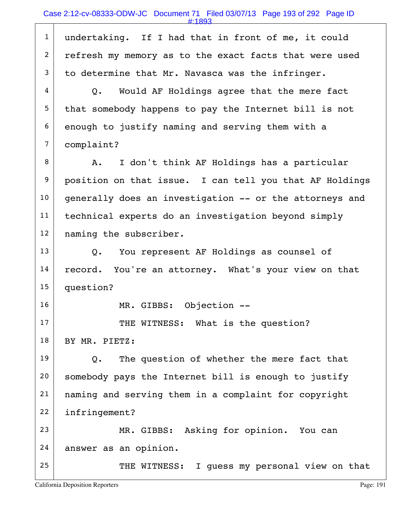|                | #:1893                                                  |
|----------------|---------------------------------------------------------|
| $\mathbf{1}$   | undertaking. If I had that in front of me, it could     |
| $\overline{2}$ | refresh my memory as to the exact facts that were used  |
| 3              | to determine that Mr. Navasca was the infringer.        |
| 4              | Q. Would AF Holdings agree that the mere fact           |
| 5              | that somebody happens to pay the Internet bill is not   |
| 6              | enough to justify naming and serving them with a        |
| $\overline{7}$ | complaint?                                              |
| 8              | I don't think AF Holdings has a particular<br>A.        |
| 9              | position on that issue. I can tell you that AF Holdings |
| 10             | generally does an investigation -- or the attorneys and |
| 11             | technical experts do an investigation beyond simply     |
| 12             | naming the subscriber.                                  |
| 13             | You represent AF Holdings as counsel of<br>Q.           |
| 14             | You're an attorney. What's your view on that<br>record. |
| 15             | question?                                               |
| 16             | Objection --<br>MR. GIBBS:                              |
| 17             | THE WITNESS: What is the question?                      |
| 18             | BY MR. PIETZ:                                           |
| 19             | The question of whether the mere fact that<br>Q.        |
| 20             | somebody pays the Internet bill is enough to justify    |
| 21             | naming and serving them in a complaint for copyright    |
| 22             | infringement?                                           |
| 23             | MR. GIBBS: Asking for opinion. You can                  |
| 24             | answer as an opinion.                                   |
| 25             | THE WITNESS: I guess my personal view on that           |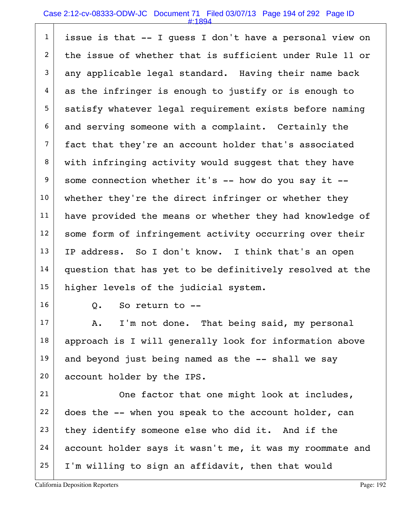#### Case 2:12-cv-08333-ODW-JC Document 71 Filed 03/07/13 Page 194 of 292 Page ID

#:1894

 $1$  issue is that  $-$  I quess I don't have a personal view on 2 the issue of whether that is sufficient under Rule 11 or  $3$  any applicable legal standard. Having their name back  $4$  as the infringer is enough to justify or is enough to 5 satisfy whatever legal requirement exists before naming  $6$  and serving someone with a complaint. Certainly the 7 fact that they're an account holder that's associated 8 with infringing activity would suggest that they have  $9$  some connection whether it's -- how do you say it --10 whether they're the direct infringer or whether they 11 | have provided the means or whether they had knowledge of 12 some form of infringement activity occurring over their 13 | IP address. So I don't know. I think that's an open 14 question that has yet to be definitively resolved at the 15 higher levels of the judicial system.

 $16$  0. So return to  $-$ 

 $17$  A. I'm not done. That being said, my personal 18 | approach is I will generally look for information above  $19$  and beyond just being named as the  $-$ - shall we say 20 account holder by the IPS.

21 One factor that one might look at includes, does the  $-$ - when you speak to the account holder, can they identify someone else who did it. And if the account holder says it wasn't me, it was my roommate and I'm willing to sign an affidavit, then that would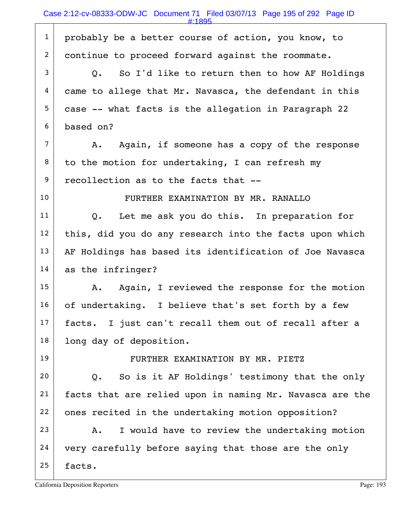1 probably be a better course of action, you know, to 2 continue to proceed forward against the roommate.  $3$  Q. So I'd like to return then to how AF Holdings  $4$  came to allege that Mr. Navasca, the defendant in this  $5$  case -- what facts is the allegation in Paragraph 22 6 based on?  $7$  A. Again, if someone has a copy of the response  $8$  to the motion for undertaking, I can refresh my 9 recollection as to the facts that --10 FURTHER EXAMINATION BY MR. RANALLO  $11$  Q. Let me ask you do this. In preparation for  $12$  this, did you do any research into the facts upon which  $13$  AF Holdings has based its identification of Joe Navasca 14 as the infringer?  $15$  A. Again, I reviewed the response for the motion  $16$  of undertaking. I believe that's set forth by a few 17 | facts. I just can't recall them out of recall after a 18 | long day of deposition. 19 | FURTHER EXAMINATION BY MR. PIETZ  $20$  Q. So is it AF Holdings' testimony that the only 21 facts that are relied upon in naming Mr. Navasca are the 22 ones recited in the undertaking motion opposition? 23 A. I would have to review the undertaking motion  $24$  very carefully before saying that those are the only  $25$  facts. #:1895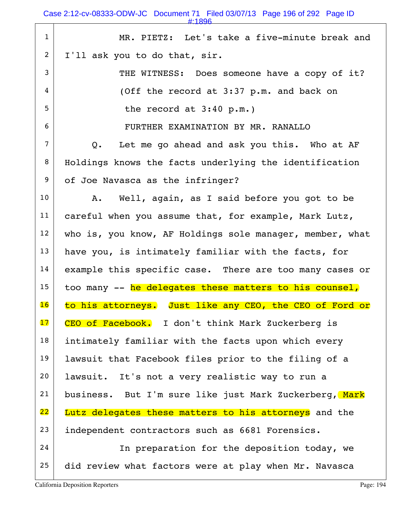Case 2:12-cv-08333-ODW-JC Document 71 Filed 03/07/13 Page 196 of 292 Page ID

#:1896

| $\mathbf{1}$    | MR. PIETZ: Let's take a five-minute break and                |
|-----------------|--------------------------------------------------------------|
| 2               | I'll ask you to do that, sir.                                |
| 3               | THE WITNESS: Does someone have a copy of it?                 |
| 4               | (Off the record at 3:37 p.m. and back on                     |
| 5               | the record at $3:40$ p.m.)                                   |
| 6               | FURTHER EXAMINATION BY MR. RANALLO                           |
| $\overline{7}$  | Let me go ahead and ask you this. Who at AF<br>$Q_{\bullet}$ |
| 8               | Holdings knows the facts underlying the identification       |
| 9               | of Joe Navasca as the infringer?                             |
| 10 <sub>1</sub> | A. Well, again, as I said before you got to be               |
| 11              | careful when you assume that, for example, Mark Lutz,        |
| 12 <sub>2</sub> | who is, you know, AF Holdings sole manager, member, what     |
| 13              | have you, is intimately familiar with the facts, for         |
| 14              | example this specific case. There are too many cases or      |
| 15              | too many -- he delegates these matters to his counsel,       |
| 16              | to his attorneys. Just like any CEO, the CEO of Ford or      |
| 17              | CEO of Facebook. I don't think Mark Zuckerberg is            |
| 18              | intimately familiar with the facts upon which every          |
| 19              | lawsuit that Facebook files prior to the filing of a         |
| 20              | lawsuit. It's not a very realistic way to run a              |
|                 |                                                              |
| 21              | business. But I'm sure like just Mark Zuckerberg, Mark       |
| 22              | Lutz delegates these matters to his attorneys and the        |
| 23              | independent contractors such as 6681 Forensics.              |
| 24              | In preparation for the deposition today, we                  |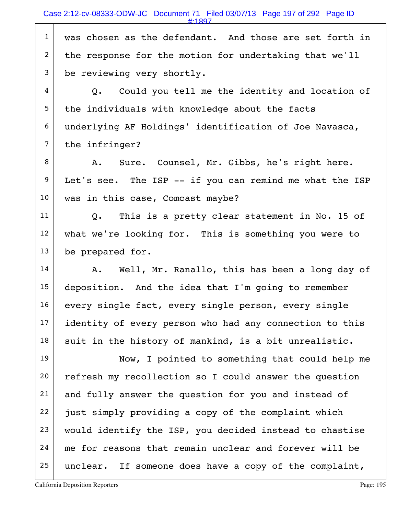1 was chosen as the defendant. And those are set forth in  $2$  the response for the motion for undertaking that we'll 3 be reviewing very shortly.

 |  $Q$ . Could you tell me the identity and location of the individuals with knowledge about the facts 6 underlying AF Holdings' identification of Joe Navasca, the infringer?

8 A. Sure. Counsel, Mr. Gibbs, he's right here.  $9$  Let's see. The ISP  $-$  if you can remind me what the ISP 10 was in this case, Comcast maybe?

 $11$  Q. This is a pretty clear statement in No. 15 of 12 what we're looking for. This is something you were to 13 be prepared for.

14 | A. Well, Mr. Ranallo, this has been a long day of 15 deposition. And the idea that I'm going to remember 16 every single fact, every single person, every single 17 identity of every person who had any connection to this  $18$  suit in the history of mankind, is a bit unrealistic.

19 Now, I pointed to something that could help me 20 refresh my recollection so I could answer the question 21 and fully answer the question for you and instead of  $22$  just simply providing a copy of the complaint which  $23$  would identify the ISP, you decided instead to chastise  $24$  me for reasons that remain unclear and forever will be  $25$  unclear. If someone does have a copy of the complaint,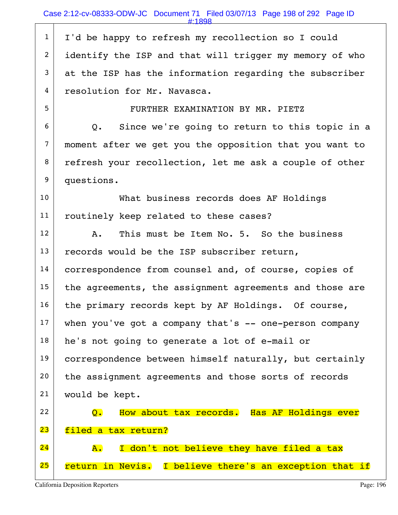1 | I'd be happy to refresh my recollection so I could 2 identify the ISP and that will trigger my memory of who  $3$  at the ISP has the information regarding the subscriber 4 resolution for Mr. Navasca.

5 FURTHER EXAMINATION BY MR. PIETZ

 $6$  Q. Since we're going to return to this topic in a 7 moment after we get you the opposition that you want to 8 refresh your recollection, let me ask a couple of other 9 questions.

10 What business records does AF Holdings 11 | routinely keep related to these cases?

 $12$  A. This must be Item No. 5. So the business  $13$  records would be the ISP subscriber return, 14 correspondence from counsel and, of course, copies of  $15$  the agreements, the assignment agreements and those are  $16$  the primary records kept by AF Holdings. Of course,  $17$  when you've got a company that's  $-$  one-person company  $18$  he's not going to generate a lot of e-mail or 19 correspondence between himself naturally, but certainly 20 the assignment agreements and those sorts of records 21 would be kept. 22 Q. How about tax records. Has AF Holdings ever 23 filed a tax return?

 $24$   $\overline{A}$ . I don't not believe they have filed a tax 25 return in Nevis. I believe there's an exception that if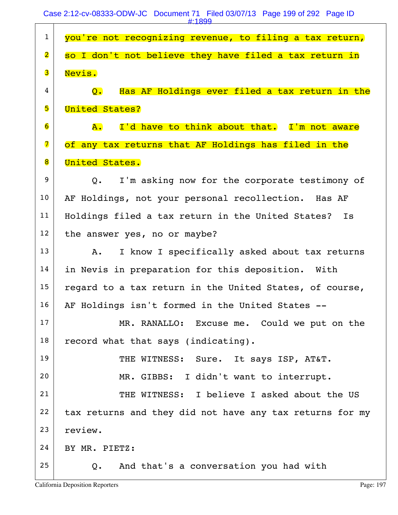| $\mathbf{1}$            | you're not recognizing revenue, to filing a tax return,                         |
|-------------------------|---------------------------------------------------------------------------------|
| $\overline{\mathbf{2}}$ | so I don't not believe they have filed a tax return in                          |
| 3                       | Nevis.                                                                          |
| 4                       | Has AF Holdings ever filed a tax return in the<br>$\mathsf{O}$ . $\blacksquare$ |
| 5                       | <b>United States?</b>                                                           |
| 6                       | I'd have to think about that. I'm not aware<br>${\tt A.}$                       |
| $\overline{\mathbf{7}}$ | of any tax returns that AF Holdings has filed in the                            |
| 8                       | United States.                                                                  |
| 9                       | I'm asking now for the corporate testimony of<br>$Q_{\bullet}$                  |
| 10                      | AF Holdings, not your personal recollection. Has AF                             |
| 11                      | Holdings filed a tax return in the United States?<br>Is                         |
| 12                      | the answer yes, no or maybe?                                                    |
| 13                      | I know I specifically asked about tax returns<br>Α.                             |
| 14                      | in Nevis in preparation for this deposition. With                               |
| 15                      | regard to a tax return in the United States, of course,                         |
| 16                      | AF Holdings isn't formed in the United States --                                |
| 17                      | MR. RANALLO: Excuse me. Could we put on the                                     |
| 18                      | record what that says (indicating).                                             |
| 19                      | THE WITNESS: Sure. It says ISP, AT&T.                                           |
| 20                      | MR. GIBBS: I didn't want to interrupt.                                          |
| 21                      | THE WITNESS: I believe I asked about the US                                     |
| 22                      | tax returns and they did not have any tax returns for my                        |
| 23                      | review.                                                                         |
| 24                      | BY MR. PIETZ:                                                                   |
| 25                      | And that's a conversation you had with<br>Q.                                    |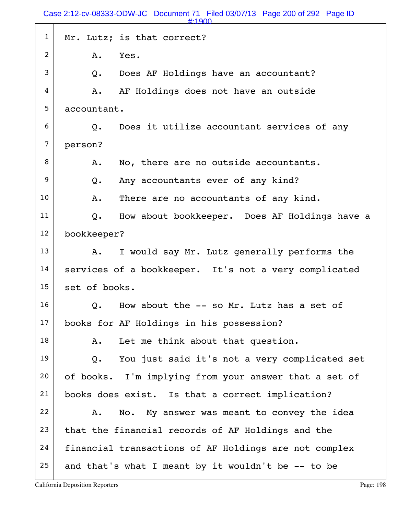Case 2:12-cv-08333-ODW-JC Document 71 Filed 03/07/13 Page 200 of 292 Page ID

1 | Mr. Lutz; is that correct?  $2$  A. Yes.  $3$  Q. Does AF Holdings have an accountant?  $4$   $\parallel$  A. AF Holdings does not have an outside 5 accountant.  $6$  Q. Does it utilize accountant services of any 7 person? 8 A. No, there are no outside accountants. 9 Q. Any accountants ever of any kind? 10 | A. There are no accountants of any kind.  $11$  Q. How about bookkeeper. Does AF Holdings have a 12 bookkeeper?  $13$  A. I would say Mr. Lutz generally performs the 14 | services of a bookkeeper. It's not a very complicated 15 set of books.  $16$  Q. How about the  $-$  so Mr. Lutz has a set of 17 books for AF Holdings in his possession?  $18$  A. Let me think about that question.  $19$  Q. You just said it's not a very complicated set 20 of books. I'm implying from your answer that a set of 21 books does exist. Is that a correct implication? 22 A. No. My answer was meant to convey the idea  $23$  that the financial records of AF Holdings and the 24 financial transactions of AF Holdings are not complex 25 and that's what I meant by it wouldn't be  $-$ - to be #:1900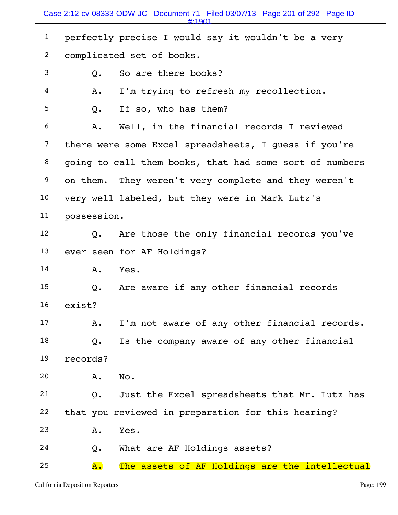1 perfectly precise I would say it wouldn't be a very 2 complicated set of books.  $3$   $\vert$  0. So are there books?  $4$  | A. I'm trying to refresh my recollection.  $5$  Q. If so, who has them?  $6$  A. Well, in the financial records I reviewed 7 there were some Excel spreadsheets, I quess if you're  $8$  going to call them books, that had some sort of numbers 9 on them. They weren't very complete and they weren't 10 very well labeled, but they were in Mark Lutz's 11 possession.  $12$  Q. Are those the only financial records you've 13 ever seen for AF Holdings?  $14$  A. Yes.  $15$  Q. Are aware if any other financial records 16 exist?  $17$  A. I'm not aware of any other financial records.  $18$  Q. Is the company aware of any other financial 19 records? 20 A. No. 21 |  $Q.$  Just the Excel spreadsheets that Mr. Lutz has  $22$  that you reviewed in preparation for this hearing? 23 A. Yes.  $24$  Q. What are AF Holdings assets?  $25$   $\overline{A}$ . The assets of AF Holdings are the intellectual #:1901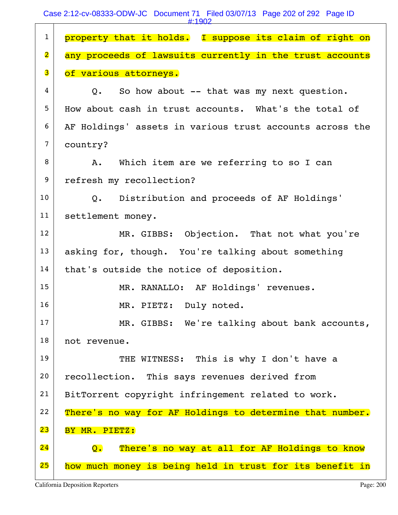| $\mathbf{1}$            | property that it holds. I suppose its claim of right on  |
|-------------------------|----------------------------------------------------------|
| $\overline{\mathbf{2}}$ | any proceeds of lawsuits currently in the trust accounts |
| 3                       | of various attorneys.                                    |
| 4                       | Q. So how about -- that was my next question.            |
| 5                       | How about cash in trust accounts. What's the total of    |
| 6                       | AF Holdings' assets in various trust accounts across the |
| $\overline{7}$          | country?                                                 |
| 8                       | A. Which item are we referring to so I can               |
| 9                       | refresh my recollection?                                 |
| 10                      | Q. Distribution and proceeds of AF Holdings'             |
| 11                      | settlement money.                                        |
| 12                      | MR. GIBBS: Objection. That not what you're               |
| 13                      | asking for, though. You're talking about something       |
| 14                      | that's outside the notice of deposition.                 |
| 15                      | MR. RANALLO: AF Holdings' revenues.                      |
| 16                      | MR. PIETZ: Duly noted.                                   |
| 17                      | MR. GIBBS: We're talking about bank accounts,            |
| 18                      | not revenue.                                             |
| 19                      | THE WITNESS: This is why I don't have a                  |
| 20                      | recollection. This says revenues derived from            |
| 21                      | BitTorrent copyright infringement related to work.       |
| 22                      | There's no way for AF Holdings to determine that number. |
| 23                      | BY MR. PIETZ:                                            |
| 24                      | There's no way at all for AF Holdings to know<br>Q.      |
| 25                      | how much money is being held in trust for its benefit in |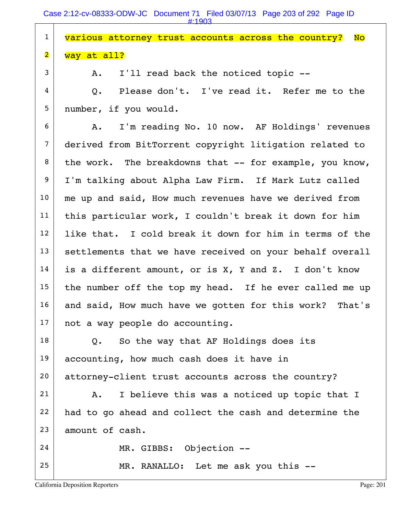Case 2:12-cv-08333-ODW-JC Document 71 Filed 03/07/13 Page 203 of 292 Page ID #:1903

| $\mathbf{1}$            | various attorney trust accounts across the country?<br><b>No</b> |
|-------------------------|------------------------------------------------------------------|
|                         |                                                                  |
| $\overline{\mathbf{2}}$ | way at all?                                                      |
| 3                       | I'll read back the noticed topic --<br>Α.                        |
| 4                       | Please don't. I've read it. Refer me to the<br>Q.                |
| 5                       | number, if you would.                                            |
| 6                       | I'm reading No. 10 now. AF Holdings' revenues<br>A.              |
| $\overline{7}$          | derived from BitTorrent copyright litigation related to          |
| 8                       | the work. The breakdowns that -- for example, you know,          |
| 9                       | I'm talking about Alpha Law Firm. If Mark Lutz called            |
| 10                      | me up and said, How much revenues have we derived from           |
| 11                      | this particular work, I couldn't break it down for him           |
| 12                      | like that. I cold break it down for him in terms of the          |
| 13                      | settlements that we have received on your behalf overall         |
| 14                      | is a different amount, or is X, Y and Z. I don't know            |
| 15                      | the number off the top my head. If he ever called me up          |
| 16                      | and said, How much have we gotten for this work? That's          |
| 17                      | not a way people do accounting.                                  |
| 18                      | So the way that AF Holdings does its<br>Q.                       |
| 19                      | accounting, how much cash does it have in                        |
| 20                      | attorney-client trust accounts across the country?               |
| 21                      | I believe this was a noticed up topic that I<br>Α.               |
| 22                      | had to go ahead and collect the cash and determine the           |
| 23                      | amount of cash.                                                  |
| 24                      | MR. GIBBS: Objection --                                          |
| 25                      | MR. RANALLO: Let me ask you this --                              |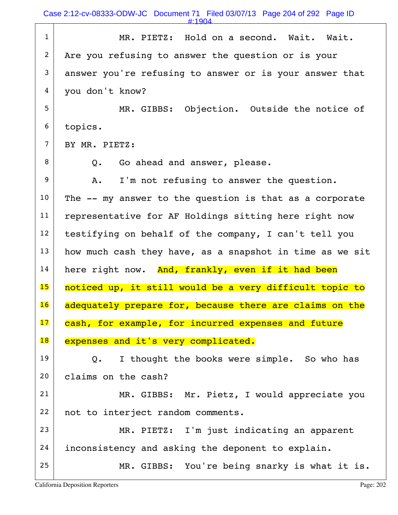Case 2:12-cv-08333-ODW-JC Document 71 Filed 03/07/13 Page 204 of 292 Page ID

#:1904

| $\mathbf{1}$   | MR. PIETZ: Hold on a second. Wait. Wait.                 |
|----------------|----------------------------------------------------------|
| $\overline{2}$ | Are you refusing to answer the question or is your       |
| 3              | answer you're refusing to answer or is your answer that  |
| 4              | you don't know?                                          |
| 5              | MR. GIBBS: Objection. Outside the notice of              |
| 6              | topics.                                                  |
| $\overline{7}$ | BY MR. PIETZ:                                            |
| 8              | Go ahead and answer, please.<br>Q.                       |
| 9              | I'm not refusing to answer the question.<br>Α.           |
| 10             | The -- my answer to the question is that as a corporate  |
| 11             | representative for AF Holdings sitting here right now    |
| 12             | testifying on behalf of the company, I can't tell you    |
| 13             | how much cash they have, as a snapshot in time as we sit |
| 14             | here right now. And, frankly, even if it had been        |
| 15             | noticed up, it still would be a very difficult topic to  |
| 16             | adequately prepare for, because there are claims on the  |
| 17             | cash, for example, for incurred expenses and future      |
| 18             | expenses and it's very complicated.                      |
| 19             | I thought the books were simple. So who has<br>Q.        |
| 20             | claims on the cash?                                      |
| 21             | MR. GIBBS: Mr. Pietz, I would appreciate you             |
| 22             | not to interject random comments.                        |
| 23             | MR. PIETZ: I'm just indicating an apparent               |
| 24             | inconsistency and asking the deponent to explain.        |
| 25             | MR. GIBBS: You're being snarky is what it is.            |
|                |                                                          |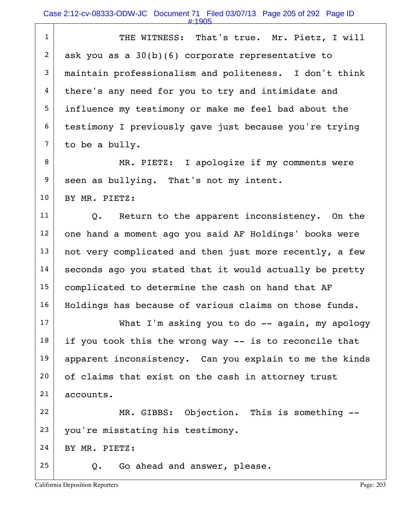| $\mathbf{1}$   | THE WITNESS: That's true. Mr. Pietz, I will             |
|----------------|---------------------------------------------------------|
| $\overline{2}$ | ask you as a $30(b)(6)$ corporate representative to     |
| 3              | maintain professionalism and politeness. I don't think  |
| 4              | there's any need for you to try and intimidate and      |
| 5              | influence my testimony or make me feel bad about the    |
| 6              | testimony I previously gave just because you're trying  |
| $\overline{7}$ | to be a bully.                                          |
| 8              | MR. PIETZ: I apologize if my comments were              |
| 9              | seen as bullying. That's not my intent.                 |
| 10             | BY MR. PIETZ:                                           |
| 11             | Q. Return to the apparent inconsistency. On the         |
| 12             | one hand a moment ago you said AF Holdings' books were  |
| 13             | not very complicated and then just more recently, a few |
| 14             | seconds ago you stated that it would actually be pretty |
| 15             | complicated to determine the cash on hand that AF       |
| 16             | Holdings has because of various claims on those funds.  |
| 17             | What I'm asking you to do -- again, my apology          |
| 18             | if you took this the wrong way -- is to reconcile that  |
| 19             | apparent inconsistency. Can you explain to me the kinds |
| 20             | of claims that exist on the cash in attorney trust      |
| 21             | accounts.                                               |
| 22             | MR. GIBBS: Objection. This is something --              |
| 23             | you're misstating his testimony.                        |
| 24             | BY MR. PIETZ:                                           |
| 25             | Go ahead and answer, please.<br>Q.                      |
|                |                                                         |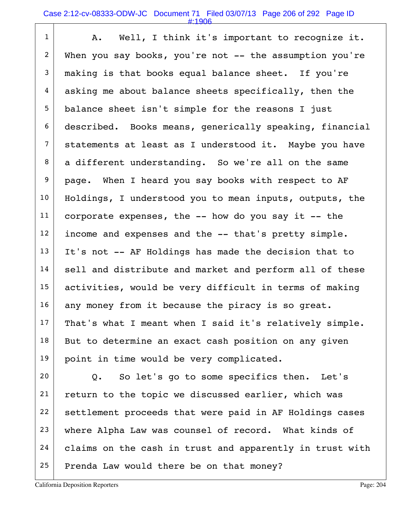| $\mathbf{1}$   | Well, I think it's important to recognize it.<br>Α.        |
|----------------|------------------------------------------------------------|
| $\overline{2}$ | When you say books, you're not -- the assumption you're    |
| 3              | making is that books equal balance sheet. If you're        |
| $\overline{4}$ | asking me about balance sheets specifically, then the      |
| 5              | balance sheet isn't simple for the reasons I just          |
| 6              | described. Books means, generically speaking, financial    |
| $\overline{7}$ | statements at least as I understood it. Maybe you have     |
| 8              | a different understanding. So we're all on the same        |
| 9              | page. When I heard you say books with respect to AF        |
| 10             | Holdings, I understood you to mean inputs, outputs, the    |
| 11             | corporate expenses, the -- how do you say it -- the        |
| 12             | income and expenses and the -- that's pretty simple.       |
| 13             | It's not -- AF Holdings has made the decision that to      |
| 14             | sell and distribute and market and perform all of these    |
| 15             | activities, would be very difficult in terms of making     |
| 16             | any money from it because the piracy is so great.          |
| 17             | That's what I meant when I said it's relatively simple.    |
| 18             | But to determine an exact cash position on any given       |
| 19             | point in time would be very complicated.                   |
| 20             | So let's go to some specifics then. Let's<br>$Q_{\bullet}$ |
| 21             | return to the topic we discussed earlier, which was        |
| 22             | settlement proceeds that were paid in AF Holdings cases    |

 $24$  claims on the cash in trust and apparently in trust with

23 where Alpha Law was counsel of record. What kinds of

 $25$  Prenda Law would there be on that money?

 $\overline{\phantom{a}}$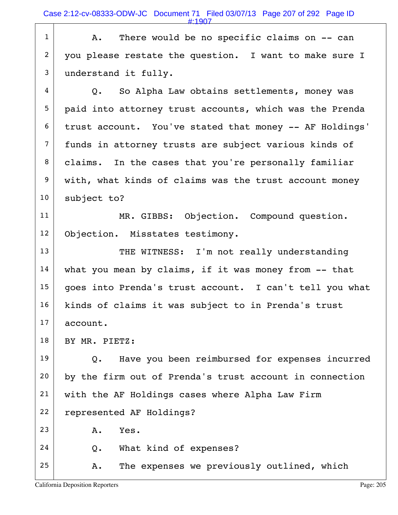$1$  A. There would be no specific claims on  $-$  can 2 you please restate the question. I want to make sure I 3 understand it fully.

 $4$   $\vert$  Q. So Alpha Law obtains settlements, money was 5 paid into attorney trust accounts, which was the Prenda  $6$  trust account. You've stated that money  $-$ - AF Holdings' 7 funds in attorney trusts are subject various kinds of 8 claims. In the cases that you're personally familiar 9 with, what kinds of claims was the trust account money  $10$  subject to?

11 | MR. GIBBS: Objection. Compound question. 12 Objection. Misstates testimony.

13 THE WITNESS: I'm not really understanding  $14$  what you mean by claims, if it was money from  $-$  that 15 | goes into Prenda's trust account. I can't tell you what 16 | kinds of claims it was subject to in Prenda's trust  $17$  account.

18 | BY MR. PIETZ:

 $19$  Q. Have you been reimbursed for expenses incurred 20 by the firm out of Prenda's trust account in connection 21 with the AF Holdings cases where Alpha Law Firm 22 represented AF Holdings?

23 A. Yes.

 $24$  Q. What kind of expenses?

 $25$   $\vert$  A. The expenses we previously outlined, which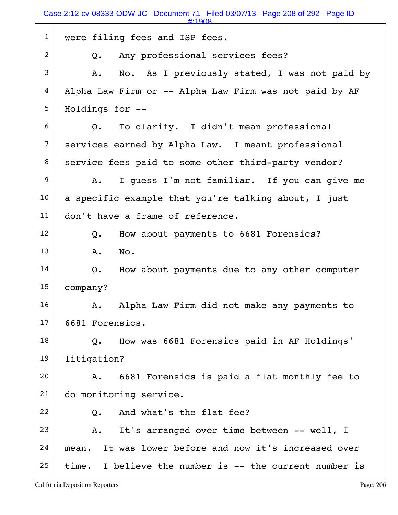|                | $\#:1908$                                                    |
|----------------|--------------------------------------------------------------|
| $\mathbf{1}$   | were filing fees and ISP fees.                               |
| $\overline{2}$ | Any professional services fees?<br>Q.                        |
| 3              | No. As I previously stated, I was not paid by<br>A.          |
| 4              | Alpha Law Firm or -- Alpha Law Firm was not paid by AF       |
| 5              | Holdings for --                                              |
| 6              | Q. To clarify. I didn't mean professional                    |
| $\overline{7}$ | services earned by Alpha Law. I meant professional           |
| 8              | service fees paid to some other third-party vendor?          |
| 9              | I guess I'm not familiar. If you can give me<br>A.           |
| 10             | a specific example that you're talking about, I just         |
| 11             | don't have a frame of reference.                             |
| 12             | How about payments to 6681 Forensics?<br>Q.                  |
| 13             | No.<br>Α.                                                    |
| 14             | How about payments due to any other computer<br>Q.           |
| 15             | company?                                                     |
| 16             | Alpha Law Firm did not make any payments to<br>Α.            |
| 17             | 6681 Forensics.                                              |
| 18             | How was 6681 Forensics paid in AF Holdings'<br>$Q_{\bullet}$ |
| 19             | litigation?                                                  |
| 20             | 6681 Forensics is paid a flat monthly fee to<br>Α.           |
| 21             | do monitoring service.                                       |
| 22             | And what's the flat fee?<br>Q.                               |
| 23             | It's arranged over time between -- well, I<br>Α.             |
| 24             | It was lower before and now it's increased over<br>mean.     |
| 25             | time. I believe the number is -- the current number is       |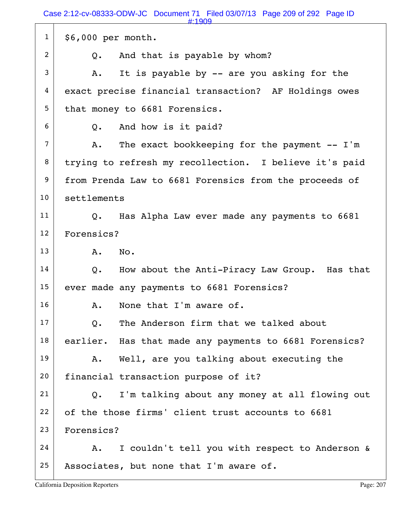Case 2:12-cv-08333-ODW-JC Document 71 Filed 03/07/13 Page 209 of 292 Page ID

|                | $\#:1909$                                                       |
|----------------|-----------------------------------------------------------------|
| $\mathbf{1}$   | $$6,000$ per month.                                             |
| $\overline{2}$ | And that is payable by whom?<br>Q.                              |
| 3              | It is payable by -- are you asking for the<br>Α.                |
| 4              | exact precise financial transaction? AF Holdings owes           |
| 5              | that money to 6681 Forensics.                                   |
| 6              | Q. And how is it paid?                                          |
| $\overline{7}$ | The exact bookkeeping for the payment -- I'm<br>Α.              |
| 8              | trying to refresh my recollection. I believe it's paid          |
| 9              | from Prenda Law to 6681 Forensics from the proceeds of          |
| 10             | settlements                                                     |
| 11             | Has Alpha Law ever made any payments to 6681<br>$Q_{\bullet}$   |
| 12             | Forensics?                                                      |
| 13             | No.<br>A.                                                       |
| 14             | How about the Anti-Piracy Law Group. Has that<br>Q.             |
| 15             | ever made any payments to 6681 Forensics?                       |
| 16             | None that I'm aware of.<br>Α.                                   |
| 17             | The Anderson firm that we talked about<br>$Q_{\bullet}$         |
| 18             | earlier. Has that made any payments to 6681 Forensics?          |
| 19             | Well, are you talking about executing the<br>Α.                 |
| 20             | financial transaction purpose of it?                            |
| 21             | I'm talking about any money at all flowing out<br>$Q_{\bullet}$ |
| 22             | of the those firms' client trust accounts to 6681               |
| 23             | Forensics?                                                      |
| 24             | I couldn't tell you with respect to Anderson &<br>Α.            |
| 25             | Associates, but none that I'm aware of.                         |
|                |                                                                 |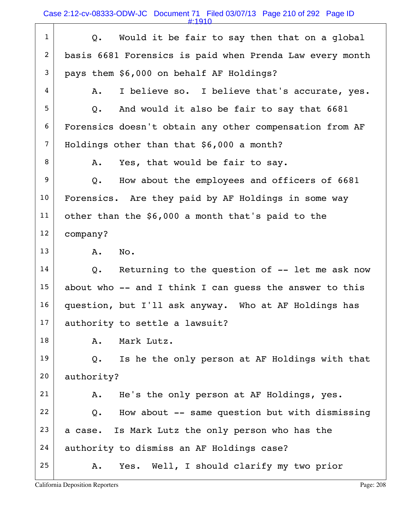Case 2:12-cv-08333-ODW-JC Document 71 Filed 03/07/13 Page 210 of 292 Page ID

#:1910

| $\mathbf{1}$   | Would it be fair to say then that on a global<br>Q.      |  |
|----------------|----------------------------------------------------------|--|
| $\overline{2}$ | basis 6681 Forensics is paid when Prenda Law every month |  |
| 3              | pays them \$6,000 on behalf AF Holdings?                 |  |
| 4              | I believe so. I believe that's accurate, yes.<br>Α.      |  |
| 5              | And would it also be fair to say that 6681<br>$Q$ .      |  |
| 6              | Forensics doesn't obtain any other compensation from AF  |  |
| $\overline{7}$ | Holdings other than that \$6,000 a month?                |  |
| 8              | Yes, that would be fair to say.<br>Α.                    |  |
| 9              | How about the employees and officers of 6681<br>Q.       |  |
| 10             | Forensics. Are they paid by AF Holdings in some way      |  |
| 11             | other than the \$6,000 a month that's paid to the        |  |
| 12             | company?                                                 |  |
| 13             | No.<br>Α.                                                |  |
| 14             | Returning to the question of -- let me ask now<br>Q.     |  |
| 15             | about who -- and I think I can guess the answer to this  |  |
| 16             | question, but I'll ask anyway. Who at AF Holdings has    |  |
| 17             | authority to settle a lawsuit?                           |  |
| 18             | Mark Lutz.<br>Α.                                         |  |
| 19             | Is he the only person at AF Holdings with that<br>Q.     |  |
| 20             | authority?                                               |  |
| 21             | He's the only person at AF Holdings, yes.<br>Α.          |  |
| 22             | How about -- same question but with dismissing<br>Q.     |  |
| 23             | a case. Is Mark Lutz the only person who has the         |  |
| 24             | authority to dismiss an AF Holdings case?                |  |
| 25             | Yes. Well, I should clarify my two prior<br>A.           |  |
|                |                                                          |  |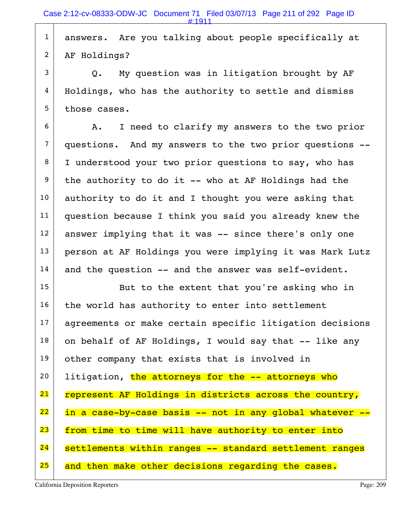1 answers. Are you talking about people specifically at 2 AF Holdings?

 $3$  Q. My question was in litigation brought by AF 4 | Holdings, who has the authority to settle and dismiss 5 those cases.

 $6$  A. I need to clarify my answers to the two prior 7 questions. And my answers to the two prior questions -- 8 I understood your two prior questions to say, who has  $9$  the authority to do it -- who at AF Holdings had the  $10$  authority to do it and I thought you were asking that 11 question because I think you said you already knew the 12 answer implying that it was -- since there's only one 13 person at AF Holdings you were implying it was Mark Lutz  $14$  and the question  $-$  and the answer was self-evident.

15 | But to the extent that you're asking who in  $16$  the world has authority to enter into settlement 17 agreements or make certain specific litigation decisions  $18$  on behalf of AF Holdings, I would say that  $-$ - like any 19 other company that exists that is involved in 20 Iitigation, the attorneys for the  $-$  attorneys who 21 represent AF Holdings in districts across the country,  $22$  in a case-by-case basis -- not in any global whatever  $-$ 23 from time to time will have authority to enter into 24 settlements within ranges -- standard settlement ranges 25 and then make other decisions regarding the cases.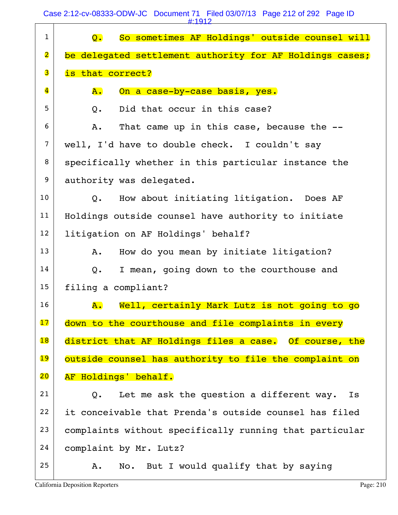Case 2:12-cv-08333-ODW-JC Document 71 Filed 03/07/13 Page 212 of 292 Page ID

|                         | #:1912                                                                      |
|-------------------------|-----------------------------------------------------------------------------|
| $\mathbf{1}$            | So sometimes AF Holdings' outside counsel will<br>$\overline{\mathsf{Q}}$ . |
| $\overline{\mathbf{2}}$ | be delegated settlement authority for AF Holdings cases;                    |
| 3                       | is that correct?                                                            |
| $\overline{\mathbf{4}}$ | On a case-by-case basis, yes.<br>${\bf A}$ .                                |
| 5                       | Did that occur in this case?<br>Q.                                          |
| 6                       | That came up in this case, because the --<br>Α.                             |
| $\overline{7}$          | well, I'd have to double check. I couldn't say                              |
| 8                       | specifically whether in this particular instance the                        |
| 9                       | authority was delegated.                                                    |
| 10                      | How about initiating litigation. Does AF<br>$Q_{\bullet}$                   |
| 11                      | Holdings outside counsel have authority to initiate                         |
| 12                      | litigation on AF Holdings' behalf?                                          |
| 13                      | How do you mean by initiate litigation?<br>Α.                               |
| 14                      | I mean, going down to the courthouse and<br>$Q$ .                           |
| 15                      | filing a compliant?                                                         |
| 16                      | Well, certainly Mark Lutz is not going to go<br>$\mathbf{A}$ .              |
| 17                      | down to the courthouse and file complaints in every                         |
| 18                      | district that AF Holdings files a case. Of course, the                      |
| 19                      | outside counsel has authority to file the complaint on                      |
| 20                      | AF Holdings' behalf.                                                        |
| 21                      | Let me ask the question a different way.<br>Is<br>Q.                        |
| 22                      | it conceivable that Prenda's outside counsel has filed                      |
| 23                      | complaints without specifically running that particular                     |
| 24                      | complaint by Mr. Lutz?                                                      |
| 25                      | No. But I would qualify that by saying<br>Α.                                |
|                         |                                                                             |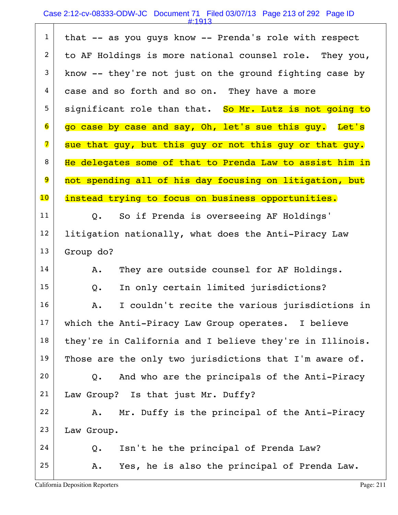# Case 2:12-cv-08333-ODW-JC Document 71 Filed 03/07/13 Page 213 of 292 Page ID

| $\mathbf{1}$            | that -- as you guys know -- Prenda's role with respect   |  |  |
|-------------------------|----------------------------------------------------------|--|--|
| $\overline{c}$          | to AF Holdings is more national counsel role. They you,  |  |  |
| 3                       | know -- they're not just on the ground fighting case by  |  |  |
| 4                       | case and so forth and so on. They have a more            |  |  |
| 5                       | significant role than that. So Mr. Lutz is not going to  |  |  |
| 6                       | go case by case and say, Oh, let's sue this guy. Let's   |  |  |
| $\overline{\mathbf{z}}$ | sue that guy, but this guy or not this guy or that guy.  |  |  |
| 8                       | He delegates some of that to Prenda Law to assist him in |  |  |
| $\overline{9}$          | not spending all of his day focusing on litigation, but  |  |  |
| 10                      | instead trying to focus on business opportunities.       |  |  |
| 11                      | So if Prenda is overseeing AF Holdings'<br>Q.            |  |  |
| 12                      | litigation nationally, what does the Anti-Piracy Law     |  |  |
| 13                      | Group do?                                                |  |  |
| 14                      | They are outside counsel for AF Holdings.<br>A.          |  |  |
| 15                      | In only certain limited jurisdictions?<br>Q.             |  |  |
| 16                      | I couldn't recite the various jurisdictions in<br>A.     |  |  |
| 17                      | which the Anti-Piracy Law Group operates. I believe      |  |  |
| 18                      | they're in California and I believe they're in Illinois. |  |  |
| 19                      | Those are the only two jurisdictions that I'm aware of.  |  |  |
| 20                      | And who are the principals of the Anti-Piracy<br>Q.      |  |  |
| 21                      | Law Group? Is that just Mr. Duffy?                       |  |  |
| 22                      | Mr. Duffy is the principal of the Anti-Piracy<br>Α.      |  |  |
| 23                      | Law Group.                                               |  |  |
| 24                      | Isn't he the principal of Prenda Law?<br>Q.              |  |  |
| 25                      | Yes, he is also the principal of Prenda Law.<br>Α.       |  |  |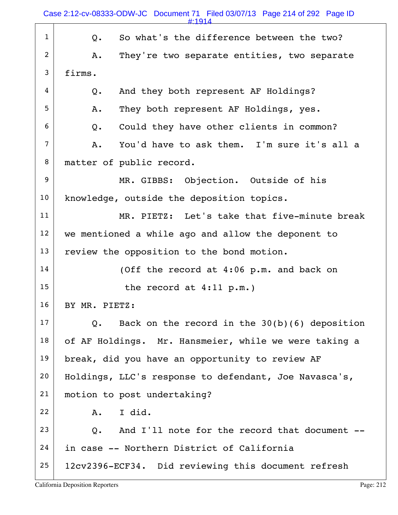| $\mathbf{1}$   | So what's the difference between the two?<br>$Q$ .    |
|----------------|-------------------------------------------------------|
| 2              | They're two separate entities, two separate<br>Α.     |
| 3              | firms.                                                |
| 4              | And they both represent AF Holdings?<br>$Q$ .         |
| 5              | They both represent AF Holdings, yes.<br>Α.           |
| 6              | Could they have other clients in common?<br>Q.        |
| $\overline{7}$ | You'd have to ask them. I'm sure it's all a<br>Α.     |
| 8              | matter of public record.                              |
| 9              | MR. GIBBS: Objection. Outside of his                  |
| 10             | knowledge, outside the deposition topics.             |
| 11             | MR. PIETZ: Let's take that five-minute break          |
| 12             | we mentioned a while ago and allow the deponent to    |
| 13             | review the opposition to the bond motion.             |
| 14             | (Off the record at 4:06 p.m. and back on              |
| 15             | the record at $4:11$ p.m.)                            |
| 16             | BY MR. PIETZ:                                         |
| 17             | Back on the record in the $30(b)(6)$ deposition<br>Q. |
| 18             | of AF Holdings. Mr. Hansmeier, while we were taking a |
| 19             | break, did you have an opportunity to review AF       |
| 20             | Holdings, LLC's response to defendant, Joe Navasca's, |
| 21             | motion to post undertaking?                           |
| 22             | I did.<br>Α.                                          |
| 23             | And I'll note for the record that document --<br>Q.   |
| 24             | in case -- Northern District of California            |
| 25             | 12cv2396-ECF34. Did reviewing this document refresh   |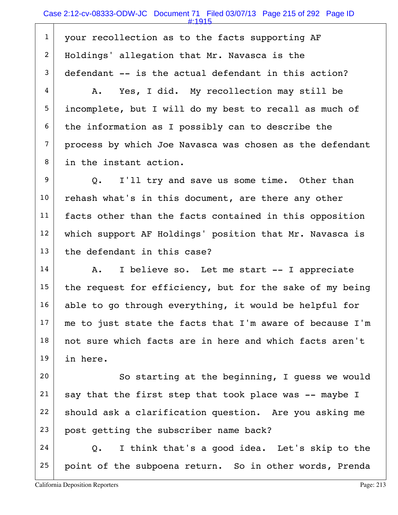1 your recollection as to the facts supporting AF 2 Holdings' allegation that Mr. Navasca is the  $3$  defendant  $-$  is the actual defendant in this action?

 $4$   $\vert$  A. Yes, I did. My recollection may still be 5 incomplete, but I will do my best to recall as much of  $6$  the information as I possibly can to describe the  $7$  process by which Joe Navasca was chosen as the defendant 8 in the instant action.

9 Q. I'll try and save us some time. Other than  $10$  rehash what's in this document, are there any other 11 facts other than the facts contained in this opposition 12 | which support AF Holdings' position that Mr. Navasca is  $13$  the defendant in this case?

 $14$  A. I believe so. Let me start -- I appreciate 15 the request for efficiency, but for the sake of my being  $16$  able to go through everything, it would be helpful for  $17$  me to just state the facts that I'm aware of because I'm 18 not sure which facts are in here and which facts aren't 19 in here.

 So starting at the beginning, I quess we would say that the first step that took place was -- maybe I should ask a clarification question. Are you asking me 23 post getting the subscriber name back?

 $24$  Q. I think that's a good idea. Let's skip to the  $25$  point of the subpoena return. So in other words, Prenda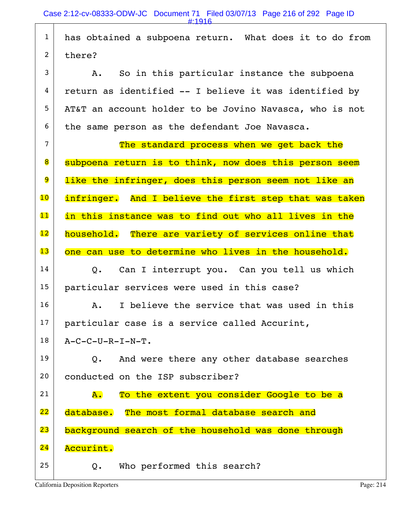1 has obtained a subpoena return. What does it to do from  $2$  there?  $3$  A. So in this particular instance the subpoena  $4$  return as identified -- I believe it was identified by 5 AT&T an account holder to be Jovino Navasca, who is not  $6$  the same person as the defendant Joe Navasca.  $7$  The standard process when we get back the 8 | subpoena return is to think, now does this person seem 9 like the infringer, does this person seem not like an 10 infringer. And I believe the first step that was taken 11 in this instance was to find out who all lives in the 12 household. There are variety of services online that 13 one can use to determine who lives in the household.  $14$  Q. Can I interrupt you. Can you tell us which 15 particular services were used in this case? 16 A. I believe the service that was used in this 17 particular case is a service called Accurint,  $18$   $A - C - C - U - R - I - N - T$ .  $19$  Q. And were there any other database searches 20 conducted on the ISP subscriber? 21  $\vert$  A. To the extent you consider Google to be a 22 database. The most formal database search and 23 background search of the household was done through 24 Accurint.  $25$  Q. Who performed this search?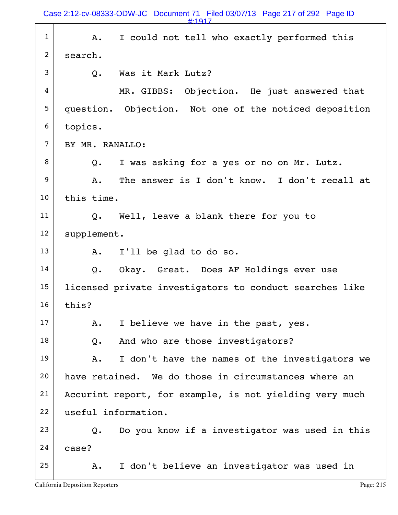|                | Case 2:12-cv-08333-ODW-JC Document 71 Filed 03/07/13 Page 217 of 292 Page ID<br>#:1917 |
|----------------|----------------------------------------------------------------------------------------|
| $\mathbf{1}$   | I could not tell who exactly performed this<br>Α.                                      |
| $\overline{2}$ | search.                                                                                |
| 3              | Was it Mark Lutz?<br>Q.                                                                |
| 4              | MR. GIBBS: Objection. He just answered that                                            |
| 5              | question. Objection. Not one of the noticed deposition                                 |
| 6              | topics.                                                                                |
| $\overline{7}$ | BY MR. RANALLO:                                                                        |
| 8              | I was asking for a yes or no on Mr. Lutz.<br>Q.                                        |
| 9              | The answer is I don't know. I don't recall at<br>Α.                                    |
| 10             | this time.                                                                             |
| 11             | Q. Well, leave a blank there for you to                                                |
| 12             | supplement.                                                                            |
| 13             | I'll be glad to do so.<br>Α.                                                           |
| 14             | Okay. Great. Does AF Holdings ever use<br>Q.                                           |
| 15             | licensed private investigators to conduct searches like                                |
| 16             | this?                                                                                  |
| 17             | I believe we have in the past, yes.<br>Α.                                              |
| 18             | And who are those investigators?<br>$Q$ .                                              |
| 19             | I don't have the names of the investigators we<br>Α.                                   |
| 20             | have retained. We do those in circumstances where an                                   |
| 21             | Accurint report, for example, is not yielding very much                                |
| 22             | useful information.                                                                    |
| 23             | Do you know if a investigator was used in this<br>Q.                                   |
| 24             | case?                                                                                  |
| 25             | I don't believe an investigator was used in<br>Α.                                      |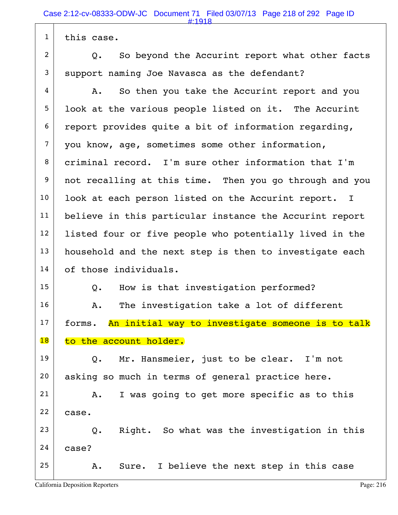$1$  this case.

 $2$  Q. So beyond the Accurint report what other facts  $3$  support naming Joe Navasca as the defendant?

 $4$  A. So then you take the Accurint report and you 5 | look at the various people listed on it. The Accurint  $6$  report provides quite a bit of information regarding, 7 you know, age, sometimes some other information, 8 criminal record. I'm sure other information that I'm 9 not recalling at this time. Then you go through and you 10 | look at each person listed on the Accurint report. I 11 believe in this particular instance the Accurint report 12 | listed four or five people who potentially lived in the  $13$  household and the next step is then to investigate each 14 of those individuals.

15 Q. How is that investigation performed?

 $16$  A. The investigation take a lot of different  $17$  forms. An initial way to investigate someone is to talk 18 to the account holder.

 $19$  Q. Mr. Hansmeier, just to be clear. I'm not 20 | asking so much in terms of general practice here.

 $21$  A. I was going to get more specific as to this  $22$  case.

 $23$  Q. Right. So what was the investigation in this  $24$  case?

 $25$  A. Sure. I believe the next step in this case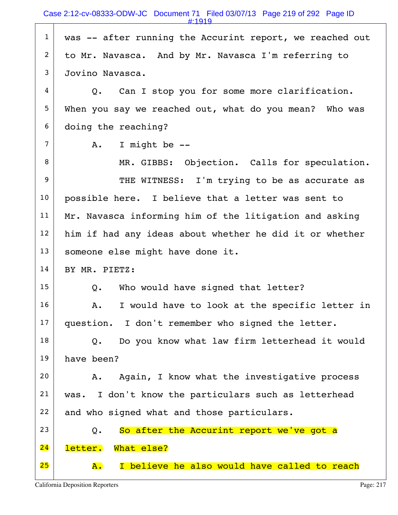| $\mathbf{1}$   | was -- after running the Accurint report, we reached out |
|----------------|----------------------------------------------------------|
| $\overline{2}$ | to Mr. Navasca. And by Mr. Navasca I'm referring to      |
| 3              | Jovino Navasca.                                          |
| 4              | Can I stop you for some more clarification.<br>Q.        |
| 5              | When you say we reached out, what do you mean? Who was   |
| 6              | doing the reaching?                                      |
| 7              | I might be --<br>A.                                      |
| 8              | MR. GIBBS: Objection. Calls for speculation.             |
| 9              | THE WITNESS: I'm trying to be as accurate as             |
| 10             | possible here. I believe that a letter was sent to       |
| 11             | Mr. Navasca informing him of the litigation and asking   |
| 12             | him if had any ideas about whether he did it or whether  |
| 13             | someone else might have done it.                         |
| 14             | BY MR. PIETZ:                                            |
| 15             | Who would have signed that letter?<br>Q.                 |
| 16             | I would have to look at the specific letter in<br>Α.     |
| 17             | question. I don't remember who signed the letter.        |
| 18             | Do you know what law firm letterhead it would<br>Q.      |
| 19             | have been?                                               |
| 20             | Again, I know what the investigative process<br>Α.       |
| 21             | I don't know the particulars such as letterhead<br>was.  |
| 22             | and who signed what and those particulars.               |
| 23             | So after the Accurint report we've got a<br>$Q$ .        |
| 24             | letter.<br>What else?                                    |
| 25             | I believe he also would have called to reach<br>Α.       |

Т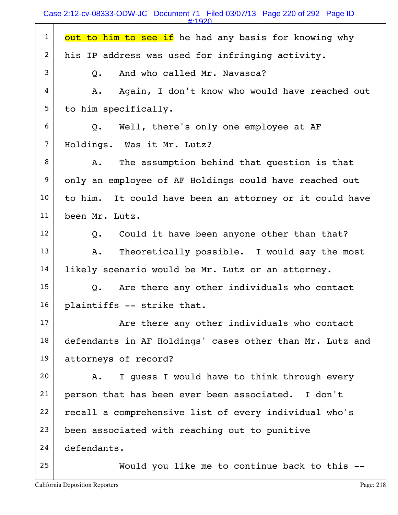Case 2:12-cv-08333-ODW-JC Document 71 Filed 03/07/13 Page 220 of 292 Page ID

| $\mathbf{1}$    | out to him to see if he had any basis for knowing why    |
|-----------------|----------------------------------------------------------|
| 2               | his IP address was used for infringing activity.         |
| 3               | And who called Mr. Navasca?<br>$Q_{\bullet}$             |
| 4               | Again, I don't know who would have reached out<br>Α.     |
| 5               | to him specifically.                                     |
| 6               | Q. Well, there's only one employee at AF                 |
| $\overline{7}$  | Holdings. Was it Mr. Lutz?                               |
| 8               | The assumption behind that question is that<br>Α.        |
| 9               | only an employee of AF Holdings could have reached out   |
| 10              | to him. It could have been an attorney or it could have  |
| 11              | been Mr. Lutz.                                           |
| 12 <sup>2</sup> | Could it have been anyone other than that?<br>Q.         |
| 13              | Theoretically possible. I would say the most<br>Α.       |
| 14              | likely scenario would be Mr. Lutz or an attorney.        |
| 15              | Are there any other individuals who contact<br>Q.        |
| 16              | plaintiffs -- strike that.                               |
| 17              | Are there any other individuals who contact              |
| 18              | defendants in AF Holdings' cases other than Mr. Lutz and |
| 19              | attorneys of record?                                     |
| 20              | I quess I would have to think through every<br>A.        |
| 21              | person that has been ever been associated. I don't       |
| 22              | recall a comprehensive list of every individual who's    |
| 23              | been associated with reaching out to punitive            |
| 24              | defendants.                                              |
| 25              | Would you like me to continue back to this --            |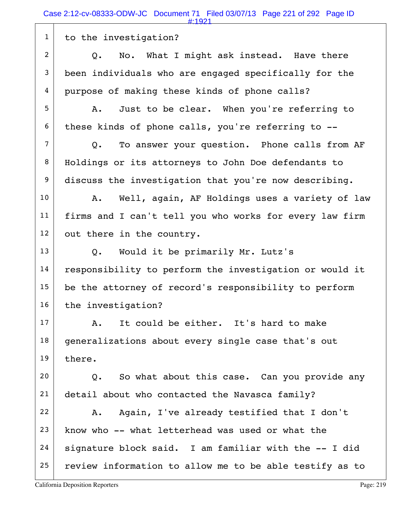1 to the investigation?  $2$  Q. No. What I might ask instead. Have there  $3$  been individuals who are engaged specifically for the 4 purpose of making these kinds of phone calls? 5 A. Just to be clear. When you're referring to  $6$  these kinds of phone calls, you're referring to  $-$ - $7$  Q. To answer your question. Phone calls from AF 8 | Holdings or its attorneys to John Doe defendants to 9 discuss the investigation that you're now describing. 10 | A. Well, again, AF Holdings uses a variety of law 11 | firms and I can't tell you who works for every law firm  $12$  out there in the country. 13 Q. Would it be primarily Mr. Lutz's  $14$  responsibility to perform the investigation or would it  $15$  be the attorney of record's responsibility to perform  $16$  the investigation?  $17$  A. It could be either. It's hard to make  $18$  generalizations about every single case that's out  $19$  there.  $20$  Q. So what about this case. Can you provide any 21 detail about who contacted the Navasca family?  $22$  A. Again, I've already testified that I don't  $23$  know who  $-$ - what letterhead was used or what the  $24$  signature block said. I am familiar with the  $-$ - I did  $25$  review information to allow me to be able testify as to #:1921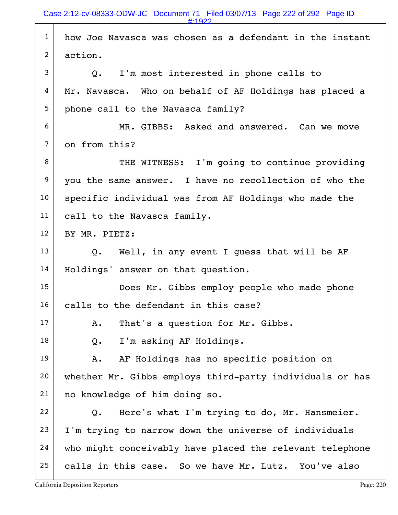|                | $\pm 1922$                                               |
|----------------|----------------------------------------------------------|
| $\mathbf{1}$   | how Joe Navasca was chosen as a defendant in the instant |
| $\overline{2}$ | action.                                                  |
| 3              | I'm most interested in phone calls to<br>Q.              |
| 4              | Mr. Navasca. Who on behalf of AF Holdings has placed a   |
| 5              | phone call to the Navasca family?                        |
| 6              | MR. GIBBS: Asked and answered. Can we move               |
| $\overline{7}$ | on from this?                                            |
| 8              | THE WITNESS: I'm going to continue providing             |
| 9              | you the same answer. I have no recollection of who the   |
| 10             | specific individual was from AF Holdings who made the    |
| 11             | call to the Navasca family.                              |
| 12             | BY MR. PIETZ:                                            |
| 13             | Q. Well, in any event I quess that will be AF            |
| 14             | Holdings' answer on that question.                       |
| 15             | Does Mr. Gibbs employ people who made phone              |
| 16             | calls to the defendant in this case?                     |
| 17             | That's a question for Mr. Gibbs.<br>Α.                   |
| 18             | I'm asking AF Holdings.<br>Q.                            |
| 19             | AF Holdings has no specific position on<br>Α.            |
| 20             | whether Mr. Gibbs employs third-party individuals or has |
| 21             | no knowledge of him doing so.                            |
| 22             | Here's what I'm trying to do, Mr. Hansmeier.<br>Q.       |
| 23             | I'm trying to narrow down the universe of individuals    |
| 24             | who might conceivably have placed the relevant telephone |
| 25             | calls in this case. So we have Mr. Lutz. You've also     |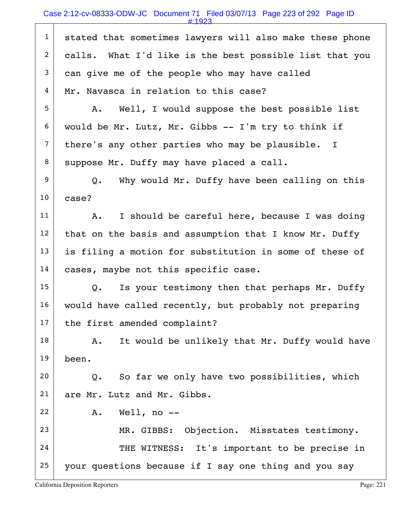## Case 2:12-cv-08333-ODW-JC Document 71 Filed 03/07/13 Page 223 of 292 Page ID

#:1923

| $\mathbf{1}$   | stated that sometimes lawyers will also make these phone |
|----------------|----------------------------------------------------------|
| $\overline{c}$ | calls. What I'd like is the best possible list that you  |
| $\mathfrak{Z}$ | can give me of the people who may have called            |
| 4              | Mr. Navasca in relation to this case?                    |
| 5              | Well, I would suppose the best possible list<br>Α.       |
| 6              | would be Mr. Lutz, Mr. Gibbs -- I'm try to think if      |
| $\overline{7}$ | there's any other parties who may be plausible. I        |
| 8              | suppose Mr. Duffy may have placed a call.                |
| 9              | Why would Mr. Duffy have been calling on this<br>Q.      |
| 10             | case?                                                    |
| 11             | I should be careful here, because I was doing<br>Α.      |
| 12             | that on the basis and assumption that I know Mr. Duffy   |
| 13             | is filing a motion for substitution in some of these of  |
| 14             | cases, maybe not this specific case.                     |
| 15             | Is your testimony then that perhaps Mr. Duffy<br>Q.      |
| 16             | would have called recently, but probably not preparing   |
| 17             | the first amended complaint?                             |
| 18             | It would be unlikely that Mr. Duffy would have<br>Α.     |
| 19             | been.                                                    |
| 20             | So far we only have two possibilities, which<br>Q.       |
| 21             | are Mr. Lutz and Mr. Gibbs.                              |
| 22             | Well, no $-$<br>Α.                                       |
| 23             | MR. GIBBS: Objection. Misstates testimony.               |
| 24             | THE WITNESS: It's important to be precise in             |
| 25             | your questions because if I say one thing and you say    |
|                |                                                          |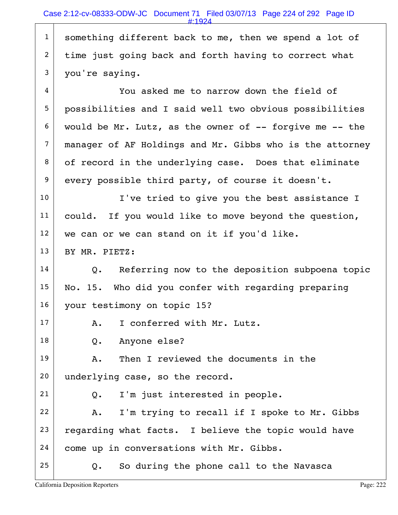$1$  something different back to me, then we spend a lot of  $2$  time just going back and forth having to correct what  $3$  you're saying.

 $4 \mid$  You asked me to narrow down the field of 5 possibilities and I said well two obvious possibilities  $6$  would be Mr. Lutz, as the owner of  $-$ - forgive me  $-$ - the  $7$  manager of AF Holdings and Mr. Gibbs who is the attorney 8 of record in the underlying case. Does that eliminate  $9$  every possible third party, of course it doesn't.

10 | I've tried to give you the best assistance I 11 could. If you would like to move beyond the question,  $12$  we can or we can stand on it if you'd like.

13 BY MR. PIETZ:

 $14$  Q. Referring now to the deposition subpoena topic  $15$  No. 15. Who did you confer with regarding preparing 16 your testimony on topic 15?

17 A. I conferred with Mr. Lutz.

18 Q. Anyone else?

19 A. Then I reviewed the documents in the 20 underlying case, so the record.

 $21$  Q. I'm just interested in people.

22  $\vert$  A. I'm trying to recall if I spoke to Mr. Gibbs 23 regarding what facts. I believe the topic would have 24 come up in conversations with Mr. Gibbs.

 $25$  Q. So during the phone call to the Navasca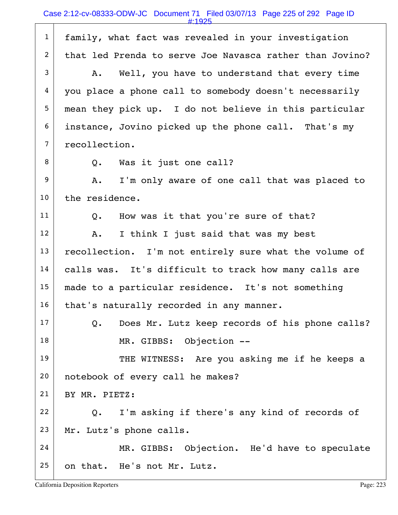1 family, what fact was revealed in your investigation 2 that led Prenda to serve Joe Navasca rather than Jovino?  $3$  A. Well, you have to understand that every time 4 you place a phone call to somebody doesn't necessarily 5 mean they pick up. I do not believe in this particular 6 instance, Jovino picked up the phone call. That's my 7 recollection. 8 Q. Was it just one call? 9 A. I'm only aware of one call that was placed to  $10$  the residence.  $11$  Q. How was it that you're sure of that?  $12$  A. I think I just said that was my best 13 recollection. I'm not entirely sure what the volume of 14 | calls was. It's difficult to track how many calls are 15 made to a particular residence. It's not something  $16$  that's naturally recorded in any manner.  $17$  Q. Does Mr. Lutz keep records of his phone calls? 18 MR. GIBBS: Objection --19 THE WITNESS: Are you asking me if he keeps a 20 notebook of every call he makes? 21 BY MR. PIETZ:  $22$  Q. I'm asking if there's any kind of records of  $23$  Mr. Lutz's phone calls. 24 MR. GIBBS: Objection. He'd have to speculate 25 on that. He's not Mr. Lutz. #:1925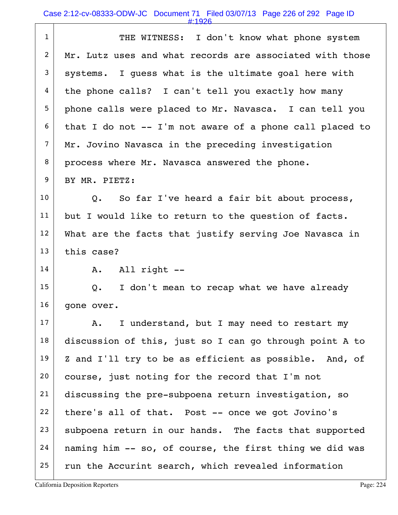| $\mathbf{1}$   | THE WITNESS: I don't know what phone system                |
|----------------|------------------------------------------------------------|
| $\overline{2}$ | Mr. Lutz uses and what records are associated with those   |
| 3              | systems. I quess what is the ultimate goal here with       |
| 4              | the phone calls? I can't tell you exactly how many         |
| 5              | phone calls were placed to Mr. Navasca. I can tell you     |
| 6              | that I do not $--$ I'm not aware of a phone call placed to |
| $\overline{7}$ | Mr. Jovino Navasca in the preceding investigation          |
| 8              | process where Mr. Navasca answered the phone.              |
| 9              | BY MR. PIETZ:                                              |
| 10             | Q. So far I've heard a fair bit about process,             |
| 11             | but I would like to return to the question of facts.       |
| 12             | What are the facts that justify serving Joe Navasca in     |
| 13             | this case?                                                 |
| 14             | All right --<br>A.                                         |
| 15             | Q.<br>I don't mean to recap what we have already           |
| 16             | gone over.                                                 |
| 17             | I understand, but I may need to restart my<br>Α.           |
| 18             | discussion of this, just so I can go through point A to    |
| 19             | Z and I'll try to be as efficient as possible. And, of     |
| 20             | course, just noting for the record that I'm not            |
| 21             | discussing the pre-subpoena return investigation, so       |
| 22             | there's all of that. Post -- once we got Jovino's          |
| 23             | subpoena return in our hands. The facts that supported     |
| 24             | naming him -- so, of course, the first thing we did was    |
| 25             | run the Accurint search, which revealed information        |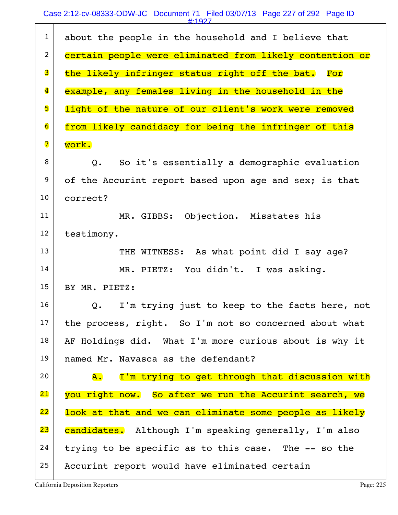## Case 2:12-cv-08333-ODW-JC Document 71 Filed 03/07/13 Page 227 of 292 Page ID

|                         | # 1927                                                      |
|-------------------------|-------------------------------------------------------------|
| $\mathbf{1}$            | about the people in the household and I believe that        |
| $\overline{c}$          | certain people were eliminated from likely contention or    |
| 3                       | the likely infringer status right off the bat.<br>For       |
| $\overline{\mathbf{4}}$ | example, any females living in the household in the         |
| 5                       | light of the nature of our client's work were removed       |
| $\overline{6}$          | from likely candidacy for being the infringer of this       |
| $\overline{\mathbf{7}}$ | work.                                                       |
| 8                       | So it's essentially a demographic evaluation<br>Q.          |
| 9                       | of the Accurint report based upon age and sex; is that      |
| 10                      | correct?                                                    |
| 11                      | MR. GIBBS: Objection. Misstates his                         |
| 12                      | testimony.                                                  |
| 13                      | THE WITNESS: As what point did I say age?                   |
| 14                      | MR. PIETZ: You didn't. I was asking.                        |
| 15                      | BY MR. PIETZ:                                               |
| 16                      | I'm trying just to keep to the facts here, not<br>Q.        |
| 17                      | the process, right. So I'm not so concerned about what      |
| 18                      | AF Holdings did. What I'm more curious about is why it      |
| 19                      | named Mr. Navasca as the defendant?                         |
| 20                      | I'm trying to get through that discussion with<br><b>A.</b> |
| 21                      | you right now. So after we run the Accurint search, we      |
| 22                      | look at that and we can eliminate some people as likely     |
| 23                      | candidates. Although I'm speaking generally, I'm also       |
| 24                      | trying to be specific as to this case. The -- so the        |
| 25                      | Accurint report would have eliminated certain               |
|                         |                                                             |

California Deposition Reporters **Page: 225** 

 $\Gamma$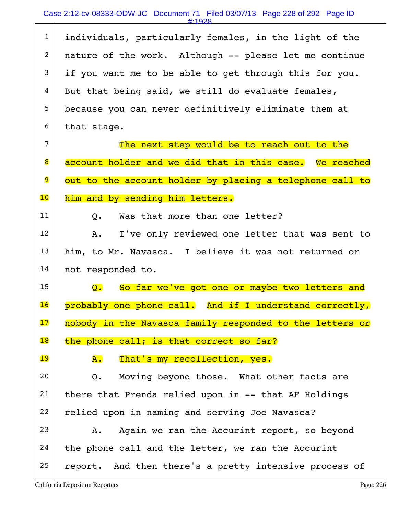|                 | #:1928                                                     |
|-----------------|------------------------------------------------------------|
| $\mathbf{1}$    | individuals, particularly females, in the light of the     |
| $\overline{2}$  | nature of the work. Although -- please let me continue     |
| 3               | if you want me to be able to get through this for you.     |
| 4               | But that being said, we still do evaluate females,         |
| 5 <sub>5</sub>  | because you can never definitively eliminate them at       |
| 6               | that stage.                                                |
| $\overline{7}$  | The next step would be to reach out to the                 |
| 8               | account holder and we did that in this case. We reached    |
| 9               | out to the account holder by placing a telephone call to   |
| $\overline{10}$ | him and by sending him letters.                            |
| 11              | Was that more than one letter?<br>$Q_{\bullet}$            |
| 12              | I've only reviewed one letter that was sent to<br>Α.       |
| 13              | him, to Mr. Navasca. I believe it was not returned or      |
| 14              | not responded to.                                          |
| 15              | Q. So far we've got one or maybe two letters and           |
| 16              | And if I understand correctly,<br>probably one phone call. |
| 17              | nobody in the Navasca family responded to the letters or   |
| 18              | the phone call; is that correct so far?                    |
| 19              | That's my recollection, yes.<br>${\bf A}$ .                |
| 20              | Moving beyond those. What other facts are<br>$Q_{\bullet}$ |
| 21              | there that Prenda relied upon in -- that AF Holdings       |
| 22              | relied upon in naming and serving Joe Navasca?             |
| 23              | Again we ran the Accurint report, so beyond<br>Α.          |
| 24              | the phone call and the letter, we ran the Accurint         |
| 25              | report. And then there's a pretty intensive process of     |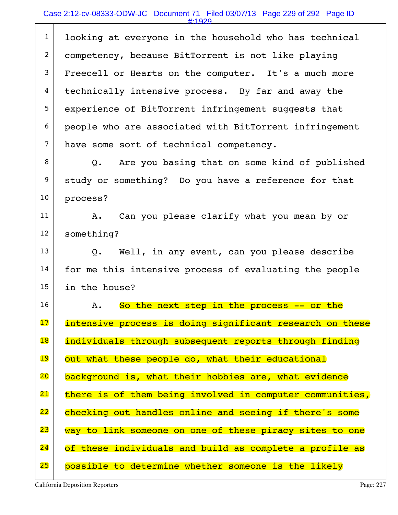|                | #:1929                                                   |
|----------------|----------------------------------------------------------|
| $\mathbf{1}$   | looking at everyone in the household who has technical   |
| $\overline{a}$ | competency, because BitTorrent is not like playing       |
| 3              | Freecell or Hearts on the computer. It's a much more     |
| 4              | technically intensive process. By far and away the       |
| 5 <sub>5</sub> | experience of BitTorrent infringement suggests that      |
| 6              | people who are associated with BitTorrent infringement   |
| $\overline{7}$ | have some sort of technical competency.                  |
| 8              | Q. Are you basing that on some kind of published         |
| 9              | study or something? Do you have a reference for that     |
| 10             | process?                                                 |
| 11             | Can you please clarify what you mean by or<br>Α.         |
| 12             | something?                                               |
| 13             | Q. Well, in any event, can you please describe           |
| 14             | for me this intensive process of evaluating the people   |
| 15             | in the house?                                            |
| 16             | So the next step in the process -- or the<br>Α.          |
| 17             | intensive process is doing significant research on these |
| 18             | individuals through subsequent reports through finding   |
| 19             | out what these people do, what their educational         |
| 20             | background is, what their hobbies are, what evidence     |
| 21             | there is of them being involved in computer communities, |
| 22             | checking out handles online and seeing if there's some   |
| 23             | way to link someone on one of these piracy sites to one  |
| 24             | of these individuals and build as complete a profile as  |
| 25             | possible to determine whether someone is the likely      |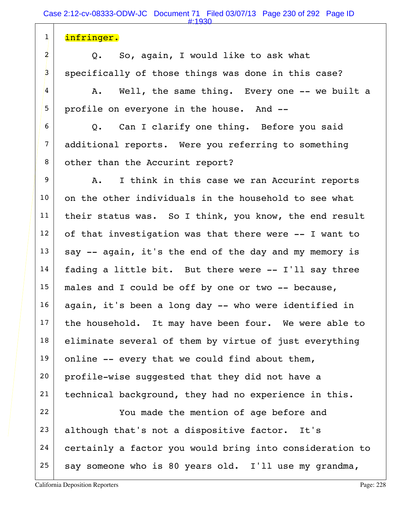1 | infringer.  $2$  Q. So, again, I would like to ask what 3 specifically of those things was done in this case?  $4$  A. Well, the same thing. Every one -- we built a 5 profile on everyone in the house. And -- $6$  Q. Can I clarify one thing. Before you said 7 additional reports. Were you referring to something 8 other than the Accurint report? 9 | A. I think in this case we ran Accurint reports  $10$  on the other individuals in the household to see what  $11$  their status was. So I think, you know, the end result  $12$  of that investigation was that there were  $-$ - I want to  $13$  say -- again, it's the end of the day and my memory is  $14$  fading a little bit. But there were  $-$ - I'll say three  $15$  males and I could be off by one or two -- because,  $16$  again, it's been a long day  $-$  who were identified in  $17$  the household. It may have been four. We were able to  $18$  eliminate several of them by virtue of just everything 19 online  $-$  every that we could find about them, 20 profile-wise suggested that they did not have a 21 | technical background, they had no experience in this. 22 You made the mention of age before and  $23$  although that's not a dispositive factor. It's 24 certainly a factor you would bring into consideration to 25 say someone who is 80 years old. I'll use my grandma, #:1930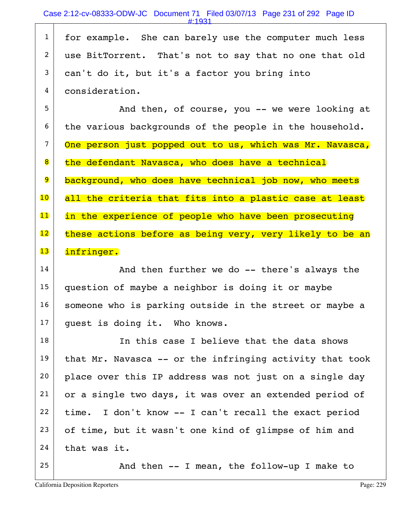1 for example. She can barely use the computer much less 2 use BitTorrent. That's not to say that no one that old  $3$  can't do it, but it's a factor you bring into 4 consideration.

5 And then, of course, you -- we were looking at  $6$  the various backgrounds of the people in the household. 7 One person just popped out to us, which was Mr. Navasca, 8 the defendant Navasca, who does have a technical 9 background, who does have technical job now, who meets 10 all the criteria that fits into a plastic case at least 11 in the experience of people who have been prosecuting  $12$  these actions before as being very, very likely to be an 13 infringer.

14 | The and then further we do -- there's always the 15 question of maybe a neighbor is doing it or maybe 16 someone who is parking outside in the street or maybe a 17 quest is doing it. Who knows.

 In this case I believe that the data shows that Mr. Navasca -- or the infringing activity that took 20 place over this IP address was not just on a single day or a single two days, it was over an extended period of time. I don't know  $-$  I can't recall the exact period of time, but it wasn't one kind of glimpse of him and that was it.

 $25$  And then -- I mean, the follow-up I make to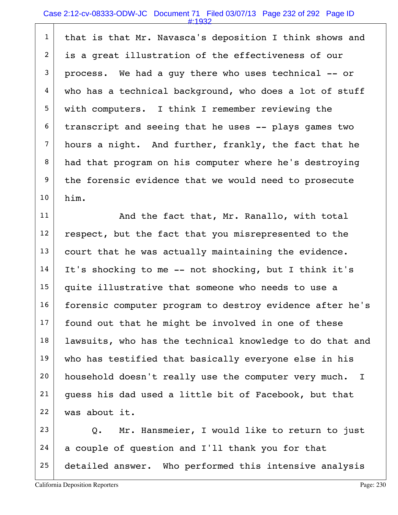## Case 2:12-cv-08333-ODW-JC Document 71 Filed 03/07/13 Page 232 of 292 Page ID #:1932

1 | that is that Mr. Navasca's deposition I think shows and 2 is a great illustration of the effectiveness of our  $3$  process. We had a guy there who uses technical  $-$ - or  $4 \mid$  who has a technical background, who does a lot of stuff 5 with computers. I think I remember reviewing the  $6$  transcript and seeing that he uses  $-$ - plays games two 7 hours a night. And further, frankly, the fact that he 8 had that program on his computer where he's destroying 9 the forensic evidence that we would need to prosecute 10 him.

11 | And the fact that, Mr. Ranallo, with total  $12$  respect, but the fact that you misrepresented to the  $13$  court that he was actually maintaining the evidence.  $14$  It's shocking to me -- not shocking, but I think it's 15 quite illustrative that someone who needs to use a 16 forensic computer program to destroy evidence after he's  $17$  found out that he might be involved in one of these  $18$  lawsuits, who has the technical knowledge to do that and 19 who has testified that basically everyone else in his 20 | household doesn't really use the computer very much. I 21 guess his dad used a little bit of Facebook, but that 22 was about it.

 $23$  Q. Mr. Hansmeier, I would like to return to just  $24$  a couple of question and I'll thank you for that 25 detailed answer. Who performed this intensive analysis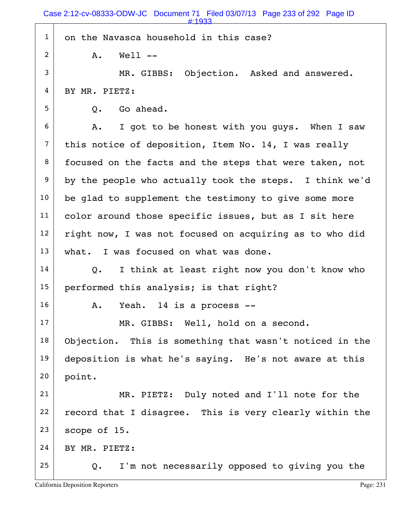1 on the Navasca household in this case?  $2$   $A$ ,  $Wel$   $I$   $I$ 3 MR. GIBBS: Objection. Asked and answered. 4 BY MR. PIETZ:  $5 \mid 0.$  Go ahead.  $6$  A. I got to be honest with you guys. When I saw  $7$  this notice of deposition, Item No. 14, I was really 8 focused on the facts and the steps that were taken, not  $9$  by the people who actually took the steps. I think we'd  $10$  be glad to supplement the testimony to give some more 11 | color around those specific issues, but as I sit here  $12$  right now, I was not focused on acquiring as to who did 13 | what. I was focused on what was done.  $14$  Q. I think at least right now you don't know who 15 performed this analysis; is that right?  $16$  A. Yeah. 14 is a process  $-$ 17 MR. GIBBS: Well, hold on a second. 18 Objection. This is something that wasn't noticed in the 19 deposition is what he's saying. He's not aware at this 20 point. 21 MR. PIETZ: Duly noted and I'll note for the  $22$  record that I disagree. This is very clearly within the  $23$  scope of 15.  $24$  BY MR. PIETZ:  $25$  Q. I'm not necessarily opposed to giving you the Case 2:12-cv-08333-ODW-JC Document 71 Filed 03/07/13 Page 233 of 292 Page ID #:1933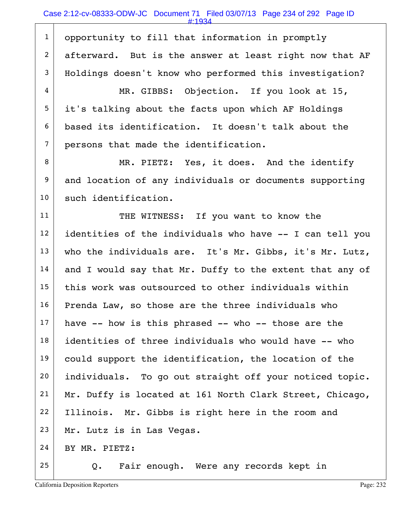1 opportunity to fill that information in promptly 2 afterward. But is the answer at least right now that AF 3 Holdings doesn't know who performed this investigation? 4 MR. GIBBS: Objection. If you look at 15,  $5$  it's talking about the facts upon which AF Holdings 6 based its identification. It doesn't talk about the 7 persons that made the identification. 8 MR. PIETZ: Yes, it does. And the identify 9 and location of any individuals or documents supporting 10 such identification. 11 THE WITNESS: If you want to know the  $12$  identities of the individuals who have  $-$  I can tell you 13 who the individuals are. It's Mr. Gibbs, it's Mr. Lutz,  $14$  and I would say that Mr. Duffy to the extent that any of  $15$  this work was outsourced to other individuals within  $16$  Prenda Law, so those are the three individuals who  $17$  have -- how is this phrased -- who -- those are the 18 identities of three individuals who would have -- who 19 could support the identification, the location of the 20 | individuals. To go out straight off your noticed topic.  $21$  Mr. Duffy is located at 161 North Clark Street, Chicago, 22 Illinois. Mr. Gibbs is right here in the room and 23 Mr. Lutz is in Las Vegas.  $24$  BY MR. PIETZ:  $25$  Q. Fair enough. Were any records kept in #:1934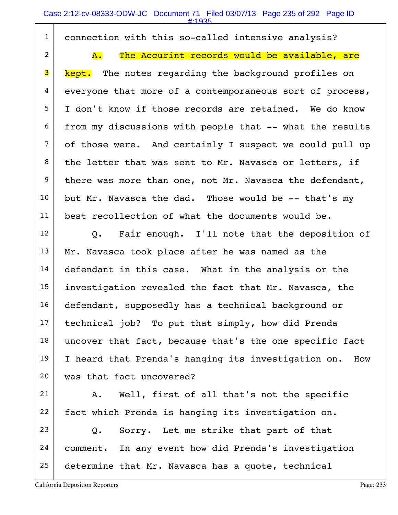|                | $\#:1935$                                                  |
|----------------|------------------------------------------------------------|
| $\mathbf{1}$   | connection with this so-called intensive analysis?         |
| $\overline{2}$ | The Accurint records would be available, are<br>${\tt A.}$ |
| 3              | The notes regarding the background profiles on<br>kept.    |
| $\overline{4}$ | everyone that more of a contemporaneous sort of process,   |
| 5              | I don't know if those records are retained. We do know     |
| 6              | from my discussions with people that -- what the results   |
| $\overline{7}$ | of those were. And certainly I suspect we could pull up    |
| 8              | the letter that was sent to Mr. Navasca or letters, if     |
| 9              | there was more than one, not Mr. Navasca the defendant,    |
| 10             | but Mr. Navasca the dad. Those would be -- that's my       |
| 11             | best recollection of what the documents would be.          |
| 12             | Q. Fair enough. I'll note that the deposition of           |
| 13             | Mr. Navasca took place after he was named as the           |
| 14             | defendant in this case. What in the analysis or the        |
| 15             | investigation revealed the fact that Mr. Navasca, the      |
| 16             | defendant, supposedly has a technical background or        |
| 17             | technical job? To put that simply, how did Prenda          |
| 18             | uncover that fact, because that's the one specific fact    |
| 19             | I heard that Prenda's hanging its investigation on.<br>How |
| 20             | was that fact uncovered?                                   |
| 21             | Well, first of all that's not the specific<br>Α.           |
| 22             | fact which Prenda is hanging its investigation on.         |
| 23             | Sorry. Let me strike that part of that<br>Q.               |
| 24             | comment. In any event how did Prenda's investigation       |
| 25             | determine that Mr. Navasca has a quote, technical          |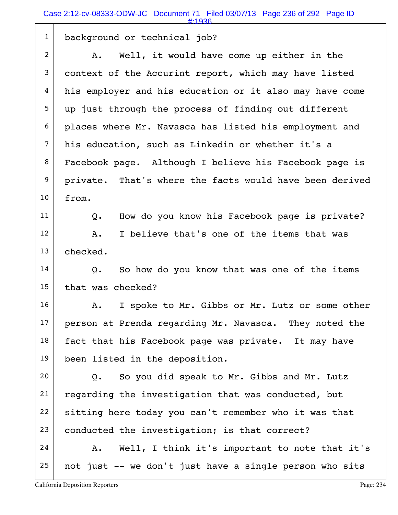|                | Case 2:12-cv-08333-ODW-JC Document 71 Filed 03/07/13 Page 236 of 292 Page ID<br>#:1936 |
|----------------|----------------------------------------------------------------------------------------|
| $\mathbf{1}$   | background or technical job?                                                           |
| $\overline{2}$ | Well, it would have come up either in the<br>Α.                                        |
| 3              | context of the Accurint report, which may have listed                                  |
| 4              | his employer and his education or it also may have come                                |
| 5              | up just through the process of finding out different                                   |
| 6              | places where Mr. Navasca has listed his employment and                                 |
| 7              | his education, such as Linkedin or whether it's a                                      |
| 8              | Facebook page. Although I believe his Facebook page is                                 |
| 9              | private. That's where the facts would have been derived                                |
| 10             | from.                                                                                  |
| 11             | How do you know his Facebook page is private?<br>Q.                                    |
| 12             | I believe that's one of the items that was<br>Α.                                       |
| 13             | checked.                                                                               |
| 14             | So how do you know that was one of the items<br>$Q$ .                                  |
| 15             | that was checked?                                                                      |
| 16             | I spoke to Mr. Gibbs or Mr. Lutz or some other<br>Α.                                   |
| 17             | person at Prenda regarding Mr. Navasca. They noted the                                 |
| 18             | fact that his Facebook page was private. It may have                                   |
| 19             | been listed in the deposition.                                                         |
| 20             | So you did speak to Mr. Gibbs and Mr. Lutz<br>$Q$ .                                    |
| 21             | regarding the investigation that was conducted, but                                    |
| 22             | sitting here today you can't remember who it was that                                  |
| 23             | conducted the investigation; is that correct?                                          |
| 24             | Well, I think it's important to note that it's<br>A.                                   |
| 25             | not just -- we don't just have a single person who sits                                |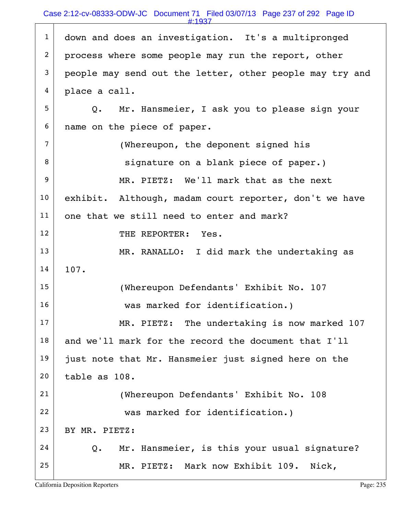## Case 2:12-cv-08333-ODW-JC Document 71 Filed 03/07/13 Page 237 of 292 Page ID

#:1937

| $\mathbf{1}$   | down and does an investigation. It's a multipronged      |
|----------------|----------------------------------------------------------|
| $\overline{2}$ | process where some people may run the report, other      |
| 3              | people may send out the letter, other people may try and |
| 4              | place a call.                                            |
| 5              | Q. Mr. Hansmeier, I ask you to please sign your          |
| 6              | name on the piece of paper.                              |
| 7              | (Whereupon, the deponent signed his                      |
| 8              | signature on a blank piece of paper.)                    |
| 9              | MR. PIETZ: We'll mark that as the next                   |
| 10             | exhibit. Although, madam court reporter, don't we have   |
| 11             | one that we still need to enter and mark?                |
| 12             | THE REPORTER: Yes.                                       |
| 13             | MR. RANALLO: I did mark the undertaking as               |
| 14             | 107.                                                     |
| 15             | (Whereupon Defendants' Exhibit No. 107                   |
| 16             | was marked for identification.)                          |
| 17             | MR. PIETZ: The undertaking is now marked 107             |
| 18             | and we'll mark for the record the document that I'll     |
| 19             | just note that Mr. Hansmeier just signed here on the     |
| 20             | table as 108.                                            |
| 21             | (Whereupon Defendants' Exhibit No. 108                   |
| 22             | was marked for identification.)                          |
| 23             | BY MR. PIETZ:                                            |
| 24             | Mr. Hansmeier, is this your usual signature?<br>Q.       |
| 25             | MR. PIETZ: Mark now Exhibit 109. Nick,                   |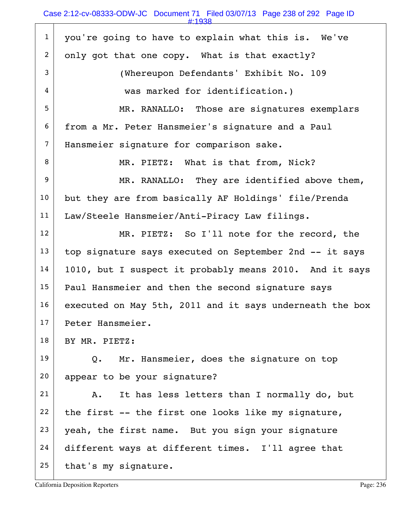| ٠ |  |  |
|---|--|--|
|   |  |  |

| $\mathbf{1}$     | you're going to have to explain what this is. We've       |
|------------------|-----------------------------------------------------------|
| $\overline{a}$   | only got that one copy. What is that exactly?             |
| 3                | (Whereupon Defendants' Exhibit No. 109                    |
| 4                | was marked for identification.)                           |
| 5                | MR. RANALLO: Those are signatures exemplars               |
| 6                | from a Mr. Peter Hansmeier's signature and a Paul         |
| 7                | Hansmeier signature for comparison sake.                  |
| 8                | MR. PIETZ: What is that from, Nick?                       |
| $\boldsymbol{9}$ | MR. RANALLO: They are identified above them,              |
| 10               | but they are from basically AF Holdings' file/Prenda      |
| 11               | Law/Steele Hansmeier/Anti-Piracy Law filings.             |
| 12               | MR. PIETZ: So I'll note for the record, the               |
| 13               | top signature says executed on September 2nd -- it says   |
| 14               | 1010, but I suspect it probably means 2010. And it says   |
| 15               | Paul Hansmeier and then the second signature says         |
| 16               | executed on May 5th, 2011 and it says underneath the box  |
| 17               | Peter Hansmeier.                                          |
| 18               | BY MR. PIETZ:                                             |
| 19               | Mr. Hansmeier, does the signature on top<br>$Q_{\bullet}$ |
| 20               | appear to be your signature?                              |
| 21               | It has less letters than I normally do, but<br>Α.         |
| 22               | the first -- the first one looks like my signature,       |
| 23               | yeah, the first name. But you sign your signature         |
| 24               | different ways at different times. I'll agree that        |
| 25               | that's my signature.                                      |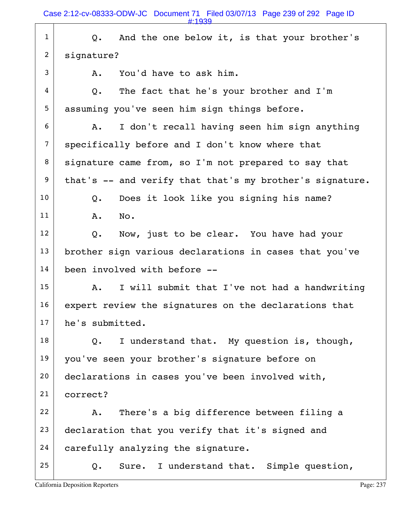| $\mathbf{1}$   | And the one below it, is that your brother's<br>Q.       |
|----------------|----------------------------------------------------------|
| $\overline{2}$ | signature?                                               |
| 3              | You'd have to ask him.<br>Α.                             |
| $\overline{4}$ | The fact that he's your brother and I'm<br>Q.            |
| 5              | assuming you've seen him sign things before.             |
| 6              | I don't recall having seen him sign anything<br>Α.       |
| $\overline{7}$ | specifically before and I don't know where that          |
| 8              | signature came from, so I'm not prepared to say that     |
| 9              | that's -- and verify that that's my brother's signature. |
| 10             | Does it look like you signing his name?<br>$Q$ .         |
| 11             | No.<br>Α.                                                |
| 12             | Now, just to be clear. You have had your<br>Q.           |
| 13             | brother sign various declarations in cases that you've   |
| 14             | been involved with before --                             |
| 15             | I will submit that I've not had a handwriting<br>Α.      |
| 16             | expert review the signatures on the declarations that    |
| 17             | he's submitted.                                          |
| 18             | I understand that. My question is, though,<br>Q.         |
| 19             | you've seen your brother's signature before on           |
| 20             | declarations in cases you've been involved with,         |
| 21             | correct?                                                 |
| 22             | There's a big difference between filing a<br>Α.          |
| 23             | declaration that you verify that it's signed and         |
| 24             | carefully analyzing the signature.                       |
| 25             | Sure. I understand that. Simple question,<br>Q.          |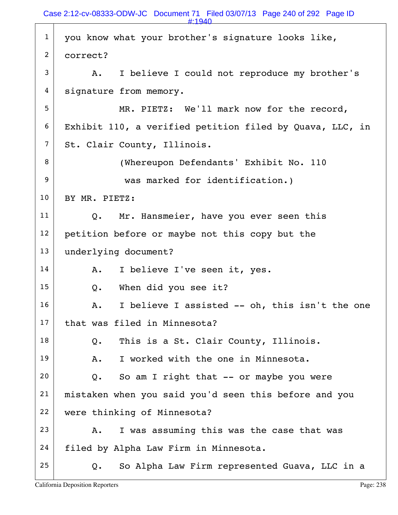|                | $\pm 1940$                                               |
|----------------|----------------------------------------------------------|
| $\mathbf{1}$   | you know what your brother's signature looks like,       |
| $\overline{2}$ | correct?                                                 |
| 3              | I believe I could not reproduce my brother's<br>Α.       |
| 4              | signature from memory.                                   |
| 5              | MR. PIETZ: We'll mark now for the record,                |
| 6              | Exhibit 110, a verified petition filed by Quava, LLC, in |
| 7              | St. Clair County, Illinois.                              |
| 8              | (Whereupon Defendants' Exhibit No. 110                   |
| 9              | was marked for identification.)                          |
| 10             | BY MR. PIETZ:                                            |
| 11             | Mr. Hansmeier, have you ever seen this<br>Q.             |
| 12             | petition before or maybe not this copy but the           |
| 13             | underlying document?                                     |
| 14             | I believe I've seen it, yes.<br>Α.                       |
| 15             | When did you see it?<br>Q.                               |
| 16             | I believe I assisted -- oh, this isn't the one<br>Α.     |
| 17             | that was filed in Minnesota?                             |
| 18             | This is a St. Clair County, Illinois.<br>Q.              |
| 19             | I worked with the one in Minnesota.<br>Α.                |
| 20             | So am I right that -- or maybe you were<br>Q.            |
| 21             | mistaken when you said you'd seen this before and you    |
| 22             | were thinking of Minnesota?                              |
| 23             | I was assuming this was the case that was<br>Α.          |
| 24             | filed by Alpha Law Firm in Minnesota.                    |
| 25             | So Alpha Law Firm represented Guava, LLC in a<br>Q.      |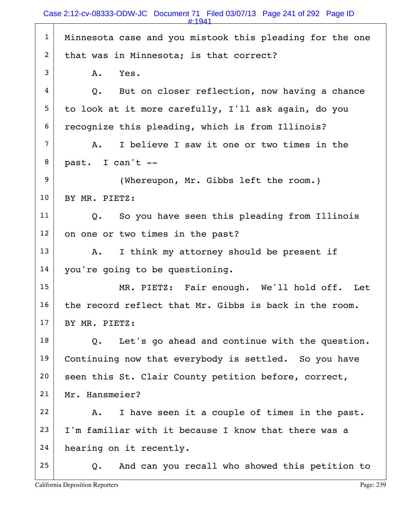| $\mathbf{1}$     | Minnesota case and you mistook this pleading for the one |
|------------------|----------------------------------------------------------|
| $\overline{2}$   | that was in Minnesota; is that correct?                  |
| 3                | Yes.<br>Α.                                               |
| 4                | But on closer reflection, now having a chance<br>Q.      |
| 5                | to look at it more carefully, I'll ask again, do you     |
| 6                | recognize this pleading, which is from Illinois?         |
| $\overline{7}$   | I believe I saw it one or two times in the<br>Α.         |
| 8                | past. I can't --                                         |
| $\boldsymbol{9}$ | (Whereupon, Mr. Gibbs left the room.)                    |
| 10               | BY MR. PIETZ:                                            |
| 11               | Q. So you have seen this pleading from Illinois          |
| 12               | on one or two times in the past?                         |
| 13               | I think my attorney should be present if<br>Α.           |
| 14               | you're going to be questioning.                          |
| 15               | MR. PIETZ: Fair enough. We'll hold off. Let              |
| 16               | the record reflect that Mr. Gibbs is back in the room.   |
| 17               | BY MR. PIETZ:                                            |
| 18               | Let's go ahead and continue with the question.<br>Q.     |
| 19               | Continuing now that everybody is settled. So you have    |
| 20               | seen this St. Clair County petition before, correct,     |
| 21               | Mr. Hansmeier?                                           |
| 22               | I have seen it a couple of times in the past.<br>Α.      |
| 23               | I'm familiar with it because I know that there was a     |
| 24               | hearing on it recently.                                  |
| 25               | And can you recall who showed this petition to<br>Q.     |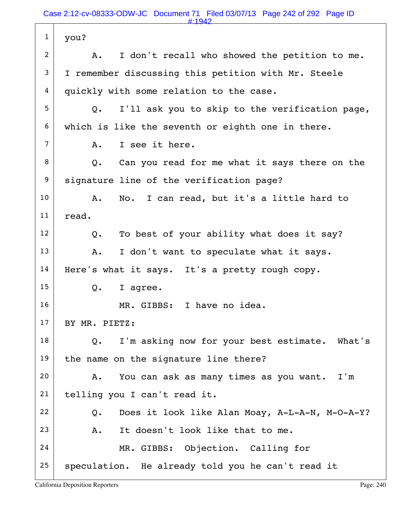| $\mathbf{1}$   | you?                                                    |
|----------------|---------------------------------------------------------|
| $\overline{c}$ | I don't recall who showed the petition to me.<br>Α.     |
| 3              | I remember discussing this petition with Mr. Steele     |
| 4              | quickly with some relation to the case.                 |
| 5              | I'll ask you to skip to the verification page,<br>Q.    |
| 6              | which is like the seventh or eighth one in there.       |
| 7              | I see it here.<br>A.                                    |
| 8              | Can you read for me what it says there on the<br>Q.     |
| 9              | signature line of the verification page?                |
| 10             | No. I can read, but it's a little hard to<br>A.         |
| 11             | read.                                                   |
| 12             | To best of your ability what does it say?<br>Q.         |
| 13             | I don't want to speculate what it says.<br>Α.           |
| 14             | Here's what it says. It's a pretty rough copy.          |
| 15             | I agree.<br>Q.                                          |
| 16             | MR. GIBBS: I have no idea.                              |
| 17             | BY MR. PIETZ:                                           |
| 18             | I'm asking now for your best estimate. What's<br>Q.     |
| 19             | the name on the signature line there?                   |
| 20             | You can ask as many times as you want. I'm<br>A.        |
| 21             | telling you I can't read it.                            |
| 22             | Does it look like Alan Moay, A-L-A-N, M-O-A-Y?<br>$Q$ . |
| 23             | It doesn't look like that to me.<br>A.                  |
| 24             | MR. GIBBS: Objection. Calling for                       |
| 25             | speculation. He already told you he can't read it       |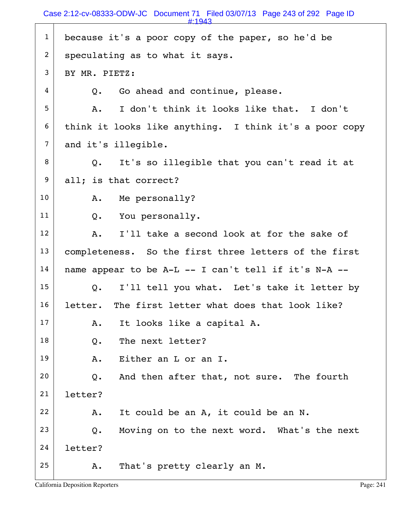| $\mathbf{1}$   | because it's a poor copy of the paper, so he'd be            |
|----------------|--------------------------------------------------------------|
| $\overline{2}$ | speculating as to what it says.                              |
| 3              | BY MR. PIETZ:                                                |
| $\overline{4}$ | Go ahead and continue, please.<br>$Q_{\bullet}$              |
| 5              | I don't think it looks like that. I don't<br>Α.              |
| 6              | think it looks like anything. I think it's a poor copy       |
| $\overline{7}$ | and it's illegible.                                          |
| 8              | It's so illegible that you can't read it at<br>$Q_{\bullet}$ |
| 9              | all; is that correct?                                        |
| 10             | Me personally?<br>Α.                                         |
| 11             | Q. You personally.                                           |
| 12             | I'll take a second look at for the sake of<br>Α.             |
| 13             | completeness. So the first three letters of the first        |
| 14             | name appear to be A-L -- I can't tell if it's N-A --         |
| 15             | I'll tell you what. Let's take it letter by<br>$Q_{\bullet}$ |
| 16             | letter. The first letter what does that look like?           |
| 17             | It looks like a capital A.<br>Α.                             |
| 18             | The next letter?<br>$Q$ .                                    |
| 19             | Either an L or an I.<br>Α.                                   |
| 20             | And then after that, not sure. The fourth<br>Q.              |
| 21             | letter?                                                      |
| 22             | It could be an A, it could be an N.<br>Α.                    |
| 23             | Moving on to the next word. What's the next<br>$Q$ .         |
| 24             | letter?                                                      |
| 25             | That's pretty clearly an M.<br>Α.                            |
|                |                                                              |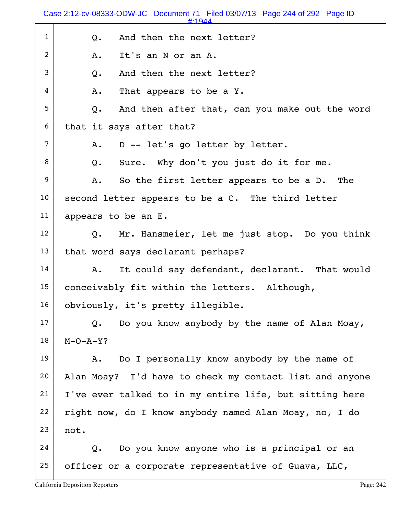|                | Case 2:12-cv-08333-ODW-JC Document 71 Filed 03/07/13 Page 244 of 292 Page ID<br>$\text{H}$ -1944 |
|----------------|--------------------------------------------------------------------------------------------------|
| $\mathbf{1}$   | And then the next letter?<br>$Q$ .                                                               |
| $\overline{2}$ | It's an N or an A.<br>Α.                                                                         |
| 3              | And then the next letter?<br>Q.                                                                  |
| 4              | That appears to be a Y.<br>Α.                                                                    |
| 5              | And then after that, can you make out the word<br>Q.                                             |
| 6              | that it says after that?                                                                         |
| $\overline{7}$ | D -- let's go letter by letter.<br>Α.                                                            |
| 8              | Sure. Why don't you just do it for me.<br>$Q$ .                                                  |
| 9              | So the first letter appears to be a D. The<br>Α.                                                 |
| 10             | second letter appears to be a C. The third letter                                                |
| 11             | appears to be an E.                                                                              |
| 12             | Q. Mr. Hansmeier, let me just stop. Do you think                                                 |
| 13             | that word says declarant perhaps?                                                                |
| 14             | It could say defendant, declarant. That would<br>Α.                                              |
| 15             | conceivably fit within the letters. Although,                                                    |
| 16             | obviously, it's pretty illegible.                                                                |
| 17             | Do you know anybody by the name of Alan Moay,<br>$Q$ .                                           |
| 18             | $M-O-A-Y$ ?                                                                                      |
| 19             | Do I personally know anybody by the name of<br>Α.                                                |
| 20             | Alan Moay? I'd have to check my contact list and anyone                                          |
| 21             | I've ever talked to in my entire life, but sitting here                                          |
| 22             | right now, do I know anybody named Alan Moay, no, I do                                           |
| 23             | not.                                                                                             |
| 24             | Do you know anyone who is a principal or an<br>Q.                                                |
| 25             | officer or a corporate representative of Guava, LLC,                                             |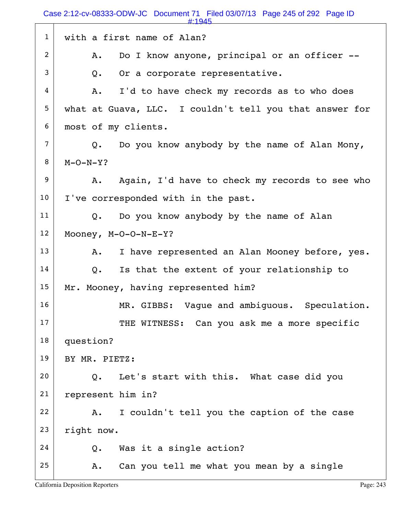Case 2:12-cv-08333-ODW-JC Document 71 Filed 03/07/13 Page 245 of 292 Page ID

|                | #:1945                                                    |
|----------------|-----------------------------------------------------------|
| $\mathbf{1}$   | with a first name of Alan?                                |
| $\overline{c}$ | Do I know anyone, principal or an officer --<br>Α.        |
| 3              | Or a corporate representative.<br>Q.                      |
| 4              | I'd to have check my records as to who does<br>A.         |
| 5              | what at Guava, LLC. I couldn't tell you that answer for   |
| 6              | most of my clients.                                       |
| $\overline{7}$ | Do you know anybody by the name of Alan Mony,<br>Q.       |
| 8              | $M-O-N-Y$ ?                                               |
| 9              | Again, I'd have to check my records to see who<br>A.      |
| 10             | I've corresponded with in the past.                       |
| 11             | Do you know anybody by the name of Alan<br>Q.             |
| 12             | Mooney, $M-O-O-N-E-Y$ ?                                   |
| 13             | I have represented an Alan Mooney before, yes.<br>A.      |
| 14             | Is that the extent of your relationship to<br>Q.          |
| 15             | Mr. Mooney, having represented him?                       |
| 16             | MR. GIBBS: Vaque and ambiquous. Speculation.              |
| 17             | THE WITNESS: Can you ask me a more specific               |
| 18             | question?                                                 |
| 19             | BY MR. PIETZ:                                             |
| 20             | Let's start with this. What case did you<br>$O_{\bullet}$ |
| 21             | represent him in?                                         |
| 22             | I couldn't tell you the caption of the case<br>Α.         |
| 23             | right now.                                                |
| 24             | Was it a single action?<br>Q.                             |
| 25             | Can you tell me what you mean by a single<br>Α.           |
|                |                                                           |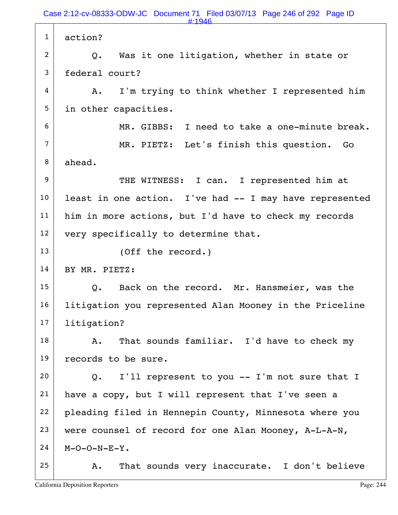1 action?  $2$  Q. Was it one litigation, whether in state or 3 federal court?  $4$  A. I'm trying to think whether I represented him 5 in other capacities. 6 MR. GIBBS: I need to take a one-minute break. 7 MR. PIETZ: Let's finish this question. Go 8 ahead. 9 THE WITNESS: I can. I represented him at  $10$  least in one action. I've had  $-$  I may have represented 11 | him in more actions, but I'd have to check my records  $12$  very specifically to determine that. 13 (Off the record.) 14 BY MR. PIETZ: 15 Q. Back on the record. Mr. Hansmeier, was the 16 | litigation you represented Alan Mooney in the Priceline 17 litigation?  $18$  A. That sounds familiar. I'd have to check my 19 records to be sure.  $20$  Q. I'll represent to you -- I'm not sure that I  $21$  have a copy, but I will represent that I've seen a 22 pleading filed in Hennepin County, Minnesota where you 23 were counsel of record for one Alan Mooney,  $A-L-A-N$ ,  $24$  M-O-O-N-E-Y.  $25$  A. That sounds very inaccurate. I don't believe #:1946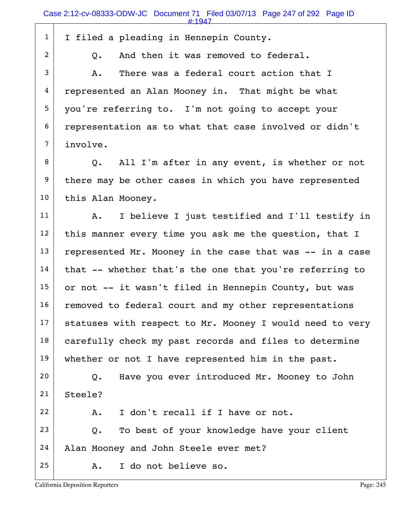| $\mathbf{1}$   | I filed a pleading in Hennepin County.                   |
|----------------|----------------------------------------------------------|
| $\overline{2}$ | And then it was removed to federal.<br>Q.                |
| 3              | There was a federal court action that I<br>Α.            |
| 4              | represented an Alan Mooney in. That might be what        |
| 5              | you're referring to. I'm not going to accept your        |
| 6              | representation as to what that case involved or didn't   |
| $\overline{7}$ | involve.                                                 |
| 8              | Q. All I'm after in any event, is whether or not         |
| 9              | there may be other cases in which you have represented   |
| 10             | this Alan Mooney.                                        |
| 11             | I believe I just testified and I'll testify in<br>A.     |
| 12             | this manner every time you ask me the question, that I   |
| 13             | represented Mr. Mooney in the case that was -- in a case |
| 14             | that -- whether that's the one that you're referring to  |
| 15             | or not -- it wasn't filed in Hennepin County, but was    |
| 16             | removed to federal court and my other representations    |
| 17             | statuses with respect to Mr. Mooney I would need to very |
| 18             | carefully check my past records and files to determine   |
| 19             | whether or not I have represented him in the past.       |
| 20             | Have you ever introduced Mr. Mooney to John<br>Q.        |
| 21             | Steele?                                                  |
| 22             | I don't recall if I have or not.<br>Α.                   |
| 23             | To best of your knowledge have your client<br>$Q$ .      |
| 24             | Alan Mooney and John Steele ever met?                    |
| 25             | I do not believe so.<br>Α.                               |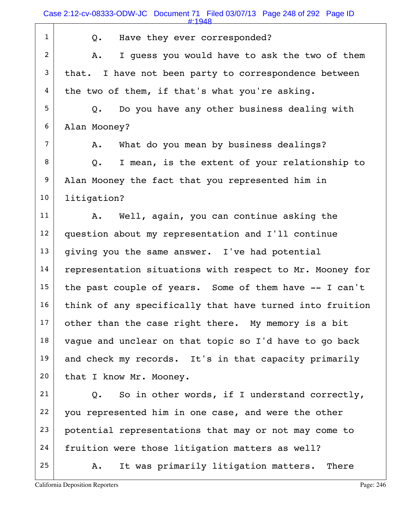|                 | #:1948                                                   |
|-----------------|----------------------------------------------------------|
| $\mathbf{1}$    | Have they ever corresponded?<br>Q.                       |
| $\overline{2}$  | I quess you would have to ask the two of them<br>Α.      |
| 3               | that. I have not been party to correspondence between    |
| 4               | the two of them, if that's what you're asking.           |
| 5               | Do you have any other business dealing with<br>Q.        |
| 6               | Alan Mooney?                                             |
| $\overline{7}$  | What do you mean by business dealings?<br>Α.             |
| 8               | I mean, is the extent of your relationship to<br>Q.      |
| 9               | Alan Mooney the fact that you represented him in         |
| 10              | litigation?                                              |
| 11              | Well, again, you can continue asking the<br>Α.           |
| 12              | question about my representation and I'll continue       |
| 13              | giving you the same answer. I've had potential           |
| 14              | representation situations with respect to Mr. Mooney for |
| 15 <sub>1</sub> | the past couple of years. Some of them have -- I can't   |
| 16              | think of any specifically that have turned into fruition |
| 17              | other than the case right there. My memory is a bit      |
| 18              | vague and unclear on that topic so I'd have to go back   |
| 19              | and check my records. It's in that capacity primarily    |
| 20              | that I know Mr. Mooney.                                  |
| 21              | So in other words, if I understand correctly,<br>Q.      |
| 22              | you represented him in one case, and were the other      |
| 23              | potential representations that may or not may come to    |
| 24              | fruition were those litigation matters as well?          |
| 25              | It was primarily litigation matters. There<br>Α.         |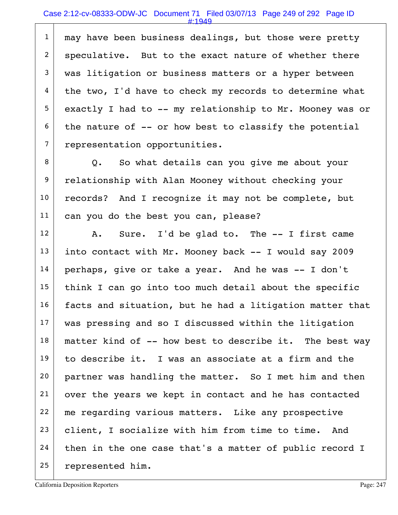1 may have been business dealings, but those were pretty 2 | speculative. But to the exact nature of whether there 3 was litigation or business matters or a hyper between  $4$  the two, I'd have to check my records to determine what  $5$  exactly I had to -- my relationship to Mr. Mooney was or  $6$  the nature of  $-$ - or how best to classify the potential 7 representation opportunities.

8 Q. So what details can you give me about your 9 relationship with Alan Mooney without checking your 10 records? And I recognize it may not be complete, but 11 can you do the best you can, please?

 $12$  A. Sure. I'd be glad to. The  $-$  I first came 13 into contact with Mr. Mooney back  $-$  I would say 2009  $14$  perhaps, give or take a year. And he was  $-$  I don't  $15$  think I can go into too much detail about the specific  $16$  facts and situation, but he had a litigation matter that 17 | was pressing and so I discussed within the litigation  $18$  matter kind of  $-$ - how best to describe it. The best way  $19$  to describe it. I was an associate at a firm and the 20 partner was handling the matter. So I met him and then 21 over the years we kept in contact and he has contacted 22 me regarding various matters. Like any prospective 23 client, I socialize with him from time to time. And  $24$  then in the one case that's a matter of public record I 25 represented him.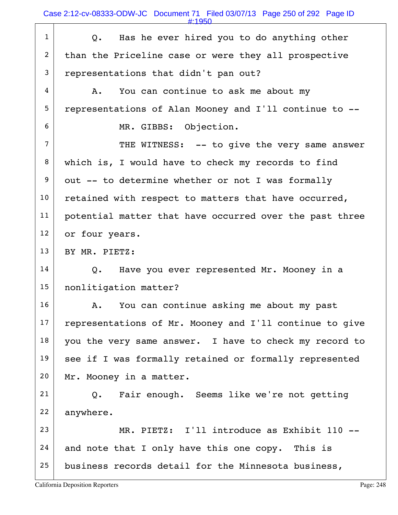$1$  Q. Has he ever hired you to do anything other 2 than the Priceline case or were they all prospective  $3$  representations that didn't pan out?  $4$  A. You can continue to ask me about my 5 representations of Alan Mooney and I'll continue to -- 6 MR. GIBBS: Objection.  $7$  THE WITNESS:  $-$  to give the very same answer 8 | which is, I would have to check my records to find  $9$  out -- to determine whether or not I was formally  $10$  retained with respect to matters that have occurred, 11 | potential matter that have occurred over the past three 12 or four years. 13 BY MR. PIETZ:  $14$  Q. Have you ever represented Mr. Mooney in a 15 | nonlitigation matter? 16 | A. You can continue asking me about my past  $17$  representations of Mr. Mooney and I'll continue to give  $18$  you the very same answer. I have to check my record to 19 see if I was formally retained or formally represented 20 | Mr. Mooney in a matter.  $21$  Q. Fair enough. Seems like we're not getting 22 anywhere. 23 MR. PIETZ: I'll introduce as Exhibit 110 -- $24$  and note that I only have this one copy. This is  $25$  business records detail for the Minnesota business,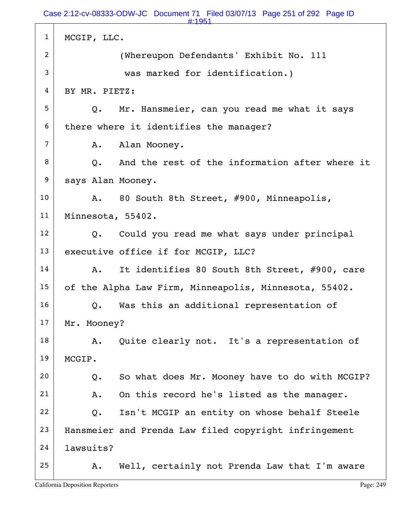1 | MCGIP, LLC. 2 (Whereupon Defendants' Exhibit No. 111 3 was marked for identification.) 4 BY MR. PIETZ: 5 Q. Mr. Hansmeier, can you read me what it says  $6$  there where it identifies the manager? 7 | A. Alan Mooney.  $8$   $\vert$  0. And the rest of the information after where it 9 | says Alan Mooney. 10 A. 80 South 8th Street, #900, Minneapolis, 11 Minnesota, 55402.  $12$  Q. Could you read me what says under principal 13 executive office if for MCGIP, LLC? 14 A. It identifies 80 South 8th Street, #900, care 15 of the Alpha Law Firm, Minneapolis, Minnesota, 55402.  $16$  Q. Was this an additional representation of 17 Mr. Mooney? 18 | A. Quite clearly not. It's a representation of 19 MCGIP.  $20$  Q. So what does Mr. Mooney have to do with MCGIP?  $21$  A. On this record he's listed as the manager.  $22$  Q. Isn't MCGIP an entity on whose behalf Steele 23 | Hansmeier and Prenda Law filed copyright infringement 24 lawsuits?  $25$  A. Well, certainly not Prenda Law that I'm aware #:1951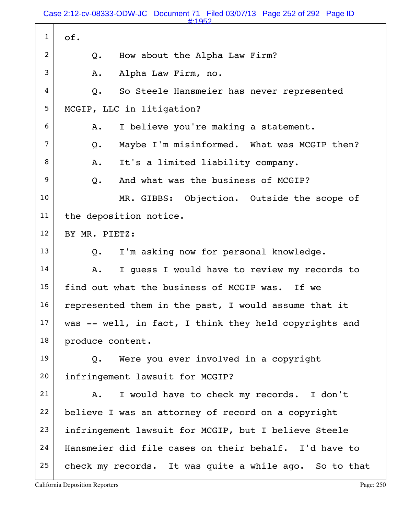Case 2:12-cv-08333-ODW-JC Document 71 Filed 03/07/13 Page 252 of 292 Page ID

|                | #:1952                                                 |
|----------------|--------------------------------------------------------|
| $\mathbf{1}$   | of.                                                    |
| $\overline{2}$ | How about the Alpha Law Firm?<br>$Q$ .                 |
| 3              | Alpha Law Firm, no.<br>Α.                              |
| 4              | So Steele Hansmeier has never represented<br>$Q$ .     |
| 5 <sub>5</sub> | MCGIP, LLC in litigation?                              |
| 6              | I believe you're making a statement.<br>Α.             |
| $\overline{7}$ | Maybe I'm misinformed. What was MCGIP then?<br>$Q$ .   |
| 8              | It's a limited liability company.<br>A.                |
| 9              | And what was the business of MCGIP?<br>$Q_{\bullet}$   |
| 10             | MR. GIBBS: Objection. Outside the scope of             |
| 11             | the deposition notice.                                 |
| 12             | BY MR. PIETZ:                                          |
| 13             | I'm asking now for personal knowledge.<br>Q.           |
| 14             | I guess I would have to review my records to<br>Α.     |
| 15             | find out what the business of MCGIP was. If we         |
| 16             | represented them in the past, I would assume that it   |
| 17             | was -- well, in fact, I think they held copyrights and |
| 18             | produce content.                                       |
| 19             | Were you ever involved in a copyright<br>Q.            |
| 20             | infringement lawsuit for MCGIP?                        |
| 21             | I would have to check my records. I don't<br>Α.        |
| 22             | believe I was an attorney of record on a copyright     |
| 23             | infringement lawsuit for MCGIP, but I believe Steele   |
| 24             | Hansmeier did file cases on their behalf. I'd have to  |
| 25             | check my records. It was quite a while ago. So to that |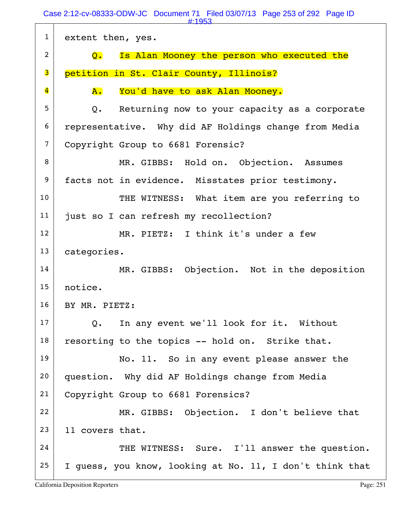Case 2:12-cv-08333-ODW-JC Document 71 Filed 03/07/13 Page 253 of 292 Page ID

| #:1953                                                       |
|--------------------------------------------------------------|
| extent then, yes.                                            |
| Is Alan Mooney the person who executed the<br>$\mathsf{O}$ . |
| petition in St. Clair County, Illinois?                      |
| ${\bf A}$ .<br>You'd have to ask Alan Mooney.                |
| Returning now to your capacity as a corporate<br>Q.          |
| representative. Why did AF Holdings change from Media        |
| Copyright Group to 6681 Forensic?                            |
| MR. GIBBS: Hold on. Objection. Assumes                       |
| facts not in evidence. Misstates prior testimony.            |
| THE WITNESS: What item are you referring to                  |
| just so I can refresh my recollection?                       |
| MR. PIETZ: I think it's under a few                          |
| categories.                                                  |
| MR. GIBBS: Objection. Not in the deposition                  |
| notice.                                                      |
| BY MR. PIETZ:                                                |
| Q. In any event we'll look for it. Without                   |
| resorting to the topics -- hold on. Strike that.             |
| No. 11. So in any event please answer the                    |
| question. Why did AF Holdings change from Media              |
| Copyright Group to 6681 Forensics?                           |
| MR. GIBBS: Objection. I don't believe that                   |
| 11 covers that.                                              |
| THE WITNESS: Sure. I'll answer the question.                 |
| I guess, you know, looking at No. 11, I don't think that     |
|                                                              |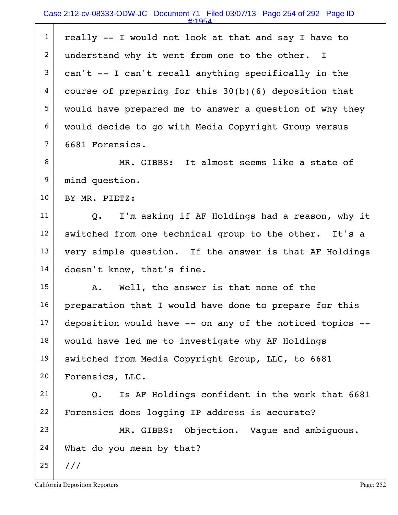| $\mathbf{1}$     | really -- I would not look at that and say I have to            |
|------------------|-----------------------------------------------------------------|
| $\overline{2}$   | understand why it went from one to the other.<br>$\mathbf{I}$   |
| $\mathbf{3}$     | can't -- I can't recall anything specifically in the            |
| 4                | course of preparing for this $30(b)(6)$ deposition that         |
| 5                | would have prepared me to answer a question of why they         |
| 6                | would decide to go with Media Copyright Group versus            |
| $\overline{7}$   | 6681 Forensics.                                                 |
| 8                | MR. GIBBS: It almost seems like a state of                      |
| $\boldsymbol{9}$ | mind question.                                                  |
| 10               | BY MR. PIETZ:                                                   |
| 11               | I'm asking if AF Holdings had a reason, why it<br>$Q_{\bullet}$ |
| 12               | switched from one technical group to the other. It's a          |
| 13               | very simple question. If the answer is that AF Holdings         |
| 14               | doesn't know, that's fine.                                      |
| 15 <sub>1</sub>  | A. Well, the answer is that none of the                         |
| 16               | preparation that I would have done to prepare for this          |
| 17               | deposition would have -- on any of the noticed topics --        |
| 18               | would have led me to investigate why AF Holdings                |
| 19               | switched from Media Copyright Group, LLC, to 6681               |
| 20               | Forensics, LLC.                                                 |
| 21               | Is AF Holdings confident in the work that 6681<br>Q.            |
| 22               | Forensics does logging IP address is accurate?                  |
| 23               | MR. GIBBS: Objection. Vague and ambiguous.                      |
| 24               | What do you mean by that?                                       |
| 25               | 111                                                             |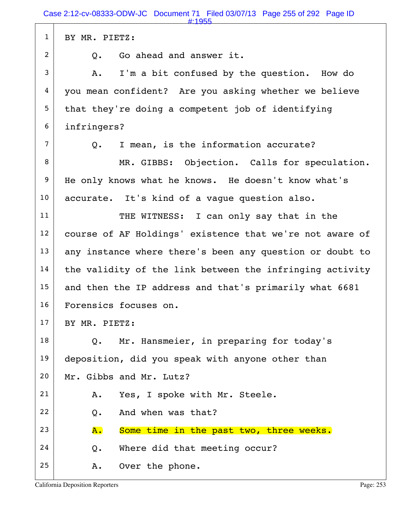| #:1955                                                   |
|----------------------------------------------------------|
| BY MR. PIETZ:                                            |
| Go ahead and answer it.<br>Q.                            |
| I'm a bit confused by the question. How do<br>Α.         |
| you mean confident? Are you asking whether we believe    |
| that they're doing a competent job of identifying        |
| infringers?                                              |
| I mean, is the information accurate?<br>Q.               |
| MR. GIBBS: Objection. Calls for speculation.             |
| He only knows what he knows. He doesn't know what's      |
| accurate. It's kind of a vague question also.            |
| THE WITNESS: I can only say that in the                  |
| course of AF Holdings' existence that we're not aware of |
| any instance where there's been any question or doubt to |
| the validity of the link between the infringing activity |
| and then the IP address and that's primarily what 6681   |
| Forensics focuses on.                                    |
| BY MR. PIETZ:                                            |
| Mr. Hansmeier, in preparing for today's<br>Q.            |
| deposition, did you speak with anyone other than         |
| Mr. Gibbs and Mr. Lutz?                                  |
| Yes, I spoke with Mr. Steele.<br>Α.                      |
| And when was that?<br>Q.                                 |
| Some time in the past two, three weeks.<br>${\bf A}$ .   |
| Where did that meeting occur?<br>Q.                      |
| Over the phone.<br>Α.                                    |
|                                                          |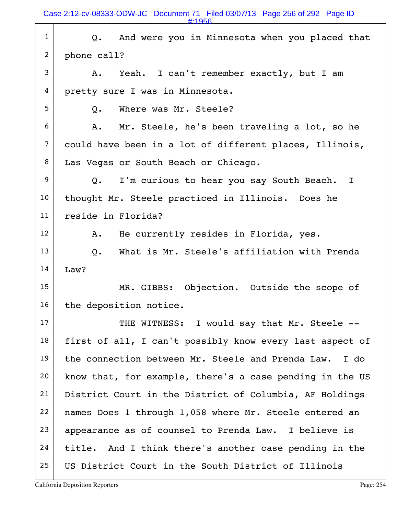Case 2:12-cv-08333-ODW-JC Document 71 Filed 03/07/13 Page 256 of 292 Page ID

|                | #:1956                                                   |
|----------------|----------------------------------------------------------|
| $\mathbf{1}$   | And were you in Minnesota when you placed that<br>Q.     |
| $\overline{2}$ | phone call?                                              |
| 3              | Yeah. I can't remember exactly, but I am<br>A.           |
| 4              | pretty sure I was in Minnesota.                          |
| 5              | Where was Mr. Steele?<br>Q.                              |
| 6              | Mr. Steele, he's been traveling a lot, so he<br>Α.       |
| $\overline{7}$ | could have been in a lot of different places, Illinois,  |
| 8              | Las Vegas or South Beach or Chicago.                     |
| 9              | I'm curious to hear you say South Beach. I<br>Q.         |
| 10             | thought Mr. Steele practiced in Illinois. Does he        |
| 11             | reside in Florida?                                       |
| 12             | He currently resides in Florida, yes.<br>A.              |
| 13             | What is Mr. Steele's affiliation with Prenda<br>Q.       |
| 14             | Law?                                                     |
| 15             | MR. GIBBS: Objection. Outside the scope of               |
| 16             | the deposition notice.                                   |
| 17             | THE WITNESS: I would say that Mr. Steele --              |
| 18             | first of all, I can't possibly know every last aspect of |
| 19             | the connection between Mr. Steele and Prenda Law. I do   |
| 20             | know that, for example, there's a case pending in the US |
| 21             | District Court in the District of Columbia, AF Holdings  |
| 22             | names Does 1 through 1,058 where Mr. Steele entered an   |
| 23             | appearance as of counsel to Prenda Law. I believe is     |
| 24             | title. And I think there's another case pending in the   |
| 25             | US District Court in the South District of Illinois      |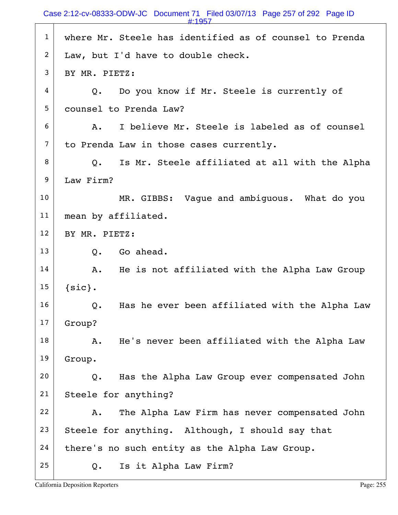#:1957

| $\mathbf{1}$   | where Mr. Steele has identified as of counsel to Prenda         |
|----------------|-----------------------------------------------------------------|
| $\overline{2}$ | Law, but I'd have to double check.                              |
| 3              | BY MR. PIETZ:                                                   |
| 4              | Do you know if Mr. Steele is currently of<br>Q.                 |
| 5              | counsel to Prenda Law?                                          |
| 6              | I believe Mr. Steele is labeled as of counsel<br>Α.             |
| 7              | to Prenda Law in those cases currently.                         |
| 8              | Is Mr. Steele affiliated at all with the Alpha<br>$Q_{\bullet}$ |
| 9              | Law Firm?                                                       |
| 10             | MR. GIBBS: Vaque and ambiquous. What do you                     |
| 11             | mean by affiliated.                                             |
| 12             | BY MR. PIETZ:                                                   |
| 13             | Go ahead.<br>Q.                                                 |
| 14             | He is not affiliated with the Alpha Law Group<br>Α.             |
| 15             | ${sic}.$                                                        |
| 16             | Has he ever been affiliated with the Alpha Law<br>Q.            |
| 17             | Group?                                                          |
| 18             | He's never been affiliated with the Alpha Law<br>Α.             |
| 19             | Group.                                                          |
| 20             | Has the Alpha Law Group ever compensated John<br>Q.             |
| 21             | Steele for anything?                                            |
| 22             | The Alpha Law Firm has never compensated John<br>Α.             |
| 23             | Steele for anything. Although, I should say that                |
| 24             | there's no such entity as the Alpha Law Group.                  |
| 25             | Is it Alpha Law Firm?<br>Q.                                     |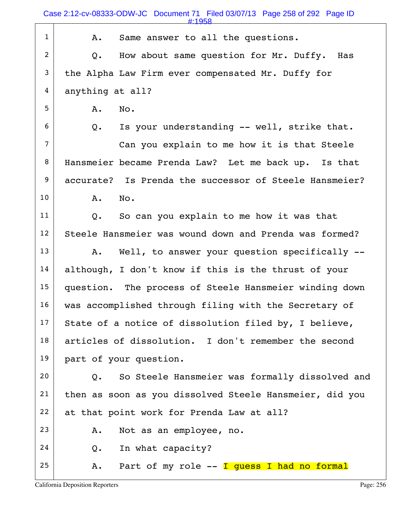Case 2:12-cv-08333-ODW-JC Document 71 Filed 03/07/13 Page 258 of 292 Page ID

| $\mathbf{1}$   | Same answer to all the questions.<br>Α.                 |
|----------------|---------------------------------------------------------|
| $\overline{2}$ | How about same question for Mr. Duffy.<br>Has<br>Q.     |
| 3              | the Alpha Law Firm ever compensated Mr. Duffy for       |
| 4              | anything at all?                                        |
| 5              | Α.<br>No.                                               |
| 6              | Is your understanding -- well, strike that.<br>Q.       |
| $\overline{7}$ | Can you explain to me how it is that Steele             |
| 8              | Hansmeier became Prenda Law? Let me back up. Is that    |
| 9              | accurate? Is Prenda the successor of Steele Hansmeier?  |
| 10             | A.<br>No.                                               |
| 11             | So can you explain to me how it was that<br>Q.          |
| 12             | Steele Hansmeier was wound down and Prenda was formed?  |
| 13             | Well, to answer your question specifically --<br>Α.     |
| 14             | although, I don't know if this is the thrust of your    |
| 15             | question. The process of Steele Hansmeier winding down  |
| 16             | was accomplished through filing with the Secretary of   |
| 17             | State of a notice of dissolution filed by, I believe,   |
| 18             | articles of dissolution. I don't remember the second    |
| 19             | part of your question.                                  |
| 20             | So Steele Hansmeier was formally dissolved and<br>$Q$ . |
| 21             | then as soon as you dissolved Steele Hansmeier, did you |
| 22             | at that point work for Prenda Law at all?               |
| 23             | Not as an employee, no.<br>Α.                           |
| 24             | In what capacity?<br>Q.                                 |
| 25             | Part of my role -- I guess I had no formal<br>Α.        |
|                |                                                         |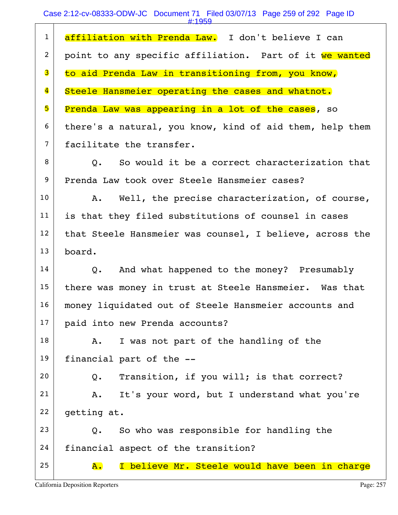#### Case 2:12-cv-08333-ODW-JC Document 71 Filed 03/07/13 Page 259 of 292 Page ID

|                         | #:1959                                                     |
|-------------------------|------------------------------------------------------------|
| $\mathbf{1}$            | affiliation with Prenda Law. I don't believe I can         |
| $\overline{2}$          | point to any specific affiliation. Part of it we wanted    |
| 3                       | to aid Prenda Law in transitioning from, you know,         |
| $\overline{\mathbf{4}}$ | Steele Hansmeier operating the cases and whatnot.          |
| 5                       | Prenda Law was appearing in a lot of the cases, so         |
| 6                       | there's a natural, you know, kind of aid them, help them   |
| $7\phantom{.}$          | facilitate the transfer.                                   |
| 8                       | Q. So would it be a correct characterization that          |
| 9                       | Prenda Law took over Steele Hansmeier cases?               |
| 10 <sub>o</sub>         | Well, the precise characterization, of course,<br>Α.       |
| 11                      | is that they filed substitutions of counsel in cases       |
| 12 <sup>2</sup>         | that Steele Hansmeier was counsel, I believe, across the   |
| 13                      | board.                                                     |
| 14                      | And what happened to the money? Presumably<br>Q.           |
| 15                      | there was money in trust at Steele Hansmeier. Was that     |
| 16                      | money liquidated out of Steele Hansmeier accounts and      |
| 17                      | paid into new Prenda accounts?                             |
| 18                      | I was not part of the handling of the<br>A.                |
| 19                      | financial part of the --                                   |
| 20                      | Transition, if you will; is that correct?<br>$Q_{\bullet}$ |
| 21                      | It's your word, but I understand what you're<br>Α.         |
| 22                      | getting at.                                                |
| 23                      | So who was responsible for handling the<br>$Q$ .           |
| 24                      | financial aspect of the transition?                        |
| 25                      | I believe Mr. Steele would have been in charge<br>A.       |
|                         | <b>California Deposition Reporters</b><br>Page: 257        |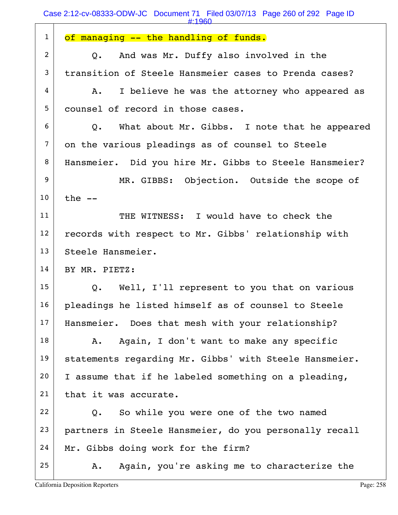| $\mathbf{1}$    | of managing -- the handling of funds.                  |
|-----------------|--------------------------------------------------------|
| $2^{\circ}$     | And was Mr. Duffy also involved in the<br>Q.           |
| 3               | transition of Steele Hansmeier cases to Prenda cases?  |
| 4               | I believe he was the attorney who appeared as<br>A.    |
| 5               | counsel of record in those cases.                      |
| 6               | Q. What about Mr. Gibbs. I note that he appeared       |
| $7\phantom{.0}$ | on the various pleadings as of counsel to Steele       |
| 8               | Hansmeier. Did you hire Mr. Gibbs to Steele Hansmeier? |
| 9               | MR. GIBBS: Objection. Outside the scope of             |
| 10              | the $--$                                               |
| 11              | THE WITNESS: I would have to check the                 |
| 12              | records with respect to Mr. Gibbs' relationship with   |
| 13              | Steele Hansmeier.                                      |
| 14              | BY MR. PIETZ:                                          |
| 15              | Q. Well, I'll represent to you that on various         |
| 16              | pleadings he listed himself as of counsel to Steele    |
| 17              | Hansmeier. Does that mesh with your relationship?      |
| 18              | Again, I don't want to make any specific<br>Α.         |
| 19              | statements regarding Mr. Gibbs' with Steele Hansmeier. |
| 20              | I assume that if he labeled something on a pleading,   |
| 21              | that it was accurate.                                  |
| 22              | So while you were one of the two named<br>$Q$ .        |
| 23              | partners in Steele Hansmeier, do you personally recall |
| 24              | Mr. Gibbs doing work for the firm?                     |
| 25              | Again, you're asking me to characterize the<br>Α.      |
|                 | <b>California Deposition Reporters</b><br>Page: 258    |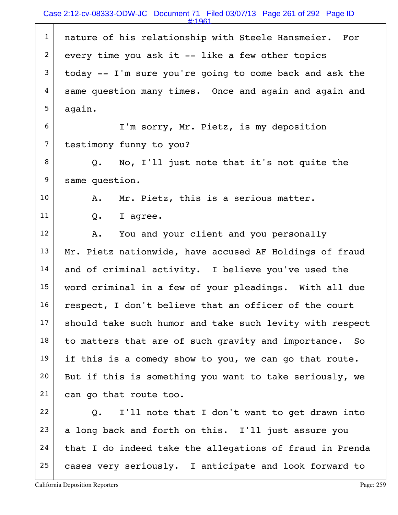#:1961

| $\mathbf{1}$   | nature of his relationship with Steele Hansmeier. For    |
|----------------|----------------------------------------------------------|
| $\overline{2}$ | every time you ask it -- like a few other topics         |
| 3              | today -- I'm sure you're going to come back and ask the  |
| 4              | same question many times. Once and again and again and   |
| 5              | again.                                                   |
| 6              | I'm sorry, Mr. Pietz, is my deposition                   |
| $\overline{7}$ | testimony funny to you?                                  |
| 8              | No, I'll just note that it's not quite the<br>Q.         |
| 9              | same question.                                           |
| 10             | Mr. Pietz, this is a serious matter.<br>Α.               |
| 11             | I agree.<br>Q.                                           |
| 12             | You and your client and you personally<br>Α.             |
| 13             | Mr. Pietz nationwide, have accused AF Holdings of fraud  |
| 14             | and of criminal activity. I believe you've used the      |
| 15             | word criminal in a few of your pleadings. With all due   |
| 16             | respect, I don't believe that an officer of the court    |
| 17             | should take such humor and take such levity with respect |
| 18             | to matters that are of such gravity and importance. So   |
| 19             | if this is a comedy show to you, we can go that route.   |
| 20             | But if this is something you want to take seriously, we  |
| 21             | can go that route too.                                   |
| 22             | I'll note that I don't want to get drawn into<br>Q.      |
| 23             | a long back and forth on this. I'll just assure you      |
| 24             | that I do indeed take the allegations of fraud in Prenda |
| 25             | cases very seriously. I anticipate and look forward to   |
|                |                                                          |

L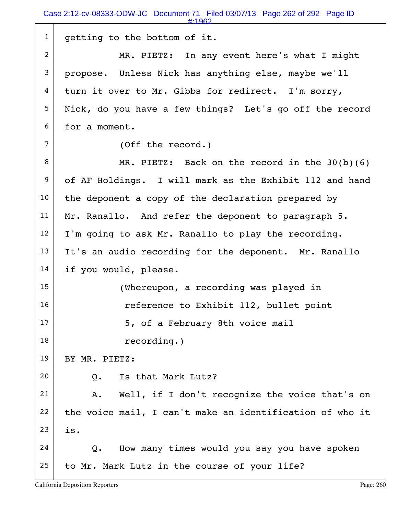| $\mathbf{1}$   | getting to the bottom of it.                             |
|----------------|----------------------------------------------------------|
| $\overline{2}$ | MR. PIETZ: In any event here's what I might              |
| 3              | propose. Unless Nick has anything else, maybe we'll      |
| 4              | turn it over to Mr. Gibbs for redirect. I'm sorry,       |
| 5              | Nick, do you have a few things? Let's go off the record  |
| 6              | for a moment.                                            |
| $\overline{7}$ | (Off the record.)                                        |
| 8              | MR. PIETZ: Back on the record in the $30(b)(6)$          |
| 9              | of AF Holdings. I will mark as the Exhibit 112 and hand  |
| 10             | the deponent a copy of the declaration prepared by       |
| 11             | Mr. Ranallo. And refer the deponent to paragraph 5.      |
| 12             | I'm going to ask Mr. Ranallo to play the recording.      |
| 13             | It's an audio recording for the deponent. Mr. Ranallo    |
| 14             | if you would, please.                                    |
| 15             | (Whereupon, a recording was played in                    |
| 16             | reference to Exhibit 112, bullet point                   |
| 17             | 5, of a February 8th voice mail                          |
| 18             | recording.)                                              |
| 19             | BY MR. PIETZ:                                            |
| 20             | Is that Mark Lutz?<br>$Q$ .                              |
| 21             | Well, if I don't recognize the voice that's on<br>Α.     |
| 22             | the voice mail, I can't make an identification of who it |
| 23             | is.                                                      |
| 24             | How many times would you say you have spoken<br>Q.       |
| 25             | to Mr. Mark Lutz in the course of your life?             |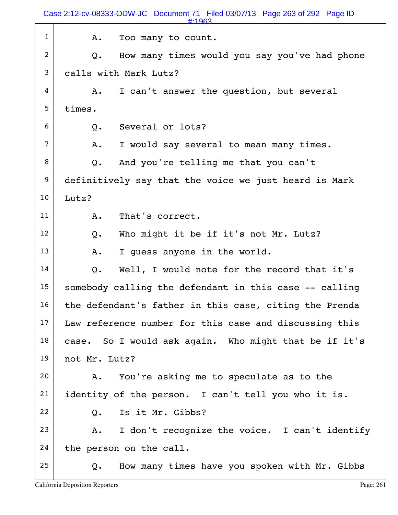|                | #:1963                                                 |
|----------------|--------------------------------------------------------|
| $\mathbf{1}$   | Too many to count.<br>Α.                               |
| $\overline{2}$ | How many times would you say you've had phone<br>Q.    |
| 3              | calls with Mark Lutz?                                  |
| 4              | I can't answer the question, but several<br>Α.         |
| 5              | times.                                                 |
| 6              | Several or lots?<br>Q.                                 |
| $\overline{7}$ | I would say several to mean many times.<br>Α.          |
| 8              | And you're telling me that you can't<br>Q.             |
| 9              | definitively say that the voice we just heard is Mark  |
| 10             | Lutz?                                                  |
| 11             | That's correct.<br>Α.                                  |
| 12             | Who might it be if it's not Mr. Lutz?<br>$Q$ .         |
| 13             | I quess anyone in the world.<br>Α.                     |
| 14             | Well, I would note for the record that it's<br>Q.      |
| 15             | somebody calling the defendant in this case -- calling |
| 16             | the defendant's father in this case, citing the Prenda |
| 17             | Law reference number for this case and discussing this |
| 18             | case. So I would ask again. Who might that be if it's  |
| 19             | not Mr. Lutz?                                          |
| 20             | You're asking me to speculate as to the<br>Α.          |
| 21             | identity of the person. I can't tell you who it is.    |
| 22             | Is it Mr. Gibbs?<br>Q.                                 |
| 23             | I don't recognize the voice. I can't identify<br>Α.    |
| 24             | the person on the call.                                |
| 25             | How many times have you spoken with Mr. Gibbs<br>Q.    |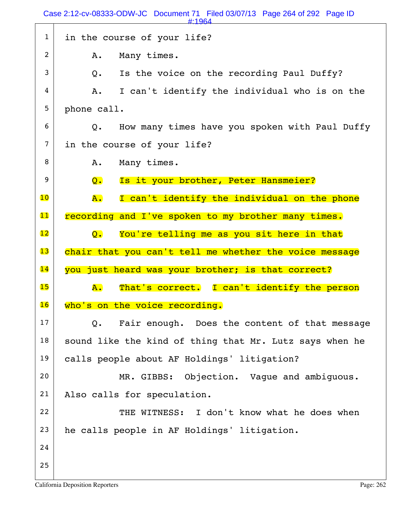|                | Case 2:12-cv-08333-ODW-JC Document 71 Filed 03/07/13 Page 264 of 292 Page ID<br>#:1964 |
|----------------|----------------------------------------------------------------------------------------|
| $\mathbf{1}$   | in the course of your life?                                                            |
| $\overline{2}$ | Many times.<br>Α.                                                                      |
| 3              | Is the voice on the recording Paul Duffy?<br>Q.                                        |
| 4              | I can't identify the individual who is on the<br>A.                                    |
| 5              | phone call.                                                                            |
| 6              | How many times have you spoken with Paul Duffy<br>Q.                                   |
| $\overline{7}$ | in the course of your life?                                                            |
| 8              | Many times.<br>Α.                                                                      |
| 9              | Is it your brother, Peter Hansmeier?<br>$\overline{Q}$ .                               |
| 10             | I can't identify the individual on the phone<br>A.                                     |
| $\mathbf{11}$  | recording and I've spoken to my brother many times.                                    |
| 12             | You're telling me as you sit here in that<br>$\overline{Q}$ .                          |
|                |                                                                                        |
| 13             | chair that you can't tell me whether the voice message                                 |
| 14             | you just heard was your brother; is that correct?                                      |
| 15             | That's correct. I can't identify the person<br><b>A.</b>                               |
| 16             | who's on the voice recording.                                                          |
| 17             | Fair enough. Does the content of that message<br>Q.                                    |
| 18             | sound like the kind of thing that Mr. Lutz says when he                                |
| 19             | calls people about AF Holdings' litigation?                                            |
| 20             | MR. GIBBS: Objection. Vaque and ambiquous.                                             |
| 21             | Also calls for speculation.                                                            |
| 22             | THE WITNESS: I don't know what he does when                                            |
| 23             | he calls people in AF Holdings' litigation.                                            |
| 24             |                                                                                        |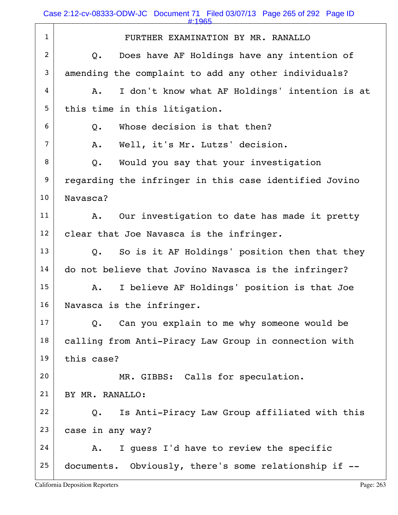Case 2:12-cv-08333-ODW-JC Document 71 Filed 03/07/13 Page 265 of 292 Page ID

|                | #:1965                                                 |
|----------------|--------------------------------------------------------|
| $\mathbf{1}$   | FURTHER EXAMINATION BY MR. RANALLO                     |
| 2              | Does have AF Holdings have any intention of<br>Q.      |
| 3              | amending the complaint to add any other individuals?   |
| 4              | I don't know what AF Holdings' intention is at<br>Α.   |
| 5              | this time in this litigation.                          |
| 6              | Whose decision is that then?<br>Q.                     |
| $\overline{7}$ | Well, it's Mr. Lutzs' decision.<br>Α.                  |
| 8              | Would you say that your investigation<br>$Q$ .         |
| 9              | regarding the infringer in this case identified Jovino |
| 10             | Navasca?                                               |
| 11             | Our investigation to date has made it pretty<br>Α.     |
| 12             | clear that Joe Navasca is the infringer.               |
| 13             | So is it AF Holdings' position then that they<br>Q.    |
| 14             | do not believe that Jovino Navasca is the infringer?   |
| 15             | I believe AF Holdings' position is that Joe<br>Α.      |
| 16             | Navasca is the infringer.                              |
| 17             | Can you explain to me why someone would be<br>Q.       |
| 18             | calling from Anti-Piracy Law Group in connection with  |
| 19             | this case?                                             |
| 20             | MR. GIBBS: Calls for speculation.                      |
| 21             | BY MR. RANALLO:                                        |
| 22             | Is Anti-Piracy Law Group affiliated with this<br>Q.    |
| 23             | case in any way?                                       |
| 24             | I quess I'd have to review the specific<br>Α.          |
| 25             | documents. Obviously, there's some relationship if --  |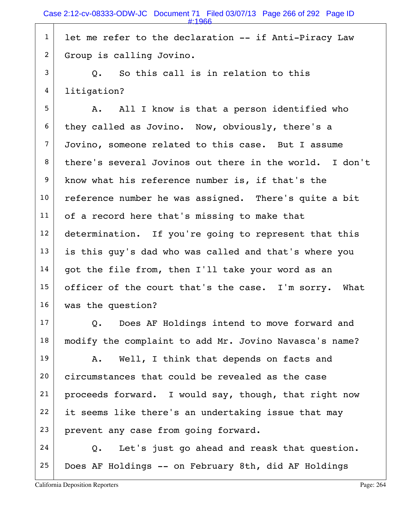$1$  let me refer to the declaration -- if Anti-Piracy Law 2 Group is calling Jovino.

 $3$  O. So this call is in relation to this 4 litigation?

 $5$  A. All I know is that a person identified who  $6$  they called as Jovino. Now, obviously, there's a 7 Jovino, someone related to this case. But I assume  $8$  there's several Jovinos out there in the world. I don't 9 know what his reference number is, if that's the 10 reference number he was assigned. There's quite a bit  $11$  of a record here that's missing to make that 12 determination. If you're going to represent that this  $13$  is this guy's dad who was called and that's where you  $14$  got the file from, then I'll take your word as an 15 officer of the court that's the case. I'm sorry. What 16 was the question?

 $17$  Q. Does AF Holdings intend to move forward and 18 | modify the complaint to add Mr. Jovino Navasca's name?

 $19$  A. Well, I think that depends on facts and 20 circumstances that could be revealed as the case 21 | proceeds forward. I would say, though, that right now  $22$  it seems like there's an undertaking issue that may 23 prevent any case from going forward.

 $24$  Q. Let's just go ahead and reask that question.  $25$  Does AF Holdings -- on February 8th, did AF Holdings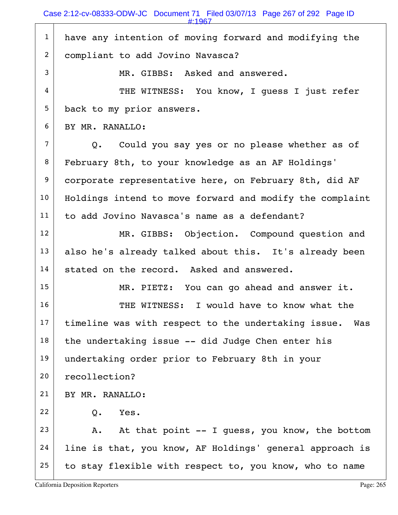| $\mathbf{1}$   | have any intention of moving forward and modifying the     |
|----------------|------------------------------------------------------------|
| $\overline{c}$ | compliant to add Jovino Navasca?                           |
| 3              | MR. GIBBS: Asked and answered.                             |
| 4              | THE WITNESS: You know, I quess I just refer                |
| 5              | back to my prior answers.                                  |
| 6              | BY MR. RANALLO:                                            |
| $\overline{7}$ | Q. Could you say yes or no please whether as of            |
| 8              | February 8th, to your knowledge as an AF Holdings'         |
| 9              | corporate representative here, on February 8th, did AF     |
| 10             | Holdings intend to move forward and modify the complaint   |
| 11             | to add Jovino Navasca's name as a defendant?               |
| 12             | MR. GIBBS: Objection. Compound question and                |
| 13             | also he's already talked about this. It's already been     |
| 14             | stated on the record. Asked and answered.                  |
| 15             | MR. PIETZ: You can go ahead and answer it.                 |
| 16             | THE WITNESS: I would have to know what the                 |
| 17             | timeline was with respect to the undertaking issue.<br>Was |
| 18             | the undertaking issue -- did Judge Chen enter his          |
| 19             | undertaking order prior to February 8th in your            |
| 20             | recollection?                                              |
| 21             | BY MR. RANALLO:                                            |
| 22             | Yes.<br>$Q$ .                                              |
| 23             | At that point -- I quess, you know, the bottom<br>Α.       |
| 24             | line is that, you know, AF Holdings' general approach is   |
| 25             | to stay flexible with respect to, you know, who to name    |
|                |                                                            |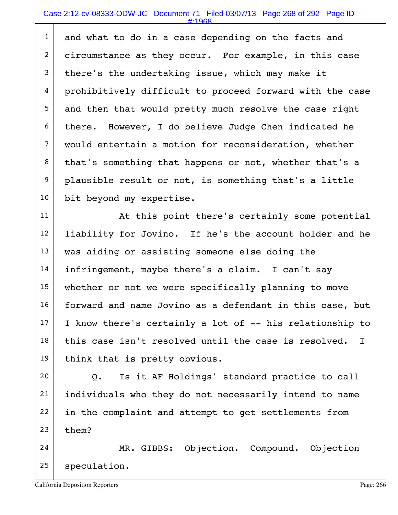## Case 2:12-cv-08333-ODW-JC Document 71 Filed 03/07/13 Page 268 of 292 Page ID

#:1968

1 and what to do in a case depending on the facts and 2 circumstance as they occur. For example, in this case  $3$  there's the undertaking issue, which may make it 4 prohibitively difficult to proceed forward with the case 5 and then that would pretty much resolve the case right  $6$  there. However, I do believe Judge Chen indicated he 7 would entertain a motion for reconsideration, whether 8 that's something that happens or not, whether that's a 9 plausible result or not, is something that's a little 10 bit beyond my expertise.

11 | At this point there's certainly some potential 12 | liability for Jovino. If he's the account holder and he 13 | was aiding or assisting someone else doing the 14 infringement, maybe there's a claim. I can't say 15 whether or not we were specifically planning to move 16 forward and name Jovino as a defendant in this case, but  $17$  I know there's certainly a lot of  $-$ - his relationship to  $18$  this case isn't resolved until the case is resolved. I 19 think that is pretty obvious.

 $20$  Q. Is it AF Holdings' standard practice to call 21 individuals who they do not necessarily intend to name 22 in the complaint and attempt to get settlements from  $23$  them?

24 MR. GIBBS: Objection. Compound. Objection  $25$  speculation.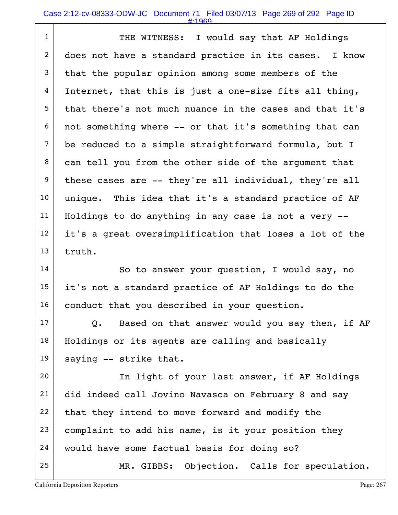#### Case 2:12-cv-08333-ODW-JC Document 71 Filed 03/07/13 Page 269 of 292 Page ID

#:1969

1 THE WITNESS: I would say that AF Holdings 2 does not have a standard practice in its cases. I know  $3$  that the popular opinion among some members of the  $4$  Internet, that this is just a one-size fits all thing, 5 that there's not much nuance in the cases and that it's  $6$  not something where -- or that it's something that can 7 be reduced to a simple straightforward formula, but I 8 can tell you from the other side of the argument that  $9$  these cases are  $-$ - they're all individual, they're all 10 | unique. This idea that it's a standard practice of AF  $11$  Holdings to do anything in any case is not a very  $12$  it's a great oversimplification that loses a lot of the  $13$  truth.

14 So to answer your question, I would say, no 15 it's not a standard practice of AF Holdings to do the 16 conduct that you described in your question.

 $17$  Q. Based on that answer would you say then, if AF 18 | Holdings or its agents are calling and basically  $19$  saying -- strike that.

20 | The light of your last answer, if AF Holdings 21 did indeed call Jovino Navasca on February 8 and say  $22$  that they intend to move forward and modify the  $23$  complaint to add his name, is it your position they 24 would have some factual basis for doing so? 25 MR. GIBBS: Objection. Calls for speculation.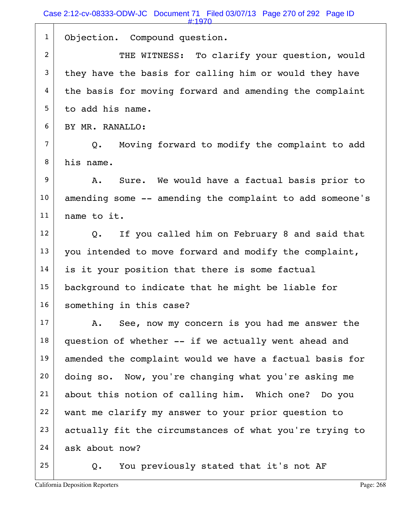|                | #:1970                                                   |
|----------------|----------------------------------------------------------|
| $\mathbf{1}$   | Objection. Compound question.                            |
| $\overline{2}$ | THE WITNESS: To clarify your question, would             |
| 3              | they have the basis for calling him or would they have   |
| 4              | the basis for moving forward and amending the complaint  |
| 5              | to add his name.                                         |
| 6              | BY MR. RANALLO:                                          |
| $\overline{7}$ | Moving forward to modify the complaint to add<br>Q.      |
| 8              | his name.                                                |
| 9              | Sure. We would have a factual basis prior to<br>A.       |
| 10             | amending some -- amending the complaint to add someone's |
| 11             | name to it.                                              |
| 12             | If you called him on February 8 and said that<br>Q.      |
| 13             | you intended to move forward and modify the complaint,   |
| 14             | is it your position that there is some factual           |
| 15             | background to indicate that he might be liable for       |
| 16             | something in this case?                                  |
| 17             | See, now my concern is you had me answer the<br>A.       |
| 18             | question of whether -- if we actually went ahead and     |
| 19             | amended the complaint would we have a factual basis for  |
| 20             | doing so. Now, you're changing what you're asking me     |
| 21             | about this notion of calling him. Which one? Do you      |
| 22             | want me clarify my answer to your prior question to      |
| 23             | actually fit the circumstances of what you're trying to  |
| 24             | ask about now?                                           |
| 25             | You previously stated that it's not AF<br>Q.             |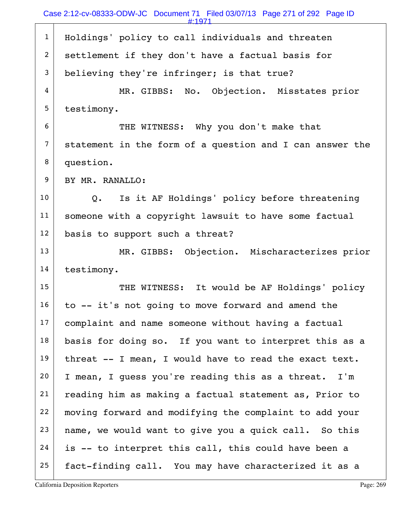| $\mathbf{1}$    | Holdings' policy to call individuals and threaten             |
|-----------------|---------------------------------------------------------------|
| $\overline{2}$  | settlement if they don't have a factual basis for             |
| 3               | believing they're infringer; is that true?                    |
| 4               | MR. GIBBS: No. Objection. Misstates prior                     |
| 5               | testimony.                                                    |
| 6               | THE WITNESS: Why you don't make that                          |
| 7               | statement in the form of a question and I can answer the      |
| 8               | question.                                                     |
| 9               | BY MR. RANALLO:                                               |
| 10              | Is it AF Holdings' policy before threatening<br>$Q_{\bullet}$ |
| 11              | someone with a copyright lawsuit to have some factual         |
| 12              | basis to support such a threat?                               |
| 13              | MR. GIBBS: Objection. Mischaracterizes prior                  |
| 14              | testimony.                                                    |
| 15              | THE WITNESS: It would be AF Holdings' policy                  |
| 16              | to -- it's not going to move forward and amend the            |
| 17              | complaint and name someone without having a factual           |
| 18              | basis for doing so. If you want to interpret this as a        |
| 19              | threat -- I mean, I would have to read the exact text.        |
| 20 <sub>o</sub> | I mean, I guess you're reading this as a threat. I'm          |
| 21              | reading him as making a factual statement as, Prior to        |
| 22              | moving forward and modifying the complaint to add your        |
| 23              | name, we would want to give you a quick call. So this         |
| 24              | is -- to interpret this call, this could have been a          |
| 25              | fact-finding call. You may have characterized it as a         |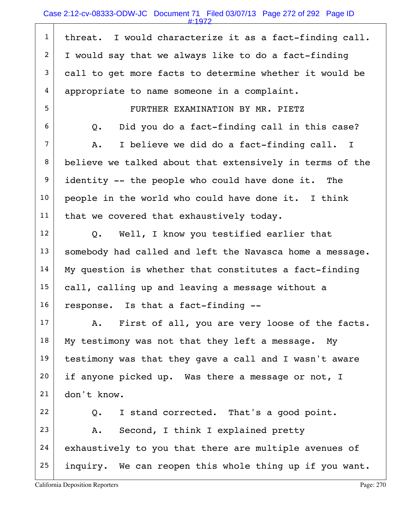## Case 2:12-cv-08333-ODW-JC Document 71 Filed 03/07/13 Page 272 of 292 Page ID

| $\mathbf{1}$   | threat. I would characterize it as a fact-finding call.  |
|----------------|----------------------------------------------------------|
| $\overline{c}$ | I would say that we always like to do a fact-finding     |
| 3              | call to get more facts to determine whether it would be  |
| 4              | appropriate to name someone in a complaint.              |
| 5              | FURTHER EXAMINATION BY MR. PIETZ                         |
| 6              | Did you do a fact-finding call in this case?<br>Q.       |
| $\overline{7}$ | I believe we did do a fact-finding call. I<br>Α.         |
| 8              | believe we talked about that extensively in terms of the |
| 9              | identity -- the people who could have done it. The       |
| 10             | people in the world who could have done it. I think      |
| 11             | that we covered that exhaustively today.                 |
| 12             | Well, I know you testified earlier that<br>Q.            |
| 13             | somebody had called and left the Navasca home a message. |
| 14             | My question is whether that constitutes a fact-finding   |
| 15             | call, calling up and leaving a message without a         |
| 16             | response. Is that a fact-finding --                      |
| 17             | First of all, you are very loose of the facts.<br>Α.     |
| 18             | My testimony was not that they left a message. My        |
| 19             | testimony was that they gave a call and I wasn't aware   |
| 20             | if anyone picked up. Was there a message or not, I       |
| 21             | don't know.                                              |
| 22             | I stand corrected. That's a good point.<br>$Q_{\bullet}$ |
| 23             | Second, I think I explained pretty<br>Α.                 |
| 24             | exhaustively to you that there are multiple avenues of   |
| 25             | inquiry. We can reopen this whole thing up if you want.  |
|                |                                                          |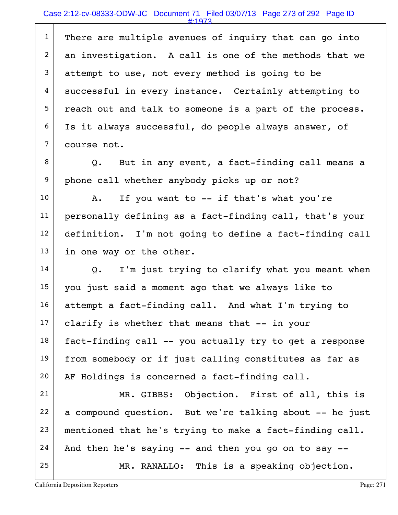$1$  There are multiple avenues of inquiry that can go into 2 an investigation. A call is one of the methods that we  $3$  attempt to use, not every method is going to be 4 successful in every instance. Certainly attempting to  $5$  reach out and talk to someone is a part of the process. 6 Is it always successful, do people always answer, of  $7 \mid$  course not.

 $8$  Q. But in any event, a fact-finding call means a 9 phone call whether anybody picks up or not?

 $10$  A. If you want to  $-$  if that's what you're 11 personally defining as a fact-finding call, that's your 12 definition. I'm not going to define a fact-finding call 13 in one way or the other.

 Q. I'm just trying to clarify what you meant when you just said a moment ago that we always like to 16 attempt a fact-finding call. And what I'm trying to clarify is whether that means that  $-$  in your fact-finding call -- you actually try to get a response 19 from somebody or if just calling constitutes as far as AF Holdings is concerned a fact-finding call.

21 MR. GIBBS: Objection. First of all, this is  $22$  a compound question. But we're talking about  $-$  he just  $23$  mentioned that he's trying to make a fact-finding call.  $24$  And then he's saying  $-$  and then you go on to say  $-$ 25 MR. RANALLO: This is a speaking objection.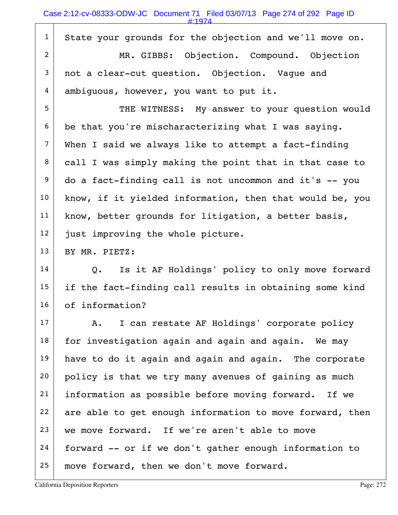#:1974

| $\mathbf{1}$     | State your grounds for the objection and we'll move on.  |
|------------------|----------------------------------------------------------|
| $\overline{c}$   | MR. GIBBS: Objection. Compound. Objection                |
| $\mathfrak{Z}$   | not a clear-cut question. Objection. Vaque and           |
| 4                | ambiguous, however, you want to put it.                  |
| 5                | THE WITNESS: My answer to your question would            |
| 6                | be that you're mischaracterizing what I was saying.      |
| $\overline{7}$   | When I said we always like to attempt a fact-finding     |
| 8                | call I was simply making the point that in that case to  |
| $\boldsymbol{9}$ | do a fact-finding call is not uncommon and it's -- you   |
| 10               | know, if it yielded information, then that would be, you |
| 11               | know, better grounds for litigation, a better basis,     |
| 12               | just improving the whole picture.                        |
| 13               | BY MR. PIETZ:                                            |
| 14               | Q. Is it AF Holdings' policy to only move forward        |
| 15               | if the fact-finding call results in obtaining some kind  |
| 16               | of information?                                          |
| 17               | I can restate AF Holdings' corporate policy<br>Α.        |
| 18               | for investigation again and again and again. We may      |
| 19               | have to do it again and again and again. The corporate   |
| 20               | policy is that we try many avenues of gaining as much    |
| 21               | information as possible before moving forward. If we     |
| 22               | are able to get enough information to move forward, then |
| 23               | we move forward. If we're aren't able to move            |
| 24               | forward -- or if we don't gather enough information to   |
| 25               | move forward, then we don't move forward.                |
|                  |                                                          |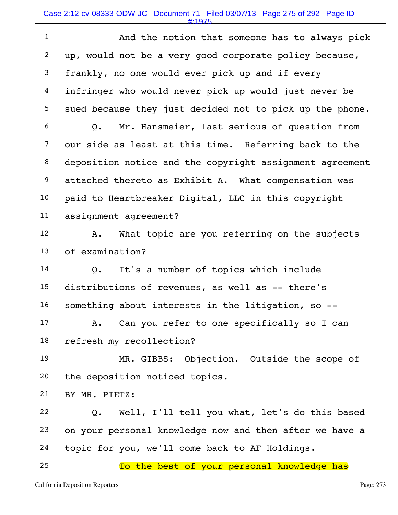### Case 2:12-cv-08333-ODW-JC Document 71 Filed 03/07/13 Page 275 of 292 Page ID

#:1975

|                  | #1975                                                    |
|------------------|----------------------------------------------------------|
| $\mathbf{1}$     | And the notion that someone has to always pick           |
| $\overline{2}$   | up, would not be a very good corporate policy because,   |
| 3                | frankly, no one would ever pick up and if every          |
| 4                | infringer who would never pick up would just never be    |
| 5                | sued because they just decided not to pick up the phone. |
| 6                | Q. Mr. Hansmeier, last serious of question from          |
| $\overline{7}$   | our side as least at this time. Referring back to the    |
| 8                | deposition notice and the copyright assignment agreement |
| $\boldsymbol{9}$ | attached thereto as Exhibit A. What compensation was     |
| 10               | paid to Heartbreaker Digital, LLC in this copyright      |
| 11               | assignment agreement?                                    |
| 12               | What topic are you referring on the subjects<br>Α.       |
| 13               | of examination?                                          |
| 14               | It's a number of topics which include<br>Q.              |
| 15               | distributions of revenues, as well as -- there's         |
| 16               | something about interests in the litigation, so --       |
| 17               | Can you refer to one specifically so I can<br>A.         |
| 18               | refresh my recollection?                                 |
| 19               | MR. GIBBS: Objection. Outside the scope of               |
| 20               | the deposition noticed topics.                           |
| 21               | BY MR. PIETZ:                                            |
| 22               | Well, I'll tell you what, let's do this based<br>Q.      |
| 23               | on your personal knowledge now and then after we have a  |
| 24               | topic for you, we'll come back to AF Holdings.           |
| 25               | To the best of your personal knowledge has               |
|                  |                                                          |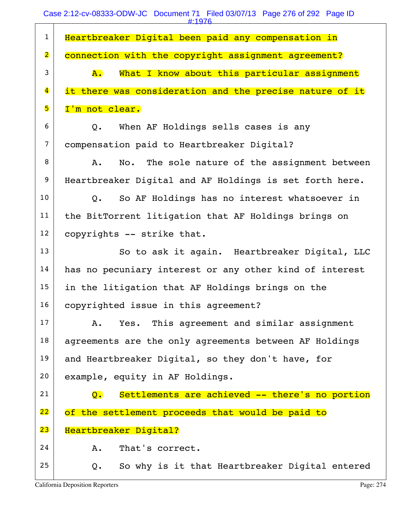| $\mathbf{1}$            | Heartbreaker Digital been paid any compensation in                 |
|-------------------------|--------------------------------------------------------------------|
| $\overline{\mathbf{2}}$ | connection with the copyright assignment agreement?                |
| 3                       | What I know about this particular assignment<br><b>A</b> .         |
| $\overline{\mathbf{4}}$ | it there was consideration and the precise nature of it            |
| 5                       | I'm not clear.                                                     |
| 6                       | When AF Holdings sells cases is any<br>$Q_{\bullet}$               |
| $\overline{7}$          | compensation paid to Heartbreaker Digital?                         |
| 8                       | No. The sole nature of the assignment between<br>Α.                |
| 9                       | Heartbreaker Digital and AF Holdings is set forth here.            |
| 10                      | Q. So AF Holdings has no interest whatsoever in                    |
| 11                      | the BitTorrent litigation that AF Holdings brings on               |
| 12                      | copyrights -- strike that.                                         |
| 13                      | So to ask it again. Heartbreaker Digital, LLC                      |
| 14                      | has no pecuniary interest or any other kind of interest            |
| 15                      | in the litigation that AF Holdings brings on the                   |
| 16                      | copyrighted issue in this agreement?                               |
| 17                      | Yes. This agreement and similar assignment<br>Α.                   |
| 18                      | agreements are the only agreements between AF Holdings             |
| 19                      | and Heartbreaker Digital, so they don't have, for                  |
| 20                      | example, equity in AF Holdings.                                    |
| 21                      | Settlements are achieved -- there's no portion<br>$\overline{Q}$ . |
| 22                      | of the settlement proceeds that would be paid to                   |
| 23                      | Heartbreaker Digital?                                              |
| 24                      | That's correct.<br>Α.                                              |
| 25                      | So why is it that Heartbreaker Digital entered<br>$Q$ .            |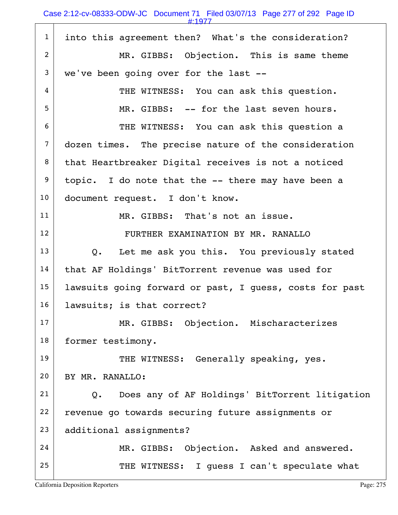|                | #:1977                                                  |
|----------------|---------------------------------------------------------|
| $\mathbf{1}$   | into this agreement then? What's the consideration?     |
| 2              | MR. GIBBS: Objection. This is same theme                |
| 3              | we've been going over for the last --                   |
| 4              | THE WITNESS: You can ask this question.                 |
| 5              | MR. GIBBS: -- for the last seven hours.                 |
| 6              | THE WITNESS: You can ask this question a                |
| $\overline{7}$ | dozen times. The precise nature of the consideration    |
| 8              | that Heartbreaker Digital receives is not a noticed     |
| 9              | topic. I do note that the -- there may have been a      |
| 10             | document request. I don't know.                         |
| 11             | MR. GIBBS: That's not an issue.                         |
| 12             | FURTHER EXAMINATION BY MR. RANALLO                      |
| 13             | Q. Let me ask you this. You previously stated           |
| 14             | that AF Holdings' BitTorrent revenue was used for       |
| 15             | lawsuits going forward or past, I guess, costs for past |
| 16             | lawsuits; is that correct?                              |
| 17             | MR. GIBBS: Objection. Mischaracterizes                  |
| 18             | former testimony.                                       |
| 19             | THE WITNESS: Generally speaking, yes.                   |
| 20             | BY MR. RANALLO:                                         |
| 21             | Q. Does any of AF Holdings' BitTorrent litigation       |
| 22             | revenue go towards securing future assignments or       |
| 23             | additional assignments?                                 |
| 24             | MR. GIBBS: Objection. Asked and answered.               |
| 25             | THE WITNESS:<br>I quess I can't speculate what          |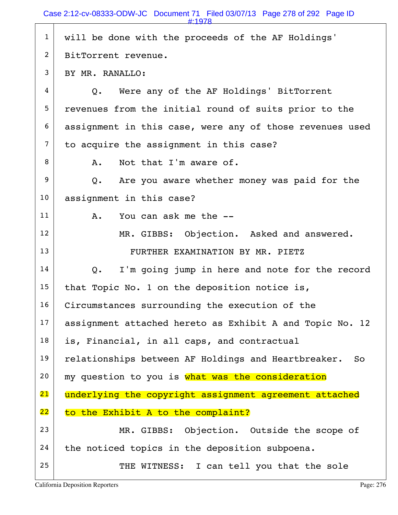|                | #:1978                                                    |
|----------------|-----------------------------------------------------------|
| $\mathbf{1}$   | will be done with the proceeds of the AF Holdings'        |
| $\overline{c}$ | BitTorrent revenue.                                       |
| 3              | BY MR. RANALLO:                                           |
| 4              | Were any of the AF Holdings' BitTorrent<br>$Q_{\bullet}$  |
| 5              | revenues from the initial round of suits prior to the     |
| 6              | assignment in this case, were any of those revenues used  |
| 7              | to acquire the assignment in this case?                   |
| 8              | Not that I'm aware of.<br>Α.                              |
| 9              | Are you aware whether money was paid for the<br>Q.        |
| 10             | assignment in this case?                                  |
| 11             | You can ask me the --<br>Α.                               |
| 12             | MR. GIBBS: Objection. Asked and answered.                 |
| 13             | FURTHER EXAMINATION BY MR. PIETZ                          |
| 14             | I'm going jump in here and note for the record<br>Q.      |
| 15             | that Topic No. 1 on the deposition notice is,             |
| 16             | Circumstances surrounding the execution of the            |
| 17             | assignment attached hereto as Exhibit A and Topic No. 12  |
| 18             | is, Financial, in all caps, and contractual               |
| 19             | relationships between AF Holdings and Heartbreaker.<br>So |
| 20             | my question to you is what was the consideration          |
| 21             | underlying the copyright assignment agreement attached    |
| 22             | to the Exhibit A to the complaint?                        |
| 23             | MR. GIBBS: Objection. Outside the scope of                |
| 24             | the noticed topics in the deposition subpoena.            |
| 25             | THE WITNESS: I can tell you that the sole                 |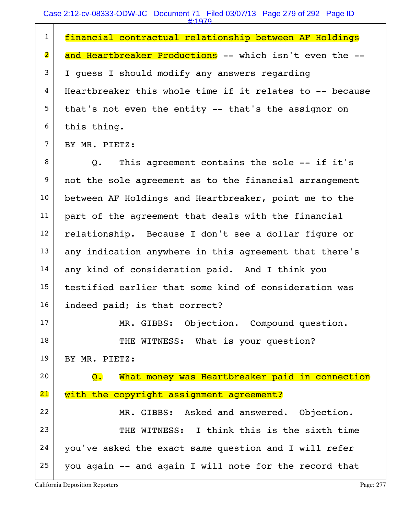| $\mathbf{1}$            | financial contractual relationship between AF Holdings   |
|-------------------------|----------------------------------------------------------|
| $\overline{\mathbf{2}}$ | and Heartbreaker Productions -- which isn't even the --  |
|                         |                                                          |
| $\mathfrak{Z}$          | I quess I should modify any answers regarding            |
| 4                       | Heartbreaker this whole time if it relates to -- because |
| 5                       | that's not even the entity -- that's the assignor on     |
| 6                       | this thing.                                              |
| $\overline{7}$          | BY MR. PIETZ:                                            |
| 8                       | Q. This agreement contains the sole -- if it's           |
| $\boldsymbol{9}$        | not the sole agreement as to the financial arrangement   |
| 10                      | between AF Holdings and Heartbreaker, point me to the    |
| 11                      | part of the agreement that deals with the financial      |
| 12                      | relationship. Because I don't see a dollar figure or     |
| 13                      | any indication anywhere in this agreement that there's   |
| 14                      | any kind of consideration paid. And I think you          |
| 15                      | testified earlier that some kind of consideration was    |
| 16                      | indeed paid; is that correct?                            |
| 17                      | MR. GIBBS: Objection. Compound question.                 |
| 18                      | THE WITNESS: What is your question?                      |
| 19                      | BY MR. PIETZ:                                            |
| 20                      | What money was Heartbreaker paid in connection<br>Q.     |
| 21                      | with the copyright assignment agreement?                 |
| 22                      | MR. GIBBS: Asked and answered. Objection.                |
| 23                      | THE WITNESS: I think this is the sixth time              |
| 24                      | you've asked the exact same question and I will refer    |
| 25                      | you again -- and again I will note for the record that   |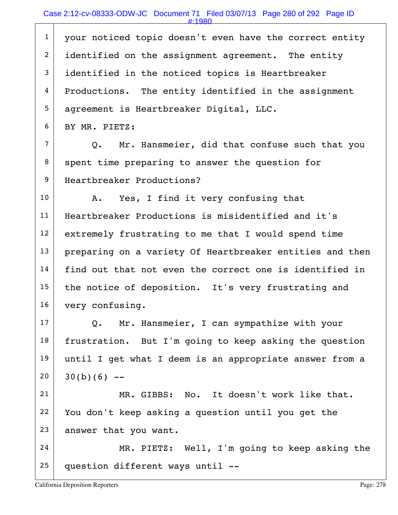# Case 2:12-cv-08333-ODW-JC Document 71 Filed 03/07/13 Page 280 of 292 Page ID

| $\mathbf{1}$   | your noticed topic doesn't even have the correct entity  |
|----------------|----------------------------------------------------------|
| $\overline{2}$ | identified on the assignment agreement. The entity       |
| 3              | identified in the noticed topics is Heartbreaker         |
| 4              | Productions. The entity identified in the assignment     |
| 5              | agreement is Heartbreaker Digital, LLC.                  |
| 6              | BY MR. PIETZ:                                            |
| $\overline{7}$ | Mr. Hansmeier, did that confuse such that you<br>Q.      |
| 8              | spent time preparing to answer the question for          |
| 9              | Heartbreaker Productions?                                |
| 10             | Yes, I find it very confusing that<br>Α.                 |
| 11             | Heartbreaker Productions is misidentified and it's       |
| 12             | extremely frustrating to me that I would spend time      |
| 13             | preparing on a variety Of Heartbreaker entities and then |
| 14             | find out that not even the correct one is identified in  |
| 15             | the notice of deposition. It's very frustrating and      |
| 16             | very confusing.                                          |
| 17             | Mr. Hansmeier, I can sympathize with your<br>Q.          |
| 18             | frustration. But I'm going to keep asking the question   |
| 19             | until I get what I deem is an appropriate answer from a  |
| 20             | $30(b)(6)$ --                                            |
| 21             | MR. GIBBS: No. It doesn't work like that.                |
| 22             | You don't keep asking a question until you get the       |
| 23             | answer that you want.                                    |
| 24             | MR. PIETZ: Well, I'm going to keep asking the            |
| 25             | question different ways until --                         |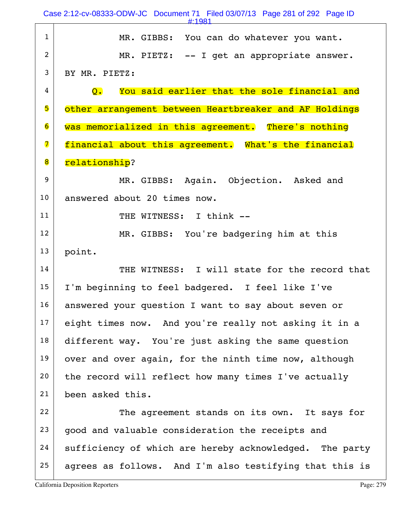|                         | Case 2:12-cv-08333-ODW-JC Document 71 Filed 03/07/13 Page 281 of 292 Page ID<br>$\pm 1981$ |
|-------------------------|--------------------------------------------------------------------------------------------|
| $\mathbf{1}$            | MR. GIBBS: You can do whatever you want.                                                   |
| $\overline{2}$          | MR. PIETZ: -- I get an appropriate answer.                                                 |
| 3                       | BY MR. PIETZ:                                                                              |
| 4                       | You said earlier that the sole financial and<br>$\overline{Q}$ .                           |
| 5                       | other arrangement between Heartbreaker and AF Holdings                                     |
| 6                       | was memorialized in this agreement. There's nothing                                        |
| $\overline{\mathbf{z}}$ | financial about this agreement. What's the financial                                       |
| 8                       | relationship?                                                                              |
| 9                       | MR. GIBBS: Again. Objection. Asked and                                                     |
| 10                      | answered about 20 times now.                                                               |
| 11                      | THE WITNESS: I think --                                                                    |
| 12                      | MR. GIBBS: You're badgering him at this                                                    |
| 13                      | point.                                                                                     |
| 14                      | THE WITNESS: I will state for the record that                                              |
| 15                      | I'm beginning to feel badgered. I feel like I've                                           |
| 16                      | answered your question I want to say about seven or                                        |
| 17                      | eight times now. And you're really not asking it in a                                      |
| 18                      | different way. You're just asking the same question                                        |
| 19                      | over and over again, for the ninth time now, although                                      |
| 20                      | the record will reflect how many times I've actually                                       |
| 21                      | been asked this.                                                                           |
| 22                      | The agreement stands on its own. It says for                                               |
|                         |                                                                                            |
| 23                      | good and valuable consideration the receipts and                                           |
| 24                      | sufficiency of which are hereby acknowledged. The party                                    |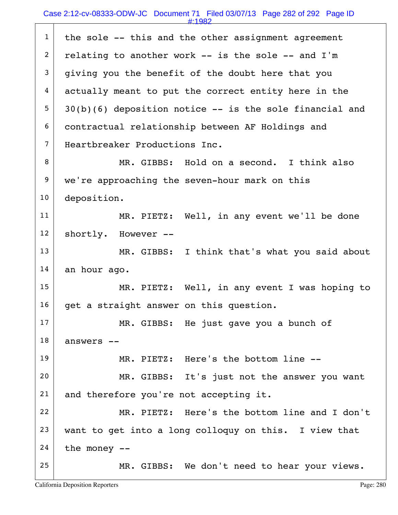|                | #:1982                                                      |
|----------------|-------------------------------------------------------------|
| $\mathbf{1}$   | the sole -- this and the other assignment agreement         |
| $\overline{2}$ | relating to another work -- is the sole -- and I'm          |
| 3              | giving you the benefit of the doubt here that you           |
| 4              | actually meant to put the correct entity here in the        |
| 5              | $30(b)(6)$ deposition notice $--$ is the sole financial and |
| 6              | contractual relationship between AF Holdings and            |
| $\overline{7}$ | Heartbreaker Productions Inc.                               |
| 8              | MR. GIBBS: Hold on a second. I think also                   |
| 9              | we're approaching the seven-hour mark on this               |
| 10             | deposition.                                                 |
| 11             | MR. PIETZ: Well, in any event we'll be done                 |
| 12             | shortly. However --                                         |
| 13             | MR. GIBBS: I think that's what you said about               |
| 14             | an hour ago.                                                |
| 15             | MR. PIETZ: Well, in any event I was hoping to               |
| 16             | get a straight answer on this question.                     |
| 17             | MR. GIBBS: He just gave you a bunch of                      |
| 18             | answers --                                                  |
| 19             | MR. PIETZ: Here's the bottom line --                        |
| 20             | MR. GIBBS: It's just not the answer you want                |
| 21             | and therefore you're not accepting it.                      |
| 22             | MR. PIETZ: Here's the bottom line and I don't               |
| 23             | want to get into a long colloquy on this. I view that       |
| 24             | the money $--$                                              |
| 25             | MR. GIBBS: We don't need to hear your views.                |
|                |                                                             |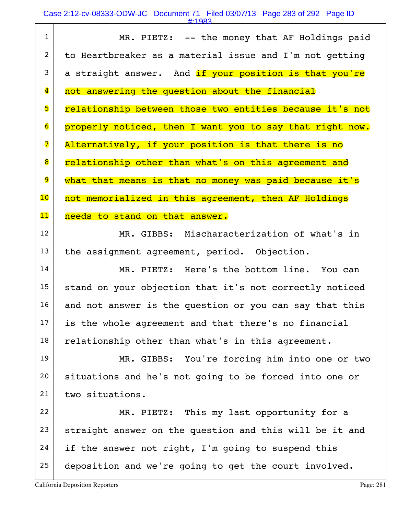Case 2:12-cv-08333-ODW-JC Document 71 Filed 03/07/13 Page 283 of 292 Page ID

| $\mathbf{1}$            | MR. PIETZ: -- the money that AF Holdings paid            |
|-------------------------|----------------------------------------------------------|
| $\overline{2}$          | to Heartbreaker as a material issue and I'm not getting  |
| 3                       | a straight answer. And if your position is that you're   |
| $\overline{\mathbf{4}}$ | not answering the question about the financial           |
| 5                       | relationship between those two entities because it's not |
| 6                       | properly noticed, then I want you to say that right now. |
| 7                       | Alternatively, if your position is that there is no      |
| 8                       | relationship other than what's on this agreement and     |
| 9                       | what that means is that no money was paid because it's   |
| 10                      | not memorialized in this agreement, then AF Holdings     |
| 11                      | needs to stand on that answer.                           |
| 12                      | MR. GIBBS: Mischaracterization of what's in              |
| 13                      | the assignment agreement, period. Objection.             |
| 14                      | MR. PIETZ: Here's the bottom line. You can               |
| 15                      | stand on your objection that it's not correctly noticed  |
| 16                      | and not answer is the question or you can say that this  |
| 17                      | is the whole agreement and that there's no financial     |
| 18                      | relationship other than what's in this agreement.        |
| 19                      | MR. GIBBS: You're forcing him into one or two            |
| 20                      | situations and he's not going to be forced into one or   |
| 21                      | two situations.                                          |
| 22                      | MR. PIETZ: This my last opportunity for a                |
| 23                      | straight answer on the question and this will be it and  |
| 24                      | if the answer not right, I'm going to suspend this       |
| 25                      | deposition and we're going to get the court involved.    |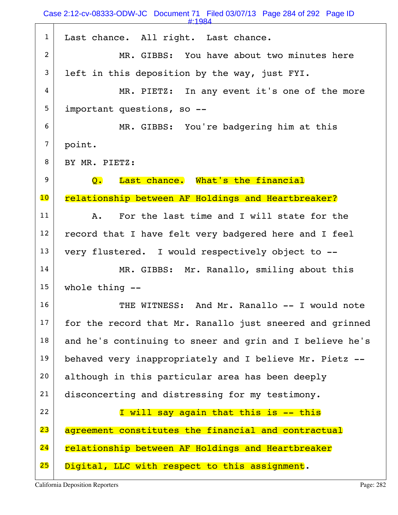Case 2:12-cv-08333-ODW-JC Document 71 Filed 03/07/13 Page 284 of 292 Page ID

| $\mathbf{1}$    | Last chance. All right. Last chance.                     |
|-----------------|----------------------------------------------------------|
| $\overline{2}$  | MR. GIBBS: You have about two minutes here               |
| 3               | left in this deposition by the way, just FYI.            |
| 4               | MR. PIETZ: In any event it's one of the more             |
| 5               | important questions, so --                               |
| 6               | MR. GIBBS: You're badgering him at this                  |
| $\overline{7}$  | point.                                                   |
| 8               | BY MR. PIETZ:                                            |
| 9               | Last chance. What's the financial<br>$\overline{Q}$ .    |
| $\overline{10}$ | relationship between AF Holdings and Heartbreaker?       |
| 11              | For the last time and I will state for the<br>A.         |
| 12              | record that I have felt very badgered here and I feel    |
| 13              | very flustered. I would respectively object to --        |
| 14              | MR. GIBBS: Mr. Ranallo, smiling about this               |
| 15              | whole thing $-$ -                                        |
| 16              | THE WITNESS: And Mr. Ranallo -- I would note             |
| 17              | for the record that Mr. Ranallo just sneered and grinned |
| 18              | and he's continuing to sneer and grin and I believe he's |
| 19              | behaved very inappropriately and I believe Mr. Pietz --  |
| 20              | although in this particular area has been deeply         |
| 21              | disconcerting and distressing for my testimony.          |
| 22              |                                                          |
|                 | I will say again that this is -- this                    |
| 23              | agreement constitutes the financial and contractual      |
| 24              | relationship between AF Holdings and Heartbreaker        |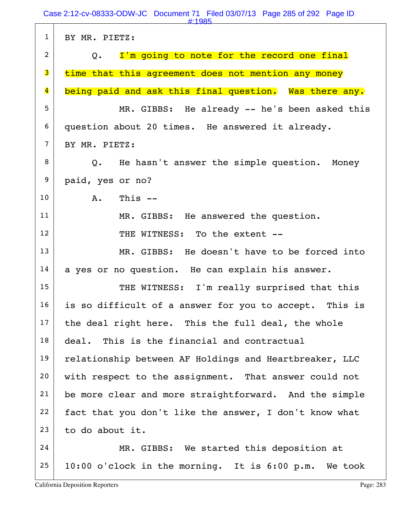| $\mathbf{1}$            | BY MR. PIETZ:                                          |
|-------------------------|--------------------------------------------------------|
| $\overline{2}$          | Q. I'm going to note for the record one final          |
| 3                       | time that this agreement does not mention any money    |
| $\overline{\mathbf{4}}$ | being paid and ask this final question. Was there any. |
| 5                       | MR. GIBBS: He already -- he's been asked this          |
| 6                       | question about 20 times. He answered it already.       |
| $\overline{7}$          | BY MR. PIETZ:                                          |
| 8                       | Q. He hasn't answer the simple question. Money         |
| $\boldsymbol{9}$        | paid, yes or no?                                       |
| 10                      | This $--$<br>A.                                        |
| 11                      | MR. GIBBS: He answered the question.                   |
| 12                      | THE WITNESS: To the extent --                          |
| 13                      | MR. GIBBS: He doesn't have to be forced into           |
| 14                      | a yes or no question. He can explain his answer.       |
| 15                      | THE WITNESS: I'm really surprised that this            |
| 16                      | is so difficult of a answer for you to accept. This is |
| 17                      | the deal right here. This the full deal, the whole     |
| 18                      | This is the financial and contractual<br>deal.         |
| 19                      | relationship between AF Holdings and Heartbreaker, LLC |
| 20                      | with respect to the assignment. That answer could not  |
| 21                      | be more clear and more straightforward. And the simple |
| 22                      | fact that you don't like the answer, I don't know what |
| 23                      | to do about it.                                        |
| 24                      | MR. GIBBS: We started this deposition at               |
| 25                      | 10:00 o'clock in the morning. It is 6:00 p.m. We took  |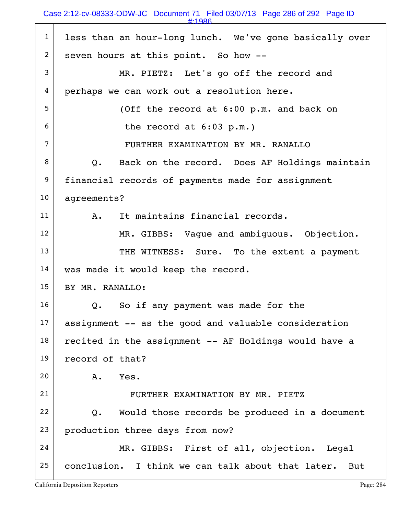#### Case 2:12-cv-08333-ODW-JC Document 71 Filed 03/07/13 Page 286 of 292 Page ID

| $\mathbf{1}$   | less than an hour-long lunch. We've gone basically over  |
|----------------|----------------------------------------------------------|
| $\overline{2}$ | seven hours at this point. So how --                     |
| 3              | MR. PIETZ: Let's go off the record and                   |
| 4              | perhaps we can work out a resolution here.               |
| 5              | (Off the record at 6:00 p.m. and back on                 |
| 6              | the record at $6:03$ p.m.)                               |
| $\overline{7}$ | FURTHER EXAMINATION BY MR. RANALLO                       |
| 8              | Q. Back on the record. Does AF Holdings maintain         |
| 9              | financial records of payments made for assignment        |
| 10             | agreements?                                              |
| 11             | It maintains financial records.<br>A.                    |
| 12             | MR. GIBBS: Vague and ambiguous. Objection.               |
| 13             | THE WITNESS: Sure. To the extent a payment               |
| 14             | was made it would keep the record.                       |
| 15             | BY MR. RANALLO:                                          |
| 16             | So if any payment was made for the<br>Q.                 |
| 17             | assignment -- as the good and valuable consideration     |
| 18             | recited in the assignment -- AF Holdings would have a    |
| 19             | record of that?                                          |
| 20             | Yes.<br>Α.                                               |
| 21             | FURTHER EXAMINATION BY MR. PIETZ                         |
| 22             | Would those records be produced in a document<br>Q.      |
| 23             | production three days from now?                          |
| 24             | MR. GIBBS: First of all, objection. Legal                |
| 25             | conclusion. I think we can talk about that later.<br>But |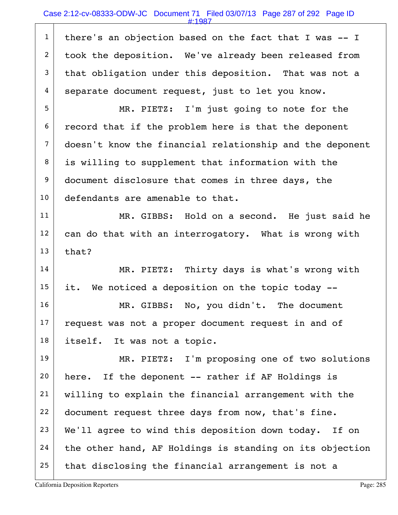### Case 2:12-cv-08333-ODW-JC Document 71 Filed 03/07/13 Page 287 of 292 Page ID

#:1987

 there's an objection based on the fact that I was  $-1$ 2 took the deposition. We've already been released from that obligation under this deposition. That was not a separate document request, just to let you know.

5 MR. PIETZ: I'm just going to note for the  $6$  record that if the problem here is that the deponent 7 doesn't know the financial relationship and the deponent  $8$  is willing to supplement that information with the 9 document disclosure that comes in three days, the 10 defendants are amenable to that.

11 MR. GIBBS: Hold on a second. He just said he  $12$  can do that with an interrogatory. What is wrong with  $13$  that?

14 MR. PIETZ: Thirty days is what's wrong with  $15$  it. We noticed a deposition on the topic today  $-$ -

16 MR. GIBBS: No, you didn't. The document  $17$  request was not a proper document request in and of 18 itself. It was not a topic.

19 MR. PIETZ: I'm proposing one of two solutions  $20$  here. If the deponent -- rather if AF Holdings is 21 willing to explain the financial arrangement with the 22 document request three days from now, that's fine.  $23$  We'll agree to wind this deposition down today. If on  $24$  the other hand, AF Holdings is standing on its objection  $25$  that disclosing the financial arrangement is not a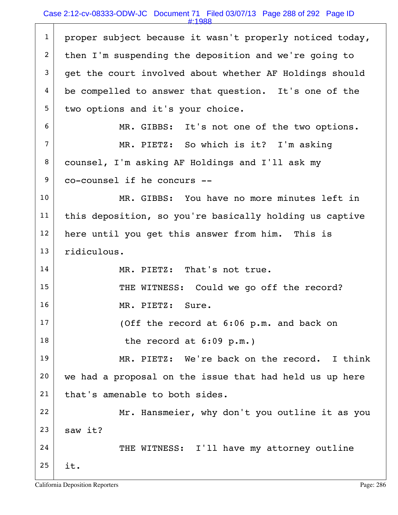# Case 2:12-cv-08333-ODW-JC Document 71 Filed 03/07/13 Page 288 of 292 Page ID

#:1988

|                | #1900                                                    |
|----------------|----------------------------------------------------------|
| $\mathbf{1}$   | proper subject because it wasn't properly noticed today, |
| $\overline{2}$ | then I'm suspending the deposition and we're going to    |
| 3              | get the court involved about whether AF Holdings should  |
| 4              | be compelled to answer that question. It's one of the    |
| 5              | two options and it's your choice.                        |
| 6              | MR. GIBBS: It's not one of the two options.              |
| $\overline{7}$ | MR. PIETZ: So which is it? I'm asking                    |
| 8              | counsel, I'm asking AF Holdings and I'll ask my          |
| 9              | co-counsel if he concurs --                              |
| 10             | MR. GIBBS: You have no more minutes left in              |
| 11             | this deposition, so you're basically holding us captive  |
| 12             | here until you get this answer from him. This is         |
| 13             | ridiculous.                                              |
| 14             | MR. PIETZ: That's not true.                              |
| 15             | THE WITNESS: Could we go off the record?                 |
| 16             | MR. PIETZ: Sure.                                         |
| 17             | (Off the record at 6:06 p.m. and back on                 |
| 18             | the record at $6:09$ p.m.)                               |
| 19             | MR. PIETZ: We're back on the record. I think             |
| 20             | we had a proposal on the issue that had held us up here  |
| 21             | that's amenable to both sides.                           |
| 22             | Mr. Hansmeier, why don't you outline it as you           |
| 23             | saw it?                                                  |
| 24             | THE WITNESS: I'll have my attorney outline               |
| 25             | it.                                                      |
|                |                                                          |

 $\Gamma$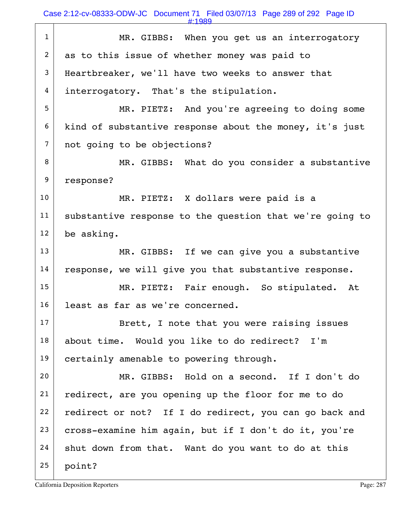Case 2:12-cv-08333-ODW-JC Document 71 Filed 03/07/13 Page 289 of 292 Page ID

#:1989

| $\mathbf{1}$   | MR. GIBBS: When you get us an interrogatory              |
|----------------|----------------------------------------------------------|
| $\overline{2}$ | as to this issue of whether money was paid to            |
| 3              | Heartbreaker, we'll have two weeks to answer that        |
| 4              | interrogatory. That's the stipulation.                   |
| 5              | MR. PIETZ: And you're agreeing to doing some             |
| 6              | kind of substantive response about the money, it's just  |
| $\overline{7}$ | not going to be objections?                              |
| 8              | MR. GIBBS: What do you consider a substantive            |
| 9              | response?                                                |
| 10             | MR. PIETZ: X dollars were paid is a                      |
| 11             | substantive response to the question that we're going to |
| 12             | be asking.                                               |
| 13             | MR. GIBBS: If we can give you a substantive              |
| 14             | response, we will give you that substantive response.    |
| 15             | MR. PIETZ: Fair enough. So stipulated. At                |
| 16             | least as far as we're concerned.                         |
| 17             | Brett, I note that you were raising issues               |
| 18             | about time. Would you like to do redirect? I'm           |
| 19             | certainly amenable to powering through.                  |
| 20             | MR. GIBBS: Hold on a second. If I don't do               |
| 21             | redirect, are you opening up the floor for me to do      |
| 22             | redirect or not? If I do redirect, you can go back and   |
| 23             | cross-examine him again, but if I don't do it, you're    |
| 24             | shut down from that. Want do you want to do at this      |
| 25             | point?                                                   |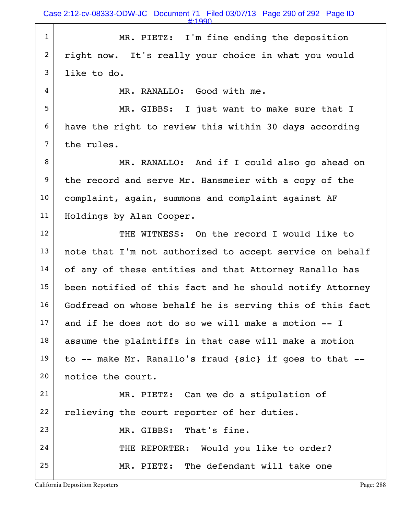1 MR. PIETZ: I'm fine ending the deposition 2 right now. It's really your choice in what you would  $3$  like to do.

4 MR. RANALLO: Good with me.

5 MR. GIBBS: I just want to make sure that I 6 have the right to review this within 30 days according  $7$  the rules.

8 MR. RANALLO: And if I could also go ahead on 9 the record and serve Mr. Hansmeier with a copy of the 10 | complaint, again, summons and complaint against AF 11 | Holdings by Alan Cooper.

12 THE WITNESS: On the record I would like to  $13$  note that I'm not authorized to accept service on behalf 14 of any of these entities and that Attorney Ranallo has 15 been notified of this fact and he should notify Attorney 16 Godfread on whose behalf he is serving this of this fact  $17$  and if he does not do so we will make a motion  $-1$ 18 assume the plaintiffs in that case will make a motion  $19$  to -- make Mr. Ranallo's fraud {sic} if goes to that -- 20 notice the court. 21 MR. PIETZ: Can we do a stipulation of  $22$  relieving the court reporter of her duties.

23 MR. GIBBS: That's fine.

24 THE REPORTER: Would you like to order? 25 MR. PIETZ: The defendant will take one

California Deposition Reporters **Page: 288**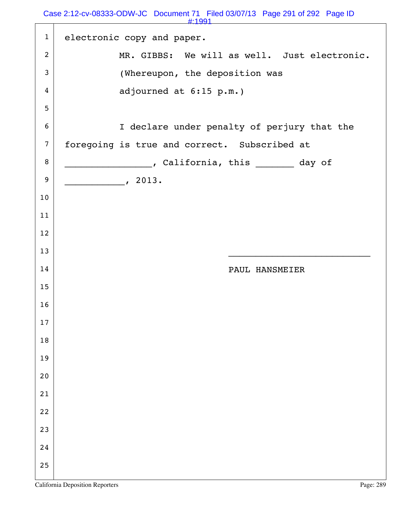|                  | #:1991                                       |
|------------------|----------------------------------------------|
| $\mathbf{1}$     | electronic copy and paper.                   |
| $\overline{2}$   | MR. GIBBS: We will as well. Just electronic. |
| $\mathfrak{Z}$   | (Whereupon, the deposition was               |
| 4                | adjourned at 6:15 p.m.)                      |
| 5                |                                              |
| 6                | I declare under penalty of perjury that the  |
| $\overline{7}$   | foregoing is true and correct. Subscribed at |
| 8                | , California, this ________ day of           |
| $\boldsymbol{9}$ | $\sim$ 2013.                                 |
| 10               |                                              |
| 11               |                                              |
| 12               |                                              |
| 13               |                                              |
| 14               | PAUL HANSMEIER                               |
| 15               |                                              |
| 16               |                                              |
| $17$             |                                              |
| $18\,$           |                                              |
| 19               |                                              |
| 20               |                                              |
| 21               |                                              |
| 22               |                                              |
| 23               |                                              |
| 24               |                                              |
| 25               |                                              |